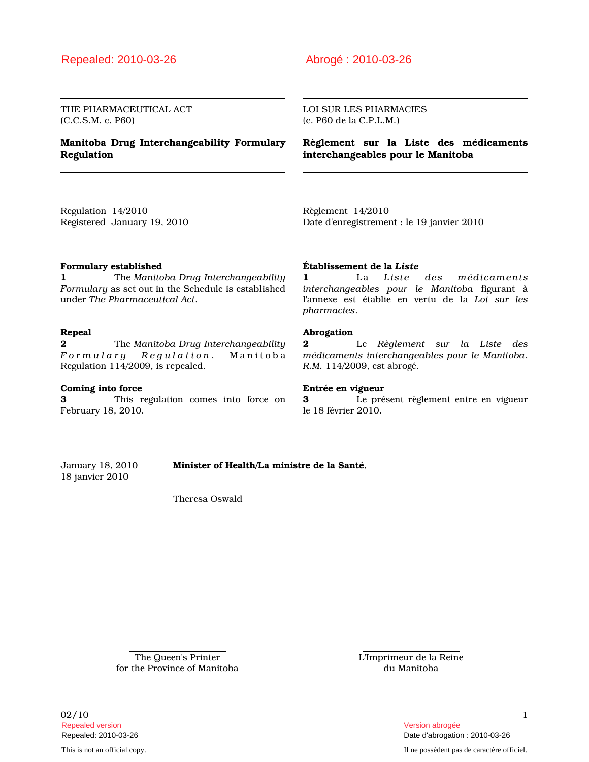# Repealed: 2010-03-26 Abrogé : 2010-03-26

THE PHARMACEUTICAL ACT (C.C.S.M. c. P60)

## Manitoba Drug Interchangeability Formulary Regulation

LOI SUR LES PHARMACIES (c. P60 de la C.P.L.M.)

Règlement sur la Liste des médicaments interchangeables pour le Manitoba

Regulation 14/2010 Registered January 19, 2010 Règlement 14/2010 Date d'enregistrement : le 19 janvier 2010

### Formulary established

1 The Manitoba Drug Interchangeability Formulary as set out in the Schedule is established under The Pharmaceutical Act.

### Repeal

2 The Manitoba Drug Interchangeability Formulary Regulation, Manitoba Regulation 114/2009, is repealed.

### Coming into force

3 This regulation comes into force on February 18, 2010.

#### Établissement de la Liste

1 La Liste des médicaments interchangeables pour le Manitoba figurant à l'annexe est établie en vertu de la Loi sur les pharmacies.

#### Abrogation

2 Le Règlement sur la Liste des médicaments interchangeables pour le Manitoba, R.M. 114/2009, est abrogé.

#### Entrée en vigueur

3 Le présent règlement entre en vigueur le 18 février 2010.

January 18, 2010 Minister of Health/La ministre de la Santé, 18 janvier 2010

Theresa Oswald

The Queen's Printer for the Province of Manitoba L'Imprimeur de la Reine du Manitoba

 $02/10$  1 Repealed version Version abrogée

Repealed: 2010-03-26 Date d'abrogation : 2010-03-26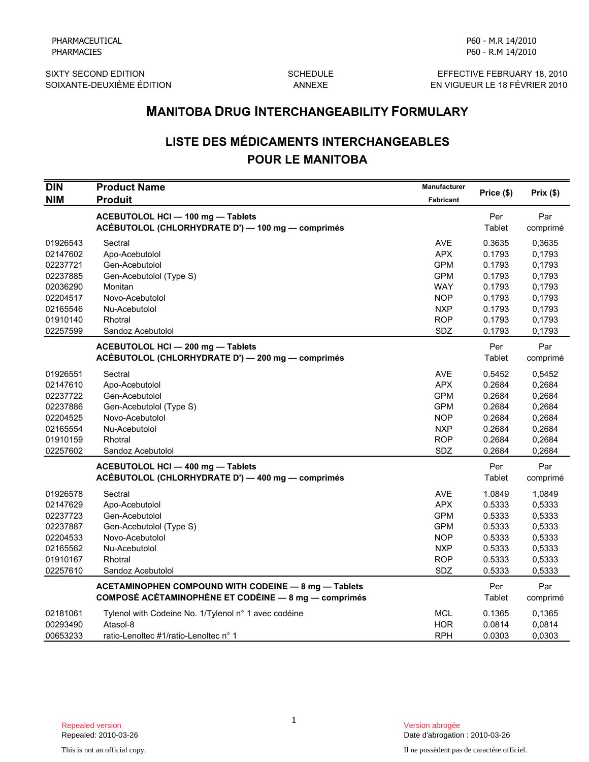SIXTY SECOND EDITION GOTHOM SCHEDULE SONG EFFECTIVE FEBRUARY 18, 2010<br>SOIXANTE-DEUXIÈME ÉDITION ANNEXE ANNEXE EN VIGUEUR LE 18 FÉVRIER 2010

P60 - M.R 14/2010

# LISTE DES MÉDICAMENTS INTERCHANGEABLES POUR LE MANITOBA

|                                                                                              |                                                                                                                                            | <b>MANITOBA DRUG INTERCHANGEABILITY FORMULARY</b>                                                     |                                                                              |                                                                              |  |  |
|----------------------------------------------------------------------------------------------|--------------------------------------------------------------------------------------------------------------------------------------------|-------------------------------------------------------------------------------------------------------|------------------------------------------------------------------------------|------------------------------------------------------------------------------|--|--|
|                                                                                              | <b>LISTE DES MÉDICAMENTS INTERCHANGEABLES</b><br><b>POUR LE MANITOBA</b>                                                                   |                                                                                                       |                                                                              |                                                                              |  |  |
| <b>DIN</b><br><b>NIM</b>                                                                     | <b>Product Name</b><br><b>Produit</b>                                                                                                      | <b>Manufacturer</b><br>Fabricant                                                                      | Price (\$)                                                                   | Prix(\$)                                                                     |  |  |
|                                                                                              | ACEBUTOLOL HCI - 100 mg - Tablets<br>ACÉBUTOLOL (CHLORHYDRATE D') - 100 mg - comprimés                                                     |                                                                                                       | Per<br>Tablet                                                                | Par<br>comprimé                                                              |  |  |
| 01926543<br>02147602<br>02237721<br>02237885<br>02036290<br>02204517<br>02165546             | Sectral<br>Apo-Acebutolol<br>Gen-Acebutolol<br>Gen-Acebutolol (Type S)<br>Monitan<br>Novo-Acebutolol<br>Nu-Acebutolol                      | <b>AVE</b><br><b>APX</b><br><b>GPM</b><br><b>GPM</b><br><b>WAY</b><br><b>NOP</b><br><b>NXP</b>        | 0.3635<br>0.1793<br>0.1793<br>0.1793<br>0.1793<br>0.1793<br>0.1793           | 0,3635<br>0,1793<br>0,1793<br>0,1793<br>0,1793<br>0,1793<br>0,1793           |  |  |
| 01910140<br>02257599                                                                         | Rhotral<br>Sandoz Acebutolol                                                                                                               | <b>ROP</b><br>SDZ                                                                                     | 0.1793<br>0.1793                                                             | 0,1793<br>0,1793                                                             |  |  |
|                                                                                              | ACEBUTOLOL HCI - 200 mg - Tablets<br>ACÉBUTOLOL (CHLORHYDRATE D') - 200 mg - comprimés                                                     |                                                                                                       | Per<br>Tablet                                                                | Par<br>comprimé                                                              |  |  |
| 01926551<br>02147610<br>02237722<br>02237886<br>02204525<br>02165554<br>01910159<br>02257602 | Sectral<br>Apo-Acebutolol<br>Gen-Acebutolol<br>Gen-Acebutolol (Type S)<br>Novo-Acebutolol<br>Nu-Acebutolol<br>Rhotral<br>Sandoz Acebutolol | <b>AVE</b><br><b>APX</b><br><b>GPM</b><br><b>GPM</b><br><b>NOP</b><br><b>NXP</b><br><b>ROP</b><br>SDZ | 0.5452<br>0.2684<br>0.2684<br>0.2684<br>0.2684<br>0.2684<br>0.2684<br>0.2684 | 0,5452<br>0,2684<br>0,2684<br>0,2684<br>0,2684<br>0,2684<br>0,2684<br>0,2684 |  |  |
|                                                                                              | ACEBUTOLOL HCI - 400 mg - Tablets<br>ACÉBUTOLOL (CHLORHYDRATE D') - 400 mg - comprimés                                                     |                                                                                                       | Per<br>Tablet                                                                | Par<br>comprimé                                                              |  |  |
| 01926578<br>02147629<br>02237723<br>02237887<br>02204533<br>02165562<br>01910167<br>02257610 | Sectral<br>Apo-Acebutolol<br>Gen-Acebutolol<br>Gen-Acebutolol (Type S)<br>Novo-Acebutolol<br>Nu-Acebutolol<br>Rhotral<br>Sandoz Acebutolol | <b>AVE</b><br><b>APX</b><br><b>GPM</b><br><b>GPM</b><br><b>NOP</b><br><b>NXP</b><br><b>ROP</b><br>SDZ | 1.0849<br>0.5333<br>0.5333<br>0.5333<br>0.5333<br>0.5333<br>0.5333<br>0.5333 | 1,0849<br>0,5333<br>0,5333<br>0,5333<br>0,5333<br>0,5333<br>0,5333<br>0,5333 |  |  |
|                                                                                              | ACETAMINOPHEN COMPOUND WITH CODEINE - 8 mg - Tablets<br>COMPOSÉ ACÉTAMINOPHÈNE ET CODÉINE - 8 mg - comprimés                               |                                                                                                       | Per<br>Tablet                                                                | Par<br>comprimé                                                              |  |  |
| 02181061<br>00293490<br>00653233                                                             | Tylenol with Codeine No. 1/Tylenol n° 1 avec codéine<br>Atasol-8<br>ratio-Lenoltec #1/ratio-Lenoltec n° 1                                  | MCL<br><b>HOR</b><br><b>RPH</b>                                                                       | 0.1365<br>0.0814<br>0.0303                                                   | 0,1365<br>0,0814<br>0,0303                                                   |  |  |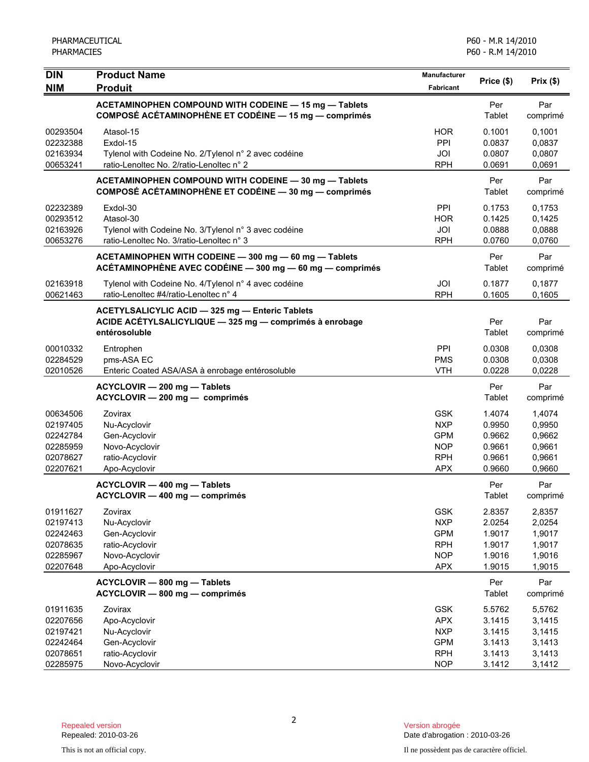| <b>DIN</b>                                                           | <b>Product Name</b>                                                                                                         | <b>Manufacturer</b>                                                              | Price (\$)                                               | Prix(\$)                                                 |
|----------------------------------------------------------------------|-----------------------------------------------------------------------------------------------------------------------------|----------------------------------------------------------------------------------|----------------------------------------------------------|----------------------------------------------------------|
| <b>NIM</b>                                                           | <b>Produit</b>                                                                                                              | Fabricant                                                                        |                                                          |                                                          |
|                                                                      | ACETAMINOPHEN COMPOUND WITH CODEINE - 15 mg - Tablets<br>COMPOSÉ ACÉTAMINOPHÈNE ET CODÉINE - 15 mg - comprimés              |                                                                                  | Per<br>Tablet                                            | Par<br>comprimé                                          |
| 00293504<br>02232388<br>02163934<br>00653241                         | Atasol-15<br>Exdol-15<br>Tylenol with Codeine No. 2/Tylenol n° 2 avec codéine<br>ratio-Lenoltec No. 2/ratio-Lenoltec n° 2   | <b>HOR</b><br>PPI<br>JOI<br><b>RPH</b>                                           | 0.1001<br>0.0837<br>0.0807<br>0.0691                     | 0,1001<br>0,0837<br>0,0807<br>0,0691                     |
|                                                                      | ACETAMINOPHEN COMPOUND WITH CODEINE - 30 mg - Tablets<br>COMPOSÉ ACÉTAMINOPHÈNE ET CODÉINE - 30 mg - comprimés              |                                                                                  | Per<br>Tablet                                            | Par<br>comprimé                                          |
| 02232389<br>00293512<br>02163926<br>00653276                         | Exdol-30<br>Atasol-30<br>Tylenol with Codeine No. 3/Tylenol n° 3 avec codéine<br>ratio-Lenoltec No. 3/ratio-Lenoltec n° 3   | PPI<br><b>HOR</b><br>JOI<br><b>RPH</b>                                           | 0.1753<br>0.1425<br>0.0888<br>0.0760                     | 0,1753<br>0,1425<br>0,0888<br>0,0760                     |
|                                                                      | ACETAMINOPHEN WITH CODEINE - 300 mg - 60 mg - Tablets<br>ACÉTAMINOPHÈNE AVEC CODÉINE - 300 mg - 60 mg - comprimés           |                                                                                  | Per<br>Tablet                                            | Par<br>comprimé                                          |
| 02163918<br>00621463                                                 | Tylenol with Codeine No. 4/Tylenol n° 4 avec codéine<br>ratio-Lenoltec #4/ratio-Lenoltec n° 4                               | JOI<br><b>RPH</b>                                                                | 0.1877<br>0.1605                                         | 0,1877<br>0,1605                                         |
|                                                                      | ACETYLSALICYLIC ACID - 325 mg - Enteric Tablets<br>ACIDE ACÉTYLSALICYLIQUE - 325 mg - comprimés à enrobage<br>entérosoluble |                                                                                  | Per<br>Tablet                                            | Par<br>comprimé                                          |
| 00010332<br>02284529<br>02010526                                     | Entrophen<br>pms-ASA EC<br>Enteric Coated ASA/ASA à enrobage entérosoluble                                                  | PPI<br><b>PMS</b><br><b>VTH</b>                                                  | 0.0308<br>0.0308<br>0.0228                               | 0,0308<br>0,0308<br>0,0228                               |
|                                                                      | ACYCLOVIR - 200 mg - Tablets<br>ACYCLOVIR - 200 mg - comprimés                                                              |                                                                                  | Per<br>Tablet                                            | Par<br>comprimé                                          |
| 00634506<br>02197405<br>02242784<br>02285959<br>02078627<br>02207621 | Zovirax<br>Nu-Acyclovir<br>Gen-Acyclovir<br>Novo-Acyclovir<br>ratio-Acyclovir<br>Apo-Acyclovir                              | <b>GSK</b><br><b>NXP</b><br><b>GPM</b><br><b>NOP</b><br><b>RPH</b><br><b>APX</b> | 1.4074<br>0.9950<br>0.9662<br>0.9661<br>0.9661<br>0.9660 | 1,4074<br>0,9950<br>0,9662<br>0,9661<br>0,9661<br>0,9660 |
|                                                                      | ACYCLOVIR - 400 mg - Tablets<br>ACYCLOVIR - 400 mg - comprimés                                                              |                                                                                  | Per<br>Tablet                                            | Par<br>comprimé                                          |
| 01911627<br>02197413<br>02242463<br>02078635<br>02285967<br>02207648 | Zovirax<br>Nu-Acyclovir<br>Gen-Acyclovir<br>ratio-Acyclovir<br>Novo-Acyclovir<br>Apo-Acyclovir                              | <b>GSK</b><br><b>NXP</b><br><b>GPM</b><br><b>RPH</b><br><b>NOP</b><br><b>APX</b> | 2.8357<br>2.0254<br>1.9017<br>1.9017<br>1.9016<br>1.9015 | 2,8357<br>2,0254<br>1,9017<br>1,9017<br>1,9016<br>1,9015 |
|                                                                      | ACYCLOVIR - 800 mg - Tablets<br>ACYCLOVIR - 800 mg - comprimés                                                              |                                                                                  | Per<br>Tablet                                            | Par<br>comprimé                                          |
| 01911635<br>02207656<br>02197421<br>02242464<br>02078651<br>02285975 | Zovirax<br>Apo-Acyclovir<br>Nu-Acyclovir<br>Gen-Acyclovir<br>ratio-Acyclovir<br>Novo-Acyclovir                              | <b>GSK</b><br><b>APX</b><br><b>NXP</b><br><b>GPM</b><br><b>RPH</b><br><b>NOP</b> | 5.5762<br>3.1415<br>3.1415<br>3.1413<br>3.1413<br>3.1412 | 5,5762<br>3,1415<br>3,1415<br>3,1413<br>3,1413<br>3,1412 |

Date d'abrogation : 2010-03-26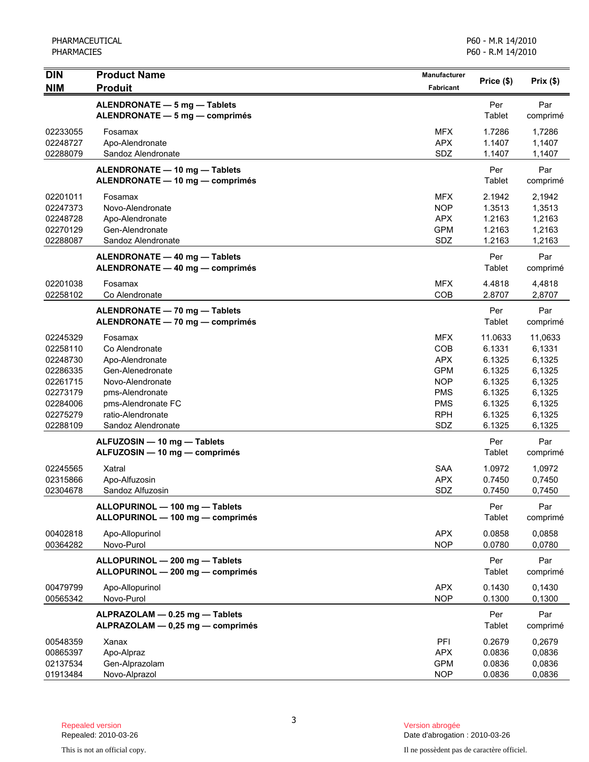| <b>DIN</b><br><b>NIM</b>                                                                                 | <b>Product Name</b><br><b>Produit</b>                                                                                                                                    | <b>Manufacturer</b><br>Fabricant                                                                             | Price (\$)                                                                              | Prix(\$)                                                                                |
|----------------------------------------------------------------------------------------------------------|--------------------------------------------------------------------------------------------------------------------------------------------------------------------------|--------------------------------------------------------------------------------------------------------------|-----------------------------------------------------------------------------------------|-----------------------------------------------------------------------------------------|
|                                                                                                          | ALENDRONATE - 5 mg - Tablets<br>ALENDRONATE - 5 mg - comprimés                                                                                                           |                                                                                                              | Per<br>Tablet                                                                           | Par<br>comprimé                                                                         |
| 02233055<br>02248727<br>02288079                                                                         | Fosamax<br>Apo-Alendronate<br>Sandoz Alendronate                                                                                                                         | MFX.<br><b>APX</b><br>SDZ                                                                                    | 1.7286<br>1.1407<br>1.1407                                                              | 1,7286<br>1,1407<br>1,1407                                                              |
|                                                                                                          | ALENDRONATE - 10 mg - Tablets<br>ALENDRONATE - 10 mg - comprimés                                                                                                         |                                                                                                              | Per<br>Tablet                                                                           | Par<br>comprimé                                                                         |
| 02201011<br>02247373<br>02248728<br>02270129<br>02288087                                                 | Fosamax<br>Novo-Alendronate<br>Apo-Alendronate<br>Gen-Alendronate<br>Sandoz Alendronate                                                                                  | <b>MFX</b><br><b>NOP</b><br><b>APX</b><br><b>GPM</b><br>SDZ                                                  | 2.1942<br>1.3513<br>1.2163<br>1.2163<br>1.2163                                          | 2,1942<br>1,3513<br>1,2163<br>1,2163<br>1,2163                                          |
|                                                                                                          | ALENDRONATE - 40 mg - Tablets<br>ALENDRONATE - 40 mg - comprimés                                                                                                         |                                                                                                              | Per<br>Tablet                                                                           | Par<br>comprimé                                                                         |
| 02201038<br>02258102                                                                                     | Fosamax<br>Co Alendronate                                                                                                                                                | <b>MFX</b><br>COB                                                                                            | 4.4818<br>2.8707                                                                        | 4,4818<br>2,8707                                                                        |
|                                                                                                          | ALENDRONATE - 70 mg - Tablets<br>ALENDRONATE - 70 mg - comprimés                                                                                                         |                                                                                                              | Per<br><b>Tablet</b>                                                                    | Par<br>comprimé                                                                         |
| 02245329<br>02258110<br>02248730<br>02286335<br>02261715<br>02273179<br>02284006<br>02275279<br>02288109 | Fosamax<br>Co Alendronate<br>Apo-Alendronate<br>Gen-Alenedronate<br>Novo-Alendronate<br>pms-Alendronate<br>pms-Alendronate FC<br>ratio-Alendronate<br>Sandoz Alendronate | <b>MFX</b><br>COB<br><b>APX</b><br><b>GPM</b><br><b>NOP</b><br><b>PMS</b><br><b>PMS</b><br><b>RPH</b><br>SDZ | 11.0633<br>6.1331<br>6.1325<br>6.1325<br>6.1325<br>6.1325<br>6.1325<br>6.1325<br>6.1325 | 11,0633<br>6,1331<br>6,1325<br>6,1325<br>6,1325<br>6,1325<br>6,1325<br>6,1325<br>6,1325 |
|                                                                                                          | ALFUZOSIN - 10 mg - Tablets<br>ALFUZOSIN - 10 mg - comprimés                                                                                                             |                                                                                                              | Per<br>Tablet                                                                           | Par<br>comprimé                                                                         |
| 02245565<br>02315866<br>02304678                                                                         | Xatral<br>Apo-Alfuzosin<br>Sandoz Alfuzosin                                                                                                                              | <b>SAA</b><br><b>APX</b><br>SDZ                                                                              | 1.0972<br>0.7450<br>0.7450                                                              | 1,0972<br>0,7450<br>0,7450                                                              |
|                                                                                                          | ALLOPURINOL - 100 mg - Tablets<br>ALLOPURINOL - 100 mg - comprimés                                                                                                       |                                                                                                              | Per<br><b>Tablet</b>                                                                    | Par<br>comprimé                                                                         |
| 00402818<br>00364282                                                                                     | Apo-Allopurinol<br>Novo-Purol                                                                                                                                            | <b>APX</b><br><b>NOP</b>                                                                                     | 0.0858<br>0.0780                                                                        | 0,0858<br>0,0780                                                                        |
|                                                                                                          | ALLOPURINOL - 200 mg - Tablets<br>ALLOPURINOL - 200 mg - comprimés                                                                                                       |                                                                                                              | Per<br>Tablet                                                                           | Par<br>comprimé                                                                         |
| 00479799<br>00565342                                                                                     | Apo-Allopurinol<br>Novo-Purol                                                                                                                                            | <b>APX</b><br><b>NOP</b>                                                                                     | 0.1430<br>0.1300                                                                        | 0,1430<br>0,1300                                                                        |
|                                                                                                          | ALPRAZOLAM - 0.25 mg - Tablets<br>ALPRAZOLAM - 0,25 mg - comprimés                                                                                                       |                                                                                                              | Per<br>Tablet                                                                           | Par<br>comprimé                                                                         |
| 00548359<br>00865397<br>02137534<br>01913484                                                             | Xanax<br>Apo-Alpraz<br>Gen-Alprazolam<br>Novo-Alprazol                                                                                                                   | PFI<br><b>APX</b><br><b>GPM</b><br><b>NOP</b>                                                                | 0.2679<br>0.0836<br>0.0836<br>0.0836                                                    | 0,2679<br>0,0836<br>0,0836<br>0,0836                                                    |

Date d'abrogation : 2010-03-26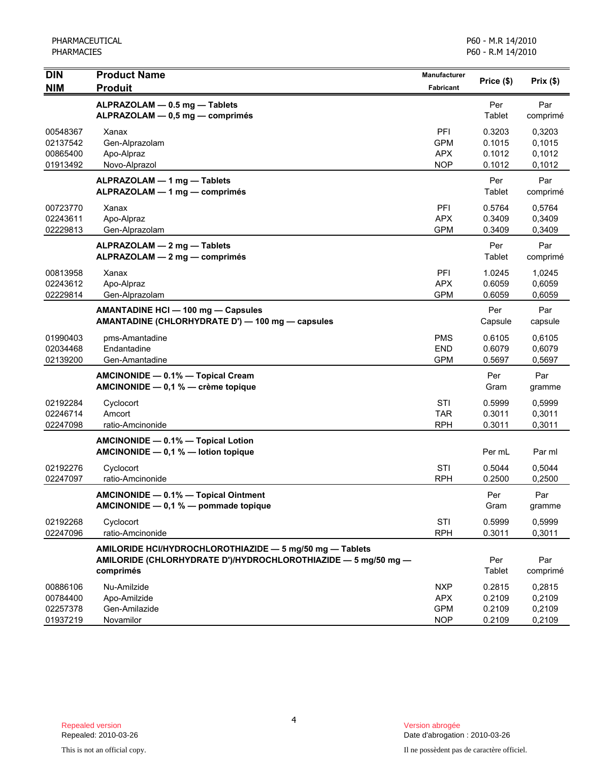| <b>DIN</b>                                   | <b>Product Name</b>                                                                                                                     | Manufacturer                                         | Price (\$)                           | Prix(\$)                             |
|----------------------------------------------|-----------------------------------------------------------------------------------------------------------------------------------------|------------------------------------------------------|--------------------------------------|--------------------------------------|
| <b>NIM</b>                                   | <b>Produit</b>                                                                                                                          | Fabricant                                            |                                      |                                      |
|                                              | ALPRAZOLAM - 0.5 mg - Tablets<br>ALPRAZOLAM - 0,5 mg - comprimés                                                                        |                                                      | Per<br>Tablet                        | Par<br>comprimé                      |
| 00548367<br>02137542<br>00865400<br>01913492 | Xanax<br>Gen-Alprazolam<br>Apo-Alpraz<br>Novo-Alprazol                                                                                  | PFI<br><b>GPM</b><br><b>APX</b><br><b>NOP</b>        | 0.3203<br>0.1015<br>0.1012<br>0.1012 | 0,3203<br>0,1015<br>0,1012<br>0,1012 |
|                                              | ALPRAZOLAM - 1 mg - Tablets<br>ALPRAZOLAM - 1 mg - comprimés                                                                            |                                                      | Per<br>Tablet                        | Par<br>comprimé                      |
| 00723770<br>02243611<br>02229813             | Xanax<br>Apo-Alpraz<br>Gen-Alprazolam                                                                                                   | PFI<br><b>APX</b><br><b>GPM</b>                      | 0.5764<br>0.3409<br>0.3409           | 0,5764<br>0,3409<br>0,3409           |
|                                              | ALPRAZOLAM - 2 mg - Tablets<br>ALPRAZOLAM - 2 mg - comprimés                                                                            |                                                      | Per<br>Tablet                        | Par<br>comprimé                      |
| 00813958<br>02243612<br>02229814             | Xanax<br>Apo-Alpraz<br>Gen-Alprazolam                                                                                                   | PFI<br><b>APX</b><br><b>GPM</b>                      | 1.0245<br>0.6059<br>0.6059           | 1,0245<br>0,6059<br>0,6059           |
|                                              | AMANTADINE HCI - 100 mg - Capsules<br>AMANTADINE (CHLORHYDRATE D') — 100 mg — capsules                                                  |                                                      | Per<br>Capsule                       | Par<br>capsule                       |
| 01990403<br>02034468<br>02139200             | pms-Amantadine<br>Endantadine<br>Gen-Amantadine                                                                                         | <b>PMS</b><br><b>END</b><br><b>GPM</b>               | 0.6105<br>0.6079<br>0.5697           | 0,6105<br>0,6079<br>0,5697           |
|                                              | AMCINONIDE - 0.1% - Topical Cream<br>AMCINONIDE - 0,1 % - crème topique                                                                 |                                                      | Per<br>Gram                          | Par<br>gramme                        |
| 02192284<br>02246714<br>02247098             | Cyclocort<br>Amcort<br>ratio-Amcinonide                                                                                                 | STI<br><b>TAR</b><br><b>RPH</b>                      | 0.5999<br>0.3011<br>0.3011           | 0,5999<br>0,3011<br>0,3011           |
|                                              | AMCINONIDE - 0.1% - Topical Lotion<br>AMCINONIDE $-0.1 %$ - lotion topique                                                              |                                                      | Per mL                               | Par ml                               |
| 02192276<br>02247097                         | Cyclocort<br>ratio-Amcinonide                                                                                                           | STI<br><b>RPH</b>                                    | 0.5044<br>0.2500                     | 0,5044<br>0,2500                     |
|                                              | AMCINONIDE - 0.1% - Topical Ointment<br>AMCINONIDE - 0,1 % - pommade topique                                                            |                                                      | Per<br>Gram                          | Par<br>gramme                        |
| 02192268<br>02247096                         | Cyclocort<br>ratio-Amcinonide                                                                                                           | STI<br><b>RPH</b>                                    | 0.5999<br>0.3011                     | 0,5999<br>0,3011                     |
|                                              | AMILORIDE HCI/HYDROCHLOROTHIAZIDE - 5 mg/50 mg - Tablets<br>AMILORIDE (CHLORHYDRATE D')/HYDROCHLOROTHIAZIDE - 5 mg/50 mg -<br>comprimés |                                                      | Per<br>Tablet                        | Par<br>comprimé                      |
| 00886106<br>00784400<br>02257378<br>01937219 | Nu-Amilzide<br>Apo-Amilzide<br>Gen-Amilazide<br>Novamilor                                                                               | <b>NXP</b><br><b>APX</b><br><b>GPM</b><br><b>NOP</b> | 0.2815<br>0.2109<br>0.2109<br>0.2109 | 0,2815<br>0,2109<br>0,2109<br>0,2109 |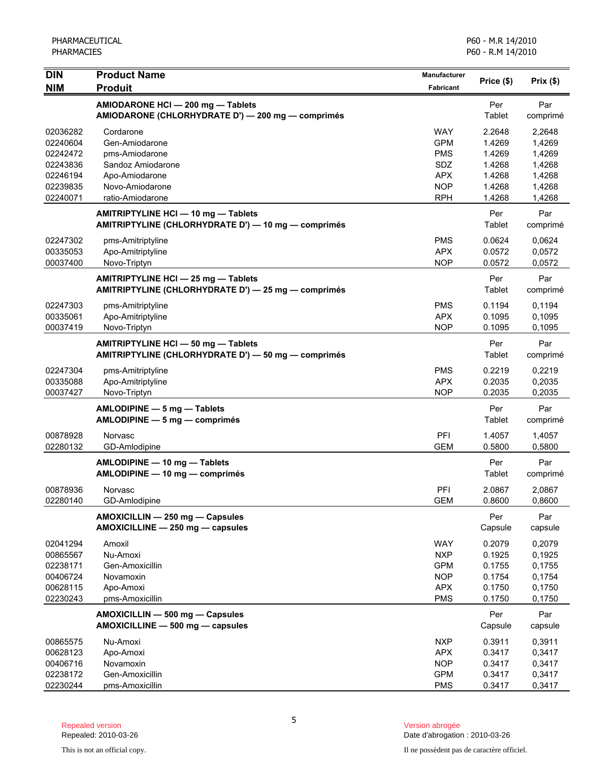| <b>DIN</b> | <b>Product Name</b>                                                                        | <b>Manufacturer</b> | Price (\$)    | Prix(\$)        |
|------------|--------------------------------------------------------------------------------------------|---------------------|---------------|-----------------|
| <b>NIM</b> | <b>Produit</b>                                                                             | <b>Fabricant</b>    |               |                 |
|            | AMIODARONE HCI - 200 mg - Tablets                                                          |                     | Per           | Par             |
|            | AMIODARONE (CHLORHYDRATE D') - 200 mg - comprimés                                          |                     | Tablet        | comprimé        |
| 02036282   | Cordarone                                                                                  | <b>WAY</b>          | 2.2648        | 2,2648          |
| 02240604   | Gen-Amiodarone                                                                             | <b>GPM</b>          | 1.4269        | 1,4269          |
| 02242472   | pms-Amiodarone                                                                             | <b>PMS</b>          | 1.4269        | 1,4269          |
| 02243836   | Sandoz Amiodarone                                                                          | SDZ                 | 1.4268        | 1,4268          |
| 02246194   | Apo-Amiodarone                                                                             | <b>APX</b>          | 1.4268        | 1,4268          |
| 02239835   | Novo-Amiodarone                                                                            | <b>NOP</b>          | 1.4268        | 1,4268          |
| 02240071   | ratio-Amiodarone                                                                           | <b>RPH</b>          | 1.4268        | 1,4268          |
|            | AMITRIPTYLINE HCI - 10 mg - Tablets<br>AMITRIPTYLINE (CHLORHYDRATE D') - 10 mg - comprimés |                     | Per<br>Tablet | Par             |
|            |                                                                                            |                     |               | comprimé        |
| 02247302   | pms-Amitriptyline                                                                          | <b>PMS</b>          | 0.0624        | 0,0624          |
| 00335053   | Apo-Amitriptyline                                                                          | <b>APX</b>          | 0.0572        | 0,0572          |
| 00037400   | Novo-Triptyn                                                                               | <b>NOP</b>          | 0.0572        | 0,0572          |
|            | AMITRIPTYLINE HCI - 25 mg - Tablets                                                        |                     | Per           | Par             |
|            | AMITRIPTYLINE (CHLORHYDRATE D') - 25 mg - comprimés                                        |                     | Tablet        | comprimé        |
| 02247303   | pms-Amitriptyline                                                                          | <b>PMS</b>          | 0.1194        | 0,1194          |
| 00335061   | Apo-Amitriptyline                                                                          | <b>APX</b>          | 0.1095        | 0,1095          |
| 00037419   | Novo-Triptyn                                                                               | <b>NOP</b>          | 0.1095        | 0,1095          |
|            | AMITRIPTYLINE HCI - 50 mg - Tablets                                                        |                     | Per           | Par             |
|            | AMITRIPTYLINE (CHLORHYDRATE D') - 50 mg - comprimés                                        |                     | Tablet        | comprimé        |
| 02247304   | pms-Amitriptyline                                                                          | <b>PMS</b>          | 0.2219        | 0,2219          |
| 00335088   | Apo-Amitriptyline                                                                          | <b>APX</b>          | 0.2035        | 0,2035          |
| 00037427   | Novo-Triptyn                                                                               | <b>NOP</b>          | 0.2035        | 0,2035          |
|            | AMLODIPINE - 5 mg - Tablets                                                                |                     | Per           | Par             |
|            | AMLODIPINE - 5 mg - comprimés                                                              |                     | Tablet        | comprimé        |
| 00878928   | Norvasc                                                                                    | PFI                 | 1.4057        | 1,4057          |
| 02280132   | GD-Amlodipine                                                                              | <b>GEM</b>          | 0.5800        | 0,5800          |
|            |                                                                                            |                     |               |                 |
|            | AMLODIPINE - 10 mg - Tablets<br>AMLODIPINE - 10 mg - comprimés                             |                     | Per<br>Tablet | Par<br>comprimé |
|            |                                                                                            |                     |               |                 |
| 00878936   | Norvasc                                                                                    | PFI                 | 2.0867        | 2,0867          |
| 02280140   | GD-Amlodipine                                                                              | <b>GEM</b>          | 0.8600        | 0,8600          |
|            | AMOXICILLIN - 250 mg - Capsules                                                            |                     | Per           | Par             |
|            | AMOXICILLINE - 250 mg - capsules                                                           |                     | Capsule       | capsule         |
| 02041294   | Amoxil                                                                                     | <b>WAY</b>          | 0.2079        | 0,2079          |
| 00865567   | Nu-Amoxi                                                                                   | <b>NXP</b>          | 0.1925        | 0,1925          |
| 02238171   | Gen-Amoxicillin                                                                            | <b>GPM</b>          | 0.1755        | 0,1755          |
| 00406724   | Novamoxin                                                                                  | <b>NOP</b>          | 0.1754        | 0,1754          |
| 00628115   | Apo-Amoxi                                                                                  | <b>APX</b>          | 0.1750        | 0,1750          |
| 02230243   | pms-Amoxicillin                                                                            | <b>PMS</b>          | 0.1750        | 0,1750          |
|            | AMOXICILLIN - 500 mg - Capsules                                                            |                     | Per           | Par             |
|            | AMOXICILLINE - 500 mg - capsules                                                           |                     | Capsule       | capsule         |
| 00865575   | Nu-Amoxi                                                                                   | <b>NXP</b>          | 0.3911        | 0,3911          |
| 00628123   | Apo-Amoxi                                                                                  | <b>APX</b>          | 0.3417        | 0,3417          |
| 00406716   | Novamoxin                                                                                  | <b>NOP</b>          | 0.3417        | 0,3417          |
| 02238172   | Gen-Amoxicillin                                                                            | <b>GPM</b>          | 0.3417        | 0,3417          |
| 02230244   | pms-Amoxicillin                                                                            | <b>PMS</b>          | 0.3417        | 0,3417          |

5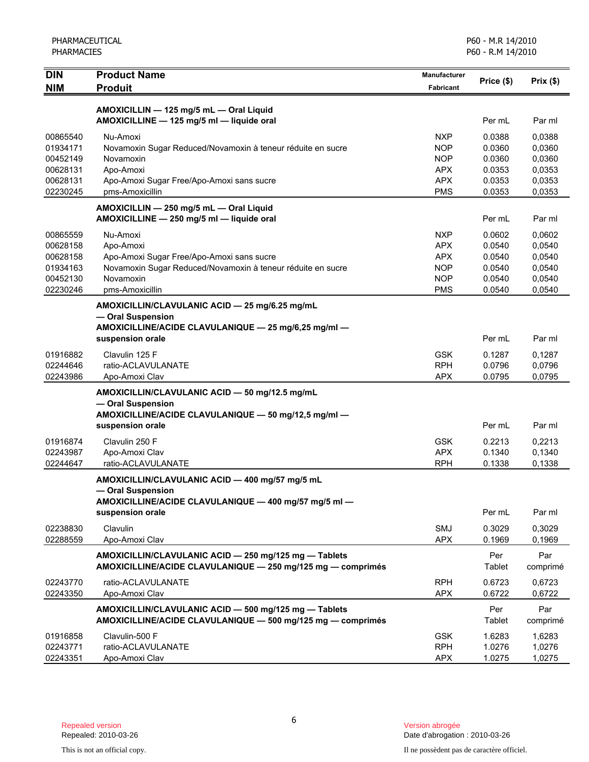| <b>DIN</b><br><b>NIM</b> | <b>Product Name</b><br><b>Produit</b>                                | Manufacturer<br>Fabricant | Price (\$) | Prix(\$) |
|--------------------------|----------------------------------------------------------------------|---------------------------|------------|----------|
|                          |                                                                      |                           |            |          |
|                          | AMOXICILLIN - 125 mg/5 mL - Oral Liquid                              |                           |            |          |
|                          | AMOXICILLINE - 125 mg/5 ml - liquide oral                            |                           | Per mL     | Par ml   |
| 00865540                 | Nu-Amoxi                                                             | <b>NXP</b>                | 0.0388     | 0,0388   |
| 01934171                 | Novamoxin Sugar Reduced/Novamoxin à teneur réduite en sucre          | <b>NOP</b>                | 0.0360     | 0,0360   |
| 00452149                 | Novamoxin                                                            | <b>NOP</b>                | 0.0360     | 0,0360   |
| 00628131                 | Apo-Amoxi                                                            | <b>APX</b>                | 0.0353     | 0,0353   |
| 00628131                 | Apo-Amoxi Sugar Free/Apo-Amoxi sans sucre                            | <b>APX</b>                | 0.0353     | 0,0353   |
| 02230245                 | pms-Amoxicillin                                                      | <b>PMS</b>                | 0.0353     | 0,0353   |
|                          | AMOXICILLIN - 250 mg/5 mL - Oral Liquid                              |                           |            |          |
|                          | AMOXICILLINE - 250 mg/5 ml - liquide oral                            |                           | Per mL     | Par ml   |
| 00865559                 | Nu-Amoxi                                                             | <b>NXP</b>                | 0.0602     | 0,0602   |
| 00628158                 | Apo-Amoxi                                                            | <b>APX</b>                | 0.0540     | 0,0540   |
| 00628158                 | Apo-Amoxi Sugar Free/Apo-Amoxi sans sucre                            | <b>APX</b>                | 0.0540     | 0,0540   |
| 01934163                 | Novamoxin Sugar Reduced/Novamoxin à teneur réduite en sucre          | <b>NOP</b>                | 0.0540     | 0,0540   |
| 00452130                 | Novamoxin                                                            | <b>NOP</b>                | 0.0540     | 0,0540   |
| 02230246                 | pms-Amoxicillin                                                      | <b>PMS</b>                | 0.0540     | 0,0540   |
|                          | AMOXICILLIN/CLAVULANIC ACID - 25 mg/6.25 mg/mL                       |                           |            |          |
|                          | - Oral Suspension                                                    |                           |            |          |
|                          | AMOXICILLINE/ACIDE CLAVULANIQUE - 25 mg/6,25 mg/ml -                 |                           |            |          |
|                          | suspension orale                                                     |                           | Per mL     | Par ml   |
| 01916882                 | Clavulin 125 F                                                       | <b>GSK</b>                | 0.1287     | 0,1287   |
| 02244646                 | ratio-ACLAVULANATE                                                   | <b>RPH</b>                | 0.0796     | 0,0796   |
| 02243986                 | Apo-Amoxi Clav                                                       | <b>APX</b>                | 0.0795     | 0,0795   |
|                          | AMOXICILLIN/CLAVULANIC ACID - 50 mg/12.5 mg/mL                       |                           |            |          |
|                          | - Oral Suspension                                                    |                           |            |          |
|                          | AMOXICILLINE/ACIDE CLAVULANIQUE - 50 mg/12,5 mg/ml -                 |                           |            |          |
|                          | suspension orale                                                     |                           | Per mL     | Par ml   |
| 01916874                 | Clavulin 250 F                                                       | <b>GSK</b>                | 0.2213     | 0,2213   |
| 02243987                 | Apo-Amoxi Clav                                                       | <b>APX</b>                | 0.1340     | 0,1340   |
| 02244647                 | ratio-ACLAVULANATE                                                   | <b>RPH</b>                | 0.1338     | 0,1338   |
|                          |                                                                      |                           |            |          |
|                          | AMOXICILLIN/CLAVULANIC ACID - 400 mg/57 mg/5 mL<br>- Oral Suspension |                           |            |          |
|                          | AMOXICILLINE/ACIDE CLAVULANIQUE - 400 mg/57 mg/5 ml                  |                           |            |          |
|                          | suspension orale                                                     |                           | Per mL     | Par ml   |
|                          |                                                                      |                           |            |          |
| 02238830                 | Clavulin                                                             | SMJ                       | 0.3029     | 0,3029   |
| 02288559                 | Apo-Amoxi Clav                                                       | <b>APX</b>                | 0.1969     | 0,1969   |
|                          | AMOXICILLIN/CLAVULANIC ACID - 250 mg/125 mg - Tablets                |                           | Per        | Par      |
|                          | AMOXICILLINE/ACIDE CLAVULANIQUE - 250 mg/125 mg - comprimés          |                           | Tablet     | comprimé |
| 02243770                 | ratio-ACLAVULANATE                                                   | <b>RPH</b>                | 0.6723     | 0,6723   |
| 02243350                 | Apo-Amoxi Clav                                                       | <b>APX</b>                | 0.6722     | 0,6722   |
|                          | AMOXICILLIN/CLAVULANIC ACID - 500 mg/125 mg - Tablets                |                           | Per        | Par      |
|                          | AMOXICILLINE/ACIDE CLAVULANIQUE - 500 mg/125 mg - comprimés          |                           | Tablet     | comprimé |
| 01916858                 | Clavulin-500 F                                                       | <b>GSK</b>                | 1.6283     | 1,6283   |
| 02243771                 | ratio-ACLAVULANATE                                                   | <b>RPH</b>                | 1.0276     | 1,0276   |
| 02243351                 | Apo-Amoxi Clav                                                       | APX                       | 1.0275     | 1,0275   |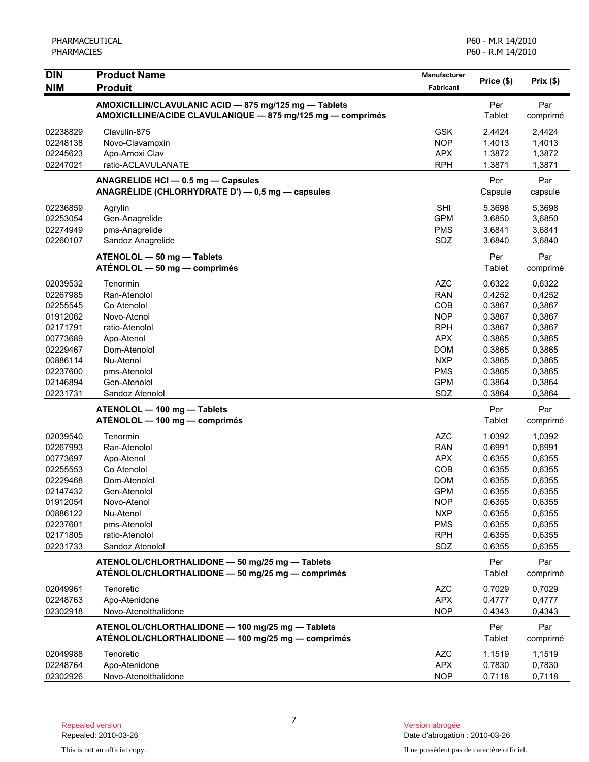| <b>DIN</b> | <b>Product Name</b>                                         | Manufacturer     | Price (\$)    | Prix(\$) |
|------------|-------------------------------------------------------------|------------------|---------------|----------|
| <b>NIM</b> | <b>Produit</b>                                              | <b>Fabricant</b> |               |          |
|            | AMOXICILLIN/CLAVULANIC ACID - 875 mg/125 mg - Tablets       |                  | Per           | Par      |
|            | AMOXICILLINE/ACIDE CLAVULANIQUE - 875 mg/125 mg - comprimés |                  | <b>Tablet</b> | comprimé |
| 02238829   | Clavulin-875                                                | <b>GSK</b>       | 2.4424        | 2,4424   |
| 02248138   | Novo-Clavamoxin                                             | <b>NOP</b>       | 1.4013        | 1,4013   |
| 02245623   | Apo-Amoxi Clav                                              | <b>APX</b>       | 1.3872        | 1,3872   |
| 02247021   | ratio-ACLAVULANATE                                          | <b>RPH</b>       | 1.3871        | 1,3871   |
|            | ANAGRELIDE HCI - 0.5 mg - Capsules                          |                  | Per           | Par      |
|            | ANAGRÉLIDE (CHLORHYDRATE D') - 0,5 mg - capsules            |                  | Capsule       | capsule  |
| 02236859   | Agrylin                                                     | <b>SHI</b>       | 5.3698        | 5,3698   |
| 02253054   | Gen-Anagrelide                                              | <b>GPM</b>       | 3.6850        | 3,6850   |
| 02274949   | pms-Anagrelide                                              | <b>PMS</b>       | 3.6841        | 3,6841   |
| 02260107   | Sandoz Anagrelide                                           | SDZ              | 3.6840        | 3,6840   |
|            | ATENOLOL - 50 mg - Tablets                                  |                  | Per           | Par      |
|            | ATÉNOLOL - 50 mg - comprimés                                |                  | Tablet        | comprimé |
| 02039532   | Tenormin                                                    | <b>AZC</b>       | 0.6322        | 0,6322   |
| 02267985   | Ran-Atenolol                                                | <b>RAN</b>       | 0.4252        | 0,4252   |
| 02255545   | Co Atenolol                                                 | COB              | 0.3867        | 0,3867   |
| 01912062   | Novo-Atenol                                                 | <b>NOP</b>       | 0.3867        | 0,3867   |
| 02171791   | ratio-Atenolol                                              | <b>RPH</b>       | 0.3867        | 0,3867   |
| 00773689   | Apo-Atenol                                                  | <b>APX</b>       | 0.3865        | 0,3865   |
| 02229467   | Dom-Atenolol                                                | <b>DOM</b>       | 0.3865        | 0,3865   |
| 00886114   | Nu-Atenol                                                   | <b>NXP</b>       | 0.3865        | 0,3865   |
| 02237600   | pms-Atenolol                                                | <b>PMS</b>       | 0.3865        | 0,3865   |
| 02146894   | Gen-Atenolol                                                | <b>GPM</b>       | 0.3864        | 0,3864   |
| 02231731   | Sandoz Atenolol                                             | SDZ              | 0.3864        | 0,3864   |
|            | ATENOLOL - 100 mg - Tablets                                 |                  | Per           | Par      |
|            | ATÉNOLOL — 100 mg — comprimés                               |                  | <b>Tablet</b> | comprimé |
| 02039540   | Tenormin                                                    | <b>AZC</b>       | 1.0392        | 1,0392   |
| 02267993   | Ran-Atenolol                                                | <b>RAN</b>       | 0.6991        | 0,6991   |
| 00773697   | Apo-Atenol                                                  | <b>APX</b>       | 0.6355        | 0,6355   |
| 02255553   | Co Atenolol                                                 | COB              | 0.6355        | 0,6355   |
| 02229468   | Dom-Atenolol                                                | <b>DOM</b>       | 0.6355        | 0,6355   |
| 02147432   | Gen-Atenolol                                                | <b>GPM</b>       | 0.6355        | 0,6355   |
| 01912054   | Novo-Atenol                                                 | <b>NOP</b>       | 0.6355        | 0,6355   |
| 00886122   | Nu-Atenol                                                   | <b>NXP</b>       | 0.6355        | 0,6355   |
| 02237601   | pms-Atenolol                                                | <b>PMS</b>       | 0.6355        | 0,6355   |
| 02171805   | ratio-Atenolol                                              | <b>RPH</b>       | 0.6355        | 0,6355   |
| 02231733   | Sandoz Atenolol                                             | SDZ              | 0.6355        | 0,6355   |
|            | ATENOLOL/CHLORTHALIDONE - 50 mg/25 mg - Tablets             |                  | Per           | Par      |
|            | ATÉNOLOL/CHLORTHALIDONE - 50 mg/25 mg - comprimés           |                  | <b>Tablet</b> | comprimé |
| 02049961   | Tenoretic                                                   | <b>AZC</b>       | 0.7029        | 0,7029   |
| 02248763   | Apo-Atenidone                                               | <b>APX</b>       | 0.4777        | 0,4777   |
| 02302918   | Novo-Atenolthalidone                                        | <b>NOP</b>       | 0.4343        | 0,4343   |
|            | ATENOLOL/CHLORTHALIDONE - 100 mg/25 mg - Tablets            |                  | Per           | Par      |
|            | ATÉNOLOL/CHLORTHALIDONE - 100 mg/25 mg - comprimés          |                  | <b>Tablet</b> | comprimé |
| 02049988   | Tenoretic                                                   | <b>AZC</b>       | 1.1519        | 1,1519   |
| 02248764   | Apo-Atenidone                                               | <b>APX</b>       | 0.7830        | 0,7830   |
| 02302926   | Novo-Atenolthalidone                                        | <b>NOP</b>       | 0.7118        | 0,7118   |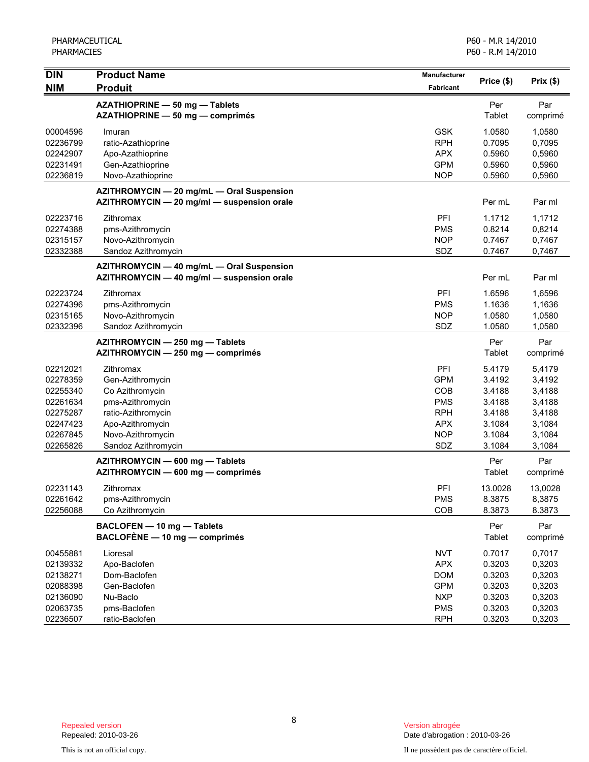| $\overline{D}$       | <b>Product Name</b>                                                                     | Manufacturer             | Price (\$)           | Prix(\$)         |
|----------------------|-----------------------------------------------------------------------------------------|--------------------------|----------------------|------------------|
| <b>NIM</b>           | <b>Produit</b>                                                                          | Fabricant                |                      |                  |
|                      | AZATHIOPRINE - 50 mg - Tablets<br>AZATHIOPRINE - 50 mg - comprimés                      |                          | Per<br>Tablet        | Par<br>comprimé  |
| 00004596             | Imuran                                                                                  | <b>GSK</b>               | 1.0580               | 1,0580           |
| 02236799<br>02242907 | ratio-Azathioprine                                                                      | <b>RPH</b><br><b>APX</b> | 0.7095<br>0.5960     | 0,7095           |
| 02231491             | Apo-Azathioprine<br>Gen-Azathioprine                                                    | <b>GPM</b>               | 0.5960               | 0,5960<br>0,5960 |
| 02236819             | Novo-Azathioprine                                                                       | <b>NOP</b>               | 0.5960               | 0,5960           |
|                      | AZITHROMYCIN - 20 mg/mL - Oral Suspension<br>AZITHROMYCIN - 20 mg/ml - suspension orale |                          | Per mL               | Par ml           |
| 02223716             | Zithromax                                                                               | PFI                      | 1.1712               | 1,1712           |
| 02274388             | pms-Azithromycin                                                                        | <b>PMS</b>               | 0.8214               | 0,8214           |
| 02315157             | Novo-Azithromycin                                                                       | <b>NOP</b>               | 0.7467               | 0,7467           |
| 02332388             | Sandoz Azithromycin                                                                     | SDZ                      | 0.7467               | 0,7467           |
|                      | AZITHROMYCIN - 40 mg/mL - Oral Suspension<br>AZITHROMYCIN - 40 mg/ml - suspension orale |                          | Per mL               | Par ml           |
| 02223724             | Zithromax                                                                               | PFI                      | 1.6596               | 1,6596           |
| 02274396             | pms-Azithromycin                                                                        | <b>PMS</b>               | 1.1636               | 1,1636           |
| 02315165             | Novo-Azithromycin                                                                       | <b>NOP</b>               | 1.0580               | 1,0580           |
| 02332396             | Sandoz Azithromycin                                                                     | SDZ                      | 1.0580               | 1,0580           |
|                      | AZITHROMYCIN - 250 mg - Tablets<br>AZITHROMYCIN - 250 mg - comprimés                    |                          | Per<br>Tablet        | Par<br>comprimé  |
| 02212021             | Zithromax                                                                               | PFI                      | 5.4179               | 5,4179           |
| 02278359             | Gen-Azithromycin                                                                        | <b>GPM</b>               | 3.4192               | 3,4192           |
| 02255340             | Co Azithromycin                                                                         | <b>COB</b>               | 3.4188               | 3,4188           |
| 02261634             | pms-Azithromycin                                                                        | <b>PMS</b>               | 3.4188               | 3,4188           |
| 02275287             | ratio-Azithromycin                                                                      | <b>RPH</b>               | 3.4188               | 3,4188           |
| 02247423             | Apo-Azithromycin                                                                        | <b>APX</b>               | 3.1084               | 3,1084           |
| 02267845             | Novo-Azithromycin                                                                       | <b>NOP</b>               | 3.1084               | 3,1084           |
| 02265826             | Sandoz Azithromycin                                                                     | SDZ                      | 3.1084               | 3,1084           |
|                      | AZITHROMYCIN - 600 mg - Tablets<br>AZITHROMYCIN - 600 mg - comprimés                    |                          | Per<br>Tablet        | Par<br>comprimé  |
| 02231143             | Zithromax                                                                               | PFI                      | 13.0028              | 13,0028          |
| 02261642             | pms-Azithromycin                                                                        | <b>PMS</b>               | 8.3875               | 8,3875           |
| 02256088             | Co Azithromycin                                                                         | COB                      | 8.3873               | 8.3873           |
|                      | BACLOFEN - 10 mg - Tablets<br>BACLOFÈNE - 10 mg - comprimés                             |                          | Per<br><b>Tablet</b> | Par<br>comprimé  |
| 00455881             | Lioresal                                                                                | <b>NVT</b>               | 0.7017               | 0,7017           |
| 02139332             | Apo-Baclofen                                                                            | <b>APX</b>               | 0.3203               | 0,3203           |
| 02138271             | Dom-Baclofen                                                                            | <b>DOM</b>               | 0.3203               | 0,3203           |
| 02088398             | Gen-Baclofen                                                                            | <b>GPM</b>               | 0.3203               | 0,3203           |
| 02136090             | Nu-Baclo                                                                                | <b>NXP</b>               | 0.3203               | 0,3203           |
| 02063735             | pms-Baclofen                                                                            | <b>PMS</b>               | 0.3203               | 0,3203           |
| 02236507             | ratio-Baclofen                                                                          | <b>RPH</b>               | 0.3203               | 0,3203           |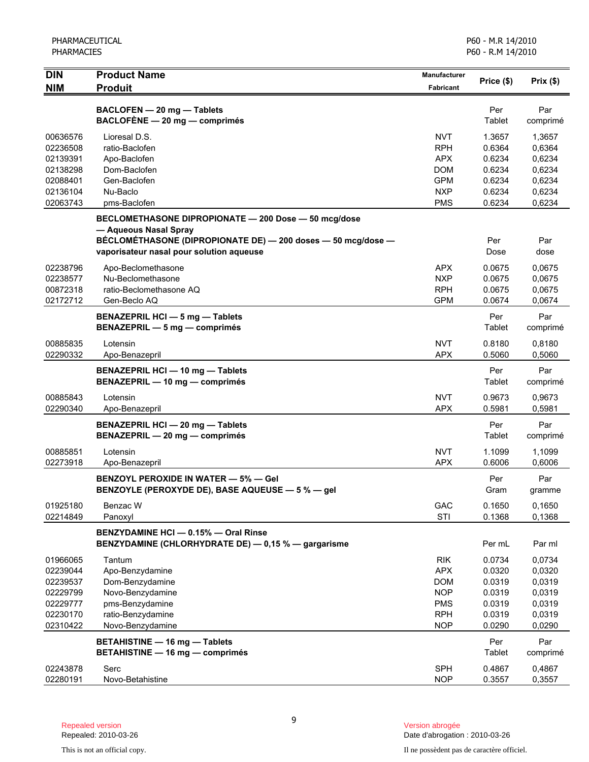| <b>NIM</b><br><b>Produit</b><br><b>Fabricant</b>                | Price (\$)       | Prix(\$)         |
|-----------------------------------------------------------------|------------------|------------------|
|                                                                 |                  |                  |
| BACLOFEN - 20 mg - Tablets                                      | Per              | Par              |
| BACLOFÈNE - 20 mg - comprimés                                   | Tablet           | comprimé         |
| 00636576<br><b>NVT</b><br>Lioresal D.S.                         | 1.3657           | 1,3657           |
| <b>RPH</b><br>02236508<br>ratio-Baclofen                        | 0.6364           | 0,6364           |
| 02139391<br><b>APX</b><br>Apo-Baclofen                          | 0.6234           | 0,6234           |
| 02138298<br>Dom-Baclofen<br><b>DOM</b>                          | 0.6234           | 0,6234           |
| Gen-Baclofen<br><b>GPM</b><br>02088401                          | 0.6234           | 0,6234           |
| 02136104<br>Nu-Baclo<br><b>NXP</b>                              | 0.6234           | 0,6234           |
| 02063743<br><b>PMS</b><br>pms-Baclofen                          | 0.6234           | 0,6234           |
| BECLOMETHASONE DIPROPIONATE - 200 Dose - 50 mcg/dose            |                  |                  |
| — Aqueous Nasal Spray                                           |                  |                  |
| BÉCLOMÉTHASONE (DIPROPIONATE DE) - 200 doses - 50 mcg/dose -    | Per              | Par              |
| vaporisateur nasal pour solution aqueuse                        | Dose             | dose             |
| 02238796<br>Apo-Beclomethasone<br><b>APX</b>                    | 0.0675           | 0,0675           |
| 02238577<br>Nu-Beclomethasone<br><b>NXP</b>                     | 0.0675           | 0,0675           |
| ratio-Beclomethasone AQ<br><b>RPH</b><br>00872318               | 0.0675           | 0,0675           |
| 02172712<br><b>GPM</b><br>Gen-Beclo AQ                          | 0.0674           | 0,0674           |
| <b>BENAZEPRIL HCI - 5 mg - Tablets</b>                          | Per              | Par              |
| BENAZEPRIL - 5 mg - comprimés                                   | Tablet           | comprimé         |
| <b>NVT</b><br>00885835<br>Lotensin                              | 0.8180           | 0,8180           |
| 02290332<br><b>APX</b><br>Apo-Benazepril                        | 0.5060           | 0,5060           |
| BENAZEPRIL HCI - 10 mg - Tablets                                | Per              | Par              |
| BENAZEPRIL - 10 mg - comprimés                                  | Tablet           | comprimé         |
| 00885843<br><b>NVT</b><br>Lotensin                              | 0.9673           | 0.9673           |
| 02290340<br><b>APX</b><br>Apo-Benazepril                        | 0.5981           | 0,5981           |
| BENAZEPRIL HCI - 20 mg - Tablets                                | Per              | Par              |
| BENAZEPRIL - 20 mg - comprimés                                  | Tablet           | comprimé         |
| 00885851<br><b>NVT</b><br>Lotensin                              | 1.1099           | 1,1099           |
| <b>APX</b><br>02273918<br>Apo-Benazepril                        | 0.6006           | 0,6006           |
| <b>BENZOYL PEROXIDE IN WATER - 5% - GeI</b>                     | Per              | Par              |
| BENZOYLE (PEROXYDE DE), BASE AQUEUSE - 5 % - gel                | Gram             | gramme           |
|                                                                 |                  |                  |
| 01925180<br>GAC<br>Benzac W<br>STI<br>02214849<br>Panoxyl       | 0.1650<br>0.1368 | 0,1650<br>0,1368 |
|                                                                 |                  |                  |
| BENZYDAMINE HCI - 0.15% - Oral Rinse                            |                  |                  |
| BENZYDAMINE (CHLORHYDRATE DE) - 0,15 % - gargarisme             | Per mL           | Par ml           |
| <b>RIK</b><br>01966065<br>Tantum                                | 0.0734           | 0,0734           |
| <b>APX</b><br>02239044<br>Apo-Benzydamine                       | 0.0320           | 0,0320           |
| <b>DOM</b><br>02239537<br>Dom-Benzydamine                       | 0.0319           | 0,0319           |
| <b>NOP</b><br>02229799<br>Novo-Benzydamine                      | 0.0319           | 0,0319           |
| pms-Benzydamine<br>02229777<br><b>PMS</b>                       | 0.0319           | 0,0319           |
| 02230170<br>ratio-Benzydamine<br><b>RPH</b><br>Novo-Benzydamine | 0.0319           | 0,0319           |
| 02310422<br><b>NOP</b>                                          | 0.0290           | 0,0290           |
| <b>BETAHISTINE - 16 mg - Tablets</b>                            | Per              | Par              |
| <b>BETAHISTINE - 16 mg - comprimés</b>                          | <b>Tablet</b>    | comprimé         |
| <b>SPH</b><br>02243878<br>Serc                                  | 0.4867           | 0,4867           |
| 02280191<br><b>NOP</b><br>Novo-Betahistine                      | 0.3557           | 0,3557           |

Version abrogée<br>Date d'abrogation : 2010-03-26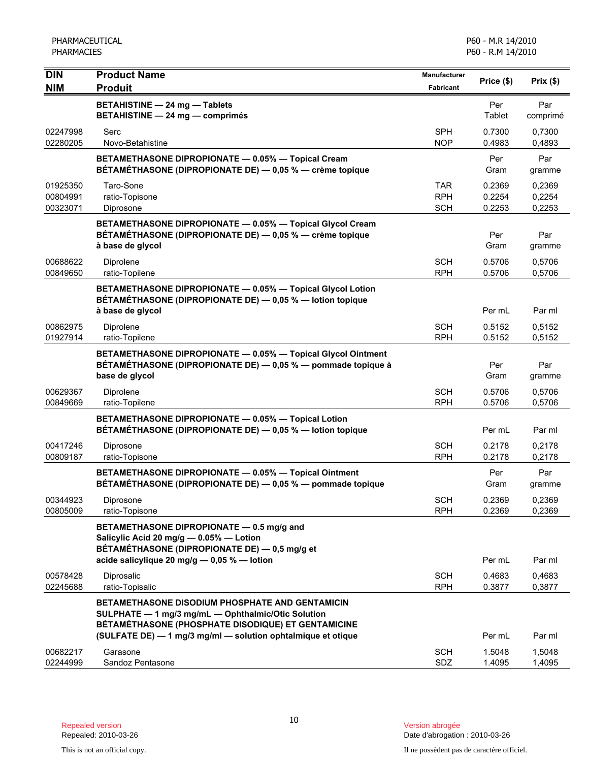| <b>DIN</b>                       | <b>Product Name</b>                                                                                                                                                                                                         | <b>Manufacturer</b>             | Price (\$)                 | Prix(\$)                   |
|----------------------------------|-----------------------------------------------------------------------------------------------------------------------------------------------------------------------------------------------------------------------------|---------------------------------|----------------------------|----------------------------|
| <b>NIM</b>                       | <b>Produit</b>                                                                                                                                                                                                              | <b>Fabricant</b>                |                            |                            |
|                                  | <b>BETAHISTINE - 24 mg - Tablets</b><br><b>BETAHISTINE - 24 mg - comprimés</b>                                                                                                                                              |                                 | Per<br>Tablet              | Par<br>comprimé            |
| 02247998<br>02280205             | Serc<br>Novo-Betahistine                                                                                                                                                                                                    | <b>SPH</b><br><b>NOP</b>        | 0.7300<br>0.4983           | 0,7300<br>0,4893           |
|                                  | BETAMETHASONE DIPROPIONATE - 0.05% - Topical Cream<br>BÉTAMÉTHASONE (DIPROPIONATE DE) - 0,05 % - crème topique                                                                                                              |                                 | Per<br>Gram                | Par<br>gramme              |
| 01925350<br>00804991<br>00323071 | Taro-Sone<br>ratio-Topisone<br>Diprosone                                                                                                                                                                                    | TAR<br><b>RPH</b><br><b>SCH</b> | 0.2369<br>0.2254<br>0.2253 | 0,2369<br>0,2254<br>0,2253 |
|                                  | BETAMETHASONE DIPROPIONATE - 0.05% - Topical Glycol Cream<br>BÉTAMÉTHASONE (DIPROPIONATE DE) — 0,05 % — crème topique<br>à base de glycol                                                                                   |                                 | Per<br>Gram                | Par<br>gramme              |
| 00688622<br>00849650             | Diprolene<br>ratio-Topilene                                                                                                                                                                                                 | <b>SCH</b><br><b>RPH</b>        | 0.5706<br>0.5706           | 0,5706<br>0,5706           |
|                                  | BETAMETHASONE DIPROPIONATE - 0.05% - Topical Glycol Lotion<br>BÉTAMÉTHASONE (DIPROPIONATE DE) - 0,05 % - lotion topique<br>à base de glycol                                                                                 |                                 | Per mL                     | Par ml                     |
| 00862975<br>01927914             | Diprolene<br>ratio-Topilene                                                                                                                                                                                                 | <b>SCH</b><br><b>RPH</b>        | 0.5152<br>0.5152           | 0,5152<br>0,5152           |
|                                  | BETAMETHASONE DIPROPIONATE - 0.05% - Topical Glycol Ointment<br>BÉTAMÉTHASONE (DIPROPIONATE DE) — 0,05 % — pommade topique à<br>base de glycol                                                                              |                                 | Per<br>Gram                | Par<br>gramme              |
| 00629367<br>00849669             | Diprolene<br>ratio-Topilene                                                                                                                                                                                                 | <b>SCH</b><br><b>RPH</b>        | 0.5706<br>0.5706           | 0,5706<br>0,5706           |
|                                  | BETAMETHASONE DIPROPIONATE - 0.05% - Topical Lotion<br>BÉTAMÉTHASONE (DIPROPIONATE DE) - 0,05 % - lotion topique                                                                                                            |                                 | Per mL                     | Par ml                     |
| 00417246<br>00809187             | Diprosone<br>ratio-Topisone                                                                                                                                                                                                 | SCH<br><b>RPH</b>               | 0.2178<br>0.2178           | 0,2178<br>0,2178           |
|                                  | BETAMETHASONE DIPROPIONATE - 0.05% - Topical Ointment<br>BÉTAMÉTHASONE (DIPROPIONATE DE) - 0,05 % - pommade topique                                                                                                         |                                 | Per<br>Gram                | Par<br>gramme              |
| 00344923<br>00805009             | Diprosone<br>ratio-Topisone                                                                                                                                                                                                 | <b>SCH</b><br><b>RPH</b>        | 0.2369<br>0.2369           | 0,2369<br>0,2369           |
|                                  | BETAMETHASONE DIPROPIONATE - 0.5 mg/g and<br>Salicylic Acid 20 mg/g $-$ 0.05% $-$ Lotion<br>BÉTAMÉTHASONE (DIPROPIONATE DE) — 0,5 mg/g et<br>acide salicylique 20 mg/g $-$ 0,05 % $-$ lotion                                |                                 | Per mL                     | Par ml                     |
| 00578428<br>02245688             | Diprosalic<br>ratio-Topisalic                                                                                                                                                                                               | SCH<br><b>RPH</b>               | 0.4683<br>0.3877           | 0,4683<br>0,3877           |
|                                  | BETAMETHASONE DISODIUM PHOSPHATE AND GENTAMICIN<br>SULPHATE - 1 mg/3 mg/mL - Ophthalmic/Otic Solution<br>BÉTAMÉTHASONE (PHOSPHATE DISODIQUE) ET GENTAMICINE<br>(SULFATE DE) - 1 mg/3 mg/ml - solution ophtalmique et otique |                                 | Per mL                     | Par ml                     |
| 00682217<br>02244999             | Garasone<br>Sandoz Pentasone                                                                                                                                                                                                | <b>SCH</b><br><b>SDZ</b>        | 1.5048<br>1.4095           | 1,5048<br>1,4095           |

Date d'abrogation : 2010-03-26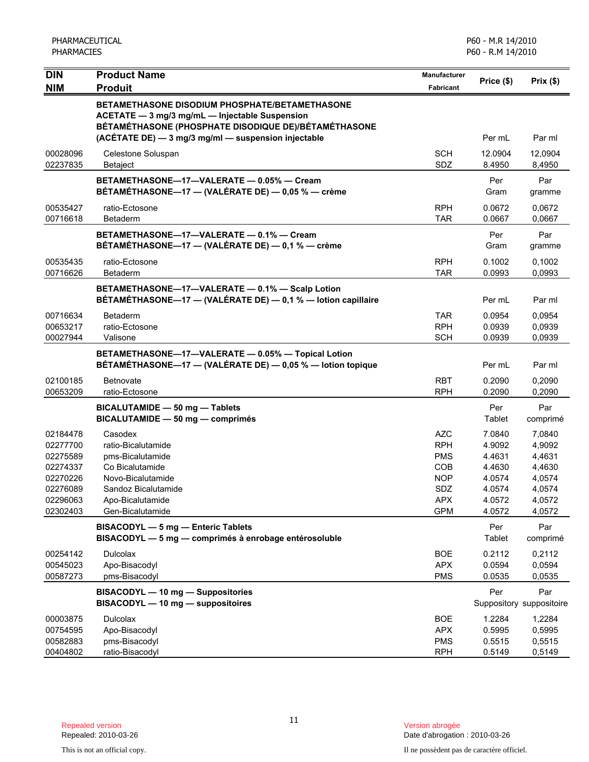| <b>DIN</b>           | <b>Product Name</b>                                                                                                                                                                                                    | <b>Manufacturer</b>      |                   |                                 |
|----------------------|------------------------------------------------------------------------------------------------------------------------------------------------------------------------------------------------------------------------|--------------------------|-------------------|---------------------------------|
| <b>NIM</b>           | <b>Produit</b>                                                                                                                                                                                                         | Fabricant                | Price (\$)        | Prix(\$)                        |
|                      | <b>BETAMETHASONE DISODIUM PHOSPHATE/BETAMETHASONE</b><br>ACETATE - 3 mg/3 mg/mL - Injectable Suspension<br>BÉTAMÉTHASONE (PHOSPHATE DISODIQUE DE)/BÉTAMÉTHASONE<br>(ACÉTATE DE) - 3 mg/3 mg/ml - suspension injectable |                          | Per mL            | Par ml                          |
|                      |                                                                                                                                                                                                                        |                          |                   |                                 |
| 00028096<br>02237835 | Celestone Soluspan<br>Betaject                                                                                                                                                                                         | <b>SCH</b><br>SDZ        | 12.0904<br>8.4950 | 12,0904<br>8,4950               |
|                      | BETAMETHASONE-17-VALERATE - 0.05% - Cream<br>BÉTAMÉTHASONE-17 - (VALÉRATE DE) - 0,05 % - crème                                                                                                                         |                          | Per<br>Gram       | Par<br>gramme                   |
| 00535427<br>00716618 | ratio-Ectosone<br>Betaderm                                                                                                                                                                                             | <b>RPH</b><br><b>TAR</b> | 0.0672<br>0.0667  | 0,0672<br>0,0667                |
|                      | BETAMETHASONE-17-VALERATE - 0.1% - Cream<br>BÉTAMÉTHASONE-17 - (VALÉRATE DE) - 0,1 % - crème                                                                                                                           |                          | Per<br>Gram       | Par<br>gramme                   |
| 00535435             | ratio-Ectosone                                                                                                                                                                                                         | <b>RPH</b>               | 0.1002            | 0,1002                          |
| 00716626             | Betaderm                                                                                                                                                                                                               | <b>TAR</b>               | 0.0993            | 0,0993                          |
|                      | BETAMETHASONE-17-VALERATE - 0.1% - Scalp Lotion<br>BÉTAMÉTHASONE-17 - (VALÉRATE DE) - 0,1 % - lotion capillaire                                                                                                        |                          | Per mL            | Par ml                          |
| 00716634             | Betaderm                                                                                                                                                                                                               | <b>TAR</b>               | 0.0954            | 0,0954                          |
| 00653217             | ratio-Ectosone                                                                                                                                                                                                         | <b>RPH</b>               | 0.0939            | 0,0939                          |
| 00027944             | Valisone                                                                                                                                                                                                               | <b>SCH</b>               | 0.0939            | 0,0939                          |
|                      | BETAMETHASONE-17-VALERATE - 0.05% - Topical Lotion<br>BÉTAMÉTHASONE-17 - (VALÉRATE DE) - 0,05 % - lotion topique                                                                                                       |                          | Per mL            | Par ml                          |
| 02100185             | <b>Betnovate</b>                                                                                                                                                                                                       | <b>RBT</b>               | 0.2090            | 0,2090                          |
| 00653209             | ratio-Ectosone                                                                                                                                                                                                         | <b>RPH</b>               | 0.2090            | 0,2090                          |
|                      | BICALUTAMIDE - 50 mg - Tablets<br>BICALUTAMIDE - 50 mg - comprimés                                                                                                                                                     |                          | Per<br>Tablet     | Par<br>comprimé                 |
| 02184478             | Casodex                                                                                                                                                                                                                | <b>AZC</b>               | 7.0840            | 7,0840                          |
| 02277700             | ratio-Bicalutamide                                                                                                                                                                                                     | <b>RPH</b>               | 4.9092            | 4,9092                          |
| 02275589             | pms-Bicalutamide                                                                                                                                                                                                       | <b>PMS</b>               | 4.4631            | 4,4631                          |
| 02274337             | Co Bicalutamide                                                                                                                                                                                                        | <b>COB</b>               | 4.4630            | 4,4630                          |
| 02270226             | Novo-Bicalutamide                                                                                                                                                                                                      | <b>NOP</b>               | 4.0574            | 4,0574                          |
| 02276089             | Sandoz Bicalutamide                                                                                                                                                                                                    | SDZ                      | 4.0574            | 4,0574                          |
| 02296063<br>02302403 | Apo-Bicalutamide<br>Gen-Bicalutamide                                                                                                                                                                                   | <b>APX</b><br><b>GPM</b> | 4.0572<br>4.0572  | 4,0572<br>4,0572                |
|                      |                                                                                                                                                                                                                        |                          |                   |                                 |
|                      | BISACODYL - 5 mg - Enteric Tablets<br>BISACODYL - 5 mg - comprimés à enrobage entérosoluble                                                                                                                            |                          | Per<br>Tablet     | Par<br>comprimé                 |
| 00254142             | Dulcolax                                                                                                                                                                                                               | <b>BOE</b>               | 0.2112            | 0,2112                          |
| 00545023             | Apo-Bisacodyl                                                                                                                                                                                                          | <b>APX</b>               | 0.0594            | 0,0594                          |
| 00587273             | pms-Bisacodyl                                                                                                                                                                                                          | <b>PMS</b>               | 0.0535            | 0,0535                          |
|                      | BISACODYL - 10 mg - Suppositories<br>BISACODYL - 10 mg - suppositoires                                                                                                                                                 |                          | Per               | Par<br>Suppository suppositoire |
| 00003875             | <b>Dulcolax</b>                                                                                                                                                                                                        | <b>BOE</b>               | 1.2284            | 1,2284                          |
| 00754595             | Apo-Bisacodyl                                                                                                                                                                                                          | <b>APX</b>               | 0.5995            | 0,5995                          |
| 00582883             | pms-Bisacodyl                                                                                                                                                                                                          | <b>PMS</b>               | 0.5515            | 0,5515                          |
| 00404802             | ratio-Bisacodyl                                                                                                                                                                                                        | <b>RPH</b>               | 0.5149            | 0,5149                          |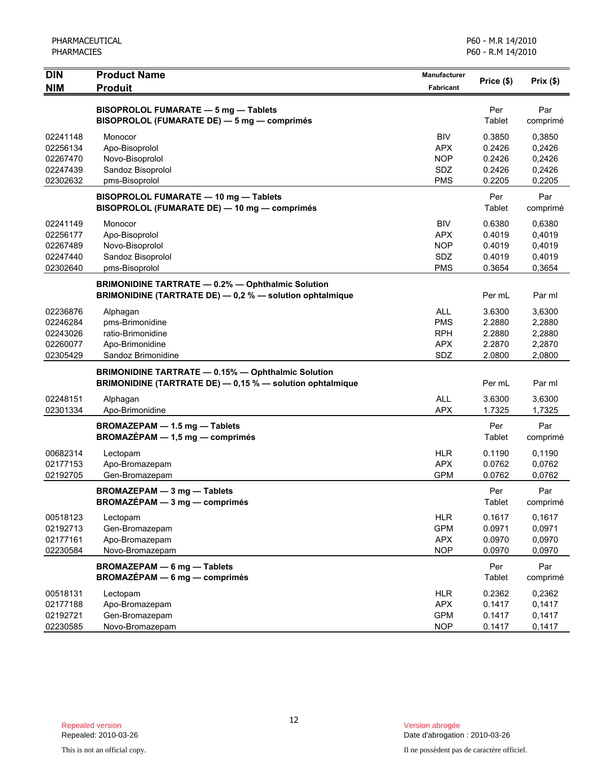| <b>DIN</b><br><b>NIM</b> | <b>Product Name</b><br><b>Produit</b>                                                                                  | Manufacturer<br><b>Fabricant</b> | Price (\$)       | Prix(\$)         |
|--------------------------|------------------------------------------------------------------------------------------------------------------------|----------------------------------|------------------|------------------|
|                          |                                                                                                                        |                                  |                  |                  |
|                          | BISOPROLOL FUMARATE - 5 mg - Tablets<br>BISOPROLOL (FUMARATE DE) - 5 mg - comprimés                                    |                                  | Per<br>Tablet    | Par<br>comprimé  |
| 02241148                 | Monocor                                                                                                                | <b>BIV</b>                       | 0.3850           | 0,3850           |
| 02256134<br>02267470     | Apo-Bisoprolol<br>Novo-Bisoprolol                                                                                      | <b>APX</b><br><b>NOP</b>         | 0.2426<br>0.2426 | 0,2426<br>0,2426 |
| 02247439                 | Sandoz Bisoprolol                                                                                                      | SDZ                              | 0.2426           | 0,2426           |
| 02302632                 | pms-Bisoprolol                                                                                                         | <b>PMS</b>                       | 0.2205           | 0,2205           |
|                          | BISOPROLOL FUMARATE - 10 mg - Tablets<br>BISOPROLOL (FUMARATE DE) - 10 mg - comprimés                                  |                                  | Per<br>Tablet    | Par<br>comprimé  |
| 02241149                 | Monocor                                                                                                                | <b>BIV</b>                       | 0.6380           | 0,6380           |
| 02256177                 | Apo-Bisoprolol                                                                                                         | <b>APX</b>                       | 0.4019           | 0,4019           |
| 02267489                 | Novo-Bisoprolol                                                                                                        | <b>NOP</b>                       | 0.4019           | 0,4019           |
| 02247440                 | Sandoz Bisoprolol                                                                                                      | SDZ                              | 0.4019           | 0,4019           |
| 02302640                 | pms-Bisoprolol                                                                                                         | <b>PMS</b>                       | 0.3654           | 0,3654           |
|                          | <b>BRIMONIDINE TARTRATE - 0.2% - Ophthalmic Solution</b><br>BRIMONIDINE (TARTRATE DE) - 0,2 % - solution ophtalmique   |                                  | Per mL           | Par ml           |
| 02236876                 | Alphagan                                                                                                               | <b>ALL</b>                       | 3.6300           | 3,6300           |
| 02246284                 | pms-Brimonidine                                                                                                        | <b>PMS</b>                       | 2.2880           | 2,2880           |
| 02243026                 | ratio-Brimonidine                                                                                                      | <b>RPH</b>                       | 2.2880           | 2,2880           |
| 02260077                 | Apo-Brimonidine                                                                                                        | <b>APX</b>                       | 2.2870           | 2,2870           |
| 02305429                 | Sandoz Brimonidine                                                                                                     | SDZ                              | 2.0800           | 2,0800           |
|                          | <b>BRIMONIDINE TARTRATE - 0.15% - Ophthalmic Solution</b><br>BRIMONIDINE (TARTRATE DE) - 0,15 % - solution ophtalmique |                                  | Per mL           | Par ml           |
| 02248151                 | Alphagan                                                                                                               | <b>ALL</b>                       | 3.6300           | 3,6300           |
| 02301334                 | Apo-Brimonidine                                                                                                        | <b>APX</b>                       | 1.7325           | 1,7325           |
|                          | BROMAZEPAM - 1.5 mg - Tablets<br>$BROMAZÉPAM - 1,5 mg - comprimés$                                                     |                                  | Per<br>Tablet    | Par<br>comprimé  |
| 00682314                 | Lectopam                                                                                                               | <b>HLR</b>                       | 0.1190           | 0,1190           |
| 02177153                 | Apo-Bromazepam                                                                                                         | <b>APX</b>                       | 0.0762           | 0,0762           |
| 02192705                 | Gen-Bromazepam                                                                                                         | <b>GPM</b>                       | 0.0762           | 0,0762           |
|                          | <b>BROMAZEPAM - 3 mg - Tablets</b><br>$BROMAZÉPAM - 3 mg - comprimés$                                                  |                                  | Per<br>Tablet    | Par<br>comprimé  |
| 00518123                 | Lectopam                                                                                                               | <b>HLR</b>                       | 0.1617           | 0,1617           |
| 02192713                 | Gen-Bromazepam                                                                                                         | <b>GPM</b>                       | 0.0971           | 0,0971           |
| 02177161                 | Apo-Bromazepam                                                                                                         | <b>APX</b>                       | 0.0970           | 0,0970           |
| 02230584                 | Novo-Bromazepam                                                                                                        | <b>NOP</b>                       | 0.0970           | 0,0970           |
|                          | <b>BROMAZEPAM - 6 mg - Tablets</b><br><b>BROMAZÉPAM - 6 mg - comprimés</b>                                             |                                  | Per<br>Tablet    | Par<br>comprimé  |
| 00518131                 | Lectopam                                                                                                               | <b>HLR</b>                       | 0.2362           | 0,2362           |
| 02177188                 | Apo-Bromazepam                                                                                                         | <b>APX</b>                       | 0.1417           | 0,1417           |
| 02192721                 | Gen-Bromazepam                                                                                                         | <b>GPM</b>                       | 0.1417           | 0,1417           |
| 02230585                 | Novo-Bromazepam                                                                                                        | <b>NOP</b>                       | 0.1417           | 0,1417           |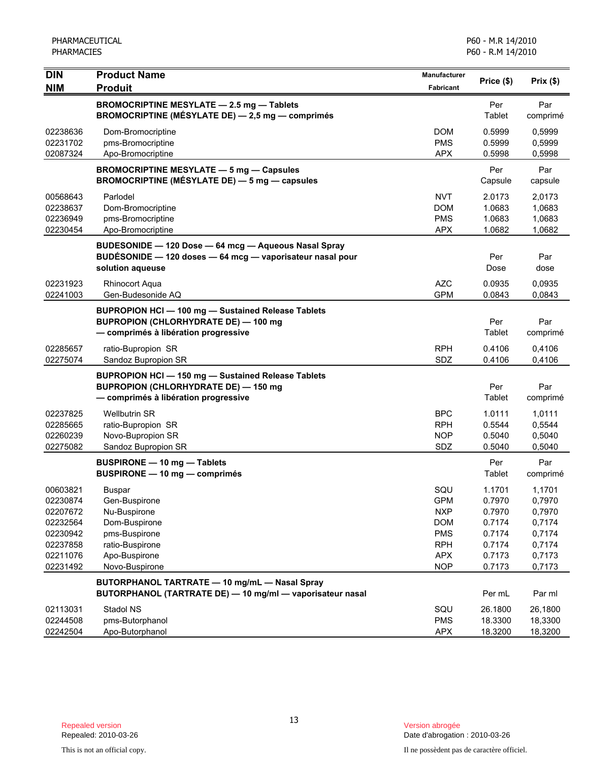| <b>DIN</b><br><b>NIM</b>                                                                     | <b>Product Name</b><br><b>Produit</b>                                                                                                        | <b>Manufacturer</b><br>Fabricant                                                                      | Price (\$)                                                                   | Prix(\$)                                                                     |
|----------------------------------------------------------------------------------------------|----------------------------------------------------------------------------------------------------------------------------------------------|-------------------------------------------------------------------------------------------------------|------------------------------------------------------------------------------|------------------------------------------------------------------------------|
|                                                                                              | <b>BROMOCRIPTINE MESYLATE - 2.5 mg - Tablets</b><br>BROMOCRIPTINE (MÉSYLATE DE) - 2,5 mg - comprimés                                         |                                                                                                       | Per<br>Tablet                                                                | Par<br>comprimé                                                              |
| 02238636<br>02231702<br>02087324                                                             | Dom-Bromocriptine<br>pms-Bromocriptine<br>Apo-Bromocriptine                                                                                  | <b>DOM</b><br><b>PMS</b><br><b>APX</b>                                                                | 0.5999<br>0.5999<br>0.5998                                                   | 0,5999<br>0,5999<br>0,5998                                                   |
|                                                                                              | <b>BROMOCRIPTINE MESYLATE - 5 mg - Capsules</b><br><b>BROMOCRIPTINE (MÉSYLATE DE) — 5 mg — capsules</b>                                      |                                                                                                       | Per<br>Capsule                                                               | Par<br>capsule                                                               |
| 00568643<br>02238637<br>02236949<br>02230454                                                 | Parlodel<br>Dom-Bromocriptine<br>pms-Bromocriptine<br>Apo-Bromocriptine                                                                      | NVT<br><b>DOM</b><br><b>PMS</b><br><b>APX</b>                                                         | 2.0173<br>1.0683<br>1.0683<br>1.0682                                         | 2,0173<br>1,0683<br>1,0683<br>1,0682                                         |
|                                                                                              | BUDESONIDE - 120 Dose - 64 mcg - Aqueous Nasal Spray<br>BUDÉSONIDE - 120 doses - 64 mcg - vaporisateur nasal pour<br>solution aqueuse        |                                                                                                       | Per<br>Dose                                                                  | Par<br>dose                                                                  |
| 02231923<br>02241003                                                                         | <b>Rhinocort Aqua</b><br>Gen-Budesonide AQ                                                                                                   | <b>AZC</b><br><b>GPM</b>                                                                              | 0.0935<br>0.0843                                                             | 0,0935<br>0,0843                                                             |
|                                                                                              | <b>BUPROPION HCI-100 mg-Sustained Release Tablets</b><br><b>BUPROPION (CHLORHYDRATE DE) - 100 mg</b><br>- comprimés à libération progressive |                                                                                                       | Per<br>Tablet                                                                | Par<br>comprimé                                                              |
| 02285657<br>02275074                                                                         | ratio-Bupropion SR<br>Sandoz Bupropion SR                                                                                                    | <b>RPH</b><br>SDZ                                                                                     | 0.4106<br>0.4106                                                             | 0,4106<br>0,4106                                                             |
|                                                                                              | <b>BUPROPION HCI-150 mg-Sustained Release Tablets</b><br><b>BUPROPION (CHLORHYDRATE DE) - 150 mg</b><br>- comprimés à libération progressive |                                                                                                       | Per<br>Tablet                                                                | Par<br>comprimé                                                              |
| 02237825<br>02285665<br>02260239<br>02275082                                                 | <b>Wellbutrin SR</b><br>ratio-Bupropion SR<br>Novo-Bupropion SR<br>Sandoz Bupropion SR                                                       | <b>BPC</b><br>RPH<br><b>NOP</b><br>SDZ                                                                | 1.0111<br>0.5544<br>0.5040<br>0.5040                                         | 1,0111<br>0,5544<br>0,5040<br>0,5040                                         |
|                                                                                              | <b>BUSPIRONE - 10 mg - Tablets</b><br>BUSPIRONE - 10 mg - comprimés                                                                          |                                                                                                       | Per<br>Tablet                                                                | Par<br>comprimé                                                              |
| 00603821<br>02230874<br>02207672<br>02232564<br>02230942<br>02237858<br>02211076<br>02231492 | <b>Buspar</b><br>Gen-Buspirone<br>Nu-Buspirone<br>Dom-Buspirone<br>pms-Buspirone<br>ratio-Buspirone<br>Apo-Buspirone<br>Novo-Buspirone       | SQU<br><b>GPM</b><br><b>NXP</b><br><b>DOM</b><br><b>PMS</b><br><b>RPH</b><br><b>APX</b><br><b>NOP</b> | 1.1701<br>0.7970<br>0.7970<br>0.7174<br>0.7174<br>0.7174<br>0.7173<br>0.7173 | 1,1701<br>0,7970<br>0,7970<br>0,7174<br>0,7174<br>0,7174<br>0,7173<br>0,7173 |
|                                                                                              | BUTORPHANOL TARTRATE - 10 mg/mL - Nasal Spray<br>BUTORPHANOL (TARTRATE DE) - 10 mg/ml - vaporisateur nasal                                   |                                                                                                       | Per mL                                                                       | Par ml                                                                       |
| 02113031<br>02244508<br>02242504                                                             | Stadol NS<br>pms-Butorphanol<br>Apo-Butorphanol                                                                                              | SQU<br><b>PMS</b><br><b>APX</b>                                                                       | 26.1800<br>18.3300<br>18.3200                                                | 26,1800<br>18,3300<br>18,3200                                                |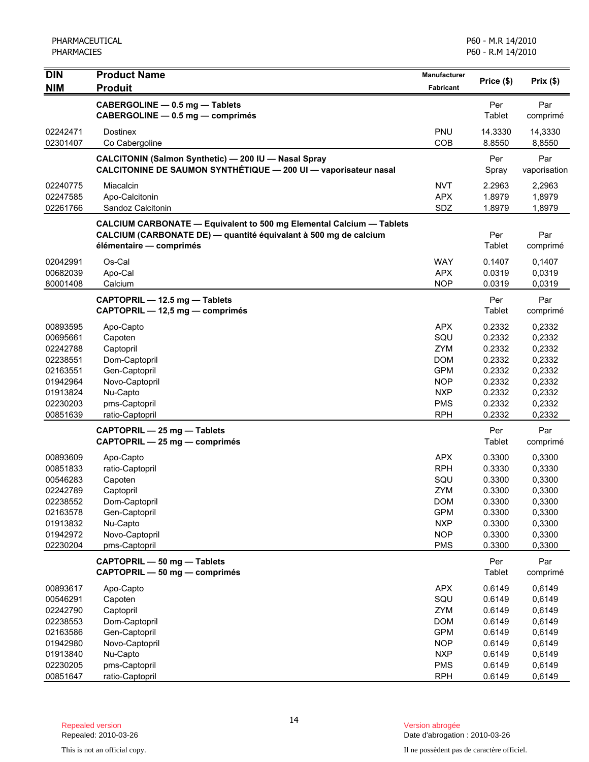| Price (\$)<br>Prix(\$)<br><b>NIM</b><br><b>Produit</b><br>Fabricant<br>Par<br>CABERGOLINE - 0.5 mg - Tablets<br>Per<br>CABERGOLINE - 0.5 mg - comprimés<br>Tablet<br>comprimé<br>PNU<br>14.3330<br>02242471<br><b>Dostinex</b><br>14,3330<br>COB<br>02301407<br>Co Cabergoline<br>8.8550<br>8,8550<br>CALCITONIN (Salmon Synthetic) - 200 IU - Nasal Spray<br>Per<br>Par<br>CALCITONINE DE SAUMON SYNTHÉTIQUE - 200 UI - vaporisateur nasal<br>Spray<br>vaporisation<br><b>NVT</b><br>02240775<br>Miacalcin<br>2.2963<br>2,2963<br><b>APX</b><br>1.8979<br>02247585<br>Apo-Calcitonin<br>1,8979<br>SDZ<br>1.8979<br>1,8979<br>02261766<br>Sandoz Calcitonin<br><b>CALCIUM CARBONATE - Equivalent to 500 mg Elemental Calcium - Tablets</b><br>CALCIUM (CARBONATE DE) — quantité équivalant à 500 mg de calcium<br>Per<br>Par<br>Tablet<br>élémentaire - comprimés<br>comprimé |  |
|-------------------------------------------------------------------------------------------------------------------------------------------------------------------------------------------------------------------------------------------------------------------------------------------------------------------------------------------------------------------------------------------------------------------------------------------------------------------------------------------------------------------------------------------------------------------------------------------------------------------------------------------------------------------------------------------------------------------------------------------------------------------------------------------------------------------------------------------------------------------------------|--|
|                                                                                                                                                                                                                                                                                                                                                                                                                                                                                                                                                                                                                                                                                                                                                                                                                                                                               |  |
|                                                                                                                                                                                                                                                                                                                                                                                                                                                                                                                                                                                                                                                                                                                                                                                                                                                                               |  |
|                                                                                                                                                                                                                                                                                                                                                                                                                                                                                                                                                                                                                                                                                                                                                                                                                                                                               |  |
|                                                                                                                                                                                                                                                                                                                                                                                                                                                                                                                                                                                                                                                                                                                                                                                                                                                                               |  |
|                                                                                                                                                                                                                                                                                                                                                                                                                                                                                                                                                                                                                                                                                                                                                                                                                                                                               |  |
|                                                                                                                                                                                                                                                                                                                                                                                                                                                                                                                                                                                                                                                                                                                                                                                                                                                                               |  |
|                                                                                                                                                                                                                                                                                                                                                                                                                                                                                                                                                                                                                                                                                                                                                                                                                                                                               |  |
|                                                                                                                                                                                                                                                                                                                                                                                                                                                                                                                                                                                                                                                                                                                                                                                                                                                                               |  |
| Os-Cal<br><b>WAY</b><br>02042991<br>0.1407<br>0,1407                                                                                                                                                                                                                                                                                                                                                                                                                                                                                                                                                                                                                                                                                                                                                                                                                          |  |
| 00682039<br><b>APX</b><br>0.0319<br>Apo-Cal<br>0,0319                                                                                                                                                                                                                                                                                                                                                                                                                                                                                                                                                                                                                                                                                                                                                                                                                         |  |
| <b>NOP</b><br>80001408<br>Calcium<br>0.0319<br>0,0319                                                                                                                                                                                                                                                                                                                                                                                                                                                                                                                                                                                                                                                                                                                                                                                                                         |  |
| Par<br>CAPTOPRIL - 12.5 mg - Tablets<br>Per<br>Tablet<br>CAPTOPRIL - 12,5 mg - comprimés<br>comprimé                                                                                                                                                                                                                                                                                                                                                                                                                                                                                                                                                                                                                                                                                                                                                                          |  |
|                                                                                                                                                                                                                                                                                                                                                                                                                                                                                                                                                                                                                                                                                                                                                                                                                                                                               |  |
| <b>APX</b><br>0.2332<br>00893595<br>Apo-Capto<br>0,2332<br>SQU<br>00695661<br>Capoten<br>0.2332<br>0,2332                                                                                                                                                                                                                                                                                                                                                                                                                                                                                                                                                                                                                                                                                                                                                                     |  |
| <b>ZYM</b><br>0.2332<br>0,2332<br>02242788<br>Captopril                                                                                                                                                                                                                                                                                                                                                                                                                                                                                                                                                                                                                                                                                                                                                                                                                       |  |
| <b>DOM</b><br>0.2332<br>0,2332<br>02238551<br>Dom-Captopril                                                                                                                                                                                                                                                                                                                                                                                                                                                                                                                                                                                                                                                                                                                                                                                                                   |  |
| <b>GPM</b><br>0.2332<br>0,2332<br>02163551<br>Gen-Captopril                                                                                                                                                                                                                                                                                                                                                                                                                                                                                                                                                                                                                                                                                                                                                                                                                   |  |
| 0.2332<br>0,2332<br>01942964<br>Novo-Captopril<br><b>NOP</b>                                                                                                                                                                                                                                                                                                                                                                                                                                                                                                                                                                                                                                                                                                                                                                                                                  |  |
| 01913824<br>Nu-Capto<br><b>NXP</b><br>0.2332<br>0,2332                                                                                                                                                                                                                                                                                                                                                                                                                                                                                                                                                                                                                                                                                                                                                                                                                        |  |
| <b>PMS</b><br>0.2332<br>0,2332<br>02230203<br>pms-Captopril                                                                                                                                                                                                                                                                                                                                                                                                                                                                                                                                                                                                                                                                                                                                                                                                                   |  |
| 00851639<br><b>RPH</b><br>0.2332<br>0,2332<br>ratio-Captopril                                                                                                                                                                                                                                                                                                                                                                                                                                                                                                                                                                                                                                                                                                                                                                                                                 |  |
| Per<br>Par<br>CAPTOPRIL - 25 mg - Tablets<br>CAPTOPRIL - 25 mg - comprimés<br>Tablet<br>comprimé                                                                                                                                                                                                                                                                                                                                                                                                                                                                                                                                                                                                                                                                                                                                                                              |  |
| <b>APX</b><br>0.3300<br>00893609<br>0,3300<br>Apo-Capto                                                                                                                                                                                                                                                                                                                                                                                                                                                                                                                                                                                                                                                                                                                                                                                                                       |  |
| <b>RPH</b><br>00851833<br>ratio-Captopril<br>0.3330<br>0,3330                                                                                                                                                                                                                                                                                                                                                                                                                                                                                                                                                                                                                                                                                                                                                                                                                 |  |
| SQU<br>00546283<br>Capoten<br>0.3300<br>0,3300                                                                                                                                                                                                                                                                                                                                                                                                                                                                                                                                                                                                                                                                                                                                                                                                                                |  |
| <b>ZYM</b><br>0.3300<br>0,3300<br>02242789<br>Captopril                                                                                                                                                                                                                                                                                                                                                                                                                                                                                                                                                                                                                                                                                                                                                                                                                       |  |
| Dom-Captopril<br><b>DOM</b><br>0.3300<br>0,3300<br>02238552                                                                                                                                                                                                                                                                                                                                                                                                                                                                                                                                                                                                                                                                                                                                                                                                                   |  |
| 02163578<br>Gen-Captopril<br><b>GPM</b><br>0.3300<br>0,3300<br><b>NXP</b><br>0.3300<br>01913832<br>Nu-Capto<br>0,3300                                                                                                                                                                                                                                                                                                                                                                                                                                                                                                                                                                                                                                                                                                                                                         |  |
| Novo-Captopril<br><b>NOP</b><br>0.3300<br>0,3300<br>01942972                                                                                                                                                                                                                                                                                                                                                                                                                                                                                                                                                                                                                                                                                                                                                                                                                  |  |
| 02230204<br><b>PMS</b><br>0.3300<br>0,3300<br>pms-Captopril                                                                                                                                                                                                                                                                                                                                                                                                                                                                                                                                                                                                                                                                                                                                                                                                                   |  |
| CAPTOPRIL - 50 mg - Tablets<br>Per<br>Par<br>Tablet<br>CAPTOPRIL - 50 mg - comprimés<br>comprimé                                                                                                                                                                                                                                                                                                                                                                                                                                                                                                                                                                                                                                                                                                                                                                              |  |
| 0.6149<br>00893617<br>Apo-Capto<br><b>APX</b><br>0,6149                                                                                                                                                                                                                                                                                                                                                                                                                                                                                                                                                                                                                                                                                                                                                                                                                       |  |
| 00546291<br>SQU<br>0.6149<br>0,6149<br>Capoten                                                                                                                                                                                                                                                                                                                                                                                                                                                                                                                                                                                                                                                                                                                                                                                                                                |  |
| Captopril<br>ZYM<br>0.6149<br>0,6149<br>02242790                                                                                                                                                                                                                                                                                                                                                                                                                                                                                                                                                                                                                                                                                                                                                                                                                              |  |
| Dom-Captopril<br><b>DOM</b><br>0.6149<br>0,6149<br>02238553                                                                                                                                                                                                                                                                                                                                                                                                                                                                                                                                                                                                                                                                                                                                                                                                                   |  |
| 02163586<br><b>GPM</b><br>0.6149<br>0,6149<br>Gen-Captopril                                                                                                                                                                                                                                                                                                                                                                                                                                                                                                                                                                                                                                                                                                                                                                                                                   |  |
| <b>NOP</b><br>0.6149<br>0,6149<br>01942980<br>Novo-Captopril                                                                                                                                                                                                                                                                                                                                                                                                                                                                                                                                                                                                                                                                                                                                                                                                                  |  |
| Nu-Capto<br><b>NXP</b><br>0.6149<br>0,6149<br>01913840                                                                                                                                                                                                                                                                                                                                                                                                                                                                                                                                                                                                                                                                                                                                                                                                                        |  |
| 02230205<br>pms-Captopril<br><b>PMS</b><br>0.6149<br>0,6149<br>00851647<br><b>RPH</b><br>0.6149<br>0,6149<br>ratio-Captopril                                                                                                                                                                                                                                                                                                                                                                                                                                                                                                                                                                                                                                                                                                                                                  |  |

Date d'abrogation : 2010-03-26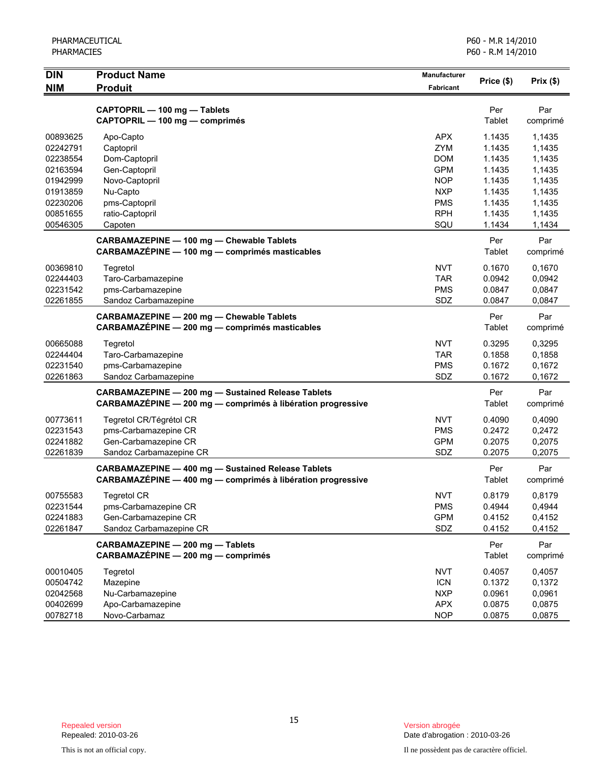| DIN                                                      | <b>Product Name</b>                                                                                                      | Manufacturer                                                       | Price (\$)                                     | Prix(\$)                                       |
|----------------------------------------------------------|--------------------------------------------------------------------------------------------------------------------------|--------------------------------------------------------------------|------------------------------------------------|------------------------------------------------|
| <b>NIM</b>                                               | <b>Produit</b>                                                                                                           | <b>Fabricant</b>                                                   |                                                |                                                |
|                                                          | CAPTOPRIL - 100 mg - Tablets<br>CAPTOPRIL - 100 mg - comprimés                                                           |                                                                    | Per<br>Tablet                                  | Par<br>comprimé                                |
| 00893625<br>02242791<br>02238554<br>02163594             | Apo-Capto<br>Captopril<br>Dom-Captopril<br>Gen-Captopril                                                                 | <b>APX</b><br>ZYM<br><b>DOM</b><br><b>GPM</b>                      | 1.1435<br>1.1435<br>1.1435<br>1.1435           | 1,1435<br>1,1435<br>1,1435<br>1,1435           |
| 01942999<br>01913859<br>02230206<br>00851655<br>00546305 | Novo-Captopril<br>Nu-Capto<br>pms-Captopril<br>ratio-Captopril<br>Capoten                                                | <b>NOP</b><br><b>NXP</b><br><b>PMS</b><br><b>RPH</b><br>SQU        | 1.1435<br>1.1435<br>1.1435<br>1.1435<br>1.1434 | 1,1435<br>1,1435<br>1,1435<br>1,1435<br>1,1434 |
|                                                          | <b>CARBAMAZEPINE - 100 mg - Chewable Tablets</b><br>CARBAMAZEPINE - 100 mg - comprimés masticables                       |                                                                    | Per<br>Tablet                                  | Par<br>comprimé                                |
| 00369810<br>02244403<br>02231542<br>02261855             | Tegretol<br>Taro-Carbamazepine<br>pms-Carbamazepine<br>Sandoz Carbamazepine                                              | <b>NVT</b><br><b>TAR</b><br><b>PMS</b><br>SDZ                      | 0.1670<br>0.0942<br>0.0847<br>0.0847           | 0,1670<br>0,0942<br>0,0847<br>0.0847           |
|                                                          | CARBAMAZEPINE - 200 mg - Chewable Tablets<br>CARBAMAZÉPINE - 200 mg - comprimés masticables                              |                                                                    | Per<br>Tablet                                  | Par<br>comprimé                                |
| 00665088<br>02244404<br>02231540<br>02261863             | Tegretol<br>Taro-Carbamazepine<br>pms-Carbamazepine<br>Sandoz Carbamazepine                                              | <b>NVT</b><br><b>TAR</b><br><b>PMS</b><br>SDZ                      | 0.3295<br>0.1858<br>0.1672<br>0.1672           | 0,3295<br>0,1858<br>0,1672<br>0,1672           |
|                                                          | <b>CARBAMAZEPINE - 200 mg - Sustained Release Tablets</b><br>CARBAMAZÉPINE - 200 mg - comprimés à libération progressive |                                                                    | Per<br>Tablet                                  | Par<br>comprimé                                |
| 00773611<br>02231543<br>02241882<br>02261839             | Tegretol CR/Tégrétol CR<br>pms-Carbamazepine CR<br>Gen-Carbamazepine CR<br>Sandoz Carbamazepine CR                       | <b>NVT</b><br><b>PMS</b><br><b>GPM</b><br>SDZ                      | 0.4090<br>0.2472<br>0.2075<br>0.2075           | 0,4090<br>0,2472<br>0,2075<br>0,2075           |
|                                                          | <b>CARBAMAZEPINE - 400 mg - Sustained Release Tablets</b><br>CARBAMAZÉPINE - 400 mg - comprimés à libération progressive |                                                                    | Per<br>Tablet                                  | Par<br>comprimé                                |
| 00755583<br>02231544<br>02241883<br>02261847             | <b>Tegretol CR</b><br>pms-Carbamazepine CR<br>Gen-Carbamazepine CR<br>Sandoz Carbamazepine CR                            | <b>NVT</b><br><b>PMS</b><br><b>GPM</b><br>SDZ                      | 0.8179<br>0.4944<br>0.4152<br>0.4152           | 0,8179<br>0,4944<br>0,4152<br>0,4152           |
|                                                          | CARBAMAZEPINE - 200 mg - Tablets<br>CARBAMAZÉPINE - 200 mg - comprimés                                                   |                                                                    | Per<br>Tablet                                  | Par<br>comprimé                                |
| 00010405<br>00504742<br>02042568<br>00402699<br>00782718 | Tegretol<br>Mazepine<br>Nu-Carbamazepine<br>Apo-Carbamazepine<br>Novo-Carbamaz                                           | <b>NVT</b><br><b>ICN</b><br><b>NXP</b><br><b>APX</b><br><b>NOP</b> | 0.4057<br>0.1372<br>0.0961<br>0.0875<br>0.0875 | 0,4057<br>0,1372<br>0,0961<br>0,0875<br>0,0875 |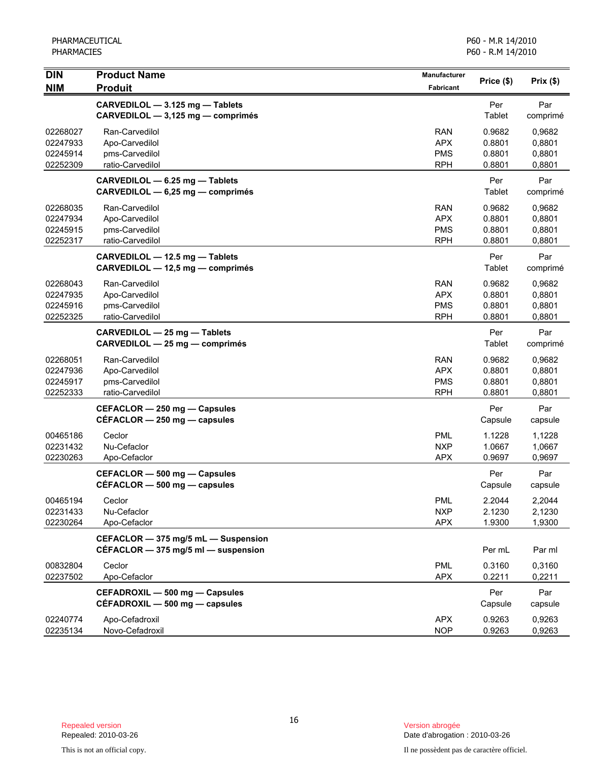| DIN                                          | <b>Product Name</b>                                                        | <b>Manufacturer</b>                                  | Price (\$)                           | Prix(\$)                             |
|----------------------------------------------|----------------------------------------------------------------------------|------------------------------------------------------|--------------------------------------|--------------------------------------|
| <b>NIM</b>                                   | <b>Produit</b>                                                             | Fabricant                                            |                                      |                                      |
|                                              | CARVEDILOL - 3.125 mg - Tablets<br>CARVEDILOL - 3,125 mg - comprimés       |                                                      | Per<br>Tablet                        | Par<br>comprimé                      |
| 02268027<br>02247933<br>02245914<br>02252309 | Ran-Carvedilol<br>Apo-Carvedilol<br>pms-Carvedilol<br>ratio-Carvedilol     | <b>RAN</b><br><b>APX</b><br><b>PMS</b><br><b>RPH</b> | 0.9682<br>0.8801<br>0.8801<br>0.8801 | 0,9682<br>0,8801<br>0,8801<br>0,8801 |
|                                              | CARVEDILOL - 6.25 mg - Tablets<br>CARVEDILOL - 6,25 mg - comprimés         |                                                      | Per<br>Tablet                        | Par<br>comprimé                      |
| 02268035<br>02247934<br>02245915<br>02252317 | Ran-Carvedilol<br>Apo-Carvedilol<br>pms-Carvedilol<br>ratio-Carvedilol     | <b>RAN</b><br><b>APX</b><br><b>PMS</b><br><b>RPH</b> | 0.9682<br>0.8801<br>0.8801<br>0.8801 | 0,9682<br>0,8801<br>0,8801<br>0,8801 |
|                                              | CARVEDILOL - 12.5 mg - Tablets<br>CARVEDILOL - 12,5 mg - comprimés         |                                                      | Per<br>Tablet                        | Par<br>comprimé                      |
| 02268043<br>02247935<br>02245916<br>02252325 | Ran-Carvedilol<br>Apo-Carvedilol<br>pms-Carvedilol<br>ratio-Carvedilol     | RAN<br><b>APX</b><br><b>PMS</b><br><b>RPH</b>        | 0.9682<br>0.8801<br>0.8801<br>0.8801 | 0,9682<br>0,8801<br>0,8801<br>0,8801 |
|                                              | CARVEDILOL - 25 mg - Tablets<br>CARVEDILOL - 25 mg - comprimés             |                                                      | Per<br>Tablet                        | Par<br>comprimé                      |
| 02268051<br>02247936<br>02245917<br>02252333 | Ran-Carvedilol<br>Apo-Carvedilol<br>pms-Carvedilol<br>ratio-Carvedilol     | <b>RAN</b><br><b>APX</b><br><b>PMS</b><br><b>RPH</b> | 0.9682<br>0.8801<br>0.8801<br>0.8801 | 0,9682<br>0,8801<br>0,8801<br>0,8801 |
|                                              | CEFACLOR - 250 mg - Capsules<br>$CEFACLOR - 250$ mg $-$ capsules           |                                                      | Per<br>Capsule                       | Par<br>capsule                       |
| 00465186<br>02231432<br>02230263             | Ceclor<br>Nu-Cefaclor<br>Apo-Cefaclor                                      | <b>PML</b><br><b>NXP</b><br><b>APX</b>               | 1.1228<br>1.0667<br>0.9697           | 1,1228<br>1,0667<br>0,9697           |
|                                              | CEFACLOR - 500 mg - Capsules<br>$CEFACLOR - 500$ mg $-$ capsules           |                                                      | Per<br>Capsule                       | Par<br>capsule                       |
| 00465194<br>02231433<br>02230264             | Ceclor<br>Nu-Cefaclor<br>Apo-Cefaclor                                      | <b>PML</b><br><b>NXP</b><br><b>APX</b>               | 2.2044<br>2.1230<br>1.9300           | 2,2044<br>2,1230<br>1,9300           |
|                                              | CEFACLOR - 375 mg/5 mL - Suspension<br>CÉFACLOR - 375 mg/5 ml - suspension |                                                      | Per mL                               | Par ml                               |
| 00832804<br>02237502                         | Ceclor<br>Apo-Cefaclor                                                     | <b>PML</b><br><b>APX</b>                             | 0.3160<br>0.2211                     | 0,3160<br>0,2211                     |
|                                              | CEFADROXIL - 500 mg - Capsules<br>CEFADROXIL - 500 mg - capsules           |                                                      | Per<br>Capsule                       | Par<br>capsule                       |
| 02240774<br>02235134                         | Apo-Cefadroxil<br>Novo-Cefadroxil                                          | <b>APX</b><br><b>NOP</b>                             | 0.9263<br>0.9263                     | 0,9263<br>0,9263                     |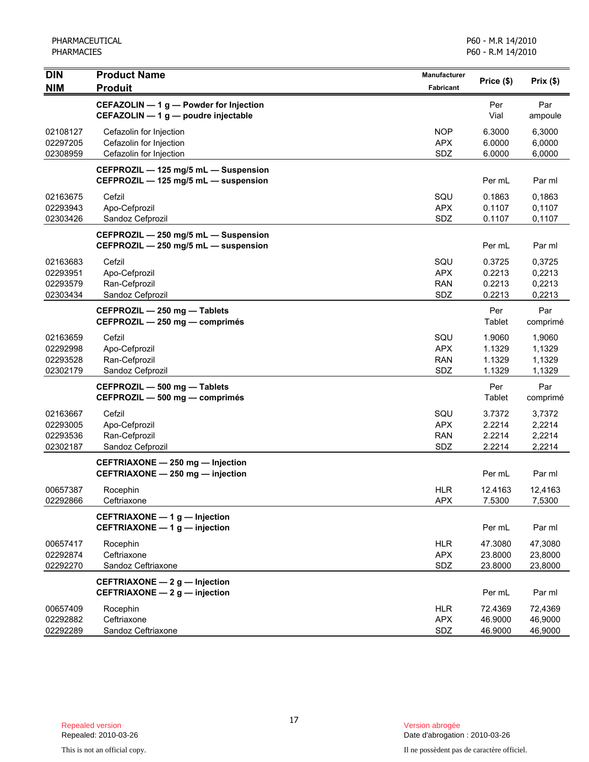| <b>DIN</b>                                   | <b>Product Name</b>                                                           | Manufacturer                           | Price (\$)                           | Prix(\$)                             |
|----------------------------------------------|-------------------------------------------------------------------------------|----------------------------------------|--------------------------------------|--------------------------------------|
| <b>NIM</b>                                   | <b>Produit</b>                                                                | <b>Fabricant</b>                       |                                      |                                      |
|                                              | CEFAZOLIN - 1 g - Powder for Injection<br>CEFAZOLIN - 1 g - poudre injectable |                                        | Per<br>Vial                          | Par<br>ampoule                       |
| 02108127<br>02297205<br>02308959             | Cefazolin for Injection<br>Cefazolin for Injection<br>Cefazolin for Injection | <b>NOP</b><br><b>APX</b><br>SDZ        | 6.3000<br>6.0000<br>6.0000           | 6,3000<br>6,0000<br>6,0000           |
|                                              | CEFPROZIL - 125 mg/5 mL - Suspension<br>CEFPROZIL - 125 mg/5 mL - suspension  |                                        | Per mL                               | Par ml                               |
| 02163675<br>02293943<br>02303426             | Cefzil<br>Apo-Cefprozil<br>Sandoz Cefprozil                                   | SQU<br><b>APX</b><br>SDZ               | 0.1863<br>0.1107<br>0.1107           | 0,1863<br>0,1107<br>0,1107           |
|                                              | CEFPROZIL - 250 mg/5 mL - Suspension<br>CEFPROZIL - 250 mg/5 mL - suspension  |                                        | Per mL                               | Par ml                               |
| 02163683<br>02293951<br>02293579<br>02303434 | Cefzil<br>Apo-Cefprozil<br>Ran-Cefprozil<br>Sandoz Cefprozil                  | SQU<br><b>APX</b><br><b>RAN</b><br>SDZ | 0.3725<br>0.2213<br>0.2213<br>0.2213 | 0,3725<br>0,2213<br>0,2213<br>0,2213 |
|                                              | CEFPROZIL - 250 mg - Tablets<br>CEFPROZIL - 250 mg - comprimés                |                                        | Per<br>Tablet                        | Par<br>comprimé                      |
| 02163659<br>02292998<br>02293528<br>02302179 | Cefzil<br>Apo-Cefprozil<br>Ran-Cefprozil<br>Sandoz Cefprozil                  | SQU<br><b>APX</b><br><b>RAN</b><br>SDZ | 1.9060<br>1.1329<br>1.1329<br>1.1329 | 1,9060<br>1,1329<br>1,1329<br>1,1329 |
|                                              | CEFPROZIL - 500 mg - Tablets<br>CEFPROZIL - 500 mg - comprimés                |                                        | Per<br>Tablet                        | Par<br>comprimé                      |
| 02163667<br>02293005<br>02293536<br>02302187 | Cefzil<br>Apo-Cefprozil<br>Ran-Cefprozil<br>Sandoz Cefprozil                  | SQU<br><b>APX</b><br><b>RAN</b><br>SDZ | 3.7372<br>2.2214<br>2.2214<br>2.2214 | 3,7372<br>2,2214<br>2,2214<br>2,2214 |
|                                              | CEFTRIAXONE - 250 mg - Injection<br>CEFTRIAXONE - 250 mg - injection          |                                        | Per mL                               | Par ml                               |
| 00657387<br>02292866                         | Rocephin<br>Ceftriaxone                                                       | <b>HLR</b><br><b>APX</b>               | 12.4163<br>7.5300                    | 12,4163<br>7,5300                    |
|                                              | CEFTRIAXONE - 1 g - Injection<br>CEFTRIAXONE - 1 g - injection                |                                        | Per mL                               | Par ml                               |
| 00657417<br>02292874<br>02292270             | Rocephin<br>Ceftriaxone<br>Sandoz Ceftriaxone                                 | <b>HLR</b><br><b>APX</b><br>SDZ        | 47.3080<br>23.8000<br>23.8000        | 47,3080<br>23,8000<br>23,8000        |
|                                              | CEFTRIAXONE - 2 g - Injection<br>CEFTRIAXONE - 2 g - injection                |                                        | Per mL                               | Par ml                               |
| 00657409<br>02292882<br>02292289             | Rocephin<br>Ceftriaxone<br>Sandoz Ceftriaxone                                 | <b>HLR</b><br><b>APX</b><br>SDZ        | 72.4369<br>46.9000<br>46.9000        | 72,4369<br>46,9000<br>46,9000        |

Date d'abrogation : 2010-03-26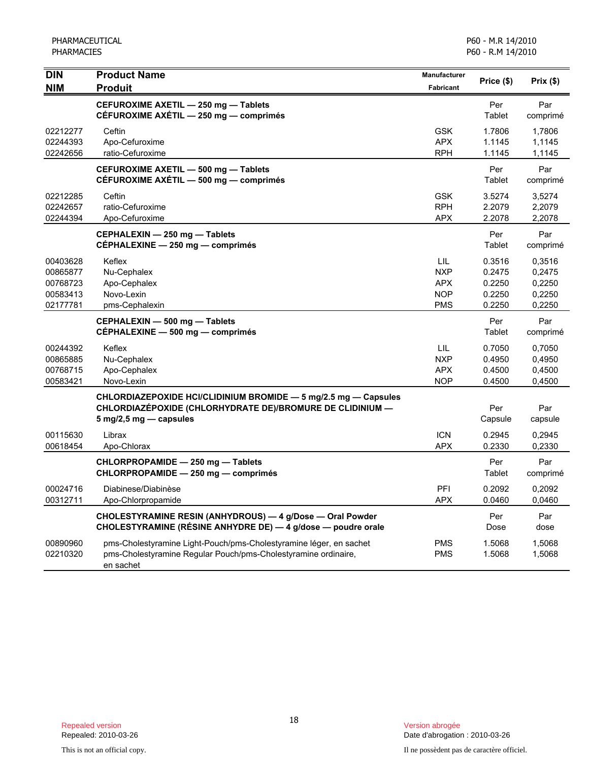| <b>DIN</b> | <b>Product Name</b>                                                            | Manufacturer     | Price (\$)    | Prix(\$)        |
|------------|--------------------------------------------------------------------------------|------------------|---------------|-----------------|
| <b>NIM</b> | <b>Produit</b>                                                                 | <b>Fabricant</b> |               |                 |
|            | CEFUROXIME AXETIL - 250 mg - Tablets<br>CÉFUROXIME AXÉTIL - 250 mg - comprimés |                  | Per<br>Tablet | Par<br>comprimé |
| 02212277   | Ceftin                                                                         | <b>GSK</b>       | 1.7806        | 1,7806          |
| 02244393   | Apo-Cefuroxime                                                                 | <b>APX</b>       | 1.1145        | 1,1145          |
| 02242656   | ratio-Cefuroxime                                                               | <b>RPH</b>       | 1.1145        | 1,1145          |
|            | CEFUROXIME AXETIL - 500 mg - Tablets                                           |                  | Per           | Par             |
|            | CÉFUROXIME AXÉTIL - 500 mg - comprimés                                         |                  | Tablet        | comprimé        |
| 02212285   | Ceftin                                                                         | <b>GSK</b>       | 3.5274        | 3,5274          |
| 02242657   | ratio-Cefuroxime                                                               | <b>RPH</b>       | 2.2079        | 2,2079          |
| 02244394   | Apo-Cefuroxime                                                                 | <b>APX</b>       | 2.2078        | 2,2078          |
|            | CEPHALEXIN - 250 mg - Tablets                                                  |                  | Per           | Par             |
|            | CÉPHALEXINE - 250 mg - comprimés                                               |                  | Tablet        | comprimé        |
| 00403628   | Keflex                                                                         | LIL              | 0.3516        | 0,3516          |
| 00865877   | Nu-Cephalex                                                                    | <b>NXP</b>       | 0.2475        | 0,2475          |
| 00768723   | Apo-Cephalex                                                                   | <b>APX</b>       | 0.2250        | 0,2250          |
| 00583413   | Novo-Lexin                                                                     | <b>NOP</b>       | 0.2250        | 0,2250          |
| 02177781   | pms-Cephalexin                                                                 | <b>PMS</b>       | 0.2250        | 0,2250          |
|            | CEPHALEXIN - 500 mg - Tablets                                                  |                  | Per           | Par             |
|            | CEPHALEXINE - 500 mg - comprimés                                               |                  | Tablet        | comprimé        |
| 00244392   | Keflex                                                                         | LIL              | 0.7050        | 0,7050          |
| 00865885   | Nu-Cephalex                                                                    | <b>NXP</b>       | 0.4950        | 0,4950          |
| 00768715   | Apo-Cephalex                                                                   | <b>APX</b>       | 0.4500        | 0,4500          |
| 00583421   | Novo-Lexin                                                                     | <b>NOP</b>       | 0.4500        | 0,4500          |
|            | CHLORDIAZEPOXIDE HCI/CLIDINIUM BROMIDE - 5 mg/2.5 mg - Capsules                |                  |               |                 |
|            | CHLORDIAZEPOXIDE (CHLORHYDRATE DE)/BROMURE DE CLIDINIUM —                      |                  | Per           | Par             |
|            | $5 \text{ mg}/2, 5 \text{ mg}$ - capsules                                      |                  | Capsule       | capsule         |
| 00115630   | Librax                                                                         | <b>ICN</b>       | 0.2945        | 0,2945          |
| 00618454   | Apo-Chlorax                                                                    | <b>APX</b>       | 0.2330        | 0,2330          |
|            | CHLORPROPAMIDE - 250 mg - Tablets                                              |                  | Per           | Par             |
|            | CHLORPROPAMIDE - 250 mg - comprimés                                            |                  | Tablet        | comprimé        |
| 00024716   | Diabinese/Diabinèse                                                            | PFI              | 0.2092        | 0,2092          |
| 00312711   | Apo-Chlorpropamide                                                             | <b>APX</b>       | 0.0460        | 0,0460          |
|            | CHOLESTYRAMINE RESIN (ANHYDROUS) - 4 g/Dose - Oral Powder                      |                  | Per           | Par             |
|            | CHOLESTYRAMINE (RÉSINE ANHYDRE DE) - 4 g/dose - poudre orale                   |                  | Dose          | dose            |
| 00890960   | pms-Cholestyramine Light-Pouch/pms-Cholestyramine léger, en sachet             | <b>PMS</b>       | 1.5068        | 1,5068          |
| 02210320   | pms-Cholestyramine Regular Pouch/pms-Cholestyramine ordinaire,<br>en sachet    | <b>PMS</b>       | 1.5068        | 1,5068          |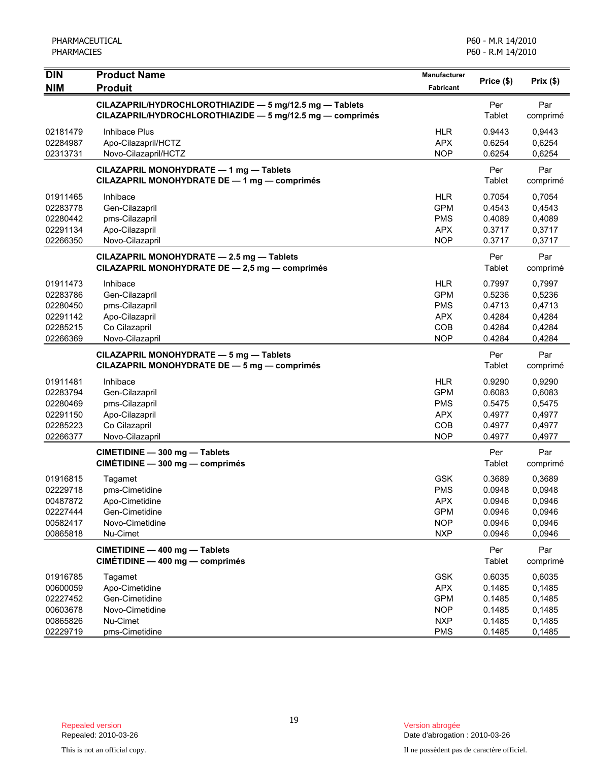| <b>DIN</b><br><b>NIM</b>                                             | <b>Product Name</b><br><b>Produit</b>                                                                                    | <b>Manufacturer</b><br><b>Fabricant</b>                                          | Price (\$)                                               | Prix(\$)                                                 |
|----------------------------------------------------------------------|--------------------------------------------------------------------------------------------------------------------------|----------------------------------------------------------------------------------|----------------------------------------------------------|----------------------------------------------------------|
|                                                                      | CILAZAPRIL/HYDROCHLOROTHIAZIDE - 5 mg/12.5 mg - Tablets<br>CILAZAPRIL/HYDROCHLOROTHIAZIDE $-$ 5 mg/12.5 mg $-$ comprimés |                                                                                  | Per<br>Tablet                                            | Par<br>comprimé                                          |
| 02181479<br>02284987<br>02313731                                     | Inhibace Plus<br>Apo-Cilazapril/HCTZ<br>Novo-Cilazapril/HCTZ                                                             | <b>HLR</b><br><b>APX</b><br><b>NOP</b>                                           | 0.9443<br>0.6254<br>0.6254                               | 0,9443<br>0,6254<br>0,6254                               |
|                                                                      | CILAZAPRIL MONOHYDRATE - 1 mg - Tablets<br>CILAZAPRIL MONOHYDRATE DE - 1 mg - comprimés                                  |                                                                                  | Per<br>Tablet                                            | Par<br>comprimé                                          |
| 01911465<br>02283778<br>02280442<br>02291134<br>02266350             | Inhibace<br>Gen-Cilazapril<br>pms-Cilazapril<br>Apo-Cilazapril<br>Novo-Cilazapril                                        | <b>HLR</b><br><b>GPM</b><br><b>PMS</b><br><b>APX</b><br><b>NOP</b>               | 0.7054<br>0.4543<br>0.4089<br>0.3717<br>0.3717           | 0,7054<br>0,4543<br>0,4089<br>0,3717<br>0,3717           |
|                                                                      | CILAZAPRIL MONOHYDRATE - 2.5 mg - Tablets<br>CILAZAPRIL MONOHYDRATE DE - 2,5 mg - comprimés                              |                                                                                  | Per<br>Tablet                                            | Par<br>comprimé                                          |
| 01911473<br>02283786<br>02280450<br>02291142<br>02285215<br>02266369 | Inhibace<br>Gen-Cilazapril<br>pms-Cilazapril<br>Apo-Cilazapril<br>Co Cilazapril<br>Novo-Cilazapril                       | <b>HLR</b><br><b>GPM</b><br><b>PMS</b><br><b>APX</b><br>COB<br><b>NOP</b>        | 0.7997<br>0.5236<br>0.4713<br>0.4284<br>0.4284<br>0.4284 | 0,7997<br>0,5236<br>0,4713<br>0,4284<br>0,4284<br>0,4284 |
|                                                                      | CILAZAPRIL MONOHYDRATE - 5 mg - Tablets<br>CILAZAPRIL MONOHYDRATE DE - 5 mg - comprimés                                  |                                                                                  | Per<br>Tablet                                            | Par<br>comprimé                                          |
| 01911481<br>02283794<br>02280469<br>02291150<br>02285223<br>02266377 | Inhibace<br>Gen-Cilazapril<br>pms-Cilazapril<br>Apo-Cilazapril<br>Co Cilazapril<br>Novo-Cilazapril                       | <b>HLR</b><br><b>GPM</b><br><b>PMS</b><br><b>APX</b><br>COB<br><b>NOP</b>        | 0.9290<br>0.6083<br>0.5475<br>0.4977<br>0.4977<br>0.4977 | 0,9290<br>0,6083<br>0,5475<br>0,4977<br>0,4977<br>0,4977 |
|                                                                      | CIMETIDINE - 300 mg - Tablets<br>CIMÉTIDINE - 300 mg - comprimés                                                         |                                                                                  | Per<br>Tablet                                            | Par<br>comprimé                                          |
| 01916815<br>02229718<br>00487872<br>02227444<br>00582417<br>00865818 | Tagamet<br>pms-Cimetidine<br>Apo-Cimetidine<br>Gen-Cimetidine<br>Novo-Cimetidine<br>Nu-Cimet                             | <b>GSK</b><br><b>PMS</b><br><b>APX</b><br><b>GPM</b><br><b>NOP</b><br><b>NXP</b> | 0.3689<br>0.0948<br>0.0946<br>0.0946<br>0.0946<br>0.0946 | 0,3689<br>0,0948<br>0,0946<br>0,0946<br>0,0946<br>0,0946 |
|                                                                      | CIMETIDINE - 400 mg - Tablets<br>CIMÉTIDINE - 400 mg - comprimés                                                         |                                                                                  | Per<br>Tablet                                            | Par<br>comprimé                                          |
| 01916785<br>00600059<br>02227452<br>00603678<br>00865826<br>02229719 | Tagamet<br>Apo-Cimetidine<br>Gen-Cimetidine<br>Novo-Cimetidine<br>Nu-Cimet<br>pms-Cimetidine                             | <b>GSK</b><br><b>APX</b><br><b>GPM</b><br><b>NOP</b><br><b>NXP</b><br><b>PMS</b> | 0.6035<br>0.1485<br>0.1485<br>0.1485<br>0.1485<br>0.1485 | 0,6035<br>0,1485<br>0,1485<br>0,1485<br>0,1485<br>0,1485 |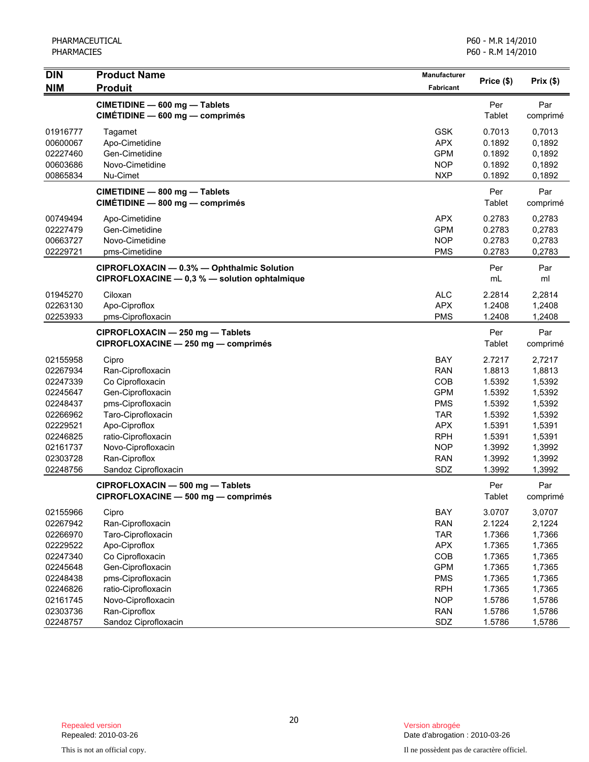| <b>DIN</b> | <b>Product Name</b>                           | Manufacturer | Price (\$)    | Prix(\$) |
|------------|-----------------------------------------------|--------------|---------------|----------|
| <b>NIM</b> | <b>Produit</b>                                | Fabricant    |               |          |
|            | CIMETIDINE - 600 mg - Tablets                 |              | Per           | Par      |
|            | CIMÉTIDINE - 600 mg - comprimés               |              | Tablet        | comprimé |
| 01916777   | Tagamet                                       | <b>GSK</b>   | 0.7013        | 0,7013   |
| 00600067   | Apo-Cimetidine                                | <b>APX</b>   | 0.1892        | 0,1892   |
| 02227460   | Gen-Cimetidine                                | <b>GPM</b>   | 0.1892        | 0,1892   |
| 00603686   | Novo-Cimetidine                               | <b>NOP</b>   | 0.1892        | 0,1892   |
| 00865834   | Nu-Cimet                                      | <b>NXP</b>   | 0.1892        | 0,1892   |
|            | CIMETIDINE - 800 mg - Tablets                 |              | Per           | Par      |
|            | CIMÉTIDINE - 800 mg - comprimés               |              | Tablet        | comprimé |
| 00749494   | Apo-Cimetidine                                | <b>APX</b>   | 0.2783        | 0,2783   |
| 02227479   | Gen-Cimetidine                                | <b>GPM</b>   | 0.2783        | 0,2783   |
| 00663727   | Novo-Cimetidine                               | <b>NOP</b>   | 0.2783        | 0,2783   |
| 02229721   | pms-Cimetidine                                | <b>PMS</b>   | 0.2783        | 0,2783   |
|            | CIPROFLOXACIN - 0.3% - Ophthalmic Solution    |              | Per           | Par      |
|            | CIPROFLOXACINE - 0,3 % - solution ophtalmique |              | mL            | ml       |
| 01945270   | Ciloxan                                       | <b>ALC</b>   | 2.2814        | 2,2814   |
| 02263130   | Apo-Ciproflox                                 | <b>APX</b>   | 1.2408        | 1,2408   |
| 02253933   | pms-Ciprofloxacin                             | <b>PMS</b>   | 1.2408        | 1,2408   |
|            | CIPROFLOXACIN - 250 mg - Tablets              |              | Per           | Par      |
|            | CIPROFLOXACINE - 250 mg - comprimés           |              | <b>Tablet</b> | comprimé |
| 02155958   | Cipro                                         | BAY          | 2.7217        | 2,7217   |
| 02267934   | Ran-Ciprofloxacin                             | <b>RAN</b>   | 1.8813        | 1,8813   |
| 02247339   | Co Ciprofloxacin                              | COB          | 1.5392        | 1,5392   |
| 02245647   | Gen-Ciprofloxacin                             | <b>GPM</b>   | 1.5392        | 1,5392   |
| 02248437   | pms-Ciprofloxacin                             | <b>PMS</b>   | 1.5392        | 1,5392   |
| 02266962   | Taro-Ciprofloxacin                            | <b>TAR</b>   | 1.5392        | 1,5392   |
| 02229521   | Apo-Ciproflox                                 | <b>APX</b>   | 1.5391        | 1,5391   |
| 02246825   | ratio-Ciprofloxacin                           | <b>RPH</b>   | 1.5391        | 1,5391   |
| 02161737   | Novo-Ciprofloxacin                            | <b>NOP</b>   | 1.3992        | 1,3992   |
| 02303728   | Ran-Ciproflox                                 | <b>RAN</b>   | 1.3992        | 1,3992   |
| 02248756   | Sandoz Ciprofloxacin                          | SDZ          | 1.3992        | 1,3992   |
|            | CIPROFLOXACIN - 500 mg - Tablets              |              | Per           | Par      |
|            | CIPROFLOXACINE - 500 mg - comprimés           |              | Tablet        | comprimé |
| 02155966   | Cipro                                         | BAY          | 3.0707        | 3,0707   |
| 02267942   | Ran-Ciprofloxacin                             | <b>RAN</b>   | 2.1224        | 2,1224   |
| 02266970   | Taro-Ciprofloxacin                            | <b>TAR</b>   | 1.7366        | 1,7366   |
| 02229522   | Apo-Ciproflox                                 | <b>APX</b>   | 1.7365        | 1,7365   |
| 02247340   | Co Ciprofloxacin                              | COB          | 1.7365        | 1,7365   |
| 02245648   | Gen-Ciprofloxacin                             | <b>GPM</b>   | 1.7365        | 1,7365   |
| 02248438   | pms-Ciprofloxacin                             | <b>PMS</b>   | 1.7365        | 1,7365   |
| 02246826   | ratio-Ciprofloxacin                           | <b>RPH</b>   | 1.7365        | 1,7365   |
| 02161745   | Novo-Ciprofloxacin                            | <b>NOP</b>   | 1.5786        | 1,5786   |
| 02303736   | Ran-Ciproflox                                 | <b>RAN</b>   | 1.5786        | 1,5786   |
| 02248757   | Sandoz Ciprofloxacin                          | SDZ          | 1.5786        | 1,5786   |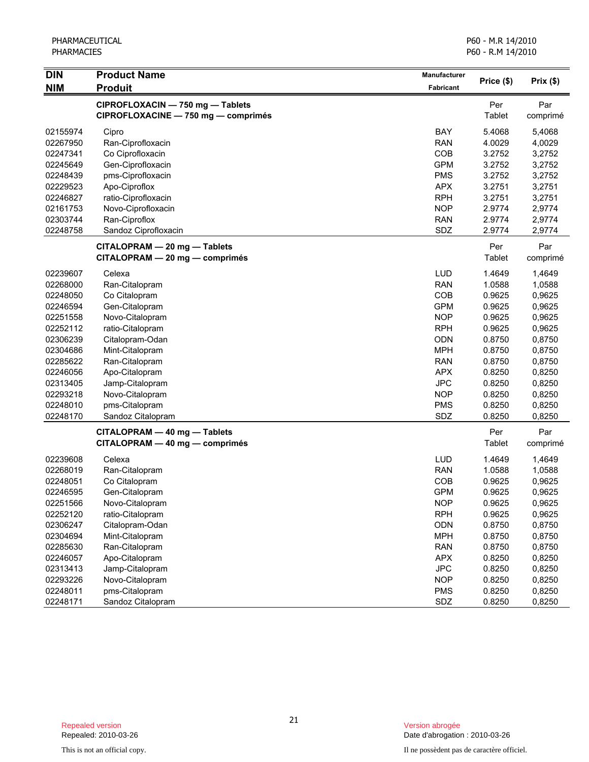| <b>DIN</b> | <b>Product Name</b>                                                     | Manufacturer     | Price (\$)    |                 |
|------------|-------------------------------------------------------------------------|------------------|---------------|-----------------|
| <b>NIM</b> | <b>Produit</b>                                                          | <b>Fabricant</b> |               | Prix(\$)        |
|            | CIPROFLOXACIN - 750 mg - Tablets<br>CIPROFLOXACINE - 750 mg - comprimés |                  | Per<br>Tablet | Par<br>comprimé |
| 02155974   | Cipro                                                                   | BAY              | 5.4068        | 5,4068          |
| 02267950   | Ran-Ciprofloxacin                                                       | <b>RAN</b>       | 4.0029        | 4,0029          |
| 02247341   | Co Ciprofloxacin                                                        | COB              | 3.2752        | 3,2752          |
| 02245649   | Gen-Ciprofloxacin                                                       | <b>GPM</b>       | 3.2752        | 3,2752          |
| 02248439   | pms-Ciprofloxacin                                                       | <b>PMS</b>       | 3.2752        | 3,2752          |
| 02229523   | Apo-Ciproflox                                                           | <b>APX</b>       | 3.2751        | 3,2751          |
| 02246827   | ratio-Ciprofloxacin                                                     | <b>RPH</b>       | 3.2751        | 3,2751          |
| 02161753   | Novo-Ciprofloxacin                                                      | <b>NOP</b>       | 2.9774        | 2,9774          |
| 02303744   | Ran-Ciproflox                                                           | <b>RAN</b>       | 2.9774        | 2,9774          |
| 02248758   | Sandoz Ciprofloxacin                                                    | SDZ              | 2.9774        | 2,9774          |
|            | CITALOPRAM - 20 mg - Tablets                                            |                  | Per           | Par             |
|            | CITALOPRAM - 20 mg - comprimés                                          |                  | Tablet        | comprimé        |
| 02239607   | Celexa                                                                  | <b>LUD</b>       | 1.4649        | 1,4649          |
| 02268000   | Ran-Citalopram                                                          | <b>RAN</b>       | 1.0588        | 1,0588          |
| 02248050   | Co Citalopram                                                           | COB              | 0.9625        | 0,9625          |
| 02246594   | Gen-Citalopram                                                          | <b>GPM</b>       | 0.9625        | 0,9625          |
| 02251558   | Novo-Citalopram                                                         | <b>NOP</b>       | 0.9625        | 0,9625          |
| 02252112   | ratio-Citalopram                                                        | <b>RPH</b>       | 0.9625        | 0,9625          |
| 02306239   | Citalopram-Odan                                                         | <b>ODN</b>       | 0.8750        | 0,8750          |
| 02304686   | Mint-Citalopram                                                         | <b>MPH</b>       | 0.8750        | 0,8750          |
| 02285622   | Ran-Citalopram                                                          | <b>RAN</b>       | 0.8750        | 0,8750          |
| 02246056   | Apo-Citalopram                                                          | <b>APX</b>       | 0.8250        | 0,8250          |
| 02313405   | Jamp-Citalopram                                                         | <b>JPC</b>       | 0.8250        | 0,8250          |
| 02293218   | Novo-Citalopram                                                         | <b>NOP</b>       | 0.8250        | 0,8250          |
| 02248010   | pms-Citalopram                                                          | <b>PMS</b>       | 0.8250        | 0,8250          |
| 02248170   | Sandoz Citalopram                                                       | SDZ              | 0.8250        | 0,8250          |
|            | CITALOPRAM - 40 mg - Tablets                                            |                  | Per           | Par             |
|            | CITALOPRAM - 40 mg - comprimés                                          |                  | Tablet        | comprimé        |
| 02239608   | Celexa                                                                  | <b>LUD</b>       | 1.4649        | 1,4649          |
| 02268019   | Ran-Citalopram                                                          | <b>RAN</b>       | 1.0588        | 1,0588          |
| 02248051   | Co Citalopram                                                           | COB              | 0.9625        | 0,9625          |
| 02246595   | Gen-Citalopram                                                          | <b>GPM</b>       | 0.9625        | 0,9625          |
| 02251566   | Novo-Citalopram                                                         | <b>NOP</b>       | 0.9625        | 0,9625          |
| 02252120   | ratio-Citalopram                                                        | <b>RPH</b>       | 0.9625        | 0,9625          |
| 02306247   | Citalopram-Odan                                                         | ODN              | 0.8750        | 0,8750          |
| 02304694   | Mint-Citalopram                                                         | <b>MPH</b>       | 0.8750        | 0,8750          |
| 02285630   | Ran-Citalopram                                                          | <b>RAN</b>       | 0.8750        | 0,8750          |
| 02246057   | Apo-Citalopram                                                          | <b>APX</b>       | 0.8250        | 0,8250          |
| 02313413   | Jamp-Citalopram                                                         | <b>JPC</b>       | 0.8250        | 0,8250          |
| 02293226   | Novo-Citalopram                                                         | <b>NOP</b>       | 0.8250        | 0,8250          |
| 02248011   | pms-Citalopram                                                          | <b>PMS</b>       | 0.8250        | 0,8250          |
| 02248171   | Sandoz Citalopram                                                       | SDZ              | 0.8250        | 0,8250          |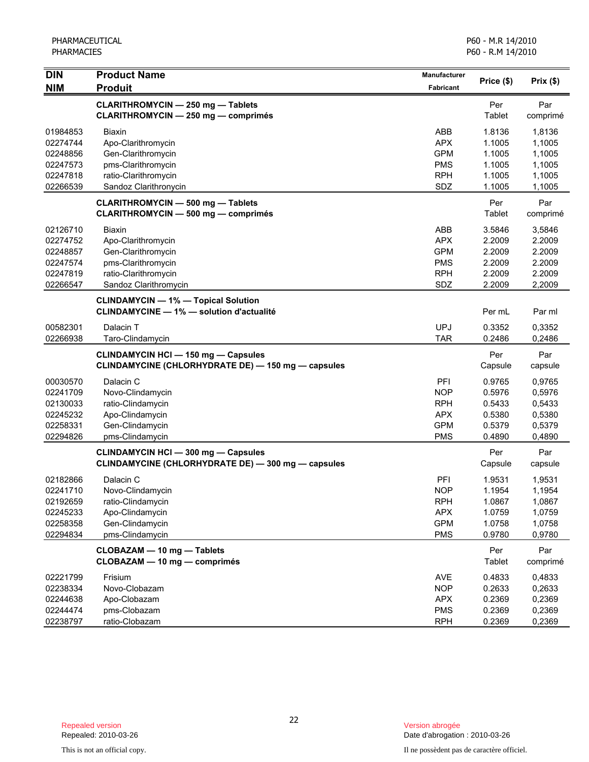| <b>DIN</b><br><b>NIM</b> | <b>Product Name</b><br><b>Produit</b>                                                            | <b>Manufacturer</b><br>Fabricant | Price (\$)     | Prix(\$)        |
|--------------------------|--------------------------------------------------------------------------------------------------|----------------------------------|----------------|-----------------|
|                          | <b>CLARITHROMYCIN - 250 mg - Tablets</b><br><b>CLARITHROMYCIN - 250 mg - comprimés</b>           |                                  | Per<br>Tablet  | Par<br>comprimé |
| 01984853                 | <b>Biaxin</b>                                                                                    | ABB                              | 1.8136         | 1,8136          |
| 02274744                 | Apo-Clarithromycin                                                                               | <b>APX</b>                       | 1.1005         | 1,1005          |
| 02248856                 | Gen-Clarithromycin                                                                               | <b>GPM</b>                       | 1.1005         | 1,1005          |
| 02247573                 | pms-Clarithromycin                                                                               | <b>PMS</b>                       | 1.1005         | 1,1005          |
| 02247818                 | ratio-Clarithromycin                                                                             | <b>RPH</b>                       | 1.1005         | 1,1005          |
| 02266539                 | Sandoz Clarithronycin                                                                            | SDZ                              | 1.1005         | 1,1005          |
|                          | <b>CLARITHROMYCIN - 500 mg - Tablets</b><br><b>CLARITHROMYCIN - 500 mg - comprimés</b>           |                                  | Per<br>Tablet  | Par<br>comprimé |
| 02126710                 | Biaxin                                                                                           | ABB                              | 3.5846         | 3,5846          |
| 02274752                 | Apo-Clarithromycin                                                                               | <b>APX</b>                       | 2.2009         | 2.2009          |
| 02248857                 | Gen-Clarithromycin                                                                               | <b>GPM</b>                       | 2.2009         | 2.2009          |
| 02247574                 | pms-Clarithromycin                                                                               | <b>PMS</b>                       | 2.2009         | 2.2009          |
| 02247819                 | ratio-Clarithromycin                                                                             | <b>RPH</b>                       | 2.2009         | 2.2009          |
| 02266547                 | Sandoz Clarithromycin                                                                            | SDZ                              | 2.2009         | 2,2009          |
|                          | <b>CLINDAMYCIN - 1% - Topical Solution</b><br><b>CLINDAMYCINE - 1% - solution d'actualité</b>    |                                  | Per mL         | Par ml          |
| 00582301                 | Dalacin T                                                                                        | <b>UPJ</b>                       | 0.3352         | 0,3352          |
| 02266938                 | Taro-Clindamycin                                                                                 | <b>TAR</b>                       | 0.2486         | 0,2486          |
|                          | <b>CLINDAMYCIN HCI - 150 mg - Capsules</b><br>CLINDAMYCINE (CHLORHYDRATE DE) - 150 mg - capsules |                                  | Per<br>Capsule | Par<br>capsule  |
| 00030570                 | Dalacin C                                                                                        | PFI                              | 0.9765         | 0,9765          |
| 02241709                 | Novo-Clindamycin                                                                                 | <b>NOP</b>                       | 0.5976         | 0,5976          |
| 02130033                 | ratio-Clindamycin                                                                                | <b>RPH</b>                       | 0.5433         | 0,5433          |
| 02245232                 | Apo-Clindamycin                                                                                  | <b>APX</b>                       | 0.5380         | 0,5380          |
| 02258331                 | Gen-Clindamycin                                                                                  | <b>GPM</b>                       | 0.5379         | 0,5379          |
| 02294826                 | pms-Clindamycin                                                                                  | <b>PMS</b>                       | 0.4890         | 0,4890          |
|                          | <b>CLINDAMYCIN HCI - 300 mg - Capsules</b><br>CLINDAMYCINE (CHLORHYDRATE DE) - 300 mg - capsules |                                  | Per<br>Capsule | Par<br>capsule  |
| 02182866                 | Dalacin C                                                                                        | PFI                              | 1.9531         | 1,9531          |
| 02241710                 | Novo-Clindamycin                                                                                 | <b>NOP</b>                       | 1.1954         | 1,1954          |
| 02192659                 | ratio-Clindamycin                                                                                | <b>RPH</b>                       | 1.0867         | 1,0867          |
| 02245233                 | Apo-Clindamycin                                                                                  | <b>APX</b>                       | 1.0759         | 1,0759          |
| 02258358                 | Gen-Clindamycin                                                                                  | <b>GPM</b>                       | 1.0758         | 1,0758          |
| 02294834                 | pms-Clindamycin                                                                                  | <b>PMS</b>                       | 0.9780         | 0,9780          |
|                          | CLOBAZAM - 10 mg - Tablets<br>CLOBAZAM - 10 mg - comprimés                                       |                                  | Per<br>Tablet  | Par<br>comprimé |
| 02221799                 | Frisium                                                                                          | <b>AVE</b>                       | 0.4833         | 0,4833          |
| 02238334                 | Novo-Clobazam                                                                                    | <b>NOP</b>                       | 0.2633         | 0,2633          |
| 02244638                 | Apo-Clobazam                                                                                     | <b>APX</b>                       | 0.2369         | 0,2369          |
| 02244474                 | pms-Clobazam                                                                                     | <b>PMS</b>                       | 0.2369         | 0,2369          |
| 02238797                 | ratio-Clobazam                                                                                   | <b>RPH</b>                       | 0.2369         | 0,2369          |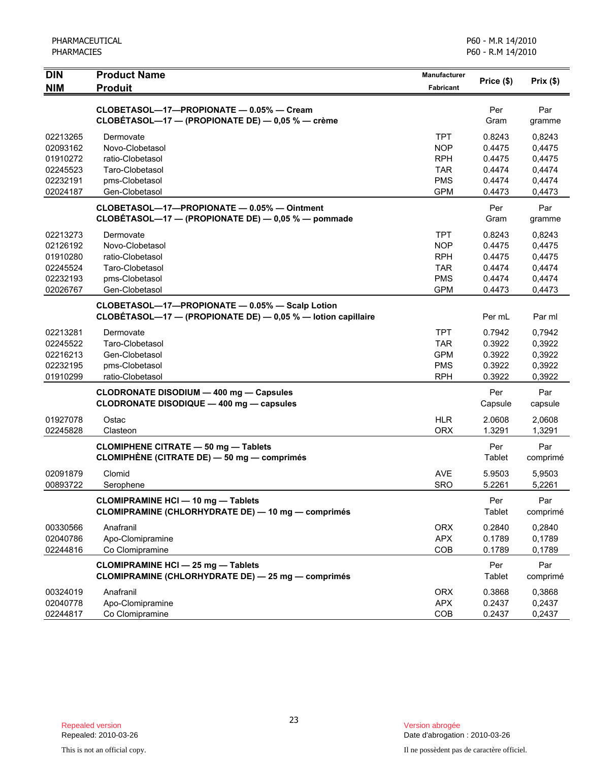| PHARMACEUTICAL |
|----------------|
| PHARMACIES     |

| <b>DIN</b>                                                           | <b>Product Name</b>                                                                                             | <b>Manufacturer</b>                                                              | Price (\$)                                               | Prix(\$)                                                 |
|----------------------------------------------------------------------|-----------------------------------------------------------------------------------------------------------------|----------------------------------------------------------------------------------|----------------------------------------------------------|----------------------------------------------------------|
| <b>NIM</b>                                                           | <b>Produit</b>                                                                                                  | <b>Fabricant</b>                                                                 |                                                          |                                                          |
|                                                                      | CLOBETASOL-17-PROPIONATE - 0.05% - Cream<br>CLOBÉTASOL-17 - (PROPIONATE DE) - 0,05 % - crème                    |                                                                                  | Per<br>Gram                                              | Par<br>gramme                                            |
| 02213265<br>02093162<br>01910272<br>02245523<br>02232191<br>02024187 | Dermovate<br>Novo-Clobetasol<br>ratio-Clobetasol<br>Taro-Clobetasol<br>pms-Clobetasol<br>Gen-Clobetasol         | <b>TPT</b><br><b>NOP</b><br><b>RPH</b><br><b>TAR</b><br><b>PMS</b><br><b>GPM</b> | 0.8243<br>0.4475<br>0.4475<br>0.4474<br>0.4474<br>0.4473 | 0,8243<br>0,4475<br>0,4475<br>0,4474<br>0,4474<br>0,4473 |
|                                                                      | CLOBETASOL-17-PROPIONATE - 0.05% - Ointment<br>CLOBÉTASOL-17 - (PROPIONATE DE) - 0,05 % - pommade               |                                                                                  | Per<br>Gram                                              | Par<br>gramme                                            |
| 02213273<br>02126192<br>01910280<br>02245524<br>02232193<br>02026767 | Dermovate<br>Novo-Clobetasol<br>ratio-Clobetasol<br>Taro-Clobetasol<br>pms-Clobetasol<br>Gen-Clobetasol         | <b>TPT</b><br><b>NOP</b><br><b>RPH</b><br><b>TAR</b><br><b>PMS</b><br><b>GPM</b> | 0.8243<br>0.4475<br>0.4475<br>0.4474<br>0.4474<br>0.4473 | 0,8243<br>0,4475<br>0,4475<br>0,4474<br>0,4474<br>0,4473 |
|                                                                      | CLOBETASOL-17-PROPIONATE - 0.05% - Scalp Lotion<br>CLOBETASOL-17 - (PROPIONATE DE) - 0,05 % - lotion capillaire |                                                                                  | Per mL                                                   | Par ml                                                   |
| 02213281<br>02245522<br>02216213<br>02232195<br>01910299             | Dermovate<br>Taro-Clobetasol<br>Gen-Clobetasol<br>pms-Clobetasol<br>ratio-Clobetasol                            | <b>TPT</b><br><b>TAR</b><br><b>GPM</b><br><b>PMS</b><br><b>RPH</b>               | 0.7942<br>0.3922<br>0.3922<br>0.3922<br>0.3922           | 0,7942<br>0,3922<br>0,3922<br>0,3922<br>0,3922           |
|                                                                      | <b>CLODRONATE DISODIUM - 400 mg - Capsules</b><br>CLODRONATE DISODIQUE - 400 mg - capsules                      |                                                                                  | Per<br>Capsule                                           | Par<br>capsule                                           |
| 01927078<br>02245828                                                 | Ostac<br>Clasteon                                                                                               | <b>HLR</b><br><b>ORX</b>                                                         | 2.0608<br>1.3291                                         | 2,0608<br>1,3291                                         |
|                                                                      | <b>CLOMIPHENE CITRATE - 50 mg - Tablets</b><br>CLOMIPHÈNE (CITRATE DE) - 50 mg - comprimés                      |                                                                                  | Per<br>Tablet                                            | Par<br>comprimé                                          |
| 02091879<br>00893722                                                 | Clomid<br>Serophene                                                                                             | <b>AVE</b><br><b>SRO</b>                                                         | 5.9503<br>5.2261                                         | 5,9503<br>5,2261                                         |
|                                                                      | <b>CLOMIPRAMINE HCI - 10 mg - Tablets</b><br><b>CLOMIPRAMINE (CHLORHYDRATE DE) - 10 mg - comprimés</b>          |                                                                                  | Per<br>Tablet                                            | Par<br>comprimé                                          |
| 00330566<br>02040786<br>02244816                                     | Anafranil<br>Apo-Clomipramine<br>Co Clomipramine                                                                | <b>ORX</b><br><b>APX</b><br>COB                                                  | 0.2840<br>0.1789<br>0.1789                               | 0,2840<br>0,1789<br>0,1789                               |
|                                                                      | <b>CLOMIPRAMINE HCI - 25 mg - Tablets</b><br>CLOMIPRAMINE (CHLORHYDRATE DE) - 25 mg - comprimés                 |                                                                                  | Per<br>Tablet                                            | Par<br>comprimé                                          |
| 00324019<br>02040778<br>02244817                                     | Anafranil<br>Apo-Clomipramine<br>Co Clomipramine                                                                | <b>ORX</b><br><b>APX</b><br>COB                                                  | 0.3868<br>0.2437<br>0.2437                               | 0,3868<br>0,2437<br>0,2437                               |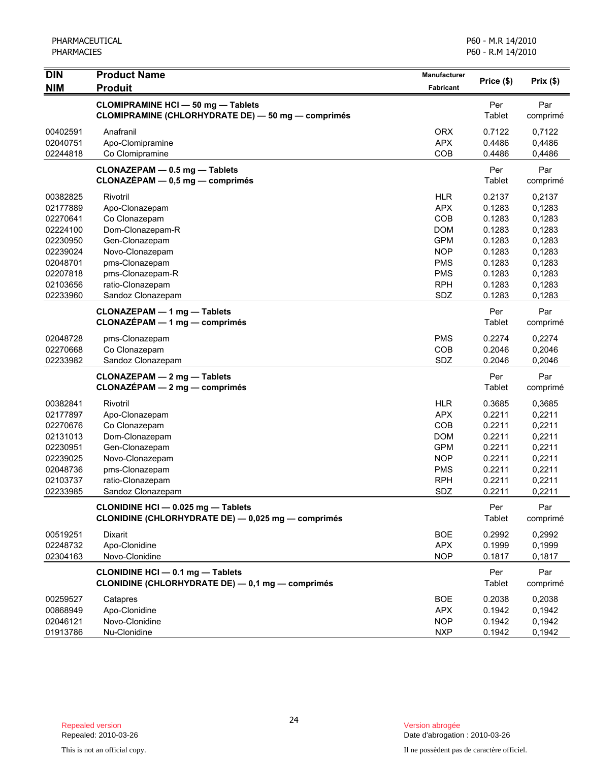| <b>DIN</b>                                                                                                           | <b>Product Name</b>                                                                                                                                                                 | <b>Manufacturer</b>                                                                                                        | Price (\$)                                                                                       | Prix(\$)                                                                                         |
|----------------------------------------------------------------------------------------------------------------------|-------------------------------------------------------------------------------------------------------------------------------------------------------------------------------------|----------------------------------------------------------------------------------------------------------------------------|--------------------------------------------------------------------------------------------------|--------------------------------------------------------------------------------------------------|
| <b>NIM</b>                                                                                                           | <b>Produit</b>                                                                                                                                                                      | <b>Fabricant</b>                                                                                                           |                                                                                                  |                                                                                                  |
|                                                                                                                      | <b>CLOMIPRAMINE HCI - 50 mg - Tablets</b><br>CLOMIPRAMINE (CHLORHYDRATE DE) - 50 mg - comprimés                                                                                     |                                                                                                                            | Per<br>Tablet                                                                                    | Par<br>comprimé                                                                                  |
| 00402591<br>02040751<br>02244818                                                                                     | Anafranil<br>Apo-Clomipramine<br>Co Clomipramine                                                                                                                                    | <b>ORX</b><br><b>APX</b><br>COB                                                                                            | 0.7122<br>0.4486<br>0.4486                                                                       | 0.7122<br>0,4486<br>0,4486                                                                       |
|                                                                                                                      | CLONAZEPAM - 0.5 mg - Tablets<br>$CLONAZÉPAM - 0,5 mg - comprimés$                                                                                                                  |                                                                                                                            | Per<br>Tablet                                                                                    | Par<br>comprimé                                                                                  |
| 00382825<br>02177889<br>02270641<br>02224100<br>02230950<br>02239024<br>02048701<br>02207818<br>02103656<br>02233960 | Rivotril<br>Apo-Clonazepam<br>Co Clonazepam<br>Dom-Clonazepam-R<br>Gen-Clonazepam<br>Novo-Clonazepam<br>pms-Clonazepam<br>pms-Clonazepam-R<br>ratio-Clonazepam<br>Sandoz Clonazepam | <b>HLR</b><br><b>APX</b><br>COB<br><b>DOM</b><br><b>GPM</b><br><b>NOP</b><br><b>PMS</b><br><b>PMS</b><br><b>RPH</b><br>SDZ | 0.2137<br>0.1283<br>0.1283<br>0.1283<br>0.1283<br>0.1283<br>0.1283<br>0.1283<br>0.1283<br>0.1283 | 0,2137<br>0,1283<br>0,1283<br>0,1283<br>0,1283<br>0,1283<br>0,1283<br>0,1283<br>0,1283<br>0,1283 |
|                                                                                                                      | <b>CLONAZEPAM - 1 mg - Tablets</b><br><b>CLONAZÉPAM - 1 mg - comprimés</b>                                                                                                          |                                                                                                                            | Per<br>Tablet                                                                                    | Par<br>comprimé                                                                                  |
| 02048728<br>02270668<br>02233982                                                                                     | pms-Clonazepam<br>Co Clonazepam<br>Sandoz Clonazepam                                                                                                                                | <b>PMS</b><br>COB<br>SDZ                                                                                                   | 0.2274<br>0.2046<br>0.2046                                                                       | 0,2274<br>0,2046<br>0,2046                                                                       |
|                                                                                                                      | CLONAZEPAM - 2 mg - Tablets<br>$CLONAZÉPAM - 2 mg - comprimés$                                                                                                                      |                                                                                                                            | Per<br>Tablet                                                                                    | Par<br>comprimé                                                                                  |
| 00382841<br>02177897<br>02270676<br>02131013<br>02230951<br>02239025<br>02048736<br>02103737<br>02233985             | Rivotril<br>Apo-Clonazepam<br>Co Clonazepam<br>Dom-Clonazepam<br>Gen-Clonazepam<br>Novo-Clonazepam<br>pms-Clonazepam<br>ratio-Clonazepam<br>Sandoz Clonazepam                       | <b>HLR</b><br><b>APX</b><br>COB<br><b>DOM</b><br><b>GPM</b><br><b>NOP</b><br><b>PMS</b><br><b>RPH</b><br>SDZ               | 0.3685<br>0.2211<br>0.2211<br>0.2211<br>0.2211<br>0.2211<br>0.2211<br>0.2211<br>0.2211           | 0,3685<br>0,2211<br>0,2211<br>0,2211<br>0,2211<br>0,2211<br>0,2211<br>0,2211<br>0,2211           |
|                                                                                                                      | CLONIDINE HCI - 0.025 mg - Tablets<br>CLONIDINE (CHLORHYDRATE DE) - 0,025 mg - comprimés                                                                                            |                                                                                                                            | Per<br>Tablet                                                                                    | Par<br>comprimé                                                                                  |
| 00519251<br>02248732<br>02304163                                                                                     | Dixarit<br>Apo-Clonidine<br>Novo-Clonidine                                                                                                                                          | <b>BOE</b><br><b>APX</b><br><b>NOP</b>                                                                                     | 0.2992<br>0.1999<br>0.1817                                                                       | 0,2992<br>0,1999<br>0,1817                                                                       |
|                                                                                                                      | CLONIDINE HCI - 0.1 mg - Tablets<br>CLONIDINE (CHLORHYDRATE DE) - 0,1 mg - comprimés                                                                                                |                                                                                                                            | Per<br>Tablet                                                                                    | Par<br>comprimé                                                                                  |
| 00259527<br>00868949<br>02046121<br>01913786                                                                         | Catapres<br>Apo-Clonidine<br>Novo-Clonidine<br>Nu-Clonidine                                                                                                                         | <b>BOE</b><br><b>APX</b><br><b>NOP</b><br><b>NXP</b>                                                                       | 0.2038<br>0.1942<br>0.1942<br>0.1942                                                             | 0,2038<br>0,1942<br>0,1942<br>0,1942                                                             |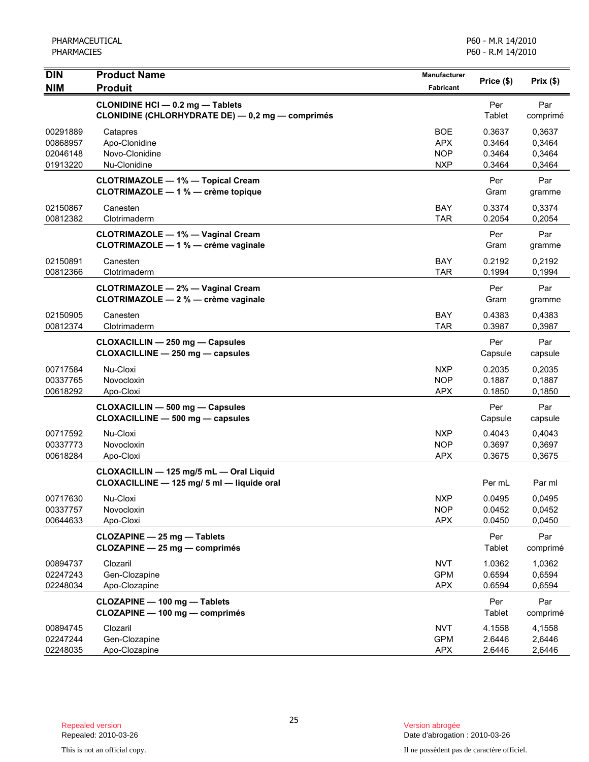| <b>DIN</b>           | <b>Product Name</b>                                                                   | Manufacturer             | Price (\$)           | Prix(\$)         |
|----------------------|---------------------------------------------------------------------------------------|--------------------------|----------------------|------------------|
| <b>NIM</b>           | <b>Produit</b>                                                                        | Fabricant                |                      |                  |
|                      | CLONIDINE HCI - 0.2 mg - Tablets<br>CLONIDINE (CHLORHYDRATE DE) - 0,2 mg - comprimés  |                          | Per<br>Tablet        | Par<br>comprimé  |
| 00291889             | Catapres                                                                              | <b>BOE</b>               | 0.3637               | 0.3637           |
| 00868957             | Apo-Clonidine                                                                         | <b>APX</b>               | 0.3464               | 0,3464           |
| 02046148             | Novo-Clonidine                                                                        | <b>NOP</b>               | 0.3464               | 0,3464           |
| 01913220             | Nu-Clonidine                                                                          | <b>NXP</b>               | 0.3464               | 0,3464           |
|                      | <b>CLOTRIMAZOLE - 1% - Topical Cream</b><br>CLOTRIMAZOLE - 1 % - crème topique        |                          | Per<br>Gram          | Par<br>gramme    |
| 02150867<br>00812382 | Canesten<br>Clotrimaderm                                                              | <b>BAY</b><br><b>TAR</b> | 0.3374<br>0.2054     | 0,3374<br>0,2054 |
|                      | <b>CLOTRIMAZOLE - 1% - Vaginal Cream</b><br>CLOTRIMAZOLE - 1 % - crème vaginale       |                          | Per<br>Gram          | Par<br>gramme    |
| 02150891             | Canesten                                                                              | BAY                      | 0.2192               | 0,2192           |
| 00812366             | Clotrimaderm                                                                          | <b>TAR</b>               | 0.1994               | 0,1994           |
|                      | <b>CLOTRIMAZOLE - 2% - Vaginal Cream</b>                                              |                          | Per                  | Par              |
|                      | CLOTRIMAZOLE - 2 % - crème vaginale                                                   |                          | Gram                 | gramme           |
| 02150905             | Canesten                                                                              | BAY                      | 0.4383               | 0,4383           |
| 00812374             | Clotrimaderm                                                                          | <b>TAR</b>               | 0.3987               | 0,3987           |
|                      | <b>CLOXACILLIN - 250 mg - Capsules</b>                                                |                          | Per                  | Par              |
|                      | CLOXACILLINE - 250 mg - capsules                                                      |                          | Capsule              | capsule          |
| 00717584             | Nu-Cloxi                                                                              | <b>NXP</b>               | 0.2035               | 0,2035           |
| 00337765             | Novocloxin                                                                            | <b>NOP</b>               | 0.1887               | 0,1887           |
| 00618292             | Apo-Cloxi                                                                             | <b>APX</b>               | 0.1850               | 0,1850           |
|                      | <b>CLOXACILLIN - 500 mg - Capsules</b>                                                |                          | Per                  | Par              |
|                      | CLOXACILLINE - 500 mg - capsules                                                      |                          | Capsule              | capsule          |
| 00717592             | Nu-Cloxi                                                                              | <b>NXP</b>               | 0.4043               | 0,4043           |
| 00337773             | Novocloxin                                                                            | <b>NOP</b>               | 0.3697               | 0,3697           |
| 00618284             | Apo-Cloxi                                                                             | <b>APX</b>               | 0.3675               | 0,3675           |
|                      | CLOXACILLIN - 125 mg/5 mL - Oral Liquid<br>CLOXACILLINE - 125 mg/ 5 ml - liquide oral |                          | Per mL               | Par ml           |
| 00717630             | Nu-Cloxi                                                                              | NXP                      | 0.0495               | 0,0495           |
| 00337757             | Novocloxin                                                                            | <b>NOP</b>               | 0.0452               | 0,0452           |
| 00644633             | Apo-Cloxi                                                                             | <b>APX</b>               | 0.0450               | 0,0450           |
|                      | CLOZAPINE - 25 mg - Tablets<br>CLOZAPINE - 25 mg - comprimés                          |                          | Per<br><b>Tablet</b> | Par<br>comprimé  |
| 00894737             | Clozaril                                                                              | <b>NVT</b>               | 1.0362               | 1,0362           |
| 02247243             | Gen-Clozapine                                                                         | <b>GPM</b>               | 0.6594               | 0,6594           |
| 02248034             | Apo-Clozapine                                                                         | <b>APX</b>               | 0.6594               | 0,6594           |
|                      | CLOZAPINE - 100 mg - Tablets<br>CLOZAPINE - 100 mg - comprimés                        |                          | Per<br><b>Tablet</b> | Par<br>comprimé  |
| 00894745             | Clozaril                                                                              | <b>NVT</b>               | 4.1558               |                  |
| 02247244             | Gen-Clozapine                                                                         | <b>GPM</b>               | 2.6446               | 4,1558<br>2,6446 |
| 02248035             | Apo-Clozapine                                                                         | <b>APX</b>               | 2.6446               | 2,6446           |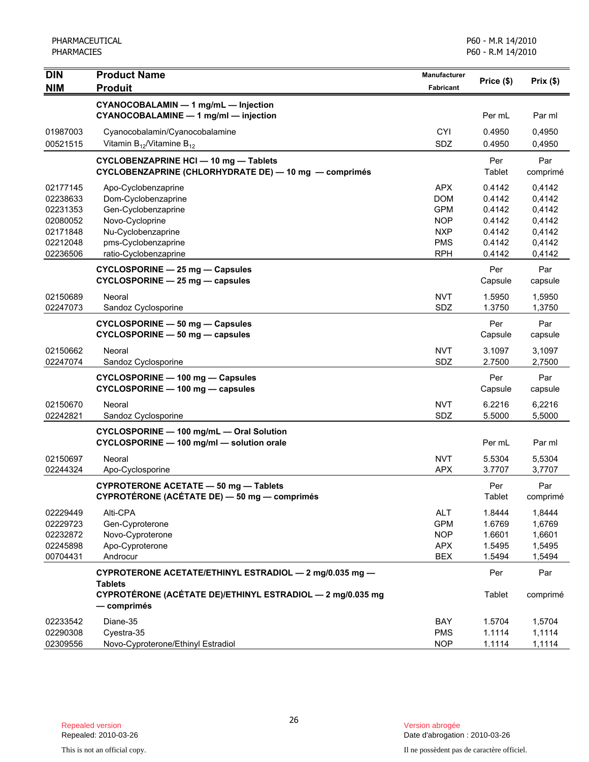| <b>DIN</b> | <b>Product Name</b>                                                                         | Manufacturer |                | Prix $(\$)$     |
|------------|---------------------------------------------------------------------------------------------|--------------|----------------|-----------------|
| <b>NIM</b> | <b>Produit</b>                                                                              | Fabricant    | Price (\$)     |                 |
|            | CYANOCOBALAMIN - 1 mg/mL - Injection<br>CYANOCOBALAMINE - 1 mg/ml - injection               |              | Per mL         | Par ml          |
| 01987003   | Cyanocobalamin/Cyanocobalamine                                                              | <b>CYI</b>   | 0.4950         | 0,4950          |
| 00521515   | Vitamin $B_{12}$ /Vitamine $B_{12}$                                                         | <b>SDZ</b>   | 0.4950         | 0,4950          |
|            | <b>CYCLOBENZAPRINE HCI-10 mg-Tablets</b>                                                    |              | Per            | Par             |
|            | CYCLOBENZAPRINE (CHLORHYDRATE DE) - 10 mg - comprimés                                       |              | Tablet         | comprimé        |
| 02177145   | Apo-Cyclobenzaprine                                                                         | <b>APX</b>   | 0.4142         | 0,4142          |
| 02238633   | Dom-Cyclobenzaprine                                                                         | <b>DOM</b>   | 0.4142         | 0,4142          |
| 02231353   | Gen-Cyclobenzaprine                                                                         | <b>GPM</b>   | 0.4142         | 0,4142          |
| 02080052   | Novo-Cycloprine                                                                             | <b>NOP</b>   | 0.4142         | 0,4142          |
| 02171848   | Nu-Cyclobenzaprine                                                                          | <b>NXP</b>   | 0.4142         | 0,4142          |
| 02212048   | pms-Cyclobenzaprine                                                                         | <b>PMS</b>   | 0.4142         | 0,4142          |
| 02236506   | ratio-Cyclobenzaprine                                                                       | <b>RPH</b>   | 0.4142         | 0,4142          |
|            | CYCLOSPORINE - 25 mg - Capsules<br>CYCLOSPORINE - 25 mg - capsules                          |              | Per<br>Capsule | Par<br>capsule  |
| 02150689   | Neoral                                                                                      | <b>NVT</b>   | 1.5950         | 1,5950          |
| 02247073   | Sandoz Cyclosporine                                                                         | SDZ          | 1.3750         | 1,3750          |
|            |                                                                                             |              | Per            |                 |
|            | CYCLOSPORINE - 50 mg - Capsules<br>CYCLOSPORINE - 50 mg - capsules                          |              | Capsule        | Par<br>capsule  |
| 02150662   | Neoral                                                                                      | <b>NVT</b>   | 3.1097         | 3,1097          |
| 02247074   | Sandoz Cyclosporine                                                                         | SDZ          | 2.7500         | 2,7500          |
|            | CYCLOSPORINE - 100 mg - Capsules<br>CYCLOSPORINE - 100 mg - capsules                        |              | Per<br>Capsule | Par<br>capsule  |
| 02150670   | Neoral                                                                                      | <b>NVT</b>   | 6.2216         | 6,2216          |
| 02242821   | Sandoz Cyclosporine                                                                         | SDZ          | 5.5000         | 5,5000          |
|            | CYCLOSPORINE - 100 mg/mL - Oral Solution<br>CYCLOSPORINE - 100 mg/ml - solution orale       |              | Per mL         | Par ml          |
| 02150697   | Neoral                                                                                      | <b>NVT</b>   | 5.5304         | 5,5304          |
| 02244324   | Apo-Cyclosporine                                                                            | <b>APX</b>   | 3.7707         | 3,7707          |
|            | CYPROTERONE ACETATE - 50 mg - Tablets<br>CYPROTÉRONE (ACÉTATE DE) — 50 mg — comprimés       |              | Per<br>Tablet  | Par<br>comprimé |
| 02229449   | Alti-CPA                                                                                    | <b>ALT</b>   | 1.8444         | 1,8444          |
| 02229723   | Gen-Cyproterone                                                                             | <b>GPM</b>   | 1.6769         | 1,6769          |
| 02232872   | Novo-Cyproterone                                                                            | <b>NOP</b>   | 1.6601         | 1,6601          |
| 02245898   | Apo-Cyproterone                                                                             | <b>APX</b>   | 1.5495         | 1,5495          |
| 00704431   | Androcur                                                                                    | <b>BEX</b>   | 1.5494         | 1,5494          |
|            |                                                                                             |              |                |                 |
|            | CYPROTERONE ACETATE/ETHINYL ESTRADIOL - 2 mg/0.035 mg -                                     |              | Per            | Par             |
|            | <b>Tablets</b><br>CYPROTÉRONE (ACÉTATE DE)/ETHINYL ESTRADIOL - 2 mg/0.035 mg<br>- comprimés |              | Tablet         | comprimé        |
| 02233542   | Diane-35                                                                                    | BAY          | 1.5704         | 1,5704          |
| 02290308   | Cyestra-35                                                                                  | <b>PMS</b>   | 1.1114         | 1,1114          |
| 02309556   | Novo-Cyproterone/Ethinyl Estradiol                                                          | <b>NOP</b>   | 1.1114         | 1,1114          |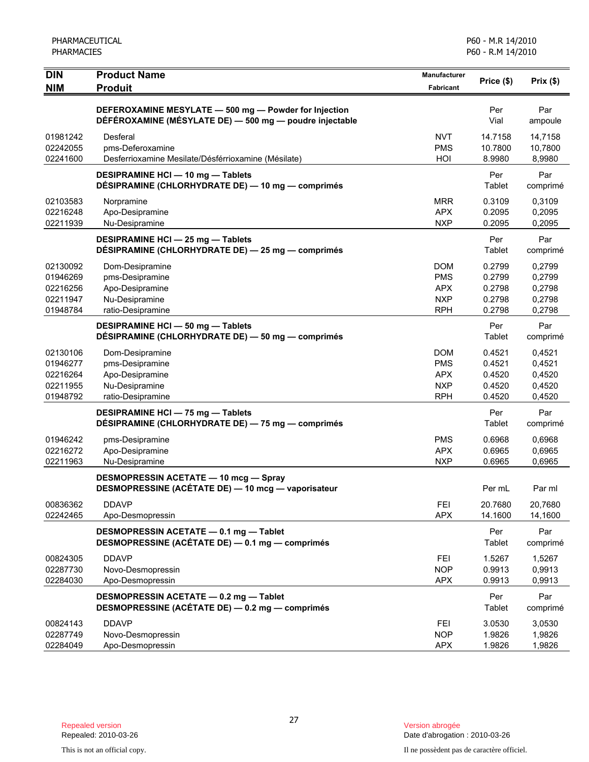| <b>DIN</b>                                               | <b>Product Name</b>                                                                                              | <b>Manufacturer</b>                                                | Price (\$)                                     | Prix(\$)                                       |
|----------------------------------------------------------|------------------------------------------------------------------------------------------------------------------|--------------------------------------------------------------------|------------------------------------------------|------------------------------------------------|
| <b>NIM</b>                                               | <b>Produit</b>                                                                                                   | Fabricant                                                          |                                                |                                                |
|                                                          | DEFEROXAMINE MESYLATE - 500 mg - Powder for Injection<br>DÉFÉROXAMINE (MÉSYLATE DE) - 500 mg - poudre injectable |                                                                    | Per<br>Vial                                    | Par<br>ampoule                                 |
| 01981242<br>02242055<br>02241600                         | Desferal<br>pms-Deferoxamine<br>Desferrioxamine Mesilate/Désférrioxamine (Mésilate)                              | NVT<br><b>PMS</b><br>HOI                                           | 14.7158<br>10.7800<br>8.9980                   | 14,7158<br>10,7800<br>8,9980                   |
|                                                          | DESIPRAMINE HCI - 10 mg - Tablets<br>DÉSIPRAMINE (CHLORHYDRATE DE) — 10 mg — comprimés                           |                                                                    | Per<br>Tablet                                  | Par<br>comprimé                                |
| 02103583<br>02216248<br>02211939                         | Norpramine<br>Apo-Desipramine<br>Nu-Desipramine                                                                  | <b>MRR</b><br><b>APX</b><br><b>NXP</b>                             | 0.3109<br>0.2095<br>0.2095                     | 0,3109<br>0,2095<br>0,2095                     |
|                                                          | DESIPRAMINE HCI - 25 mg - Tablets<br>DÉSIPRAMINE (CHLORHYDRATE DE) - 25 mg - comprimés                           |                                                                    | Per<br>Tablet                                  | Par<br>comprimé                                |
| 02130092<br>01946269<br>02216256<br>02211947<br>01948784 | Dom-Desipramine<br>pms-Desipramine<br>Apo-Desipramine<br>Nu-Desipramine<br>ratio-Desipramine                     | <b>DOM</b><br><b>PMS</b><br><b>APX</b><br><b>NXP</b><br><b>RPH</b> | 0.2799<br>0.2799<br>0.2798<br>0.2798<br>0.2798 | 0,2799<br>0,2799<br>0,2798<br>0,2798<br>0,2798 |
|                                                          | DESIPRAMINE HCI - 50 mg - Tablets<br>DÉSIPRAMINE (CHLORHYDRATE DE) - 50 mg - comprimés                           |                                                                    | Per<br>Tablet                                  | Par<br>comprimé                                |
| 02130106<br>01946277<br>02216264<br>02211955<br>01948792 | Dom-Desipramine<br>pms-Desipramine<br>Apo-Desipramine<br>Nu-Desipramine<br>ratio-Desipramine                     | <b>DOM</b><br><b>PMS</b><br><b>APX</b><br><b>NXP</b><br><b>RPH</b> | 0.4521<br>0.4521<br>0.4520<br>0.4520<br>0.4520 | 0,4521<br>0,4521<br>0,4520<br>0,4520<br>0,4520 |
|                                                          | DESIPRAMINE HCI - 75 mg - Tablets<br>DÉSIPRAMINE (CHLORHYDRATE DE) - 75 mg - comprimés                           |                                                                    | Per<br>Tablet                                  | Par<br>comprimé                                |
| 01946242<br>02216272<br>02211963                         | pms-Desipramine<br>Apo-Desipramine<br>Nu-Desipramine                                                             | <b>PMS</b><br><b>APX</b><br><b>NXP</b>                             | 0.6968<br>0.6965<br>0.6965                     | 0,6968<br>0,6965<br>0,6965                     |
|                                                          | <b>DESMOPRESSIN ACETATE - 10 mcg - Spray</b><br>DESMOPRESSINE (ACÉTATE DE) - 10 mcg - vaporisateur               |                                                                    | Per mL                                         | Par ml                                         |
| 00836362<br>02242465                                     | <b>DDAVP</b><br>Apo-Desmopressin                                                                                 | FEI<br><b>APX</b>                                                  | 20.7680<br>14.1600                             | 20,7680<br>14,1600                             |
|                                                          | DESMOPRESSIN ACETATE - 0.1 mg - Tablet<br>DESMOPRESSINE (ACÉTATE DE) - 0.1 mg - comprimés                        |                                                                    | Per<br>Tablet                                  | Par<br>comprimé                                |
| 00824305<br>02287730<br>02284030                         | <b>DDAVP</b><br>Novo-Desmopressin<br>Apo-Desmopressin                                                            | FEI<br><b>NOP</b><br><b>APX</b>                                    | 1.5267<br>0.9913<br>0.9913                     | 1,5267<br>0,9913<br>0,9913                     |
|                                                          | DESMOPRESSIN ACETATE - 0.2 mg - Tablet<br>DESMOPRESSINE (ACÉTATE DE) - 0.2 mg - comprimés                        |                                                                    | Per<br>Tablet                                  | Par<br>comprimé                                |
| 00824143<br>02287749<br>02284049                         | <b>DDAVP</b><br>Novo-Desmopressin<br>Apo-Desmopressin                                                            | FEI<br><b>NOP</b><br><b>APX</b>                                    | 3.0530<br>1.9826<br>1.9826                     | 3,0530<br>1,9826<br>1,9826                     |

Version abrogée<br>Date d'abrogation : 2010-03-26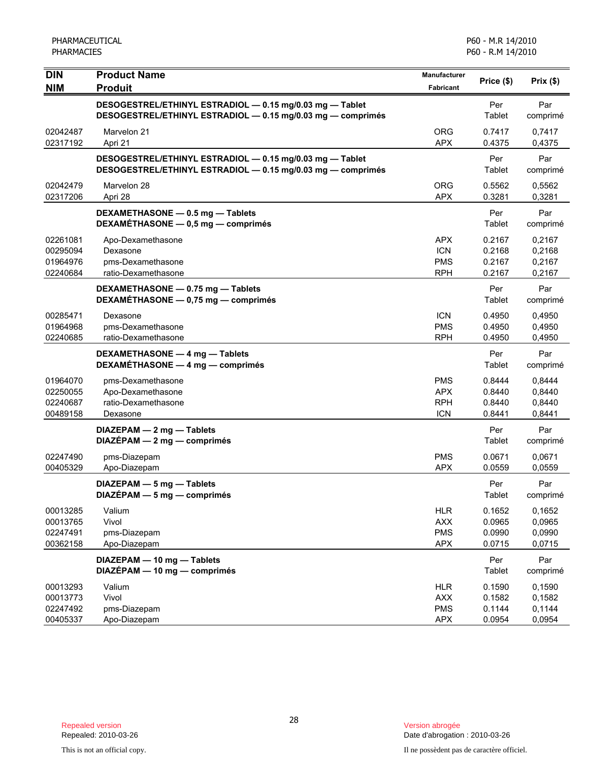| <b>DIN</b>                                   | <b>Product Name</b>                                                                                                     | Manufacturer                                         | Price (\$)                           | Prix(\$)                             |
|----------------------------------------------|-------------------------------------------------------------------------------------------------------------------------|------------------------------------------------------|--------------------------------------|--------------------------------------|
| <b>NIM</b>                                   | <b>Produit</b>                                                                                                          | <b>Fabricant</b>                                     |                                      |                                      |
|                                              | DESOGESTREL/ETHINYL ESTRADIOL - 0.15 mg/0.03 mg - Tablet<br>DESOGESTREL/ETHINYL ESTRADIOL - 0.15 mg/0.03 mg - comprimés |                                                      | Per<br>Tablet                        | Par<br>comprimé                      |
| 02042487<br>02317192                         | Marvelon 21<br>Apri 21                                                                                                  | <b>ORG</b><br><b>APX</b>                             | 0.7417<br>0.4375                     | 0,7417<br>0,4375                     |
|                                              | DESOGESTREL/ETHINYL ESTRADIOL - 0.15 mg/0.03 mg - Tablet<br>DESOGESTREL/ETHINYL ESTRADIOL - 0.15 mg/0.03 mg - comprimés |                                                      | Per<br>Tablet                        | Par<br>comprimé                      |
| 02042479<br>02317206                         | Marvelon 28<br>Apri 28                                                                                                  | <b>ORG</b><br><b>APX</b>                             | 0.5562<br>0.3281                     | 0,5562<br>0,3281                     |
|                                              | DEXAMETHASONE - 0.5 mg - Tablets<br>DEXAMÉTHASONE - 0,5 mg - comprimés                                                  |                                                      | Per<br>Tablet                        | Par<br>comprimé                      |
| 02261081<br>00295094<br>01964976<br>02240684 | Apo-Dexamethasone<br>Dexasone<br>pms-Dexamethasone<br>ratio-Dexamethasone                                               | <b>APX</b><br><b>ICN</b><br><b>PMS</b><br><b>RPH</b> | 0.2167<br>0.2168<br>0.2167<br>0.2167 | 0,2167<br>0,2168<br>0,2167<br>0,2167 |
|                                              | DEXAMETHASONE - 0.75 mg - Tablets<br>DEXAMÉTHASONE - 0,75 mg - comprimés                                                |                                                      | Per<br>Tablet                        | Par<br>comprimé                      |
| 00285471<br>01964968<br>02240685             | Dexasone<br>pms-Dexamethasone<br>ratio-Dexamethasone                                                                    | <b>ICN</b><br><b>PMS</b><br><b>RPH</b>               | 0.4950<br>0.4950<br>0.4950           | 0,4950<br>0,4950<br>0,4950           |
|                                              | DEXAMETHASONE - 4 mg - Tablets<br>DEXAMÉTHASONE - 4 mg - comprimés                                                      |                                                      | Per<br>Tablet                        | Par<br>comprimé                      |
| 01964070<br>02250055<br>02240687<br>00489158 | pms-Dexamethasone<br>Apo-Dexamethasone<br>ratio-Dexamethasone<br>Dexasone                                               | <b>PMS</b><br><b>APX</b><br><b>RPH</b><br><b>ICN</b> | 0.8444<br>0.8440<br>0.8440<br>0.8441 | 0,8444<br>0,8440<br>0,8440<br>0,8441 |
|                                              | DIAZEPAM - 2 mg - Tablets<br>$DIAZÉPAM - 2 mg - comprimés$                                                              |                                                      | Per<br>Tablet                        | Par<br>comprimé                      |
| 02247490<br>00405329                         | pms-Diazepam<br>Apo-Diazepam                                                                                            | <b>PMS</b><br><b>APX</b>                             | 0.0671<br>0.0559                     | 0,0671<br>0,0559                     |
|                                              | $DIAZEPAM - 5 mg - Tables$<br>$DIAZÉPAM - 5 mg - comprimés$                                                             |                                                      | Per<br>Tablet                        | Par<br>comprimé                      |
| 00013285<br>00013765<br>02247491<br>00362158 | Valium<br>Vivol<br>pms-Diazepam<br>Apo-Diazepam                                                                         | <b>HLR</b><br><b>AXX</b><br><b>PMS</b><br><b>APX</b> | 0.1652<br>0.0965<br>0.0990<br>0.0715 | 0,1652<br>0,0965<br>0,0990<br>0,0715 |
|                                              | DIAZEPAM - 10 mg - Tablets<br>DIAZÉPAM - 10 mg - comprimés                                                              |                                                      | Per<br>Tablet                        | Par<br>comprimé                      |
| 00013293<br>00013773<br>02247492<br>00405337 | Valium<br>Vivol<br>pms-Diazepam<br>Apo-Diazepam                                                                         | <b>HLR</b><br><b>AXX</b><br><b>PMS</b><br><b>APX</b> | 0.1590<br>0.1582<br>0.1144<br>0.0954 | 0,1590<br>0,1582<br>0,1144<br>0,0954 |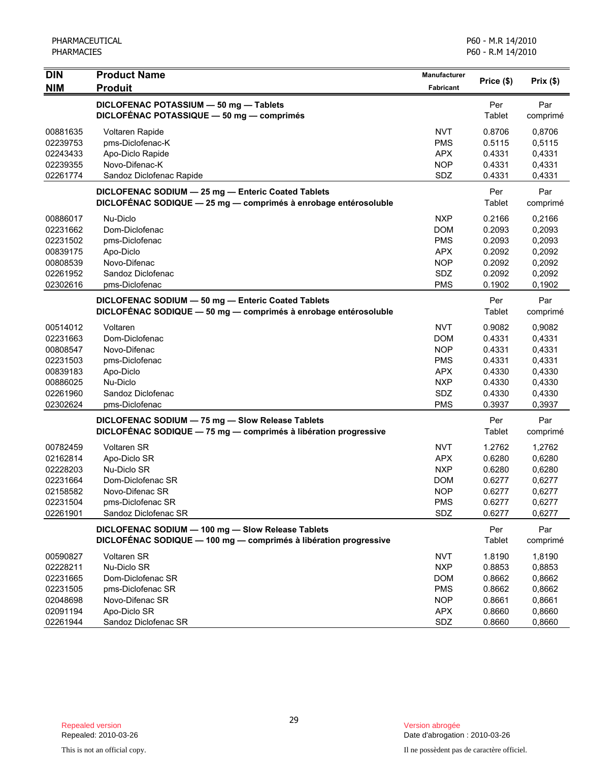| <b>DIN</b><br><b>NIM</b>                                                                     | <b>Product Name</b><br><b>Produit</b>                                                                                                  | <b>Manufacturer</b><br>Fabricant                                                                      | Price (\$)                                                                   | Prix(\$)                                                                     |
|----------------------------------------------------------------------------------------------|----------------------------------------------------------------------------------------------------------------------------------------|-------------------------------------------------------------------------------------------------------|------------------------------------------------------------------------------|------------------------------------------------------------------------------|
|                                                                                              | DICLOFENAC POTASSIUM - 50 mg - Tablets<br>DICLOFÉNAC POTASSIQUE - 50 mg - comprimés                                                    |                                                                                                       | Per<br>Tablet                                                                | Par<br>comprimé                                                              |
| 00881635<br>02239753<br>02243433<br>02239355<br>02261774                                     | Voltaren Rapide<br>pms-Diclofenac-K<br>Apo-Diclo Rapide<br>Novo-Difenac-K<br>Sandoz Diclofenac Rapide                                  | <b>NVT</b><br><b>PMS</b><br><b>APX</b><br><b>NOP</b><br>SDZ                                           | 0.8706<br>0.5115<br>0.4331<br>0.4331<br>0.4331                               | 0,8706<br>0,5115<br>0,4331<br>0,4331<br>0,4331                               |
|                                                                                              | DICLOFENAC SODIUM - 25 mg - Enteric Coated Tablets<br>DICLOFÉNAC SODIQUE - 25 mg - comprimés à enrobage entérosoluble                  |                                                                                                       | Per<br>Tablet                                                                | Par<br>comprimé                                                              |
| 00886017<br>02231662<br>02231502<br>00839175<br>00808539<br>02261952<br>02302616             | Nu-Diclo<br>Dom-Diclofenac<br>pms-Diclofenac<br>Apo-Diclo<br>Novo-Difenac<br>Sandoz Diclofenac<br>pms-Diclofenac                       | <b>NXP</b><br><b>DOM</b><br><b>PMS</b><br><b>APX</b><br><b>NOP</b><br>SDZ<br><b>PMS</b>               | 0.2166<br>0.2093<br>0.2093<br>0.2092<br>0.2092<br>0.2092<br>0.1902           | 0,2166<br>0,2093<br>0,2093<br>0,2092<br>0,2092<br>0,2092<br>0,1902           |
|                                                                                              | DICLOFENAC SODIUM - 50 mg - Enteric Coated Tablets<br>DICLOFÉNAC SODIQUE - 50 mg - comprimés à enrobage entérosoluble                  |                                                                                                       | Per<br>Tablet                                                                | Par<br>comprimé                                                              |
| 00514012<br>02231663<br>00808547<br>02231503<br>00839183<br>00886025<br>02261960<br>02302624 | Voltaren<br>Dom-Diclofenac<br>Novo-Difenac<br>pms-Diclofenac<br>Apo-Diclo<br>Nu-Diclo<br>Sandoz Diclofenac<br>pms-Diclofenac           | <b>NVT</b><br><b>DOM</b><br><b>NOP</b><br><b>PMS</b><br><b>APX</b><br><b>NXP</b><br>SDZ<br><b>PMS</b> | 0.9082<br>0.4331<br>0.4331<br>0.4331<br>0.4330<br>0.4330<br>0.4330<br>0.3937 | 0,9082<br>0,4331<br>0,4331<br>0,4331<br>0,4330<br>0,4330<br>0,4330<br>0,3937 |
|                                                                                              | DICLOFENAC SODIUM - 75 mg - Slow Release Tablets<br>DICLOFENAC SODIQUE - 75 mg - comprimés à libération progressive                    |                                                                                                       | Per<br>Tablet                                                                | Par<br>comprimé                                                              |
| 00782459<br>02162814<br>02228203<br>02231664<br>02158582<br>02231504<br>02261901             | <b>Voltaren SR</b><br>Apo-Diclo SR<br>Nu-Diclo SR<br>Dom-Diclofenac SR<br>Novo-Difenac SR<br>pms-Diclofenac SR<br>Sandoz Diclofenac SR | NVT<br><b>APX</b><br><b>NXP</b><br><b>DOM</b><br><b>NOP</b><br><b>PMS</b><br>SDZ                      | 1.2762<br>0.6280<br>0.6280<br>0.6277<br>0.6277<br>0.6277<br>0.6277           | 1,2762<br>0,6280<br>0,6280<br>0,6277<br>0,6277<br>0,6277<br>0,6277           |
|                                                                                              | DICLOFENAC SODIUM - 100 mg - Slow Release Tablets<br>DICLOFÉNAC SODIQUE - 100 mg - comprimés à libération progressive                  |                                                                                                       | Per<br>Tablet                                                                | Par<br>comprimé                                                              |
| 00590827<br>02228211<br>02231665<br>02231505<br>02048698<br>02091194<br>02261944             | Voltaren SR<br>Nu-Diclo SR<br>Dom-Diclofenac SR<br>pms-Diclofenac SR<br>Novo-Difenac SR<br>Apo-Diclo SR<br>Sandoz Diclofenac SR        | <b>NVT</b><br><b>NXP</b><br><b>DOM</b><br><b>PMS</b><br><b>NOP</b><br><b>APX</b><br>SDZ               | 1.8190<br>0.8853<br>0.8662<br>0.8662<br>0.8661<br>0.8660<br>0.8660           | 1,8190<br>0,8853<br>0,8662<br>0,8662<br>0,8661<br>0,8660<br>0,8660           |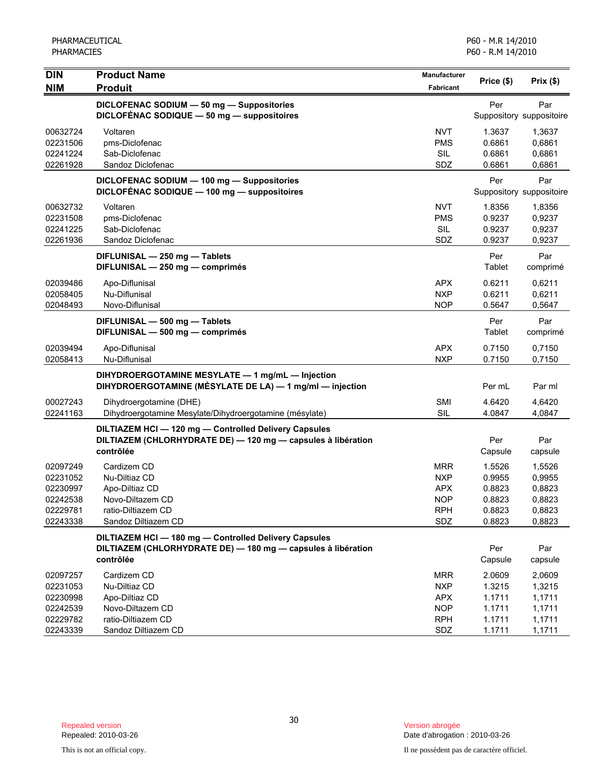| <b>DIN</b><br><b>NIM</b>                                             | <b>Product Name</b><br><b>Produit</b>                                                                                          | Manufacturer<br><b>Fabricant</b>                                          | Price (\$)                                               | Prix $($ \$)                                             |
|----------------------------------------------------------------------|--------------------------------------------------------------------------------------------------------------------------------|---------------------------------------------------------------------------|----------------------------------------------------------|----------------------------------------------------------|
|                                                                      | DICLOFENAC SODIUM - 50 mg - Suppositories<br>DICLOFÉNAC SODIQUE - 50 mg - suppositoires                                        |                                                                           | Per                                                      | Par<br>Suppository suppositoire                          |
| 00632724<br>02231506<br>02241224<br>02261928                         | Voltaren<br>pms-Diclofenac<br>Sab-Diclofenac<br>Sandoz Diclofenac                                                              | <b>NVT</b><br><b>PMS</b><br><b>SIL</b><br>SDZ                             | 1.3637<br>0.6861<br>0.6861<br>0.6861                     | 1,3637<br>0,6861<br>0,6861<br>0,6861                     |
|                                                                      | DICLOFENAC SODIUM - 100 mg - Suppositories<br>DICLOFENAC SODIQUE - 100 mg - suppositoires                                      |                                                                           | Per                                                      | Par<br>Suppository suppositoire                          |
| 00632732<br>02231508<br>02241225<br>02261936                         | Voltaren<br>pms-Diclofenac<br>Sab-Diclofenac<br>Sandoz Diclofenac                                                              | <b>NVT</b><br><b>PMS</b><br>SIL<br>SDZ                                    | 1.8356<br>0.9237<br>0.9237<br>0.9237                     | 1,8356<br>0,9237<br>0,9237<br>0,9237                     |
|                                                                      | DIFLUNISAL - 250 mg - Tablets<br>DIFLUNISAL - 250 mg - comprimés                                                               |                                                                           | Per<br>Tablet                                            | Par<br>comprimé                                          |
| 02039486<br>02058405<br>02048493                                     | Apo-Diflunisal<br>Nu-Diflunisal<br>Novo-Diflunisal                                                                             | <b>APX</b><br><b>NXP</b><br><b>NOP</b>                                    | 0.6211<br>0.6211<br>0.5647                               | 0,6211<br>0.6211<br>0,5647                               |
|                                                                      | DIFLUNISAL - 500 mg - Tablets<br>DIFLUNISAL - 500 mg - comprimés                                                               |                                                                           | Per<br>Tablet                                            | Par<br>comprimé                                          |
| 02039494<br>02058413                                                 | Apo-Diflunisal<br>Nu-Diflunisal                                                                                                | <b>APX</b><br><b>NXP</b>                                                  | 0.7150<br>0.7150                                         | 0,7150<br>0,7150                                         |
|                                                                      | DIHYDROERGOTAMINE MESYLATE - 1 mg/mL - Injection<br>DIHYDROERGOTAMINE (MÉSYLATE DE LA) - 1 mg/ml - injection                   |                                                                           | Per mL                                                   | Par ml                                                   |
| 00027243<br>02241163                                                 | Dihydroergotamine (DHE)<br>Dihydroergotamine Mesylate/Dihydroergotamine (mésylate)                                             | <b>SMI</b><br><b>SIL</b>                                                  | 4.6420<br>4.0847                                         | 4,6420<br>4,0847                                         |
|                                                                      | DILTIAZEM HCI-120 mg-Controlled Delivery Capsules<br>DILTIAZEM (CHLORHYDRATE DE) - 120 mg - capsules à libération<br>contrôlée |                                                                           | Per<br>Capsule                                           | Par<br>capsule                                           |
| 02097249<br>02231052<br>02230997<br>02242538<br>02229781<br>02243338 | Cardizem CD<br>Nu-Diltiaz CD<br>Apo-Diltiaz CD<br>Novo-Diltazem CD<br>ratio-Diltiazem CD<br>Sandoz Diltiazem CD                | <b>MRR</b><br><b>NXP</b><br><b>APX</b><br><b>NOP</b><br><b>RPH</b><br>SDZ | 1.5526<br>0.9955<br>0.8823<br>0.8823<br>0.8823<br>0.8823 | 1,5526<br>0,9955<br>0,8823<br>0,8823<br>0,8823<br>0,8823 |
|                                                                      | DILTIAZEM HCI-180 mg-Controlled Delivery Capsules<br>DILTIAZEM (CHLORHYDRATE DE) - 180 mg - capsules à libération<br>contrôlée |                                                                           | Per<br>Capsule                                           | Par<br>capsule                                           |
| 02097257<br>02231053<br>02230998<br>02242539<br>02229782<br>02243339 | Cardizem CD<br>Nu-Diltiaz CD<br>Apo-Diltiaz CD<br>Novo-Diltazem CD<br>ratio-Diltiazem CD<br>Sandoz Diltiazem CD                | <b>MRR</b><br><b>NXP</b><br><b>APX</b><br><b>NOP</b><br><b>RPH</b><br>SDZ | 2.0609<br>1.3215<br>1.1711<br>1.1711<br>1.1711<br>1.1711 | 2,0609<br>1,3215<br>1,1711<br>1,1711<br>1,1711<br>1,1711 |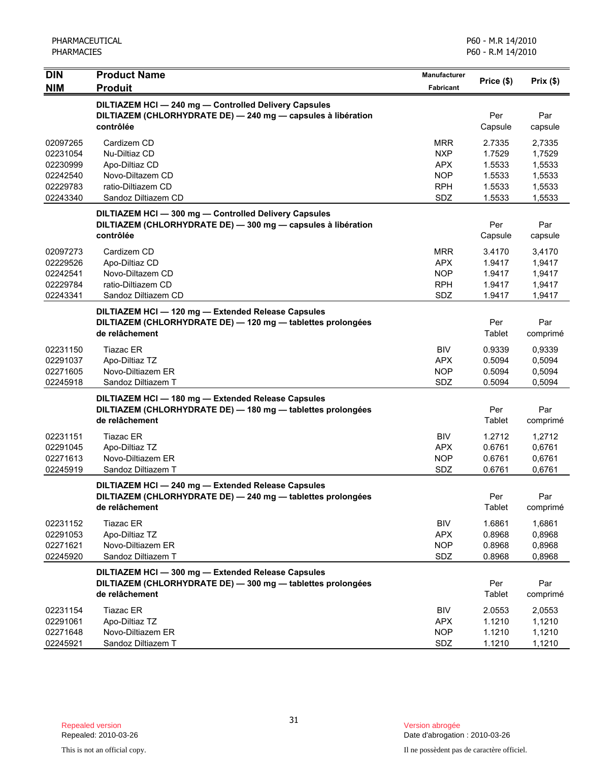| <b>DIN</b>                                                           | <b>Product Name</b>                                                                                                                 | <b>Manufacturer</b>                                                       | Price (\$)                                               | Prix(\$)                                                 |
|----------------------------------------------------------------------|-------------------------------------------------------------------------------------------------------------------------------------|---------------------------------------------------------------------------|----------------------------------------------------------|----------------------------------------------------------|
| <b>NIM</b>                                                           | <b>Produit</b>                                                                                                                      | Fabricant                                                                 |                                                          |                                                          |
|                                                                      | DILTIAZEM HCI-240 mg-Controlled Delivery Capsules<br>DILTIAZEM (CHLORHYDRATE DE) - 240 mg - capsules à libération<br>contrôlée      |                                                                           | Per<br>Capsule                                           | Par<br>capsule                                           |
| 02097265<br>02231054<br>02230999<br>02242540<br>02229783<br>02243340 | Cardizem CD<br>Nu-Diltiaz CD<br>Apo-Diltiaz CD<br>Novo-Diltazem CD<br>ratio-Diltiazem CD<br>Sandoz Diltiazem CD                     | <b>MRR</b><br><b>NXP</b><br><b>APX</b><br><b>NOP</b><br><b>RPH</b><br>SDZ | 2.7335<br>1.7529<br>1.5533<br>1.5533<br>1.5533<br>1.5533 | 2,7335<br>1,7529<br>1,5533<br>1,5533<br>1,5533<br>1,5533 |
|                                                                      | DILTIAZEM HCI-300 mg-Controlled Delivery Capsules<br>DILTIAZEM (CHLORHYDRATE DE) - 300 mg - capsules à libération<br>contrôlée      |                                                                           | Per<br>Capsule                                           | Par<br>capsule                                           |
| 02097273<br>02229526<br>02242541<br>02229784<br>02243341             | Cardizem CD<br>Apo-Diltiaz CD<br>Novo-Diltazem CD<br>ratio-Diltiazem CD<br>Sandoz Diltiazem CD                                      | MRR<br><b>APX</b><br>NOP<br><b>RPH</b><br>SDZ                             | 3.4170<br>1.9417<br>1.9417<br>1.9417<br>1.9417           | 3,4170<br>1,9417<br>1,9417<br>1,9417<br>1,9417           |
|                                                                      | DILTIAZEM HCI - 120 mg - Extended Release Capsules<br>DILTIAZEM (CHLORHYDRATE DE) - 120 mg - tablettes prolongées<br>de relâchement |                                                                           | Per<br>Tablet                                            | Par<br>comprimé                                          |
| 02231150<br>02291037<br>02271605<br>02245918                         | <b>Tiazac ER</b><br>Apo-Diltiaz TZ<br>Novo-Diltiazem ER<br>Sandoz Diltiazem T                                                       | <b>BIV</b><br><b>APX</b><br><b>NOP</b><br>SDZ                             | 0.9339<br>0.5094<br>0.5094<br>0.5094                     | 0,9339<br>0,5094<br>0,5094<br>0,5094                     |
|                                                                      | DILTIAZEM HCI - 180 mg - Extended Release Capsules<br>DILTIAZEM (CHLORHYDRATE DE) - 180 mg - tablettes prolongées<br>de relâchement |                                                                           | Per<br>Tablet                                            | Par<br>comprimé                                          |
| 02231151<br>02291045<br>02271613<br>02245919                         | <b>Tiazac ER</b><br>Apo-Diltiaz TZ<br>Novo-Diltiazem ER<br>Sandoz Diltiazem T                                                       | <b>BIV</b><br><b>APX</b><br><b>NOP</b><br><b>SDZ</b>                      | 1.2712<br>0.6761<br>0.6761<br>0.6761                     | 1,2712<br>0,6761<br>0,6761<br>0,6761                     |
|                                                                      | DILTIAZEM HCI-240 mg-Extended Release Capsules<br>DILTIAZEM (CHLORHYDRATE DE) - 240 mg - tablettes prolongées<br>de relâchement     |                                                                           | Per<br>Tablet                                            | Par<br>comprimé                                          |
| 02231152<br>02291053<br>02271621<br>02245920                         | Tiazac ER<br>Apo-Diltiaz TZ<br>Novo-Diltiazem ER<br>Sandoz Diltiazem T                                                              | <b>BIV</b><br><b>APX</b><br><b>NOP</b><br>SDZ                             | 1.6861<br>0.8968<br>0.8968<br>0.8968                     | 1,6861<br>0,8968<br>0,8968<br>0,8968                     |
|                                                                      | DILTIAZEM HCI - 300 mg - Extended Release Capsules<br>DILTIAZEM (CHLORHYDRATE DE) - 300 mg - tablettes prolongées<br>de relâchement |                                                                           | Per<br>Tablet                                            | Par<br>comprimé                                          |
| 02231154<br>02291061<br>02271648<br>02245921                         | Tiazac ER<br>Apo-Diltiaz TZ<br>Novo-Diltiazem ER<br>Sandoz Diltiazem T                                                              | <b>BIV</b><br><b>APX</b><br><b>NOP</b><br>SDZ                             | 2.0553<br>1.1210<br>1.1210<br>1.1210                     | 2,0553<br>1,1210<br>1,1210<br>1,1210                     |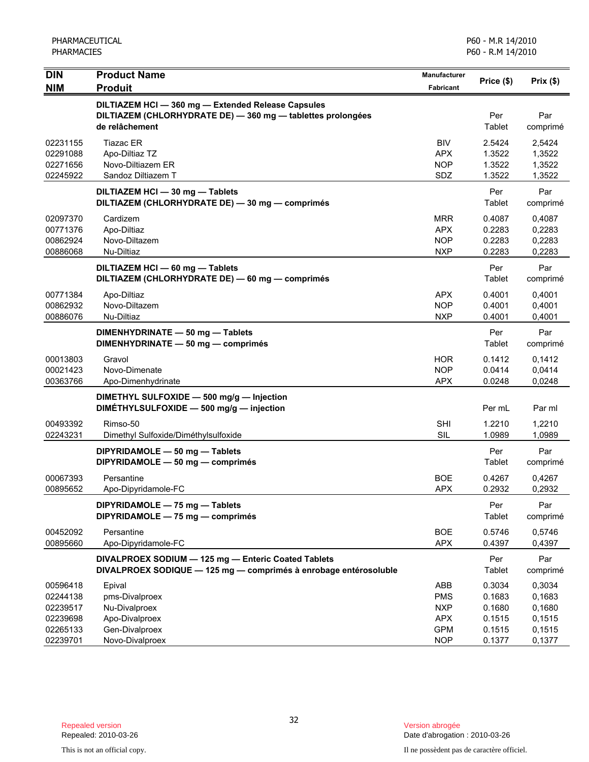| <b>DIN</b>                                                           | <b>Product Name</b>                                                                                                             | Manufacturer                                                              | Price (\$)                                               | Prix(\$)                                                 |
|----------------------------------------------------------------------|---------------------------------------------------------------------------------------------------------------------------------|---------------------------------------------------------------------------|----------------------------------------------------------|----------------------------------------------------------|
| <b>NIM</b>                                                           | <b>Produit</b>                                                                                                                  | <b>Fabricant</b>                                                          |                                                          |                                                          |
|                                                                      | DILTIAZEM HCI-360 mg-Extended Release Capsules<br>DILTIAZEM (CHLORHYDRATE DE) - 360 mg - tablettes prolongées<br>de relâchement |                                                                           | Per<br>Tablet                                            | Par<br>comprimé                                          |
| 02231155<br>02291088<br>02271656<br>02245922                         | <b>Tiazac ER</b><br>Apo-Diltiaz TZ<br>Novo-Diltiazem ER<br>Sandoz Diltiazem T                                                   | <b>BIV</b><br><b>APX</b><br><b>NOP</b><br>SDZ                             | 2.5424<br>1.3522<br>1.3522<br>1.3522                     | 2,5424<br>1,3522<br>1,3522<br>1,3522                     |
|                                                                      | DILTIAZEM HCI - 30 mg - Tablets<br>DILTIAZEM (CHLORHYDRATE DE) - 30 mg - comprimés                                              |                                                                           | Per<br>Tablet                                            | Par<br>comprimé                                          |
| 02097370<br>00771376<br>00862924<br>00886068                         | Cardizem<br>Apo-Diltiaz<br>Novo-Diltazem<br>Nu-Diltiaz                                                                          | <b>MRR</b><br>APX<br><b>NOP</b><br><b>NXP</b>                             | 0.4087<br>0.2283<br>0.2283<br>0.2283                     | 0,4087<br>0,2283<br>0,2283<br>0,2283                     |
|                                                                      | DILTIAZEM HCI - 60 mg - Tablets<br>DILTIAZEM (CHLORHYDRATE DE) - 60 mg - comprimés                                              |                                                                           | Per<br>Tablet                                            | Par<br>comprimé                                          |
| 00771384<br>00862932<br>00886076                                     | Apo-Diltiaz<br>Novo-Diltazem<br>Nu-Diltiaz                                                                                      | APX<br><b>NOP</b><br><b>NXP</b>                                           | 0.4001<br>0.4001<br>0.4001                               | 0,4001<br>0,4001<br>0,4001                               |
|                                                                      | DIMENHYDRINATE - 50 mg - Tablets<br>DIMENHYDRINATE - 50 mg - comprimés                                                          |                                                                           | Per<br>Tablet                                            | Par<br>comprimé                                          |
| 00013803<br>00021423<br>00363766                                     | Gravol<br>Novo-Dimenate<br>Apo-Dimenhydrinate                                                                                   | <b>HOR</b><br><b>NOP</b><br><b>APX</b>                                    | 0.1412<br>0.0414<br>0.0248                               | 0,1412<br>0,0414<br>0,0248                               |
|                                                                      | DIMETHYL SULFOXIDE - 500 mg/g - Injection<br>DIMETHYLSULFOXIDE - 500 mg/g - injection                                           |                                                                           | Per mL                                                   | Par ml                                                   |
| 00493392<br>02243231                                                 | Rimso-50<br>Dimethyl Sulfoxide/Diméthylsulfoxide                                                                                | <b>SHI</b><br><b>SIL</b>                                                  | 1.2210<br>1.0989                                         | 1,2210<br>1,0989                                         |
|                                                                      | DIPYRIDAMOLE - 50 mg - Tablets<br>DIPYRIDAMOLE - 50 mg - comprimés                                                              |                                                                           | Per<br>Tablet                                            | Par<br>comprimé                                          |
| 00067393<br>00895652                                                 | Persantine<br>Apo-Dipyridamole-FC                                                                                               | <b>BOE</b><br><b>APX</b>                                                  | 0.4267<br>0.2932                                         | 0,4267<br>0,2932                                         |
|                                                                      | DIPYRIDAMOLE - 75 mg - Tablets<br>DIPYRIDAMOLE - 75 mg - comprimés                                                              |                                                                           | Per<br>Tablet                                            | Par<br>comprimé                                          |
| 00452092<br>00895660                                                 | Persantine<br>Apo-Dipyridamole-FC                                                                                               | <b>BOE</b><br><b>APX</b>                                                  | 0.5746<br>0.4397                                         | 0,5746<br>0,4397                                         |
|                                                                      | DIVALPROEX SODIUM - 125 mg - Enteric Coated Tablets<br>DIVALPROEX SODIQUE - 125 mg - comprimés à enrobage entérosoluble         |                                                                           | Per<br>Tablet                                            | Par<br>comprimé                                          |
| 00596418<br>02244138<br>02239517<br>02239698<br>02265133<br>02239701 | Epival<br>pms-Divalproex<br>Nu-Divalproex<br>Apo-Divalproex<br>Gen-Divalproex<br>Novo-Divalproex                                | ABB<br><b>PMS</b><br><b>NXP</b><br><b>APX</b><br><b>GPM</b><br><b>NOP</b> | 0.3034<br>0.1683<br>0.1680<br>0.1515<br>0.1515<br>0.1377 | 0,3034<br>0,1683<br>0,1680<br>0,1515<br>0,1515<br>0,1377 |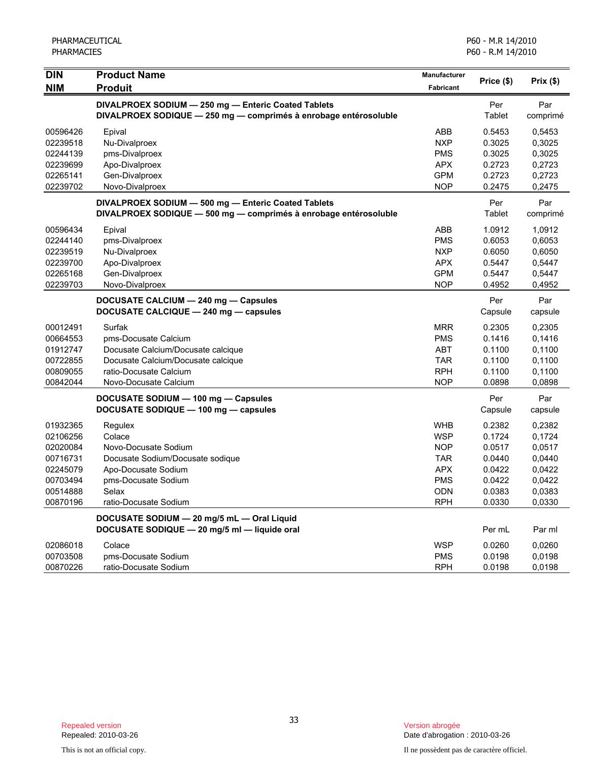| <b>DIN</b> | <b>Product Name</b>                                              | <b>Manufacturer</b> | Price (\$) | Prix(\$) |
|------------|------------------------------------------------------------------|---------------------|------------|----------|
| <b>NIM</b> | <b>Produit</b>                                                   | Fabricant           |            |          |
|            | DIVALPROEX SODIUM - 250 mg - Enteric Coated Tablets              |                     | Per        | Par      |
|            | DIVALPROEX SODIQUE - 250 mg - comprimés à enrobage entérosoluble |                     | Tablet     | comprimé |
| 00596426   | Epival                                                           | ABB                 | 0.5453     | 0,5453   |
| 02239518   | Nu-Divalproex                                                    | <b>NXP</b>          | 0.3025     | 0,3025   |
| 02244139   | pms-Divalproex                                                   | <b>PMS</b>          | 0.3025     | 0,3025   |
| 02239699   | Apo-Divalproex                                                   | <b>APX</b>          | 0.2723     | 0,2723   |
| 02265141   | Gen-Divalproex                                                   | <b>GPM</b>          | 0.2723     | 0,2723   |
| 02239702   | Novo-Divalproex                                                  | <b>NOP</b>          | 0.2475     | 0,2475   |
|            | DIVALPROEX SODIUM - 500 mg - Enteric Coated Tablets              |                     | Per        | Par      |
|            | DIVALPROEX SODIQUE - 500 mg - comprimés à enrobage entérosoluble |                     | Tablet     | comprimé |
| 00596434   | Epival                                                           | ABB                 | 1.0912     | 1,0912   |
| 02244140   | pms-Divalproex                                                   | <b>PMS</b>          | 0.6053     | 0,6053   |
| 02239519   | Nu-Divalproex                                                    | <b>NXP</b>          | 0.6050     | 0,6050   |
| 02239700   | Apo-Divalproex                                                   | <b>APX</b>          | 0.5447     | 0,5447   |
| 02265168   | Gen-Divalproex                                                   | <b>GPM</b>          | 0.5447     | 0,5447   |
| 02239703   | Novo-Divalproex                                                  | <b>NOP</b>          | 0.4952     | 0,4952   |
|            | DOCUSATE CALCIUM - 240 mg - Capsules                             |                     | Per        | Par      |
|            | DOCUSATE CALCIQUE - 240 mg - capsules                            |                     | Capsule    | capsule  |
| 00012491   | Surfak                                                           | <b>MRR</b>          | 0.2305     | 0,2305   |
| 00664553   | pms-Docusate Calcium                                             | <b>PMS</b>          | 0.1416     | 0,1416   |
| 01912747   | Docusate Calcium/Docusate calcique                               | <b>ABT</b>          | 0.1100     | 0,1100   |
| 00722855   | Docusate Calcium/Docusate calcique                               | <b>TAR</b>          | 0.1100     | 0,1100   |
| 00809055   | ratio-Docusate Calcium                                           | <b>RPH</b>          | 0.1100     | 0,1100   |
| 00842044   | Novo-Docusate Calcium                                            | <b>NOP</b>          | 0.0898     | 0,0898   |
|            | DOCUSATE SODIUM - 100 mg - Capsules                              |                     | Per        | Par      |
|            | DOCUSATE SODIQUE - 100 mg - capsules                             |                     | Capsule    | capsule  |
| 01932365   | Regulex                                                          | <b>WHB</b>          | 0.2382     | 0,2382   |
| 02106256   | Colace                                                           | <b>WSP</b>          | 0.1724     | 0,1724   |
| 02020084   | Novo-Docusate Sodium                                             | <b>NOP</b>          | 0.0517     | 0,0517   |
| 00716731   | Docusate Sodium/Docusate sodique                                 | <b>TAR</b>          | 0.0440     | 0,0440   |
| 02245079   | Apo-Docusate Sodium                                              | <b>APX</b>          | 0.0422     | 0,0422   |
| 00703494   | pms-Docusate Sodium                                              | <b>PMS</b>          | 0.0422     | 0,0422   |
| 00514888   | Selax                                                            | <b>ODN</b>          | 0.0383     | 0,0383   |
| 00870196   | ratio-Docusate Sodium                                            | <b>RPH</b>          | 0.0330     | 0,0330   |
|            | DOCUSATE SODIUM - 20 mg/5 mL - Oral Liquid                       |                     |            |          |
|            | DOCUSATE SODIQUE - 20 mg/5 ml - liquide oral                     |                     | Per mL     | Par ml   |
| 02086018   | Colace                                                           | <b>WSP</b>          | 0.0260     | 0,0260   |
| 00703508   | pms-Docusate Sodium                                              | <b>PMS</b>          | 0.0198     | 0,0198   |
| 00870226   | ratio-Docusate Sodium                                            | <b>RPH</b>          | 0.0198     | 0,0198   |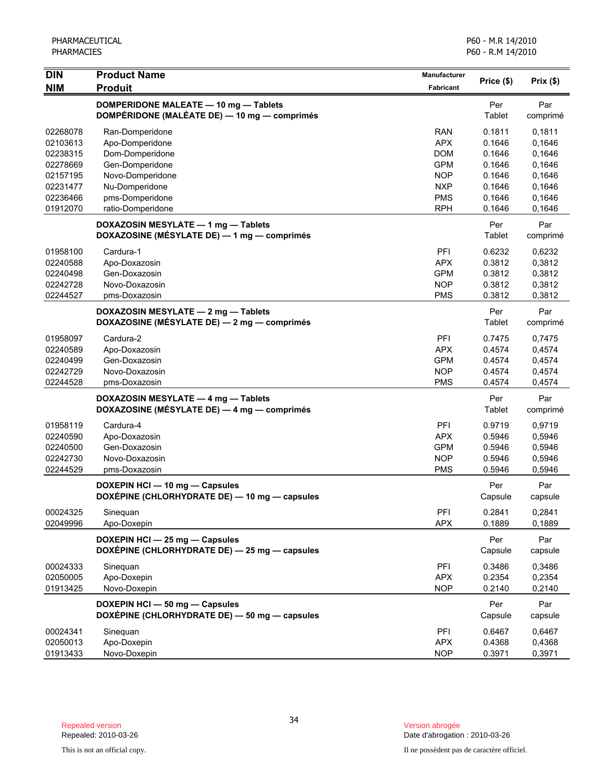| <b>DIN</b>                                               | <b>Product Name</b>                                                                   | Manufacturer                                                |                                                |                                                |
|----------------------------------------------------------|---------------------------------------------------------------------------------------|-------------------------------------------------------------|------------------------------------------------|------------------------------------------------|
| <b>NIM</b>                                               | <b>Produit</b>                                                                        | Fabricant                                                   | Price (\$)                                     | Prix(\$)                                       |
|                                                          | DOMPERIDONE MALEATE - 10 mg - Tablets<br>DOMPÉRIDONE (MALÉATE DE) - 10 mg - comprimés |                                                             | Per<br>Tablet                                  | Par<br>comprimé                                |
| 02268078<br>02103613<br>02238315<br>02278669             | Ran-Domperidone<br>Apo-Domperidone<br>Dom-Domperidone<br>Gen-Domperidone              | <b>RAN</b><br><b>APX</b><br><b>DOM</b><br><b>GPM</b>        | 0.1811<br>0.1646<br>0.1646<br>0.1646           | 0,1811<br>0,1646<br>0,1646<br>0,1646           |
| 02157195<br>02231477<br>02236466<br>01912070             | Novo-Domperidone<br>Nu-Domperidone<br>pms-Domperidone<br>ratio-Domperidone            | <b>NOP</b><br><b>NXP</b><br><b>PMS</b><br><b>RPH</b>        | 0.1646<br>0.1646<br>0.1646<br>0.1646           | 0,1646<br>0,1646<br>0,1646<br>0,1646           |
|                                                          | DOXAZOSIN MESYLATE - 1 mg - Tablets<br>DOXAZOSINE (MÉSYLATE DE) - 1 mg - comprimés    |                                                             | Per<br>Tablet                                  | Par<br>comprimé                                |
| 01958100<br>02240588<br>02240498<br>02242728<br>02244527 | Cardura-1<br>Apo-Doxazosin<br>Gen-Doxazosin<br>Novo-Doxazosin<br>pms-Doxazosin        | PFI<br><b>APX</b><br><b>GPM</b><br><b>NOP</b><br><b>PMS</b> | 0.6232<br>0.3812<br>0.3812<br>0.3812<br>0.3812 | 0,6232<br>0,3812<br>0,3812<br>0,3812<br>0,3812 |
|                                                          | DOXAZOSIN MESYLATE - 2 mg - Tablets<br>DOXAZOSINE (MÉSYLATE DE) - 2 mg - comprimés    |                                                             | Per<br>Tablet                                  | Par<br>comprimé                                |
| 01958097<br>02240589<br>02240499<br>02242729<br>02244528 | Cardura-2<br>Apo-Doxazosin<br>Gen-Doxazosin<br>Novo-Doxazosin<br>pms-Doxazosin        | PFI<br><b>APX</b><br><b>GPM</b><br><b>NOP</b><br><b>PMS</b> | 0.7475<br>0.4574<br>0.4574<br>0.4574<br>0.4574 | 0,7475<br>0,4574<br>0,4574<br>0,4574<br>0,4574 |
|                                                          | DOXAZOSIN MESYLATE - 4 mg - Tablets<br>DOXAZOSINE (MÉSYLATE DE) — 4 mg — comprimés    |                                                             | Per<br>Tablet                                  | Par<br>comprimé                                |
| 01958119<br>02240590<br>02240500<br>02242730<br>02244529 | Cardura-4<br>Apo-Doxazosin<br>Gen-Doxazosin<br>Novo-Doxazosin<br>pms-Doxazosin        | PFI<br><b>APX</b><br><b>GPM</b><br><b>NOP</b><br><b>PMS</b> | 0.9719<br>0.5946<br>0.5946<br>0.5946<br>0.5946 | 0,9719<br>0,5946<br>0,5946<br>0,5946<br>0,5946 |
|                                                          | DOXEPIN HCI - 10 mg - Capsules<br>DOXÉPINE (CHLORHYDRATE DE) - 10 mg - capsules       |                                                             | Per<br>Capsule                                 | Par<br>capsule                                 |
| 00024325<br>02049996                                     | Sineguan<br>Apo-Doxepin                                                               | PFI<br><b>APX</b>                                           | 0.2841<br>0.1889                               | 0,2841<br>0,1889                               |
|                                                          | DOXEPIN HCI - 25 mg - Capsules<br>DOXÉPINE (CHLORHYDRATE DE) - 25 mg - capsules       |                                                             | Per<br>Capsule                                 | Par<br>capsule                                 |
| 00024333<br>02050005<br>01913425                         | Sinequan<br>Apo-Doxepin<br>Novo-Doxepin                                               | PFI<br><b>APX</b><br><b>NOP</b>                             | 0.3486<br>0.2354<br>0.2140                     | 0,3486<br>0,2354<br>0,2140                     |
|                                                          | DOXEPIN HCI - 50 mg - Capsules<br>DOXÉPINE (CHLORHYDRATE DE) - 50 mg - capsules       |                                                             | Per<br>Capsule                                 | Par<br>capsule                                 |
| 00024341<br>02050013<br>01913433                         | Sinequan<br>Apo-Doxepin<br>Novo-Doxepin                                               | PFI<br><b>APX</b><br><b>NOP</b>                             | 0.6467<br>0.4368<br>0.3971                     | 0,6467<br>0,4368<br>0,3971                     |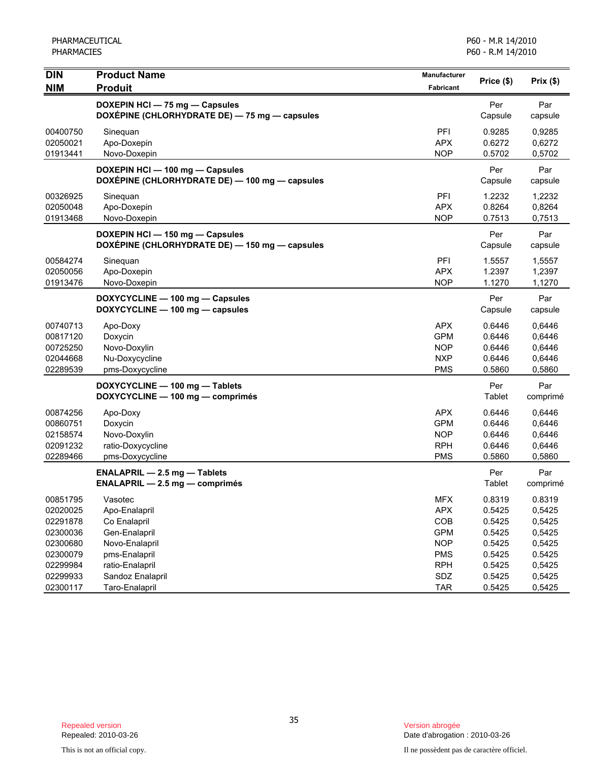| <b>DIN</b><br><b>NIM</b>                                 | <b>Product Name</b><br><b>Produit</b>                                             | Manufacturer<br>Fabricant                                          | Price (\$)                                     | Prix(\$)                                       |
|----------------------------------------------------------|-----------------------------------------------------------------------------------|--------------------------------------------------------------------|------------------------------------------------|------------------------------------------------|
|                                                          | DOXEPIN HCI - 75 mg - Capsules<br>DOXÉPINE (CHLORHYDRATE DE) - 75 mg - capsules   |                                                                    | Per<br>Capsule                                 | Par<br>capsule                                 |
| 00400750<br>02050021<br>01913441                         | Sinequan<br>Apo-Doxepin<br>Novo-Doxepin                                           | PFI<br><b>APX</b><br><b>NOP</b>                                    | 0.9285<br>0.6272<br>0.5702                     | 0,9285<br>0,6272<br>0,5702                     |
|                                                          | DOXEPIN HCI - 100 mg - Capsules<br>DOXÉPINE (CHLORHYDRATE DE) - 100 mg - capsules |                                                                    | Per<br>Capsule                                 | Par<br>capsule                                 |
| 00326925<br>02050048<br>01913468                         | Sinequan<br>Apo-Doxepin<br>Novo-Doxepin                                           | PFI<br><b>APX</b><br><b>NOP</b>                                    | 1.2232<br>0.8264<br>0.7513                     | 1,2232<br>0,8264<br>0,7513                     |
|                                                          | DOXEPIN HCI - 150 mg - Capsules<br>DOXÉPINE (CHLORHYDRATE DE) - 150 mg - capsules |                                                                    | Per<br>Capsule                                 | Par<br>capsule                                 |
| 00584274<br>02050056<br>01913476                         | Sinequan<br>Apo-Doxepin<br>Novo-Doxepin                                           | PFI<br><b>APX</b><br><b>NOP</b>                                    | 1.5557<br>1.2397<br>1.1270                     | 1,5557<br>1,2397<br>1,1270                     |
|                                                          | DOXYCYCLINE - 100 mg - Capsules<br>DOXYCYCLINE - 100 mg - capsules                |                                                                    | Per<br>Capsule                                 | Par<br>capsule                                 |
| 00740713<br>00817120<br>00725250<br>02044668<br>02289539 | Apo-Doxy<br>Doxycin<br>Novo-Doxylin<br>Nu-Doxycycline<br>pms-Doxycycline          | <b>APX</b><br><b>GPM</b><br><b>NOP</b><br><b>NXP</b><br><b>PMS</b> | 0.6446<br>0.6446<br>0.6446<br>0.6446<br>0.5860 | 0.6446<br>0,6446<br>0,6446<br>0,6446<br>0,5860 |
|                                                          | DOXYCYCLINE - 100 mg - Tablets<br>DOXYCYCLINE - 100 mg - comprimés                |                                                                    | Per<br>Tablet                                  | Par<br>comprimé                                |
| 00874256<br>00860751<br>02158574<br>02091232<br>02289466 | Apo-Doxy<br>Doxycin<br>Novo-Doxylin<br>ratio-Doxycycline<br>pms-Doxycycline       | <b>APX</b><br><b>GPM</b><br><b>NOP</b><br><b>RPH</b><br><b>PMS</b> | 0.6446<br>0.6446<br>0.6446<br>0.6446<br>0.5860 | 0,6446<br>0,6446<br>0,6446<br>0,6446<br>0,5860 |
|                                                          | <b>ENALAPRIL - 2.5 mg - Tablets</b><br>ENALAPRIL - 2.5 mg - comprimés             |                                                                    | Per<br>Tablet                                  | Par<br>comprimé                                |
| 00851795<br>02020025<br>02291878<br>02300036             | Vasotec<br>Apo-Enalapril<br>Co Enalapril<br>Gen-Enalapril                         | <b>MFX</b><br><b>APX</b><br>COB<br><b>GPM</b>                      | 0.8319<br>0.5425<br>0.5425<br>0.5425           | 0.8319<br>0,5425<br>0,5425<br>0,5425           |
| 02300680<br>02300079<br>02299984<br>02299933             | Novo-Enalapril<br>pms-Enalapril<br>ratio-Enalapril                                | <b>NOP</b><br><b>PMS</b><br><b>RPH</b>                             | 0.5425<br>0.5425<br>0.5425<br>0.5425           | 0,5425<br>0.5425<br>0,5425                     |
| 02300117                                                 | Sandoz Enalapril<br>Taro-Enalapril                                                | SDZ<br><b>TAR</b>                                                  | 0.5425                                         | 0,5425<br>0,5425                               |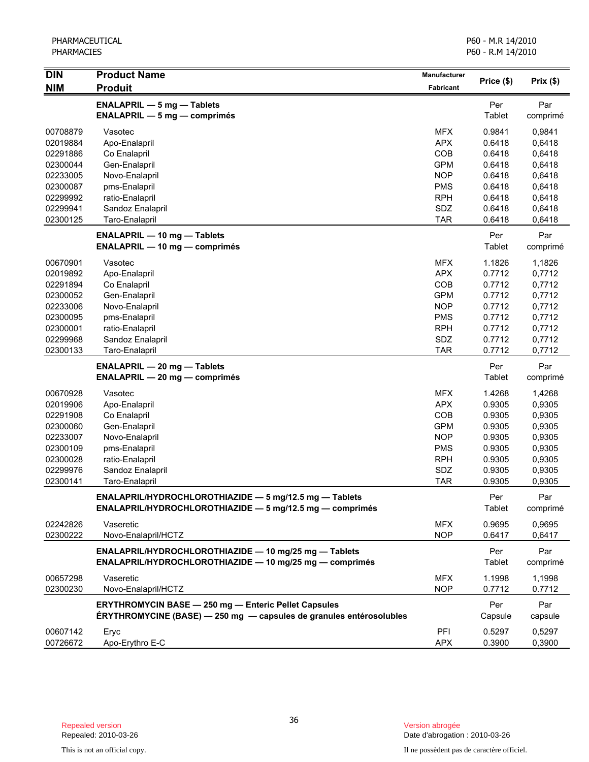| <b>DIN</b> | <b>Product Name</b>                                                 | Manufacturer |               |          |
|------------|---------------------------------------------------------------------|--------------|---------------|----------|
| <b>NIM</b> | <b>Produit</b>                                                      | Fabricant    | Price (\$)    | Prix(\$) |
|            | <b>ENALAPRIL - 5 mg - Tablets</b>                                   |              | Per           | Par      |
|            | $ENALAPRIL - 5 mg - comprimés$                                      |              | Tablet        | comprimé |
| 00708879   | Vasotec                                                             | <b>MFX</b>   | 0.9841        | 0,9841   |
| 02019884   | Apo-Enalapril                                                       | <b>APX</b>   | 0.6418        | 0,6418   |
| 02291886   | Co Enalapril                                                        | COB          | 0.6418        | 0,6418   |
| 02300044   | Gen-Enalapril                                                       | <b>GPM</b>   | 0.6418        | 0,6418   |
| 02233005   | Novo-Enalapril                                                      | <b>NOP</b>   | 0.6418        | 0,6418   |
| 02300087   | pms-Enalapril                                                       | <b>PMS</b>   | 0.6418        | 0,6418   |
| 02299992   | ratio-Enalapril                                                     | <b>RPH</b>   | 0.6418        | 0,6418   |
| 02299941   | Sandoz Enalapril                                                    | SDZ          | 0.6418        | 0,6418   |
| 02300125   | Taro-Enalapril                                                      | <b>TAR</b>   | 0.6418        | 0,6418   |
|            | <b>ENALAPRIL - 10 mg - Tablets</b>                                  |              | Per           | Par      |
|            | <b>ENALAPRIL - 10 mg - comprimés</b>                                |              | Tablet        | comprimé |
| 00670901   | Vasotec                                                             | <b>MFX</b>   | 1.1826        | 1,1826   |
| 02019892   | Apo-Enalapril                                                       | <b>APX</b>   | 0.7712        | 0,7712   |
| 02291894   | Co Enalapril                                                        | COB          | 0.7712        | 0,7712   |
| 02300052   | Gen-Enalapril                                                       | <b>GPM</b>   | 0.7712        | 0,7712   |
| 02233006   | Novo-Enalapril                                                      | <b>NOP</b>   | 0.7712        | 0,7712   |
| 02300095   | pms-Enalapril                                                       | <b>PMS</b>   | 0.7712        | 0,7712   |
| 02300001   | ratio-Enalapril                                                     | <b>RPH</b>   | 0.7712        | 0,7712   |
| 02299968   | Sandoz Enalapril                                                    | SDZ          | 0.7712        | 0,7712   |
| 02300133   | Taro-Enalapril                                                      | <b>TAR</b>   | 0.7712        | 0,7712   |
|            | <b>ENALAPRIL - 20 mg - Tablets</b>                                  |              | Per           | Par      |
|            | <b>ENALAPRIL - 20 mg - comprimés</b>                                |              | <b>Tablet</b> | comprimé |
| 00670928   | Vasotec                                                             | <b>MFX</b>   | 1.4268        | 1,4268   |
| 02019906   | Apo-Enalapril                                                       | <b>APX</b>   | 0.9305        | 0,9305   |
| 02291908   | Co Enalapril                                                        | COB          | 0.9305        | 0,9305   |
| 02300060   | Gen-Enalapril                                                       | <b>GPM</b>   | 0.9305        | 0,9305   |
| 02233007   | Novo-Enalapril                                                      | <b>NOP</b>   | 0.9305        | 0,9305   |
| 02300109   | pms-Enalapril                                                       | <b>PMS</b>   | 0.9305        | 0,9305   |
| 02300028   | ratio-Enalapril                                                     | <b>RPH</b>   | 0.9305        | 0,9305   |
| 02299976   | Sandoz Enalapril                                                    | SDZ          | 0.9305        | 0,9305   |
| 02300141   | Taro-Enalapril                                                      | <b>TAR</b>   | 0.9305        | 0,9305   |
|            | ENALAPRIL/HYDROCHLOROTHIAZIDE - 5 mg/12.5 mg - Tablets              |              | Per           | Par      |
|            | ENALAPRIL/HYDROCHLOROTHIAZIDE - 5 mg/12.5 mg - comprimés            |              | Tablet        | comprimé |
| 02242826   | Vaseretic                                                           | <b>MFX</b>   | 0.9695        | 0.9695   |
| 02300222   | Novo-Enalapril/HCTZ                                                 | <b>NOP</b>   | 0.6417        | 0,6417   |
|            | ENALAPRIL/HYDROCHLOROTHIAZIDE - 10 mg/25 mg - Tablets               |              | Per           | Par      |
|            | ENALAPRIL/HYDROCHLOROTHIAZIDE - 10 mg/25 mg - comprimés             |              | Tablet        | comprimé |
| 00657298   | Vaseretic                                                           | <b>MFX</b>   | 1.1998        | 1,1998   |
| 02300230   | Novo-Enalapril/HCTZ                                                 | <b>NOP</b>   | 0.7712        | 0.7712   |
|            | <b>ERYTHROMYCIN BASE - 250 mg - Enteric Pellet Capsules</b>         |              | Per           | Par      |
|            | ÉRYTHROMYCINE (BASE) - 250 mg - capsules de granules entérosolubles |              | Capsule       | capsule  |
| 00607142   | Eryc                                                                | PFI          | 0.5297        | 0,5297   |
| 00726672   | Apo-Erythro E-C                                                     | <b>APX</b>   | 0.3900        | 0,3900   |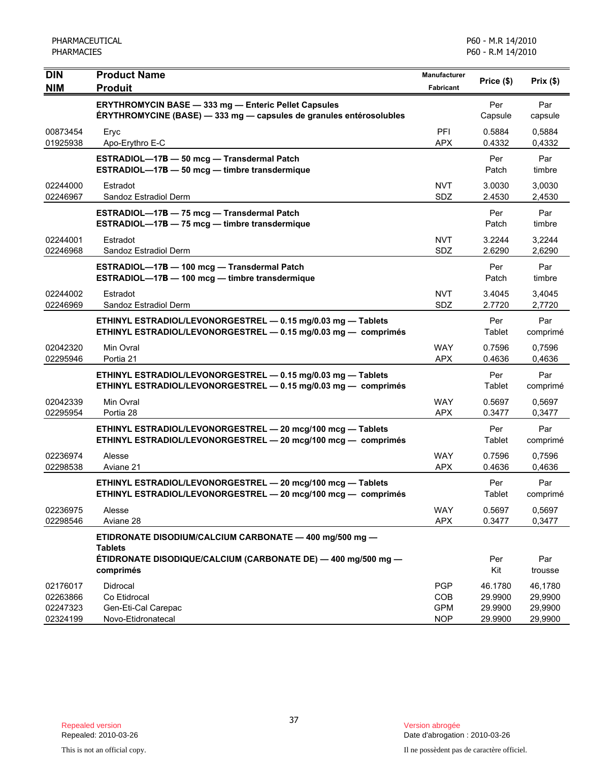| <b>DIN</b><br><b>NIM</b>                     | <b>Product Name</b><br><b>Produit</b>                                                                                                                   | Manufacturer<br>Fabricant                     | Price (\$)                               | Prix(\$)                                 |
|----------------------------------------------|---------------------------------------------------------------------------------------------------------------------------------------------------------|-----------------------------------------------|------------------------------------------|------------------------------------------|
|                                              | <b>ERYTHROMYCIN BASE - 333 mg - Enteric Pellet Capsules</b><br>ÉRYTHROMYCINE (BASE) - 333 mg - capsules de granules entérosolubles                      |                                               | Per<br>Capsule                           | Par<br>capsule                           |
| 00873454<br>01925938                         | Eryc<br>Apo-Erythro E-C                                                                                                                                 | PFI<br><b>APX</b>                             | 0.5884<br>0.4332                         | 0,5884<br>0,4332                         |
|                                              | ESTRADIOL-17B - 50 mcg - Transdermal Patch<br>ESTRADIOL-17B - 50 mcg - timbre transdermique                                                             |                                               | Per<br>Patch                             | Par<br>timbre                            |
| 02244000<br>02246967                         | Estradot<br>Sandoz Estradiol Derm                                                                                                                       | <b>NVT</b><br><b>SDZ</b>                      | 3.0030<br>2.4530                         | 3,0030<br>2,4530                         |
|                                              | ESTRADIOL-17B - 75 mcg - Transdermal Patch<br>ESTRADIOL-17B - 75 mcg - timbre transdermique                                                             |                                               | Per<br>Patch                             | Par<br>timbre                            |
| 02244001<br>02246968                         | Estradot<br>Sandoz Estradiol Derm                                                                                                                       | <b>NVT</b><br>SDZ                             | 3.2244<br>2.6290                         | 3,2244<br>2,6290                         |
|                                              | ESTRADIOL-17B - 100 mcg - Transdermal Patch<br>ESTRADIOL-17B - 100 mcg - timbre transdermique                                                           |                                               | Per<br>Patch                             | Par<br>timbre                            |
| 02244002<br>02246969                         | Estradot<br>Sandoz Estradiol Derm                                                                                                                       | <b>NVT</b><br><b>SDZ</b>                      | 3.4045<br>2.7720                         | 3,4045<br>2,7720                         |
|                                              | ETHINYL ESTRADIOL/LEVONORGESTREL - 0.15 mg/0.03 mg - Tablets<br>ETHINYL ESTRADIOL/LEVONORGESTREL - 0.15 mg/0.03 mg - comprimés                          |                                               | Per<br>Tablet                            | Par<br>comprimé                          |
| 02042320<br>02295946                         | Min Ovral<br>Portia 21                                                                                                                                  | <b>WAY</b><br><b>APX</b>                      | 0.7596<br>0.4636                         | 0,7596<br>0,4636                         |
|                                              | ETHINYL ESTRADIOL/LEVONORGESTREL - 0.15 mg/0.03 mg - Tablets<br>ETHINYL ESTRADIOL/LEVONORGESTREL - 0.15 mg/0.03 mg - comprimés                          |                                               | Per<br>Tablet                            | Par<br>comprimé                          |
| 02042339<br>02295954                         | Min Ovral<br>Portia 28                                                                                                                                  | <b>WAY</b><br><b>APX</b>                      | 0.5697<br>0.3477                         | 0,5697<br>0,3477                         |
|                                              | ETHINYL ESTRADIOL/LEVONORGESTREL - 20 mcg/100 mcg - Tablets<br>ETHINYL ESTRADIOL/LEVONORGESTREL - 20 mcg/100 mcg - comprimés                            |                                               | Per<br>Tablet                            | Par<br>comprimé                          |
| 02236974<br>02298538                         | Alesse<br>Aviane 21                                                                                                                                     | <b>WAY</b><br><b>APX</b>                      | 0.7596<br>0.4636                         | 0,7596<br>0,4636                         |
|                                              | ETHINYL ESTRADIOL/LEVONORGESTREL - 20 mcg/100 mcg - Tablets<br>ETHINYL ESTRADIOL/LEVONORGESTREL - 20 mcg/100 mcg - comprimés                            |                                               | Per<br>Tablet                            | Par<br>comprimé                          |
| 02236975<br>02298546                         | Alesse<br>Aviane 28                                                                                                                                     | <b>WAY</b><br><b>APX</b>                      | 0.5697<br>0.3477                         | 0,5697<br>0,3477                         |
|                                              | ETIDRONATE DISODIUM/CALCIUM CARBONATE - 400 mg/500 mg -<br><b>Tablets</b><br>ÉTIDRONATE DISODIQUE/CALCIUM (CARBONATE DE) — 400 mg/500 mg —<br>comprimés |                                               | Per<br>Kit                               | Par<br>trousse                           |
| 02176017<br>02263866<br>02247323<br>02324199 | Didrocal<br>Co Etidrocal<br>Gen-Eti-Cal Carepac<br>Novo-Etidronatecal                                                                                   | <b>PGP</b><br>COB<br><b>GPM</b><br><b>NOP</b> | 46.1780<br>29.9900<br>29.9900<br>29.9900 | 46,1780<br>29,9900<br>29,9900<br>29,9900 |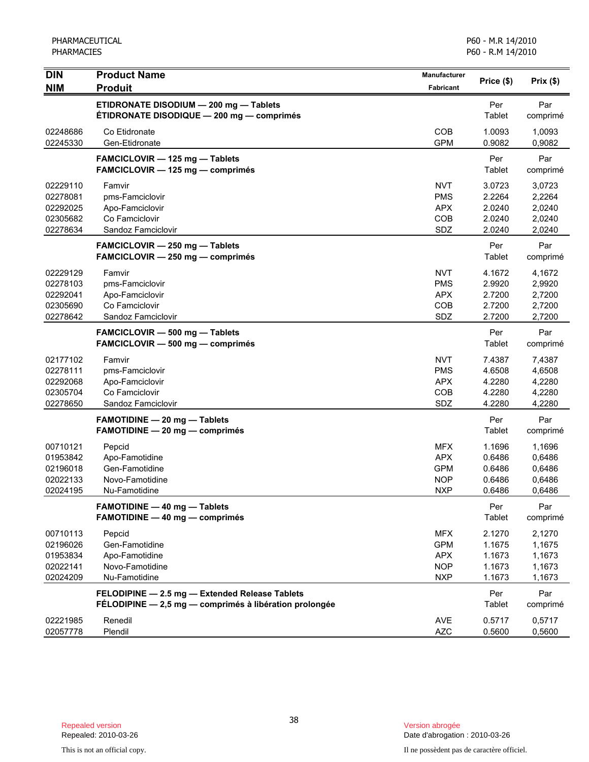| <b>DIN</b>                                               | <b>Product Name</b>                                                                                      | Manufacturer                                                       | Price (\$)                                     | Prix (\$)                                      |
|----------------------------------------------------------|----------------------------------------------------------------------------------------------------------|--------------------------------------------------------------------|------------------------------------------------|------------------------------------------------|
| <b>NIM</b>                                               | <b>Produit</b>                                                                                           | <b>Fabricant</b>                                                   |                                                |                                                |
|                                                          | ETIDRONATE DISODIUM - 200 mg - Tablets<br>ÉTIDRONATE DISODIQUE - 200 mg - comprimés                      |                                                                    | Per<br>Tablet                                  | Par<br>comprimé                                |
| 02248686<br>02245330                                     | Co Etidronate<br>Gen-Etidronate                                                                          | <b>COB</b><br><b>GPM</b>                                           | 1.0093<br>0.9082                               | 1,0093<br>0,9082                               |
|                                                          | FAMCICLOVIR - 125 mg - Tablets<br>FAMCICLOVIR - 125 mg - comprimés                                       |                                                                    | Per<br>Tablet                                  | Par<br>comprimé                                |
| 02229110<br>02278081<br>02292025<br>02305682<br>02278634 | Famvir<br>pms-Famciclovir<br>Apo-Famciclovir<br>Co Famciclovir<br>Sandoz Famciclovir                     | <b>NVT</b><br><b>PMS</b><br><b>APX</b><br>COB<br>SDZ               | 3.0723<br>2.2264<br>2.0240<br>2.0240<br>2.0240 | 3,0723<br>2,2264<br>2,0240<br>2,0240<br>2,0240 |
|                                                          | FAMCICLOVIR - 250 mg - Tablets<br>FAMCICLOVIR - 250 mg - comprimés                                       |                                                                    | Per<br>Tablet                                  | Par<br>comprimé                                |
| 02229129<br>02278103<br>02292041<br>02305690<br>02278642 | Famvir<br>pms-Famciclovir<br>Apo-Famciclovir<br>Co Famciclovir<br>Sandoz Famciclovir                     | <b>NVT</b><br><b>PMS</b><br><b>APX</b><br>COB<br>SDZ               | 4.1672<br>2.9920<br>2.7200<br>2.7200<br>2.7200 | 4,1672<br>2,9920<br>2,7200<br>2,7200<br>2,7200 |
|                                                          | <b>FAMCICLOVIR - 500 mg - Tablets</b><br>FAMCICLOVIR - 500 mg - comprimés                                |                                                                    | Per<br>Tablet                                  | Par<br>comprimé                                |
| 02177102<br>02278111<br>02292068<br>02305704<br>02278650 | Famvir<br>pms-Famciclovir<br>Apo-Famciclovir<br>Co Famciclovir<br>Sandoz Famciclovir                     | <b>NVT</b><br><b>PMS</b><br><b>APX</b><br>COB<br>SDZ               | 7.4387<br>4.6508<br>4.2280<br>4.2280<br>4.2280 | 7,4387<br>4,6508<br>4,2280<br>4,2280<br>4,2280 |
|                                                          | FAMOTIDINE - 20 mg - Tablets<br>FAMOTIDINE - 20 mg - comprimés                                           |                                                                    | Per<br>Tablet                                  | Par<br>comprimé                                |
| 00710121<br>01953842<br>02196018<br>02022133<br>02024195 | Pepcid<br>Apo-Famotidine<br>Gen-Famotidine<br>Novo-Famotidine<br>Nu-Famotidine                           | <b>MFX</b><br><b>APX</b><br><b>GPM</b><br><b>NOP</b><br><b>NXP</b> | 1.1696<br>0.6486<br>0.6486<br>0.6486<br>0.6486 | 1,1696<br>0,6486<br>0,6486<br>0,6486<br>0,6486 |
|                                                          | <b>FAMOTIDINE - 40 mg - Tablets</b><br><b>FAMOTIDINE - 40 mg - comprimés</b>                             |                                                                    | Per<br>Tablet                                  | Par<br>comprimé                                |
| 00710113<br>02196026<br>01953834<br>02022141<br>02024209 | Pepcid<br>Gen-Famotidine<br>Apo-Famotidine<br>Novo-Famotidine<br>Nu-Famotidine                           | <b>MFX</b><br><b>GPM</b><br><b>APX</b><br><b>NOP</b><br><b>NXP</b> | 2.1270<br>1.1675<br>1.1673<br>1.1673<br>1.1673 | 2,1270<br>1,1675<br>1,1673<br>1,1673<br>1,1673 |
|                                                          | FELODIPINE - 2.5 mg - Extended Release Tablets<br>FÉLODIPINE - 2,5 mg - comprimés à libération prolongée |                                                                    | Per<br>Tablet                                  | Par<br>comprimé                                |
| 02221985<br>02057778                                     | Renedil<br>Plendil                                                                                       | <b>AVE</b><br><b>AZC</b>                                           | 0.5717<br>0.5600                               | 0,5717<br>0,5600                               |

Date d'abrogation : 2010-03-26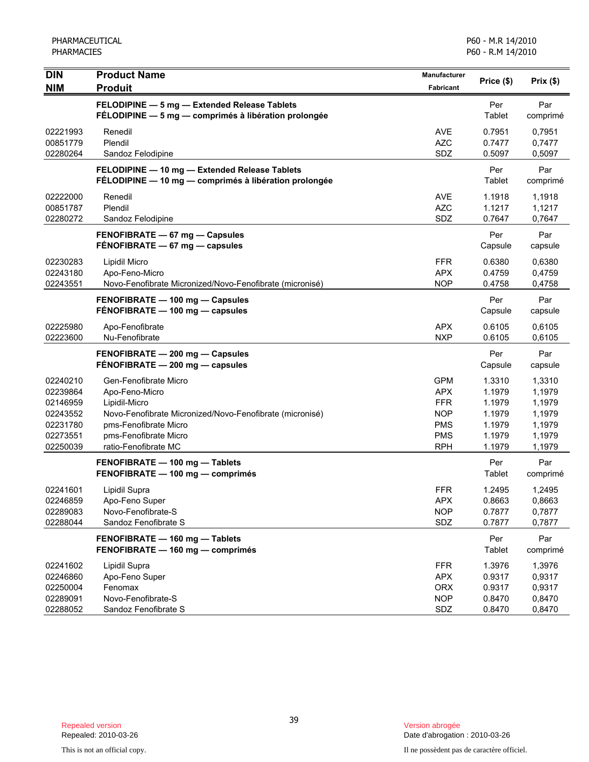| <b>DIN</b>                                                                       | <b>Product Name</b>                                                                                                                                                                            | Manufacturer                                                                                   | Price (\$)                                                         | Prix(\$)                                                           |
|----------------------------------------------------------------------------------|------------------------------------------------------------------------------------------------------------------------------------------------------------------------------------------------|------------------------------------------------------------------------------------------------|--------------------------------------------------------------------|--------------------------------------------------------------------|
| <b>NIM</b>                                                                       | <b>Produit</b>                                                                                                                                                                                 | <b>Fabricant</b>                                                                               |                                                                    |                                                                    |
|                                                                                  | FELODIPINE - 5 mg - Extended Release Tablets<br>FÉLODIPINE - 5 mg - comprimés à libération prolongée                                                                                           |                                                                                                | Per<br>Tablet                                                      | Par<br>comprimé                                                    |
| 02221993<br>00851779<br>02280264                                                 | Renedil<br>Plendil<br>Sandoz Felodipine                                                                                                                                                        | AVE<br><b>AZC</b><br>SDZ                                                                       | 0.7951<br>0.7477<br>0.5097                                         | 0,7951<br>0,7477<br>0,5097                                         |
|                                                                                  | FELODIPINE - 10 mg - Extended Release Tablets<br>FÉLODIPINE - 10 mg - comprimés à libération prolongée                                                                                         |                                                                                                | Per<br>Tablet                                                      | Par<br>comprimé                                                    |
| 02222000<br>00851787<br>02280272                                                 | Renedil<br>Plendil<br>Sandoz Felodipine                                                                                                                                                        | <b>AVE</b><br><b>AZC</b><br>SDZ                                                                | 1.1918<br>1.1217<br>0.7647                                         | 1,1918<br>1,1217<br>0,7647                                         |
|                                                                                  | FENOFIBRATE - 67 mg - Capsules<br>FENOFIBRATE - 67 mg - capsules                                                                                                                               |                                                                                                | Per<br>Capsule                                                     | Par<br>capsule                                                     |
| 02230283<br>02243180<br>02243551                                                 | Lipidil Micro<br>Apo-Feno-Micro<br>Novo-Fenofibrate Micronized/Novo-Fenofibrate (micronisé)                                                                                                    | <b>FFR</b><br><b>APX</b><br><b>NOP</b>                                                         | 0.6380<br>0.4759<br>0.4758                                         | 0,6380<br>0,4759<br>0,4758                                         |
|                                                                                  | FENOFIBRATE - 100 mg - Capsules<br>FÉNOFIBRATE - 100 mg - capsules                                                                                                                             |                                                                                                | Per<br>Capsule                                                     | Par<br>capsule                                                     |
| 02225980<br>02223600                                                             | Apo-Fenofibrate<br>Nu-Fenofibrate                                                                                                                                                              | <b>APX</b><br><b>NXP</b>                                                                       | 0.6105<br>0.6105                                                   | 0,6105<br>0,6105                                                   |
|                                                                                  | FENOFIBRATE - 200 mg - Capsules<br>FENOFIBRATE - 200 mg - capsules                                                                                                                             |                                                                                                | Per<br>Capsule                                                     | Par<br>capsule                                                     |
| 02240210<br>02239864<br>02146959<br>02243552<br>02231780<br>02273551<br>02250039 | Gen-Fenofibrate Micro<br>Apo-Feno-Micro<br>Lipidil-Micro<br>Novo-Fenofibrate Micronized/Novo-Fenofibrate (micronisé)<br>pms-Fenofibrate Micro<br>pms-Fenofibrate Micro<br>ratio-Fenofibrate MC | <b>GPM</b><br><b>APX</b><br><b>FFR</b><br><b>NOP</b><br><b>PMS</b><br><b>PMS</b><br><b>RPH</b> | 1.3310<br>1.1979<br>1.1979<br>1.1979<br>1.1979<br>1.1979<br>1.1979 | 1,3310<br>1,1979<br>1,1979<br>1,1979<br>1,1979<br>1,1979<br>1,1979 |
|                                                                                  | FENOFIBRATE - 100 mg - Tablets<br>FENOFIBRATE - 100 mg - comprimés                                                                                                                             |                                                                                                | Per<br>Tablet                                                      | Par<br>comprimé                                                    |
| 02241601<br>02246859<br>02289083<br>02288044                                     | Lipidil Supra<br>Apo-Feno Super<br>Novo-Fenofibrate-S<br>Sandoz Fenofibrate S                                                                                                                  | <b>FFR</b><br><b>APX</b><br><b>NOP</b><br>SDZ                                                  | 1.2495<br>0.8663<br>0.7877<br>0.7877                               | 1,2495<br>0,8663<br>0,7877<br>0,7877                               |
|                                                                                  | FENOFIBRATE - 160 mg - Tablets<br>FENOFIBRATE - 160 mg - comprimés                                                                                                                             |                                                                                                | Per<br>Tablet                                                      | Par<br>comprimé                                                    |
| 02241602<br>02246860<br>02250004<br>02289091<br>02288052                         | Lipidil Supra<br>Apo-Feno Super<br>Fenomax<br>Novo-Fenofibrate-S<br>Sandoz Fenofibrate S                                                                                                       | <b>FFR</b><br><b>APX</b><br><b>ORX</b><br><b>NOP</b><br>SDZ                                    | 1.3976<br>0.9317<br>0.9317<br>0.8470<br>0.8470                     | 1,3976<br>0,9317<br>0,9317<br>0,8470<br>0,8470                     |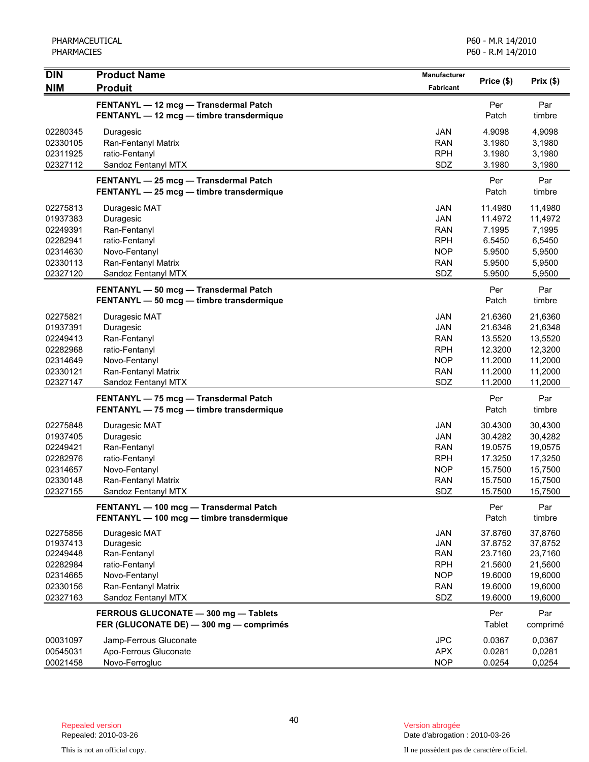| <b>DIN</b>                                                                       | <b>Product Name</b>                                                                                                         | Manufacturer                                                                     |                                                                           | Prix(\$)                                                                  |
|----------------------------------------------------------------------------------|-----------------------------------------------------------------------------------------------------------------------------|----------------------------------------------------------------------------------|---------------------------------------------------------------------------|---------------------------------------------------------------------------|
| <b>NIM</b>                                                                       | <b>Produit</b>                                                                                                              | <b>Fabricant</b>                                                                 | Price (\$)                                                                |                                                                           |
|                                                                                  | FENTANYL - 12 mcg - Transdermal Patch<br>FENTANYL - 12 mcg - timbre transdermique                                           |                                                                                  | Per<br>Patch                                                              | Par<br>timbre                                                             |
| 02280345<br>02330105<br>02311925<br>02327112                                     | Duragesic<br>Ran-Fentanyl Matrix<br>ratio-Fentanyl<br>Sandoz Fentanyl MTX                                                   | <b>JAN</b><br><b>RAN</b><br><b>RPH</b><br>SDZ                                    | 4.9098<br>3.1980<br>3.1980<br>3.1980                                      | 4,9098<br>3,1980<br>3,1980<br>3,1980                                      |
|                                                                                  | FENTANYL - 25 mcg - Transdermal Patch<br>FENTANYL - 25 mcg - timbre transdermique                                           |                                                                                  | Per<br>Patch                                                              | Par<br>timbre                                                             |
| 02275813<br>01937383<br>02249391<br>02282941<br>02314630<br>02330113<br>02327120 | Duragesic MAT<br>Duragesic<br>Ran-Fentanyl<br>ratio-Fentanyl<br>Novo-Fentanyl<br>Ran-Fentanyl Matrix<br>Sandoz Fentanyl MTX | JAN<br>JAN<br><b>RAN</b><br><b>RPH</b><br><b>NOP</b><br><b>RAN</b><br>SDZ        | 11.4980<br>11.4972<br>7.1995<br>6.5450<br>5.9500<br>5.9500<br>5.9500      | 11,4980<br>11,4972<br>7,1995<br>6,5450<br>5,9500<br>5,9500<br>5,9500      |
|                                                                                  | FENTANYL - 50 mcg - Transdermal Patch<br>FENTANYL - 50 mcg - timbre transdermique                                           |                                                                                  | Per<br>Patch                                                              | Par<br>timbre                                                             |
| 02275821<br>01937391<br>02249413<br>02282968<br>02314649<br>02330121<br>02327147 | Duragesic MAT<br>Duragesic<br>Ran-Fentanyl<br>ratio-Fentanyl<br>Novo-Fentanyl<br>Ran-Fentanyl Matrix<br>Sandoz Fentanyl MTX | <b>JAN</b><br>JAN<br><b>RAN</b><br><b>RPH</b><br><b>NOP</b><br><b>RAN</b><br>SDZ | 21.6360<br>21.6348<br>13.5520<br>12.3200<br>11.2000<br>11.2000<br>11.2000 | 21,6360<br>21,6348<br>13,5520<br>12,3200<br>11,2000<br>11,2000<br>11,2000 |
|                                                                                  | FENTANYL - 75 mcg - Transdermal Patch<br>FENTANYL - 75 mcg - timbre transdermique                                           |                                                                                  | Per<br>Patch                                                              | Par<br>timbre                                                             |
| 02275848<br>01937405<br>02249421<br>02282976<br>02314657<br>02330148<br>02327155 | Duragesic MAT<br>Duragesic<br>Ran-Fentanyl<br>ratio-Fentanyl<br>Novo-Fentanyl<br>Ran-Fentanyl Matrix<br>Sandoz Fentanyl MTX | JAN<br><b>JAN</b><br><b>RAN</b><br><b>RPH</b><br><b>NOP</b><br><b>RAN</b><br>SDZ | 30.4300<br>30.4282<br>19.0575<br>17.3250<br>15.7500<br>15.7500<br>15.7500 | 30,4300<br>30,4282<br>19,0575<br>17,3250<br>15,7500<br>15,7500<br>15,7500 |
|                                                                                  | FENTANYL - 100 mcg - Transdermal Patch<br>FENTANYL - 100 mcg - timbre transdermique                                         |                                                                                  | Per<br>Patch                                                              | Par<br>timbre                                                             |
| 02275856<br>01937413<br>02249448<br>02282984<br>02314665<br>02330156<br>02327163 | Duragesic MAT<br>Duragesic<br>Ran-Fentanyl<br>ratio-Fentanyl<br>Novo-Fentanyl<br>Ran-Fentanyl Matrix<br>Sandoz Fentanyl MTX | JAN<br><b>JAN</b><br><b>RAN</b><br><b>RPH</b><br><b>NOP</b><br><b>RAN</b><br>SDZ | 37.8760<br>37.8752<br>23.7160<br>21.5600<br>19.6000<br>19.6000<br>19.6000 | 37,8760<br>37,8752<br>23,7160<br>21,5600<br>19,6000<br>19,6000<br>19,6000 |
|                                                                                  | FERROUS GLUCONATE - 300 mg - Tablets<br>FER (GLUCONATE DE) - 300 mg - comprimés                                             |                                                                                  | Per<br>Tablet                                                             | Par<br>comprimé                                                           |
| 00031097<br>00545031<br>00021458                                                 | Jamp-Ferrous Gluconate<br>Apo-Ferrous Gluconate<br>Novo-Ferrogluc                                                           | <b>JPC</b><br><b>APX</b><br><b>NOP</b>                                           | 0.0367<br>0.0281<br>0.0254                                                | 0,0367<br>0,0281<br>0,0254                                                |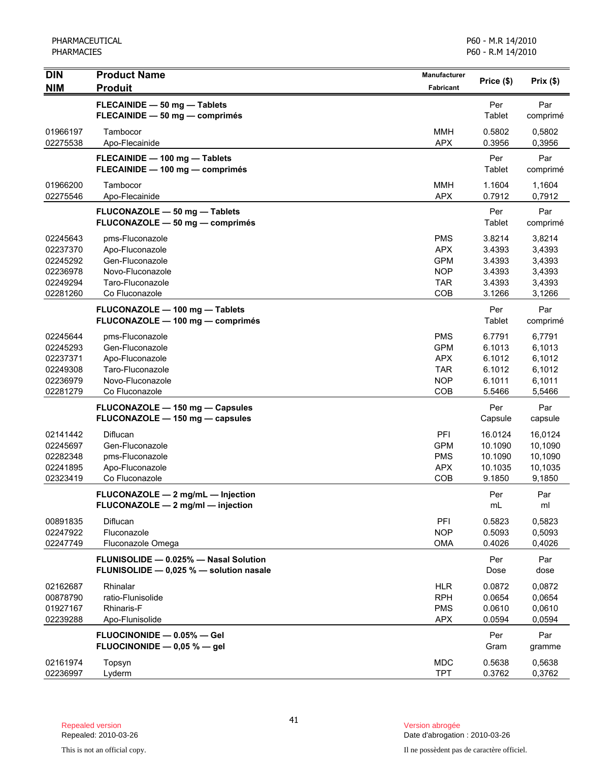| <b>DIN</b>                                                           | <b>Product Name</b>                                                                                             | <b>Manufacturer</b>                                                       | Price (\$)                                               | Prix(\$)                                                 |
|----------------------------------------------------------------------|-----------------------------------------------------------------------------------------------------------------|---------------------------------------------------------------------------|----------------------------------------------------------|----------------------------------------------------------|
| <b>NIM</b>                                                           | <b>Produit</b>                                                                                                  | Fabricant                                                                 |                                                          |                                                          |
|                                                                      | FLECAINIDE - 50 mg - Tablets<br>FLECAINIDE - 50 mg - comprimés                                                  |                                                                           | Per<br>Tablet                                            | Par<br>comprimé                                          |
| 01966197<br>02275538                                                 | Tambocor<br>Apo-Flecainide                                                                                      | <b>MMH</b><br><b>APX</b>                                                  | 0.5802<br>0.3956                                         | 0,5802<br>0,3956                                         |
|                                                                      | FLECAINIDE - 100 mg - Tablets<br>FLECAINIDE - 100 mg - comprimés                                                |                                                                           | Per<br>Tablet                                            | Par<br>comprimé                                          |
| 01966200<br>02275546                                                 | Tambocor<br>Apo-Flecainide                                                                                      | <b>MMH</b><br><b>APX</b>                                                  | 1.1604<br>0.7912                                         | 1,1604<br>0,7912                                         |
|                                                                      | FLUCONAZOLE - 50 mg - Tablets<br>FLUCONAZOLE - 50 mg - comprimés                                                |                                                                           | Per<br>Tablet                                            | Par<br>comprimé                                          |
| 02245643<br>02237370<br>02245292<br>02236978<br>02249294<br>02281260 | pms-Fluconazole<br>Apo-Fluconazole<br>Gen-Fluconazole<br>Novo-Fluconazole<br>Taro-Fluconazole<br>Co Fluconazole | <b>PMS</b><br><b>APX</b><br><b>GPM</b><br><b>NOP</b><br><b>TAR</b><br>COB | 3.8214<br>3.4393<br>3.4393<br>3.4393<br>3.4393<br>3.1266 | 3,8214<br>3,4393<br>3,4393<br>3,4393<br>3,4393<br>3,1266 |
|                                                                      | FLUCONAZOLE - 100 mg - Tablets<br>FLUCONAZOLE - 100 mg - comprimés                                              |                                                                           | Per<br>Tablet                                            | Par<br>comprimé                                          |
| 02245644<br>02245293<br>02237371<br>02249308<br>02236979<br>02281279 | pms-Fluconazole<br>Gen-Fluconazole<br>Apo-Fluconazole<br>Taro-Fluconazole<br>Novo-Fluconazole<br>Co Fluconazole | <b>PMS</b><br><b>GPM</b><br><b>APX</b><br><b>TAR</b><br><b>NOP</b><br>COB | 6.7791<br>6.1013<br>6.1012<br>6.1012<br>6.1011<br>5.5466 | 6,7791<br>6,1013<br>6,1012<br>6,1012<br>6,1011<br>5,5466 |
|                                                                      | FLUCONAZOLE - 150 mg - Capsules<br>FLUCONAZOLE - 150 mg - capsules                                              |                                                                           | Per<br>Capsule                                           | Par<br>capsule                                           |
| 02141442<br>02245697<br>02282348<br>02241895<br>02323419             | Diflucan<br>Gen-Fluconazole<br>pms-Fluconazole<br>Apo-Fluconazole<br>Co Fluconazole                             | PFI<br><b>GPM</b><br><b>PMS</b><br><b>APX</b><br>COB                      | 16.0124<br>10.1090<br>10.1090<br>10.1035<br>9.1850       | 16,0124<br>10,1090<br>10,1090<br>10,1035<br>9,1850       |
|                                                                      | FLUCONAZOLE - 2 mg/mL - Injection<br>FLUCONAZOLE - 2 mg/ml - injection                                          |                                                                           | Per<br>mL                                                | Par<br>ml                                                |
| 00891835<br>02247922<br>02247749                                     | Diflucan<br>Fluconazole<br>Fluconazole Omega                                                                    | PFI<br><b>NOP</b><br>OMA                                                  | 0.5823<br>0.5093<br>0.4026                               | 0,5823<br>0,5093<br>0,4026                               |
|                                                                      | FLUNISOLIDE - 0.025% - Nasal Solution<br>FLUNISOLIDE - 0,025 % - solution nasale                                |                                                                           | Per<br>Dose                                              | Par<br>dose                                              |
| 02162687<br>00878790<br>01927167<br>02239288                         | Rhinalar<br>ratio-Flunisolide<br>Rhinaris-F<br>Apo-Flunisolide                                                  | <b>HLR</b><br><b>RPH</b><br><b>PMS</b><br><b>APX</b>                      | 0.0872<br>0.0654<br>0.0610<br>0.0594                     | 0,0872<br>0,0654<br>0,0610<br>0,0594                     |
|                                                                      | FLUOCINONIDE - 0.05% - Gel<br>FLUOCINONIDE $-$ 0,05 % $-$ gel                                                   |                                                                           | Per<br>Gram                                              | Par<br>gramme                                            |
| 02161974<br>02236997                                                 | Topsyn<br>Lyderm                                                                                                | <b>MDC</b><br><b>TPT</b>                                                  | 0.5638<br>0.3762                                         | 0,5638<br>0,3762                                         |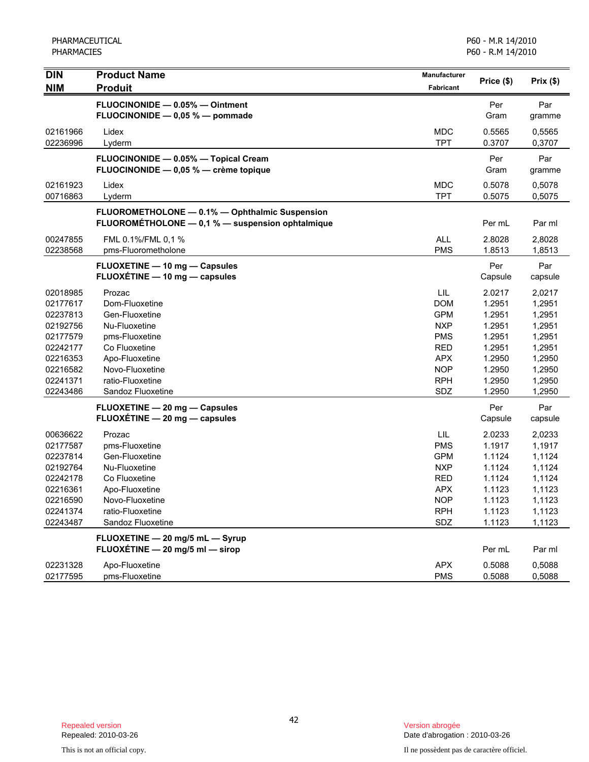| <b>DIN</b>                                                                                   | <b>Product Name</b>                                                                                                                   | <b>Manufacturer</b>                                                                                   | Price (\$)                                                                   | Prix(\$)                                                                     |
|----------------------------------------------------------------------------------------------|---------------------------------------------------------------------------------------------------------------------------------------|-------------------------------------------------------------------------------------------------------|------------------------------------------------------------------------------|------------------------------------------------------------------------------|
| <b>NIM</b>                                                                                   | <b>Produit</b>                                                                                                                        | Fabricant                                                                                             |                                                                              |                                                                              |
|                                                                                              | FLUOCINONIDE - 0.05% - Ointment<br>FLUOCINONIDE - 0,05 % - pommade                                                                    |                                                                                                       | Per<br>Gram                                                                  | Par<br>gramme                                                                |
| 02161966<br>02236996                                                                         | Lidex<br>Lyderm                                                                                                                       | <b>MDC</b><br><b>TPT</b>                                                                              | 0.5565<br>0.3707                                                             | 0,5565<br>0,3707                                                             |
|                                                                                              | FLUOCINONIDE - 0.05% - Topical Cream<br>FLUOCINONIDE - 0,05 % - crème topique                                                         |                                                                                                       | Per<br>Gram                                                                  | Par<br>gramme                                                                |
| 02161923<br>00716863                                                                         | Lidex<br>Lyderm                                                                                                                       | <b>MDC</b><br><b>TPT</b>                                                                              | 0.5078<br>0.5075                                                             | 0,5078<br>0,5075                                                             |
|                                                                                              | FLUOROMETHOLONE - 0.1% - Ophthalmic Suspension<br>FLUOROMÉTHOLONE - 0,1 % - suspension ophtalmique                                    |                                                                                                       | Per mL                                                                       | Par ml                                                                       |
| 00247855<br>02238568                                                                         | FML 0.1%/FML 0,1 %<br>pms-Fluorometholone                                                                                             | <b>ALL</b><br><b>PMS</b>                                                                              | 2.8028<br>1.8513                                                             | 2,8028<br>1,8513                                                             |
|                                                                                              | <b>FLUOXETINE - 10 mg - Capsules</b><br>FLUOXÉTINE - 10 mg - capsules                                                                 |                                                                                                       | Per<br>Capsule                                                               | Par<br>capsule                                                               |
| 02018985<br>02177617<br>02237813<br>02192756<br>02177579<br>02242177<br>02216353             | Prozac<br>Dom-Fluoxetine<br>Gen-Fluoxetine<br>Nu-Fluoxetine<br>pms-Fluoxetine<br>Co Fluoxetine<br>Apo-Fluoxetine                      | LIL<br><b>DOM</b><br><b>GPM</b><br><b>NXP</b><br><b>PMS</b><br><b>RED</b><br><b>APX</b>               | 2.0217<br>1.2951<br>1.2951<br>1.2951<br>1.2951<br>1.2951<br>1.2950           | 2,0217<br>1,2951<br>1,2951<br>1,2951<br>1,2951<br>1,2951<br>1,2950           |
| 02216582<br>02241371<br>02243486                                                             | Novo-Fluoxetine<br>ratio-Fluoxetine<br>Sandoz Fluoxetine                                                                              | <b>NOP</b><br><b>RPH</b><br>SDZ                                                                       | 1.2950<br>1.2950<br>1.2950                                                   | 1,2950<br>1,2950<br>1,2950                                                   |
|                                                                                              | FLUOXETINE - 20 mg - Capsules<br>FLUOXÉTINE - 20 mg - capsules                                                                        |                                                                                                       | Per<br>Capsule                                                               | Par<br>capsule                                                               |
| 00636622<br>02177587<br>02237814<br>02192764<br>02242178<br>02216361<br>02216590<br>02241374 | Prozac<br>pms-Fluoxetine<br>Gen-Fluoxetine<br>Nu-Fluoxetine<br>Co Fluoxetine<br>Apo-Fluoxetine<br>Novo-Fluoxetine<br>ratio-Fluoxetine | LIL<br><b>PMS</b><br><b>GPM</b><br><b>NXP</b><br><b>RED</b><br><b>APX</b><br><b>NOP</b><br><b>RPH</b> | 2.0233<br>1.1917<br>1.1124<br>1.1124<br>1.1124<br>1.1123<br>1.1123<br>1.1123 | 2,0233<br>1,1917<br>1,1124<br>1,1124<br>1,1124<br>1,1123<br>1,1123<br>1,1123 |
| 02243487                                                                                     | Sandoz Fluoxetine<br>FLUOXETINE - 20 mg/5 mL - Syrup                                                                                  | SDZ                                                                                                   | 1.1123                                                                       | 1,1123                                                                       |
|                                                                                              | FLUOXÉTINE - 20 mg/5 ml - sirop                                                                                                       |                                                                                                       | Per mL                                                                       | Par ml                                                                       |
| 02231328<br>02177595                                                                         | Apo-Fluoxetine<br>pms-Fluoxetine                                                                                                      | <b>APX</b><br><b>PMS</b>                                                                              | 0.5088<br>0.5088                                                             | 0,5088<br>0,5088                                                             |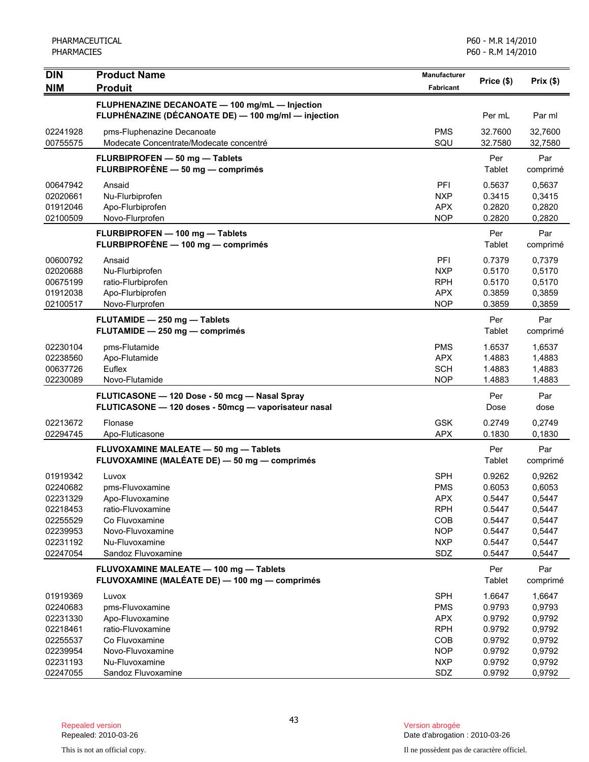| <b>DIN</b>                                                                                   | <b>Product Name</b>                                                                                                                            | <b>Manufacturer</b>                                                                            |                                                                              |                                                                              |
|----------------------------------------------------------------------------------------------|------------------------------------------------------------------------------------------------------------------------------------------------|------------------------------------------------------------------------------------------------|------------------------------------------------------------------------------|------------------------------------------------------------------------------|
| <b>NIM</b>                                                                                   | <b>Produit</b>                                                                                                                                 | <b>Fabricant</b>                                                                               | Price (\$)                                                                   | Prix(\$)                                                                     |
|                                                                                              | FLUPHENAZINE DECANOATE - 100 mg/mL - Injection<br>FLUPHÉNAZINE (DÉCANOATE DE) - 100 mg/ml - injection                                          |                                                                                                | Per mL                                                                       | Par ml                                                                       |
| 02241928<br>00755575                                                                         | pms-Fluphenazine Decanoate<br>Modecate Concentrate/Modecate concentré                                                                          | <b>PMS</b><br>SQU                                                                              | 32.7600<br>32.7580                                                           | 32,7600<br>32,7580                                                           |
|                                                                                              | FLURBIPROFEN - 50 mg - Tablets<br>FLURBIPROFÈNE - 50 mg - comprimés                                                                            |                                                                                                | Per<br>Tablet                                                                | Par<br>comprimé                                                              |
| 00647942<br>02020661<br>01912046<br>02100509                                                 | Ansaid<br>Nu-Flurbiprofen<br>Apo-Flurbiprofen<br>Novo-Flurprofen                                                                               | PFI<br><b>NXP</b><br>APX<br><b>NOP</b>                                                         | 0.5637<br>0.3415<br>0.2820<br>0.2820                                         | 0,5637<br>0,3415<br>0,2820<br>0,2820                                         |
|                                                                                              | FLURBIPROFEN - 100 mg - Tablets<br>FLURBIPROFÈNE - 100 mg - comprimés                                                                          |                                                                                                | Per<br>Tablet                                                                | Par<br>comprimé                                                              |
| 00600792<br>02020688<br>00675199<br>01912038<br>02100517                                     | Ansaid<br>Nu-Flurbiprofen<br>ratio-Flurbiprofen<br>Apo-Flurbiprofen<br>Novo-Flurprofen                                                         | PFI<br><b>NXP</b><br><b>RPH</b><br><b>APX</b><br><b>NOP</b>                                    | 0.7379<br>0.5170<br>0.5170<br>0.3859<br>0.3859                               | 0,7379<br>0,5170<br>0,5170<br>0,3859<br>0,3859                               |
|                                                                                              | FLUTAMIDE - 250 mg - Tablets<br>FLUTAMIDE - 250 mg - comprimés                                                                                 |                                                                                                | Per<br>Tablet                                                                | Par<br>comprimé                                                              |
| 02230104<br>02238560<br>00637726<br>02230089                                                 | pms-Flutamide<br>Apo-Flutamide<br>Euflex<br>Novo-Flutamide                                                                                     | <b>PMS</b><br><b>APX</b><br><b>SCH</b><br><b>NOP</b>                                           | 1.6537<br>1.4883<br>1.4883<br>1.4883                                         | 1,6537<br>1,4883<br>1,4883<br>1,4883                                         |
|                                                                                              | FLUTICASONE - 120 Dose - 50 mcg - Nasal Spray<br>FLUTICASONE - 120 doses - 50mcg - vaporisateur nasal                                          |                                                                                                | Per<br>Dose                                                                  | Par<br>dose                                                                  |
| 02213672<br>02294745                                                                         | Flonase<br>Apo-Fluticasone                                                                                                                     | <b>GSK</b><br><b>APX</b>                                                                       | 0.2749<br>0.1830                                                             | 0,2749<br>0.1830                                                             |
|                                                                                              | FLUVOXAMINE MALEATE - 50 mg - Tablets<br>FLUVOXAMINE (MALÉATE DE) - 50 mg - comprimés                                                          |                                                                                                | Per<br>Tablet                                                                | Par<br>comprimé                                                              |
| 01919342<br>02240682<br>02231329<br>02218453<br>02255529<br>02239953<br>02231192<br>02247054 | Luvox<br>pms-Fluvoxamine<br>Apo-Fluvoxamine<br>ratio-Fluvoxamine<br>Co Fluvoxamine<br>Novo-Fluvoxamine<br>Nu-Fluvoxamine<br>Sandoz Fluvoxamine | <b>SPH</b><br>PMS<br><b>APX</b><br><b>RPH</b><br>COB<br><b>NOP</b><br><b>NXP</b><br>SDZ        | 0.9262<br>0.6053<br>0.5447<br>0.5447<br>0.5447<br>0.5447<br>0.5447<br>0.5447 | 0,9262<br>0,6053<br>0,5447<br>0,5447<br>0,5447<br>0,5447<br>0,5447<br>0,5447 |
|                                                                                              | FLUVOXAMINE MALEATE - 100 mg - Tablets<br>FLUVOXAMINE (MALÉATE DE) - 100 mg - comprimés                                                        |                                                                                                | Per<br><b>Tablet</b>                                                         | Par<br>comprimé                                                              |
| 01919369<br>02240683<br>02231330<br>02218461<br>02255537<br>02239954<br>02231193             | Luvox<br>pms-Fluvoxamine<br>Apo-Fluvoxamine<br>ratio-Fluvoxamine<br>Co Fluvoxamine<br>Novo-Fluvoxamine<br>Nu-Fluvoxamine                       | <b>SPH</b><br><b>PMS</b><br><b>APX</b><br><b>RPH</b><br><b>COB</b><br><b>NOP</b><br><b>NXP</b> | 1.6647<br>0.9793<br>0.9792<br>0.9792<br>0.9792<br>0.9792<br>0.9792           | 1,6647<br>0,9793<br>0,9792<br>0,9792<br>0,9792<br>0,9792<br>0,9792           |
| 02247055                                                                                     | Sandoz Fluvoxamine                                                                                                                             | SDZ                                                                                            | 0.9792                                                                       | 0,9792                                                                       |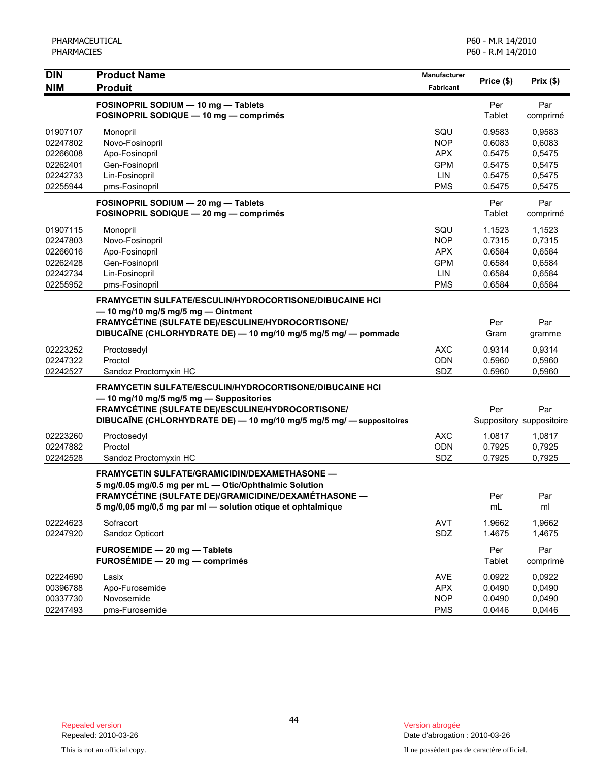| <b>DIN</b><br><b>NIM</b>                                             | <b>Product Name</b><br><b>Produit</b>                                                                                                                                                                                                  | <b>Manufacturer</b><br>Fabricant                                   | Price (\$)                                               | Prix(\$)                                                 |
|----------------------------------------------------------------------|----------------------------------------------------------------------------------------------------------------------------------------------------------------------------------------------------------------------------------------|--------------------------------------------------------------------|----------------------------------------------------------|----------------------------------------------------------|
|                                                                      | FOSINOPRIL SODIUM - 10 mg - Tablets<br>FOSINOPRIL SODIQUE - 10 mg - comprimés                                                                                                                                                          |                                                                    | Per<br>Tablet                                            | Par<br>comprimé                                          |
| 01907107<br>02247802<br>02266008<br>02262401<br>02242733<br>02255944 | Monopril<br>Novo-Fosinopril<br>Apo-Fosinopril<br>Gen-Fosinopril<br>Lin-Fosinopril<br>pms-Fosinopril                                                                                                                                    | SQU<br><b>NOP</b><br><b>APX</b><br><b>GPM</b><br>LIN<br><b>PMS</b> | 0.9583<br>0.6083<br>0.5475<br>0.5475<br>0.5475<br>0.5475 | 0,9583<br>0,6083<br>0,5475<br>0,5475<br>0,5475<br>0,5475 |
|                                                                      | FOSINOPRIL SODIUM - 20 mg - Tablets<br>FOSINOPRIL SODIQUE - 20 mg - comprimés                                                                                                                                                          |                                                                    | Per<br>Tablet                                            | Par<br>comprimé                                          |
| 01907115<br>02247803<br>02266016<br>02262428<br>02242734<br>02255952 | Monopril<br>Novo-Fosinopril<br>Apo-Fosinopril<br>Gen-Fosinopril<br>Lin-Fosinopril<br>pms-Fosinopril                                                                                                                                    | SQU<br><b>NOP</b><br><b>APX</b><br><b>GPM</b><br>LIN<br><b>PMS</b> | 1.1523<br>0.7315<br>0.6584<br>0.6584<br>0.6584<br>0.6584 | 1,1523<br>0,7315<br>0,6584<br>0,6584<br>0,6584<br>0,6584 |
|                                                                      | <b>FRAMYCETIN SULFATE/ESCULIN/HYDROCORTISONE/DIBUCAINE HCI</b><br>- 10 mg/10 mg/5 mg/5 mg - Ointment<br>FRAMYCÉTINE (SULFATE DE)/ESCULINE/HYDROCORTISONE/<br>DIBUCAÏNE (CHLORHYDRATE DE) - 10 mg/10 mg/5 mg/5 mg/ - pommade            |                                                                    | Per<br>Gram                                              | Par<br>gramme                                            |
| 02223252<br>02247322<br>02242527                                     | Proctosedyl<br>Proctol<br>Sandoz Proctomyxin HC                                                                                                                                                                                        | <b>AXC</b><br><b>ODN</b><br>SDZ                                    | 0.9314<br>0.5960<br>0.5960                               | 0,9314<br>0,5960<br>0,5960                               |
|                                                                      | <b>FRAMYCETIN SULFATE/ESCULIN/HYDROCORTISONE/DIBUCAINE HCI</b><br>- 10 mg/10 mg/5 mg/5 mg - Suppositories<br>FRAMYCÉTINE (SULFATE DE)/ESCULINE/HYDROCORTISONE/<br>DIBUCAÏNE (CHLORHYDRATE DE) - 10 mg/10 mg/5 mg/5 mg/ - suppositoires |                                                                    | Per                                                      | Par<br>Suppository suppositoire                          |
| 02223260<br>02247882<br>02242528                                     | Proctosedyl<br>Proctol<br>Sandoz Proctomyxin HC                                                                                                                                                                                        | <b>AXC</b><br><b>ODN</b><br>SDZ                                    | 1.0817<br>0.7925<br>0.7925                               | 1,0817<br>0,7925<br>0,7925                               |
|                                                                      | <b>FRAMYCETIN SULFATE/GRAMICIDIN/DEXAMETHASONE -</b><br>5 mg/0.05 mg/0.5 mg per mL - Otic/Ophthalmic Solution<br>FRAMYCÉTINE (SULFATE DE)/GRAMICIDINE/DEXAMÉTHASONE<br>5 mg/0,05 mg/0,5 mg par ml - solution otique et ophtalmique     |                                                                    | Per<br>mL                                                | Par<br>ml                                                |
| 02224623<br>02247920                                                 | Sofracort<br>Sandoz Opticort                                                                                                                                                                                                           | AVT<br>SDZ                                                         | 1.9662<br>1.4675                                         | 1,9662<br>1,4675                                         |
|                                                                      | FUROSEMIDE - 20 mg - Tablets<br>FUROSÉMIDE - 20 mg - comprimés                                                                                                                                                                         |                                                                    | Per<br>Tablet                                            | Par<br>comprimé                                          |
| 02224690<br>00396788<br>00337730<br>02247493                         | Lasix<br>Apo-Furosemide<br>Novosemide<br>pms-Furosemide                                                                                                                                                                                | AVE<br><b>APX</b><br><b>NOP</b><br><b>PMS</b>                      | 0.0922<br>0.0490<br>0.0490<br>0.0446                     | 0,0922<br>0,0490<br>0,0490<br>0,0446                     |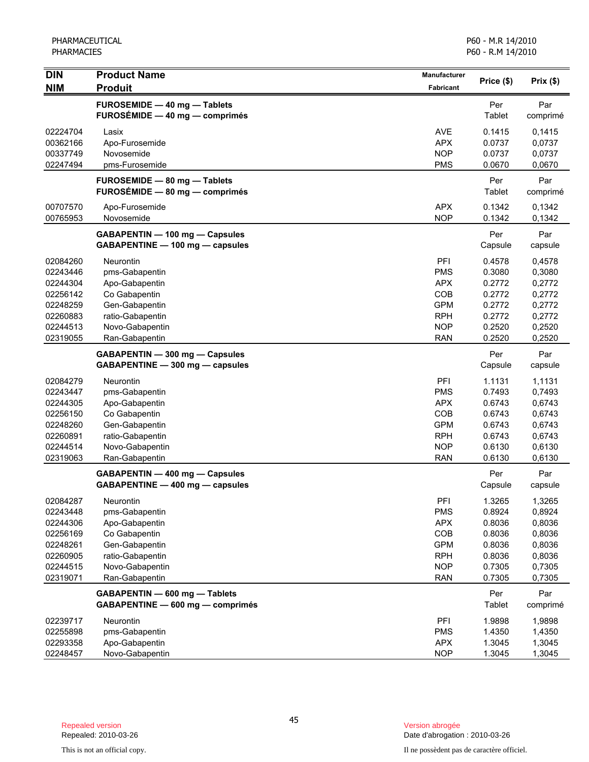| <b>DIN</b>                                                                                   | <b>Product Name</b>                                                                                                                              | Manufacturer                                                                                          | Price (\$)                                                                   | Prix(\$)                                                                     |
|----------------------------------------------------------------------------------------------|--------------------------------------------------------------------------------------------------------------------------------------------------|-------------------------------------------------------------------------------------------------------|------------------------------------------------------------------------------|------------------------------------------------------------------------------|
| <b>NIM</b>                                                                                   | <b>Produit</b>                                                                                                                                   | Fabricant                                                                                             |                                                                              |                                                                              |
|                                                                                              | <b>FUROSEMIDE - 40 mg - Tablets</b><br>FUROSÉMIDE - 40 mg - comprimés                                                                            |                                                                                                       | Per<br>Tablet                                                                | Par<br>comprimé                                                              |
| 02224704<br>00362166<br>00337749<br>02247494                                                 | Lasix<br>Apo-Furosemide<br>Novosemide<br>pms-Furosemide                                                                                          | AVE<br><b>APX</b><br><b>NOP</b><br><b>PMS</b>                                                         | 0.1415<br>0.0737<br>0.0737<br>0.0670                                         | 0,1415<br>0,0737<br>0,0737<br>0,0670                                         |
|                                                                                              | FUROSEMIDE - 80 mg - Tablets<br>FUROSÉMIDE - 80 mg - comprimés                                                                                   |                                                                                                       | Per<br>Tablet                                                                | Par<br>comprimé                                                              |
| 00707570<br>00765953                                                                         | Apo-Furosemide<br>Novosemide                                                                                                                     | <b>APX</b><br><b>NOP</b>                                                                              | 0.1342<br>0.1342                                                             | 0,1342<br>0,1342                                                             |
|                                                                                              | GABAPENTIN - 100 mg - Capsules<br>GABAPENTINE - 100 mg - capsules                                                                                |                                                                                                       | Per<br>Capsule                                                               | Par<br>capsule                                                               |
| 02084260<br>02243446<br>02244304                                                             | <b>Neurontin</b><br>pms-Gabapentin<br>Apo-Gabapentin                                                                                             | PFI<br><b>PMS</b><br><b>APX</b>                                                                       | 0.4578<br>0.3080<br>0.2772                                                   | 0,4578<br>0,3080<br>0,2772                                                   |
| 02256142<br>02248259<br>02260883<br>02244513                                                 | Co Gabapentin<br>Gen-Gabapentin<br>ratio-Gabapentin<br>Novo-Gabapentin                                                                           | COB<br><b>GPM</b><br><b>RPH</b><br><b>NOP</b>                                                         | 0.2772<br>0.2772<br>0.2772<br>0.2520                                         | 0,2772<br>0,2772<br>0,2772<br>0,2520                                         |
| 02319055                                                                                     | Ran-Gabapentin<br>GABAPENTIN - 300 mg - Capsules                                                                                                 | <b>RAN</b>                                                                                            | 0.2520<br>Per                                                                | 0,2520<br>Par                                                                |
|                                                                                              | GABAPENTINE - 300 mg - capsules                                                                                                                  |                                                                                                       | Capsule                                                                      | capsule                                                                      |
| 02084279<br>02243447<br>02244305<br>02256150<br>02248260<br>02260891<br>02244514<br>02319063 | <b>Neurontin</b><br>pms-Gabapentin<br>Apo-Gabapentin<br>Co Gabapentin<br>Gen-Gabapentin<br>ratio-Gabapentin<br>Novo-Gabapentin<br>Ran-Gabapentin | PFI<br><b>PMS</b><br><b>APX</b><br>COB<br><b>GPM</b><br><b>RPH</b><br><b>NOP</b><br><b>RAN</b>        | 1.1131<br>0.7493<br>0.6743<br>0.6743<br>0.6743<br>0.6743<br>0.6130<br>0.6130 | 1,1131<br>0,7493<br>0,6743<br>0,6743<br>0,6743<br>0,6743<br>0,6130<br>0,6130 |
|                                                                                              | GABAPENTIN - 400 mg - Capsules<br>GABAPENTINE - 400 mg - capsules                                                                                |                                                                                                       | Per<br>Capsule                                                               | Par<br>capsule                                                               |
| 02084287<br>02243448<br>02244306<br>02256169<br>02248261<br>02260905<br>02244515<br>02319071 | Neurontin<br>pms-Gabapentin<br>Apo-Gabapentin<br>Co Gabapentin<br>Gen-Gabapentin<br>ratio-Gabapentin<br>Novo-Gabapentin<br>Ran-Gabapentin        | <b>PFI</b><br><b>PMS</b><br><b>APX</b><br>COB<br><b>GPM</b><br><b>RPH</b><br><b>NOP</b><br><b>RAN</b> | 1.3265<br>0.8924<br>0.8036<br>0.8036<br>0.8036<br>0.8036<br>0.7305<br>0.7305 | 1,3265<br>0,8924<br>0,8036<br>0,8036<br>0,8036<br>0,8036<br>0,7305<br>0,7305 |
|                                                                                              | GABAPENTIN - 600 mg - Tablets<br>GABAPENTINE - 600 mg - comprimés                                                                                |                                                                                                       | Per<br>Tablet                                                                | Par<br>comprimé                                                              |
| 02239717<br>02255898<br>02293358<br>02248457                                                 | Neurontin<br>pms-Gabapentin<br>Apo-Gabapentin<br>Novo-Gabapentin                                                                                 | PFI<br><b>PMS</b><br><b>APX</b><br><b>NOP</b>                                                         | 1.9898<br>1.4350<br>1.3045<br>1.3045                                         | 1,9898<br>1,4350<br>1,3045<br>1,3045                                         |

Date d'abrogation : 2010-03-26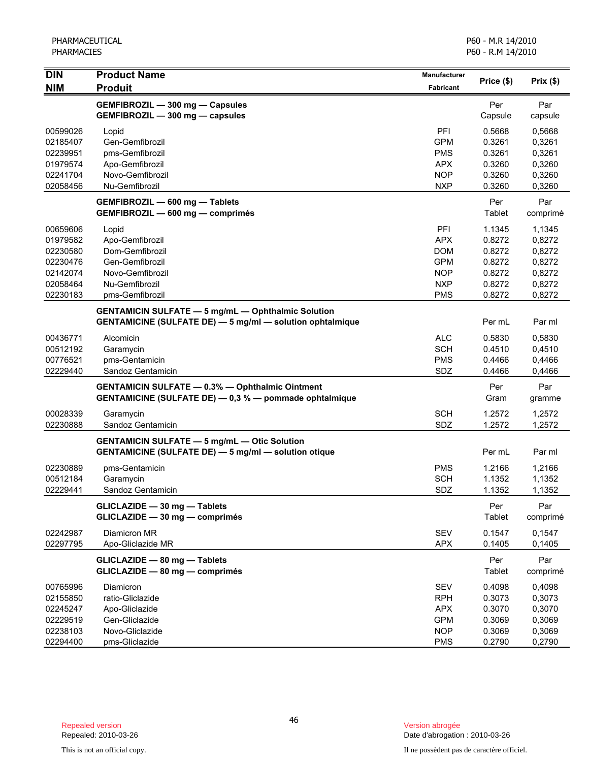| <b>DIN</b>           | <b>Product Name</b>                                                                                                           | Manufacturer             |                  |                  |
|----------------------|-------------------------------------------------------------------------------------------------------------------------------|--------------------------|------------------|------------------|
| <b>NIM</b>           | <b>Produit</b>                                                                                                                | <b>Fabricant</b>         | Price (\$)       | Prix(\$)         |
|                      | GEMFIBROZIL - 300 mg - Capsules                                                                                               |                          | Per              | Par              |
|                      | GEMFIBROZIL - 300 mg - capsules                                                                                               |                          | Capsule          | capsule          |
| 00599026             | Lopid                                                                                                                         | PFI                      | 0.5668           | 0,5668           |
| 02185407             | Gen-Gemfibrozil                                                                                                               | <b>GPM</b>               | 0.3261           | 0,3261           |
| 02239951             | pms-Gemfibrozil                                                                                                               | <b>PMS</b>               | 0.3261           | 0,3261           |
| 01979574             | Apo-Gemfibrozil                                                                                                               | <b>APX</b>               | 0.3260           | 0,3260           |
| 02241704<br>02058456 | Novo-Gemfibrozil<br>Nu-Gemfibrozil                                                                                            | <b>NOP</b><br><b>NXP</b> | 0.3260<br>0.3260 | 0,3260<br>0,3260 |
|                      |                                                                                                                               |                          |                  |                  |
|                      | GEMFIBROZIL - 600 mg - Tablets<br>GEMFIBROZIL - 600 mg - comprimés                                                            |                          | Per<br>Tablet    | Par<br>comprimé  |
| 00659606             | Lopid                                                                                                                         | <b>PFI</b>               | 1.1345           | 1,1345           |
| 01979582             | Apo-Gemfibrozil                                                                                                               | <b>APX</b>               | 0.8272           | 0,8272           |
| 02230580             | Dom-Gemfibrozil                                                                                                               | <b>DOM</b>               | 0.8272           | 0,8272           |
| 02230476             | Gen-Gemfibrozil                                                                                                               | <b>GPM</b>               | 0.8272           | 0,8272           |
| 02142074             | Novo-Gemfibrozil                                                                                                              | <b>NOP</b>               | 0.8272           | 0,8272           |
| 02058464             | Nu-Gemfibrozil                                                                                                                | <b>NXP</b>               | 0.8272           | 0,8272           |
| 02230183             | pms-Gemfibrozil                                                                                                               | <b>PMS</b>               | 0.8272           | 0,8272           |
|                      | <b>GENTAMICIN SULFATE - 5 mg/mL - Ophthalmic Solution</b><br><b>GENTAMICINE (SULFATE DE) - 5 mg/ml - solution ophtalmique</b> |                          | Per mL           | Par ml           |
| 00436771             | Alcomicin                                                                                                                     | <b>ALC</b>               | 0.5830           | 0,5830           |
| 00512192             | Garamycin                                                                                                                     | <b>SCH</b>               | 0.4510           | 0,4510           |
| 00776521             | pms-Gentamicin                                                                                                                | <b>PMS</b>               | 0.4466           | 0,4466           |
| 02229440             | Sandoz Gentamicin                                                                                                             | SDZ                      | 0.4466           | 0,4466           |
|                      | <b>GENTAMICIN SULFATE - 0.3% - Ophthalmic Ointment</b><br>GENTAMICINE (SULFATE DE) - 0,3 % - pommade ophtalmique              |                          | Per<br>Gram      | Par<br>gramme    |
| 00028339             | Garamycin                                                                                                                     | <b>SCH</b>               | 1.2572           | 1,2572           |
| 02230888             | Sandoz Gentamicin                                                                                                             | SDZ                      | 1.2572           | 1,2572           |
|                      | <b>GENTAMICIN SULFATE - 5 mg/mL - Otic Solution</b>                                                                           |                          |                  |                  |
|                      | <b>GENTAMICINE (SULFATE DE) - 5 mg/ml - solution otique</b>                                                                   |                          | Per mL           | Par ml           |
| 02230889             | pms-Gentamicin                                                                                                                | <b>PMS</b>               | 1.2166           | 1,2166           |
| 00512184             | Garamycin                                                                                                                     | <b>SCH</b>               | 1.1352           | 1,1352           |
| 02229441             | Sandoz Gentamicin                                                                                                             | SDZ                      | 1.1352           | 1,1352           |
|                      | GLICLAZIDE - 30 mg - Tablets<br>GLICLAZIDE - 30 mg - comprimés                                                                |                          | Per<br>Tablet    | Par<br>comprimé  |
| 02242987<br>02297795 | Diamicron MR<br>Apo-Gliclazide MR                                                                                             | <b>SEV</b><br><b>APX</b> | 0.1547<br>0.1405 | 0,1547<br>0,1405 |
|                      | GLICLAZIDE - 80 mg - Tablets<br>GLICLAZIDE - 80 mg - comprimés                                                                |                          | Per<br>Tablet    | Par<br>comprimé  |
| 00765996             | Diamicron                                                                                                                     | SEV                      | 0.4098           | 0,4098           |
| 02155850             | ratio-Gliclazide                                                                                                              | <b>RPH</b>               | 0.3073           | 0,3073           |
| 02245247             | Apo-Gliclazide                                                                                                                | <b>APX</b>               | 0.3070           | 0,3070           |
| 02229519             | Gen-Gliclazide                                                                                                                | <b>GPM</b>               | 0.3069           | 0,3069           |
| 02238103             | Novo-Gliclazide                                                                                                               | <b>NOP</b>               | 0.3069           | 0,3069           |
| 02294400             | pms-Gliclazide                                                                                                                | <b>PMS</b>               | 0.2790           | 0,2790           |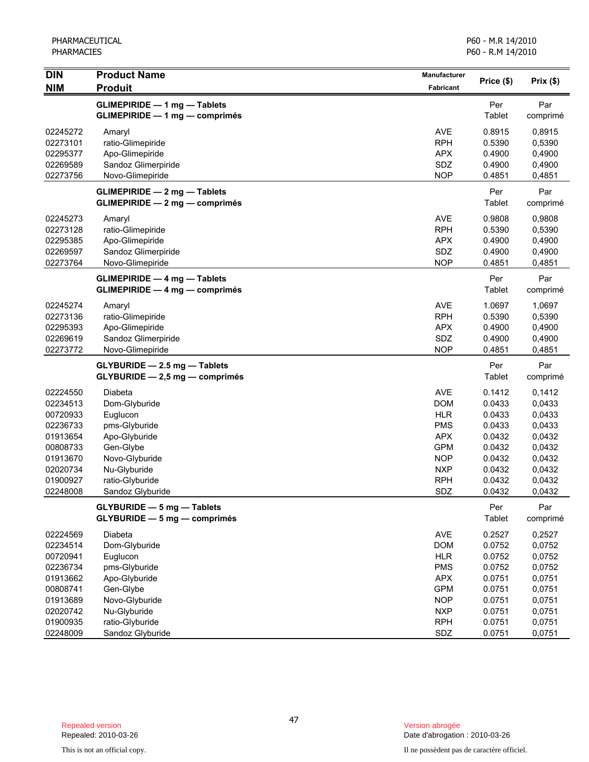| <b>DIN</b>           | <b>Product Name</b>                                                      | Manufacturer             | Price (\$)       | Prix(\$)         |
|----------------------|--------------------------------------------------------------------------|--------------------------|------------------|------------------|
| <b>NIM</b>           | <b>Produit</b>                                                           | Fabricant                |                  |                  |
|                      | <b>GLIMEPIRIDE - 1 mg - Tablets</b>                                      |                          | Per              | Par              |
|                      | <b>GLIMEPIRIDE - 1 mg - comprimés</b>                                    |                          | Tablet           | comprimé         |
| 02245272             | Amaryl                                                                   | <b>AVE</b>               | 0.8915           | 0,8915           |
| 02273101             | ratio-Glimepiride                                                        | <b>RPH</b>               | 0.5390           | 0,5390           |
| 02295377             | Apo-Glimepiride                                                          | <b>APX</b>               | 0.4900           | 0,4900           |
| 02269589             | Sandoz Glimerpiride                                                      | SDZ                      | 0.4900           | 0,4900           |
| 02273756             | Novo-Glimepiride                                                         | <b>NOP</b>               | 0.4851           | 0,4851           |
|                      | <b>GLIMEPIRIDE - 2 mg - Tablets</b>                                      |                          | Per              | Par              |
|                      | $GLIMEPIRIDE - 2 mg - comprimés$                                         |                          | Tablet           | comprimé         |
| 02245273             | Amaryl                                                                   | <b>AVE</b>               | 0.9808           | 0,9808           |
| 02273128             | ratio-Glimepiride                                                        | <b>RPH</b>               | 0.5390           | 0,5390           |
| 02295385             | Apo-Glimepiride                                                          | <b>APX</b>               | 0.4900           | 0,4900           |
| 02269597             | Sandoz Glimerpiride                                                      | SDZ                      | 0.4900           | 0,4900           |
| 02273764             | Novo-Glimepiride                                                         | <b>NOP</b>               | 0.4851           | 0,4851           |
|                      | <b>GLIMEPIRIDE - 4 mg - Tablets</b>                                      |                          | Per              | Par              |
|                      | $GLIMEPIRIDE - 4 mg - comprimés$                                         |                          | Tablet           | comprimé         |
| 02245274             | Amaryl                                                                   | <b>AVE</b>               | 1.0697           | 1,0697           |
| 02273136             | ratio-Glimepiride                                                        | <b>RPH</b>               | 0.5390           | 0,5390           |
| 02295393             | Apo-Glimepiride                                                          | <b>APX</b>               | 0.4900           | 0,4900           |
| 02269619             | Sandoz Glimerpiride                                                      | SDZ                      | 0.4900           | 0,4900           |
| 02273772             | Novo-Glimepiride                                                         | <b>NOP</b>               | 0.4851           | 0,4851           |
|                      | GLYBURIDE - 2.5 mg - Tablets                                             |                          | Per              | Par              |
|                      | GLYBURIDE - 2,5 mg - comprimés                                           |                          | Tablet           | comprimé         |
| 02224550             | Diabeta                                                                  | <b>AVE</b>               | 0.1412           | 0,1412           |
| 02234513             | Dom-Glyburide                                                            | <b>DOM</b>               | 0.0433           | 0,0433           |
| 00720933             | Euglucon                                                                 | <b>HLR</b>               | 0.0433           | 0,0433           |
| 02236733             | pms-Glyburide                                                            | <b>PMS</b>               | 0.0433           | 0,0433           |
| 01913654             | Apo-Glyburide                                                            | <b>APX</b>               | 0.0432           | 0,0432           |
| 00808733             | Gen-Glybe                                                                | <b>GPM</b>               | 0.0432           | 0,0432           |
| 01913670             | Novo-Glyburide                                                           | <b>NOP</b>               | 0.0432           | 0,0432           |
| 02020734<br>01900927 | Nu-Glyburide                                                             | <b>NXP</b><br><b>RPH</b> | 0.0432<br>0.0432 | 0,0432<br>0,0432 |
| 02248008             | ratio-Glyburide<br>Sandoz Glyburide                                      | SDZ                      | 0.0432           | 0,0432           |
|                      |                                                                          |                          |                  |                  |
|                      | <b>GLYBURIDE - 5 mg - Tablets</b><br><b>GLYBURIDE - 5 mg - comprimés</b> |                          | Per<br>Tablet    | Par<br>comprimé  |
| 02224569             | Diabeta                                                                  | AVE                      | 0.2527           | 0,2527           |
| 02234514             | Dom-Glyburide                                                            | <b>DOM</b>               | 0.0752           | 0,0752           |
| 00720941             | Euglucon                                                                 | <b>HLR</b>               | 0.0752           | 0,0752           |
| 02236734             | pms-Glyburide                                                            | <b>PMS</b>               | 0.0752           | 0,0752           |
| 01913662             | Apo-Glyburide                                                            | <b>APX</b>               | 0.0751           | 0,0751           |
| 00808741             | Gen-Glybe                                                                | <b>GPM</b>               | 0.0751           | 0,0751           |
| 01913689             | Novo-Glyburide                                                           | <b>NOP</b>               | 0.0751           | 0,0751           |
| 02020742             | Nu-Glyburide                                                             | <b>NXP</b>               | 0.0751           | 0,0751           |
| 01900935             | ratio-Glyburide                                                          | <b>RPH</b>               | 0.0751           | 0,0751           |
| 02248009             | Sandoz Glyburide                                                         | SDZ                      | 0.0751           | 0,0751           |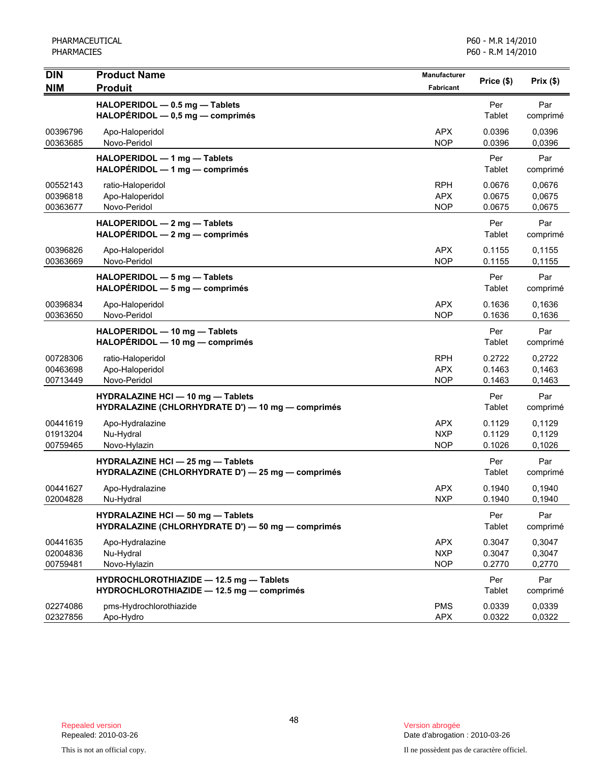| <b>DIN</b><br><b>NIM</b>         | <b>Product Name</b><br><b>Produit</b>                                                         | Manufacturer<br><b>Fabricant</b>       | Price (\$)                 | Prix(\$)                   |
|----------------------------------|-----------------------------------------------------------------------------------------------|----------------------------------------|----------------------------|----------------------------|
|                                  | HALOPERIDOL - 0.5 mg - Tablets<br>$HALOPÉRIDOL - 0,5 mg - comprimés$                          |                                        | Per<br>Tablet              | Par<br>comprimé            |
| 00396796<br>00363685             | Apo-Haloperidol<br>Novo-Peridol                                                               | <b>APX</b><br><b>NOP</b>               | 0.0396<br>0.0396           | 0.0396<br>0,0396           |
|                                  | HALOPERIDOL - 1 mg - Tablets<br>$HALOPÉRIDOL - 1 mg - comprimés$                              |                                        | Per<br>Tablet              | Par<br>comprimé            |
| 00552143<br>00396818<br>00363677 | ratio-Haloperidol<br>Apo-Haloperidol<br>Novo-Peridol                                          | <b>RPH</b><br><b>APX</b><br><b>NOP</b> | 0.0676<br>0.0675<br>0.0675 | 0,0676<br>0,0675<br>0,0675 |
|                                  | HALOPERIDOL - 2 mg - Tablets<br>$HALOPÉRIDOL - 2 mg - comprimés$                              |                                        | Per<br>Tablet              | Par<br>comprimé            |
| 00396826<br>00363669             | Apo-Haloperidol<br>Novo-Peridol                                                               | <b>APX</b><br><b>NOP</b>               | 0.1155<br>0.1155           | 0,1155<br>0,1155           |
|                                  | HALOPERIDOL - 5 mg - Tablets<br>HALOPERIDOL - 5 mg - comprimés                                |                                        | Per<br>Tablet              | Par<br>comprimé            |
| 00396834<br>00363650             | Apo-Haloperidol<br>Novo-Peridol                                                               | <b>APX</b><br><b>NOP</b>               | 0.1636<br>0.1636           | 0.1636<br>0.1636           |
|                                  | HALOPERIDOL - 10 mg - Tablets<br>HALOPERIDOL - 10 mg - comprimés                              |                                        | Per<br>Tablet              | Par<br>comprimé            |
| 00728306<br>00463698<br>00713449 | ratio-Haloperidol<br>Apo-Haloperidol<br>Novo-Peridol                                          | <b>RPH</b><br><b>APX</b><br><b>NOP</b> | 0.2722<br>0.1463<br>0.1463 | 0,2722<br>0,1463<br>0,1463 |
|                                  | <b>HYDRALAZINE HCI - 10 mg - Tablets</b><br>HYDRALAZINE (CHLORHYDRATE D') - 10 mg - comprimés |                                        | Per<br>Tablet              | Par<br>comprimé            |
| 00441619<br>01913204<br>00759465 | Apo-Hydralazine<br>Nu-Hydral<br>Novo-Hylazin                                                  | <b>APX</b><br><b>NXP</b><br><b>NOP</b> | 0.1129<br>0.1129<br>0.1026 | 0,1129<br>0,1129<br>0,1026 |
|                                  | <b>HYDRALAZINE HCI - 25 mg - Tablets</b><br>HYDRALAZINE (CHLORHYDRATE D') - 25 mg - comprimés |                                        | Per<br>Tablet              | Par<br>comprimé            |
| 00441627<br>02004828             | Apo-Hydralazine<br>Nu-Hydral                                                                  | <b>APX</b><br><b>NXP</b>               | 0.1940<br>0.1940           | 0.1940<br>0,1940           |
|                                  | HYDRALAZINE HCI - 50 mg - Tablets<br>HYDRALAZINE (CHLORHYDRATE D') - 50 mg - comprimés        |                                        | Per<br>Tablet              | Par<br>comprimé            |
| 00441635<br>02004836<br>00759481 | Apo-Hydralazine<br>Nu-Hydral<br>Novo-Hylazin                                                  | <b>APX</b><br><b>NXP</b><br><b>NOP</b> | 0.3047<br>0.3047<br>0.2770 | 0,3047<br>0,3047<br>0,2770 |
|                                  | HYDROCHLOROTHIAZIDE - 12.5 mg - Tablets<br>HYDROCHLOROTHIAZIDE - 12.5 mg - comprimés          |                                        | Per<br>Tablet              | Par<br>comprimé            |
| 02274086<br>02327856             | pms-Hydrochlorothiazide<br>Apo-Hydro                                                          | <b>PMS</b><br><b>APX</b>               | 0.0339<br>0.0322           | 0.0339<br>0,0322           |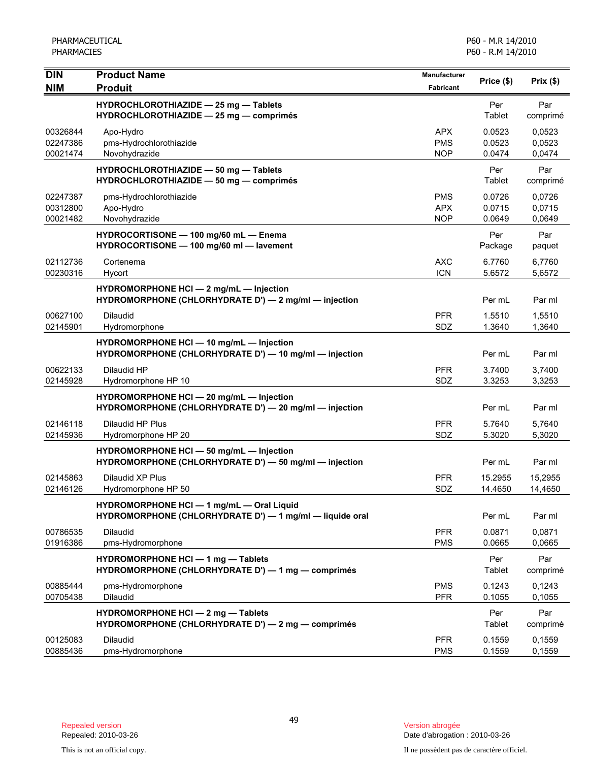| <b>DIN</b><br><b>NIM</b>         | <b>Product Name</b><br><b>Produit</b>                                                                 | Manufacturer<br>Fabricant              | Price (\$)                 | Prix(\$)                   |
|----------------------------------|-------------------------------------------------------------------------------------------------------|----------------------------------------|----------------------------|----------------------------|
|                                  | HYDROCHLOROTHIAZIDE - 25 mg - Tablets<br>HYDROCHLOROTHIAZIDE - 25 mg - comprimés                      |                                        | Per<br>Tablet              | Par<br>comprimé            |
| 00326844<br>02247386<br>00021474 | Apo-Hydro<br>pms-Hydrochlorothiazide<br>Novohydrazide                                                 | <b>APX</b><br><b>PMS</b><br><b>NOP</b> | 0.0523<br>0.0523<br>0.0474 | 0.0523<br>0,0523<br>0,0474 |
|                                  | HYDROCHLOROTHIAZIDE - 50 mg - Tablets<br>HYDROCHLOROTHIAZIDE - 50 mg - comprimés                      |                                        | Per<br>Tablet              | Par<br>comprimé            |
| 02247387<br>00312800<br>00021482 | pms-Hydrochlorothiazide<br>Apo-Hydro<br>Novohydrazide                                                 | <b>PMS</b><br><b>APX</b><br><b>NOP</b> | 0.0726<br>0.0715<br>0.0649 | 0,0726<br>0,0715<br>0,0649 |
|                                  | HYDROCORTISONE - 100 mg/60 mL - Enema<br>HYDROCORTISONE - 100 mg/60 ml - lavement                     |                                        | Per<br>Package             | Par<br>paquet              |
| 02112736<br>00230316             | Cortenema<br>Hycort                                                                                   | <b>AXC</b><br><b>ICN</b>               | 6.7760<br>5.6572           | 6,7760<br>5,6572           |
|                                  | HYDROMORPHONE HCI - 2 mg/mL - Injection<br>HYDROMORPHONE (CHLORHYDRATE D') - 2 mg/ml - injection      |                                        | Per mL                     | Par ml                     |
| 00627100<br>02145901             | <b>Dilaudid</b><br>Hydromorphone                                                                      | <b>PFR</b><br>SDZ                      | 1.5510<br>1.3640           | 1,5510<br>1,3640           |
|                                  | HYDROMORPHONE HCI - 10 mg/mL - Injection<br>HYDROMORPHONE (CHLORHYDRATE D') - 10 mg/ml - injection    |                                        | Per mL                     | Par ml                     |
| 00622133<br>02145928             | Dilaudid HP<br>Hydromorphone HP 10                                                                    | <b>PFR</b><br>SDZ                      | 3.7400<br>3.3253           | 3,7400<br>3,3253           |
|                                  | HYDROMORPHONE HCI - 20 mg/mL - Injection<br>HYDROMORPHONE (CHLORHYDRATE D') - 20 mg/ml - injection    |                                        | Per mL                     | Par ml                     |
| 02146118<br>02145936             | Dilaudid HP Plus<br>Hydromorphone HP 20                                                               | <b>PFR</b><br>SDZ                      | 5.7640<br>5.3020           | 5,7640<br>5,3020           |
|                                  | HYDROMORPHONE HCI - 50 mg/mL - Injection<br>HYDROMORPHONE (CHLORHYDRATE D') - 50 mg/ml - injection    |                                        | Per mL                     | Par ml                     |
| 02145863<br>02146126             | Dilaudid XP Plus<br>Hydromorphone HP 50                                                               | <b>PFR</b><br>SDZ                      | 15.2955<br>14.4650         | 15,2955<br>14,4650         |
|                                  | HYDROMORPHONE HCI - 1 mg/mL - Oral Liquid<br>HYDROMORPHONE (CHLORHYDRATE D') - 1 mg/ml - liquide oral |                                        | Per mL                     | Par ml                     |
| 00786535<br>01916386             | <b>Dilaudid</b><br>pms-Hydromorphone                                                                  | <b>PFR</b><br><b>PMS</b>               | 0.0871<br>0.0665           | 0,0871<br>0,0665           |
|                                  | HYDROMORPHONE HCI - 1 mg - Tablets<br>HYDROMORPHONE (CHLORHYDRATE D') - 1 mg - comprimés              |                                        | Per<br>Tablet              | Par<br>comprimé            |
| 00885444<br>00705438             | pms-Hydromorphone<br>Dilaudid                                                                         | <b>PMS</b><br><b>PFR</b>               | 0.1243<br>0.1055           | 0,1243<br>0,1055           |
|                                  | <b>HYDROMORPHONE HCI - 2 mg - Tablets</b><br>HYDROMORPHONE (CHLORHYDRATE D') - 2 mg - comprimés       |                                        | Per<br>Tablet              | Par<br>comprimé            |
| 00125083<br>00885436             | Dilaudid<br>pms-Hydromorphone                                                                         | <b>PFR</b><br><b>PMS</b>               | 0.1559<br>0.1559           | 0.1559<br>0,1559           |

Date d'abrogation : 2010-03-26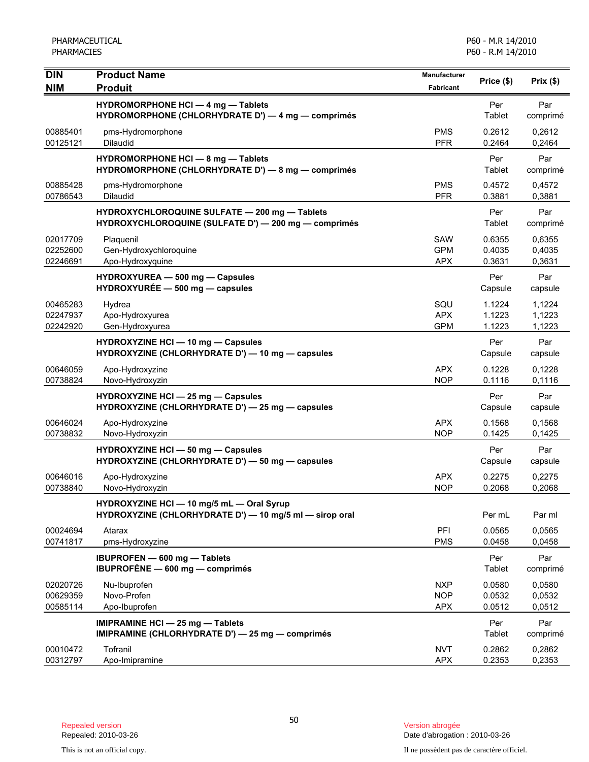| <b>DIN</b>                       | <b>Product Name</b>                                                                                   | Manufacturer                           | Price (\$)                 | Prix(\$)                   |
|----------------------------------|-------------------------------------------------------------------------------------------------------|----------------------------------------|----------------------------|----------------------------|
| <b>NIM</b>                       | <b>Produit</b>                                                                                        | Fabricant                              |                            |                            |
|                                  | HYDROMORPHONE HCI - 4 mg - Tablets<br>HYDROMORPHONE (CHLORHYDRATE D') - 4 mg - comprimés              |                                        | Per<br>Tablet              | Par<br>comprimé            |
| 00885401<br>00125121             | pms-Hydromorphone<br><b>Dilaudid</b>                                                                  | <b>PMS</b><br><b>PFR</b>               | 0.2612<br>0.2464           | 0,2612<br>0,2464           |
|                                  | HYDROMORPHONE HCI - 8 mg - Tablets<br>HYDROMORPHONE (CHLORHYDRATE D') - 8 mg - comprimés              |                                        | Per<br>Tablet              | Par<br>comprimé            |
| 00885428<br>00786543             | pms-Hydromorphone<br>Dilaudid                                                                         | <b>PMS</b><br><b>PFR</b>               | 0.4572<br>0.3881           | 0,4572<br>0,3881           |
|                                  | HYDROXYCHLOROQUINE SULFATE - 200 mg - Tablets<br>HYDROXYCHLOROQUINE (SULFATE D') - 200 mg - comprimés |                                        | Per<br>Tablet              | Par<br>comprimé            |
| 02017709<br>02252600<br>02246691 | Plaquenil<br>Gen-Hydroxychloroquine<br>Apo-Hydroxyquine                                               | SAW<br><b>GPM</b><br><b>APX</b>        | 0.6355<br>0.4035<br>0.3631 | 0.6355<br>0,4035<br>0,3631 |
|                                  | HYDROXYUREA - 500 mg - Capsules<br>$HYDROXYUREE - 500 mg - capsules$                                  |                                        | Per<br>Capsule             | Par<br>capsule             |
| 00465283<br>02247937<br>02242920 | Hydrea<br>Apo-Hydroxyurea<br>Gen-Hydroxyurea                                                          | SQU<br><b>APX</b><br><b>GPM</b>        | 1.1224<br>1.1223<br>1.1223 | 1,1224<br>1,1223<br>1,1223 |
|                                  | <b>HYDROXYZINE HCI - 10 mg - Capsules</b><br>HYDROXYZINE (CHLORHYDRATE D') - 10 mg - capsules         |                                        | Per<br>Capsule             | Par<br>capsule             |
| 00646059<br>00738824             | Apo-Hydroxyzine<br>Novo-Hydroxyzin                                                                    | <b>APX</b><br><b>NOP</b>               | 0.1228<br>0.1116           | 0,1228<br>0,1116           |
|                                  | <b>HYDROXYZINE HCI - 25 mg - Capsules</b><br>HYDROXYZINE (CHLORHYDRATE D') - 25 mg - capsules         |                                        | Per<br>Capsule             | Par<br>capsule             |
| 00646024<br>00738832             | Apo-Hydroxyzine<br>Novo-Hydroxyzin                                                                    | <b>APX</b><br><b>NOP</b>               | 0.1568<br>0.1425           | 0.1568<br>0,1425           |
|                                  | HYDROXYZINE HCI - 50 mg - Capsules<br>HYDROXYZINE (CHLORHYDRATE D') - 50 mg - capsules                |                                        | Per<br>Capsule             | Par<br>capsule             |
| 00646016<br>00738840             | Apo-Hydroxyzine<br>Novo-Hydroxyzin                                                                    | <b>APX</b><br><b>NOP</b>               | 0.2275<br>0.2068           | 0,2275<br>0,2068           |
|                                  | HYDROXYZINE HCI - 10 mg/5 mL - Oral Syrup<br>HYDROXYZINE (CHLORHYDRATE D') - 10 mg/5 ml - sirop oral  |                                        | Per mL                     | Par ml                     |
| 00024694<br>00741817             | Atarax<br>pms-Hydroxyzine                                                                             | PFI<br><b>PMS</b>                      | 0.0565<br>0.0458           | 0.0565<br>0,0458           |
|                                  | IBUPROFEN - 600 mg - Tablets<br>IBUPROFÈNE - 600 mg - comprimés                                       |                                        | Per<br>Tablet              | Par<br>comprimé            |
| 02020726<br>00629359<br>00585114 | Nu-Ibuprofen<br>Novo-Profen<br>Apo-Ibuprofen                                                          | <b>NXP</b><br><b>NOP</b><br><b>APX</b> | 0.0580<br>0.0532<br>0.0512 | 0,0580<br>0.0532<br>0,0512 |
|                                  | IMIPRAMINE HCI - 25 mg - Tablets<br>IMIPRAMINE (CHLORHYDRATE D') - 25 mg - comprimés                  |                                        | Per<br>Tablet              | Par<br>comprimé            |
| 00010472<br>00312797             | Tofranil<br>Apo-Imipramine                                                                            | <b>NVT</b><br><b>APX</b>               | 0.2862<br>0.2353           | 0,2862<br>0,2353           |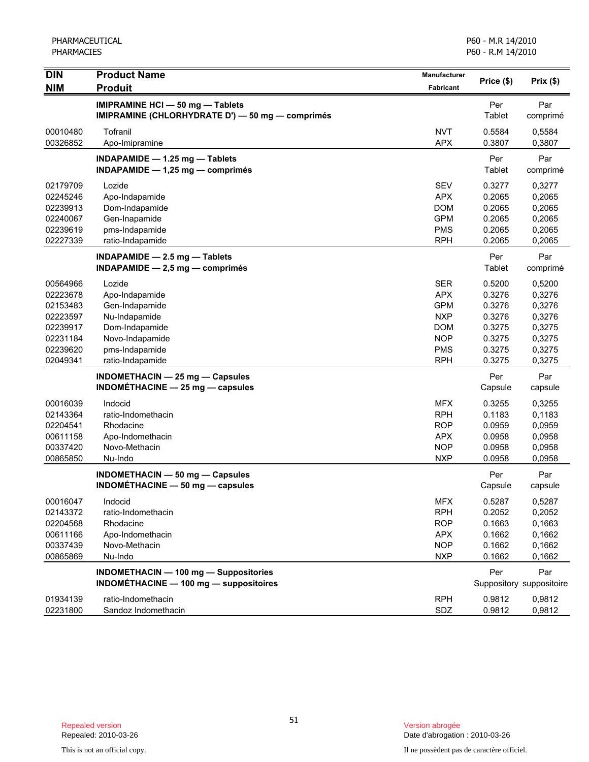| <b>DIN</b>                                                                                   | <b>Product Name</b>                                                                                                                    | <b>Manufacturer</b>                                                                                          | Price (\$)                                                                   | Prix $($ \$)                                                                 |
|----------------------------------------------------------------------------------------------|----------------------------------------------------------------------------------------------------------------------------------------|--------------------------------------------------------------------------------------------------------------|------------------------------------------------------------------------------|------------------------------------------------------------------------------|
| <b>NIM</b>                                                                                   | <b>Produit</b>                                                                                                                         | Fabricant                                                                                                    |                                                                              |                                                                              |
|                                                                                              | IMIPRAMINE HCI - 50 mg - Tablets<br>IMIPRAMINE (CHLORHYDRATE D') - 50 mg - comprimés                                                   |                                                                                                              | Per<br>Tablet                                                                | Par<br>comprimé                                                              |
| 00010480<br>00326852                                                                         | Tofranil<br>Apo-Imipramine                                                                                                             | <b>NVT</b><br><b>APX</b>                                                                                     | 0.5584<br>0.3807                                                             | 0,5584<br>0,3807                                                             |
|                                                                                              | INDAPAMIDE - 1.25 mg - Tablets<br>INDAPAMIDE $- 1,25$ mg $-$ comprimés                                                                 |                                                                                                              | Per<br>Tablet                                                                | Par<br>comprimé                                                              |
| 02179709<br>02245246<br>02239913<br>02240067<br>02239619<br>02227339                         | Lozide<br>Apo-Indapamide<br>Dom-Indapamide<br>Gen-Inapamide<br>pms-Indapamide<br>ratio-Indapamide                                      | <b>SEV</b><br><b>APX</b><br><b>DOM</b><br><b>GPM</b><br><b>PMS</b><br><b>RPH</b>                             | 0.3277<br>0.2065<br>0.2065<br>0.2065<br>0.2065<br>0.2065                     | 0,3277<br>0,2065<br>0,2065<br>0,2065<br>0,2065<br>0,2065                     |
|                                                                                              | $INDAPAMIDE - 2.5 mg - Tables$<br>$INDAPAMIDE - 2,5 mg - comprimés$                                                                    |                                                                                                              | Per<br>Tablet                                                                | Par<br>comprimé                                                              |
| 00564966<br>02223678<br>02153483<br>02223597<br>02239917<br>02231184<br>02239620<br>02049341 | Lozide<br>Apo-Indapamide<br>Gen-Indapamide<br>Nu-Indapamide<br>Dom-Indapamide<br>Novo-Indapamide<br>pms-Indapamide<br>ratio-Indapamide | <b>SER</b><br><b>APX</b><br><b>GPM</b><br><b>NXP</b><br><b>DOM</b><br><b>NOP</b><br><b>PMS</b><br><b>RPH</b> | 0.5200<br>0.3276<br>0.3276<br>0.3276<br>0.3275<br>0.3275<br>0.3275<br>0.3275 | 0,5200<br>0,3276<br>0,3276<br>0,3276<br>0,3275<br>0,3275<br>0,3275<br>0,3275 |
|                                                                                              | INDOMETHACIN - 25 mg - Capsules<br>INDOMÉTHACINE $-$ 25 mg $-$ capsules                                                                |                                                                                                              | Per<br>Capsule                                                               | Par<br>capsule                                                               |
| 00016039<br>02143364<br>02204541<br>00611158<br>00337420<br>00865850                         | Indocid<br>ratio-Indomethacin<br>Rhodacine<br>Apo-Indomethacin<br>Novo-Methacin<br>Nu-Indo                                             | <b>MFX</b><br><b>RPH</b><br><b>ROP</b><br><b>APX</b><br><b>NOP</b><br><b>NXP</b>                             | 0.3255<br>0.1183<br>0.0959<br>0.0958<br>0.0958<br>0.0958                     | 0,3255<br>0,1183<br>0,0959<br>0,0958<br>0,0958<br>0,0958                     |
|                                                                                              | INDOMETHACIN - 50 mg - Capsules<br>INDOMÉTHACINE $-$ 50 mg $-$ capsules                                                                |                                                                                                              | Per<br>Capsule                                                               | Par<br>capsule                                                               |
| 00016047<br>02143372<br>02204568<br>00611166<br>00337439<br>00865869                         | Indocid<br>ratio-Indomethacin<br>Rhodacine<br>Apo-Indomethacin<br>Novo-Methacin<br>Nu-Indo                                             | <b>MFX</b><br><b>RPH</b><br><b>ROP</b><br><b>APX</b><br><b>NOP</b><br><b>NXP</b>                             | 0.5287<br>0.2052<br>0.1663<br>0.1662<br>0.1662<br>0.1662                     | 0,5287<br>0,2052<br>0,1663<br>0,1662<br>0,1662<br>0,1662                     |
|                                                                                              | <b>INDOMETHACIN - 100 mg - Suppositories</b><br>INDOMÉTHACINE - 100 mg - suppositoires                                                 |                                                                                                              | Per                                                                          | Par<br>Suppository suppositoire                                              |
| 01934139<br>02231800                                                                         | ratio-Indomethacin<br>Sandoz Indomethacin                                                                                              | <b>RPH</b><br>SDZ                                                                                            | 0.9812<br>0.9812                                                             | 0,9812<br>0,9812                                                             |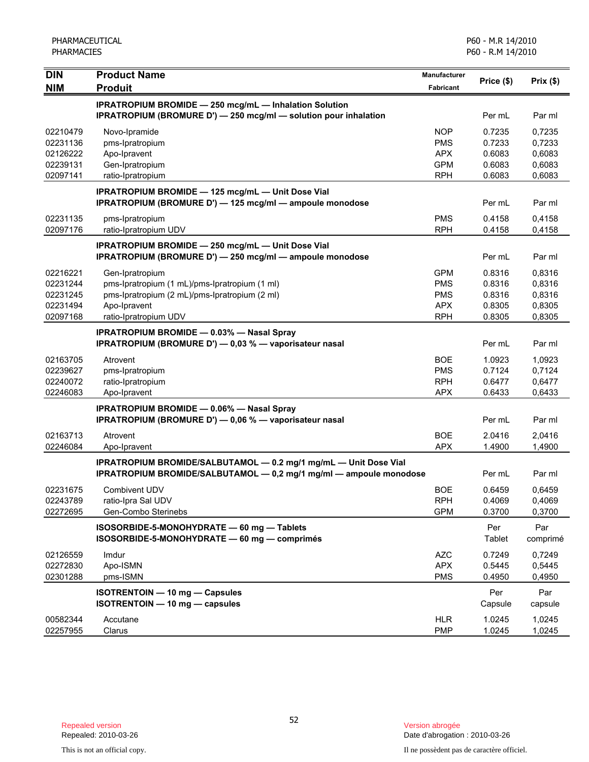| <b>DIN</b> | <b>Product Name</b>                                                     | <b>Manufacturer</b> |            |          |
|------------|-------------------------------------------------------------------------|---------------------|------------|----------|
| <b>NIM</b> | <b>Produit</b>                                                          | <b>Fabricant</b>    | Price (\$) | Prix(\$) |
|            | <b>IPRATROPIUM BROMIDE - 250 mcg/mL - Inhalation Solution</b>           |                     |            |          |
|            | <b>IPRATROPIUM (BROMURE D') — 250 mcg/ml — solution pour inhalation</b> |                     | Per mL     | Par ml   |
| 02210479   | Novo-Ipramide                                                           | <b>NOP</b>          | 0.7235     | 0,7235   |
| 02231136   | pms-Ipratropium                                                         | <b>PMS</b>          | 0.7233     | 0,7233   |
| 02126222   | Apo-Ipravent                                                            | <b>APX</b>          | 0.6083     | 0,6083   |
| 02239131   | Gen-Ipratropium                                                         | <b>GPM</b>          | 0.6083     | 0,6083   |
| 02097141   | ratio-Ipratropium                                                       | <b>RPH</b>          | 0.6083     | 0,6083   |
|            | IPRATROPIUM BROMIDE - 125 mcg/mL - Unit Dose Vial                       |                     |            |          |
|            | IPRATROPIUM (BROMURE D') - 125 mcg/ml - ampoule monodose                |                     | Per mL     | Par ml   |
| 02231135   | pms-Ipratropium                                                         | <b>PMS</b>          | 0.4158     | 0,4158   |
| 02097176   | ratio-Ipratropium UDV                                                   | <b>RPH</b>          | 0.4158     | 0,4158   |
|            | <b>IPRATROPIUM BROMIDE - 250 mcg/mL - Unit Dose Vial</b>                |                     |            |          |
|            | IPRATROPIUM (BROMURE D') - 250 mcg/ml - ampoule monodose                |                     | Per mL     | Par ml   |
| 02216221   | Gen-Ipratropium                                                         | <b>GPM</b>          | 0.8316     | 0,8316   |
| 02231244   | pms-Ipratropium (1 mL)/pms-Ipratropium (1 ml)                           | <b>PMS</b>          | 0.8316     | 0,8316   |
| 02231245   | pms-Ipratropium (2 mL)/pms-Ipratropium (2 ml)                           | <b>PMS</b>          | 0.8316     | 0,8316   |
| 02231494   | Apo-Ipravent                                                            | <b>APX</b>          | 0.8305     | 0,8305   |
| 02097168   | ratio-Ipratropium UDV                                                   | <b>RPH</b>          | 0.8305     | 0,8305   |
|            | <b>IPRATROPIUM BROMIDE - 0.03% - Nasal Spray</b>                        |                     |            |          |
|            | IPRATROPIUM (BROMURE D') - 0,03 % - vaporisateur nasal                  |                     | Per mL     | Par ml   |
| 02163705   | Atrovent                                                                | <b>BOE</b>          | 1.0923     | 1,0923   |
| 02239627   | pms-Ipratropium                                                         | <b>PMS</b>          | 0.7124     | 0,7124   |
| 02240072   | ratio-Ipratropium                                                       | <b>RPH</b>          | 0.6477     | 0,6477   |
| 02246083   | Apo-Ipravent                                                            | <b>APX</b>          | 0.6433     | 0,6433   |
|            | <b>IPRATROPIUM BROMIDE - 0.06% - Nasal Spray</b>                        |                     |            |          |
|            | IPRATROPIUM (BROMURE D') - 0,06 % - vaporisateur nasal                  |                     | Per mL     | Par ml   |
| 02163713   | Atrovent                                                                | <b>BOE</b>          | 2.0416     | 2,0416   |
| 02246084   | Apo-Ipravent                                                            | <b>APX</b>          | 1.4900     | 1,4900   |
|            | IPRATROPIUM BROMIDE/SALBUTAMOL - 0.2 mg/1 mg/mL - Unit Dose Vial        |                     |            |          |
|            | IPRATROPIUM BROMIDE/SALBUTAMOL - 0,2 mg/1 mg/ml - ampoule monodose      |                     | Per mL     | Par ml   |
| 02231675   | <b>Combivent UDV</b>                                                    | <b>BOE</b>          | 0.6459     | 0,6459   |
| 02243789   | ratio-Ipra Sal UDV                                                      | <b>RPH</b>          | 0.4069     | 0,4069   |
| 02272695   | Gen-Combo Sterinebs                                                     | <b>GPM</b>          | 0.3700     | 0,3700   |
|            | ISOSORBIDE-5-MONOHYDRATE - 60 mg - Tablets                              |                     | Per        | Par      |
|            | ISOSORBIDE-5-MONOHYDRATE - 60 mg - comprimés                            |                     | Tablet     | comprimé |
| 02126559   | Imdur                                                                   | <b>AZC</b>          | 0.7249     | 0,7249   |
| 02272830   | Apo-ISMN                                                                | <b>APX</b>          | 0.5445     | 0,5445   |
| 02301288   | pms-ISMN                                                                | <b>PMS</b>          | 0.4950     | 0,4950   |
|            | ISOTRENTOIN - 10 mg - Capsules                                          |                     | Per        | Par      |
|            | ISOTRENTOIN - 10 mg - capsules                                          |                     | Capsule    | capsule  |
| 00582344   | Accutane                                                                | <b>HLR</b>          | 1.0245     | 1,0245   |
| 02257955   | Clarus                                                                  | <b>PMP</b>          | 1.0245     | 1,0245   |

Date d'abrogation : 2010-03-26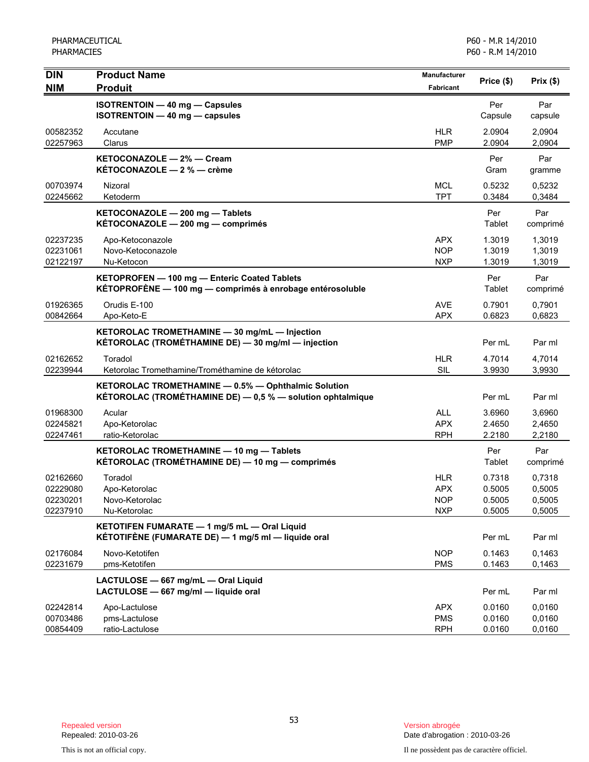| <b>DIN</b>                                   | <b>Product Name</b>                                                                                               | <b>Manufacturer</b>                                  | Price (\$)                           | Prix(\$)                             |
|----------------------------------------------|-------------------------------------------------------------------------------------------------------------------|------------------------------------------------------|--------------------------------------|--------------------------------------|
| <b>NIM</b>                                   | <b>Produit</b>                                                                                                    | <b>Fabricant</b>                                     |                                      |                                      |
|                                              | <b>ISOTRENTOIN - 40 mg - Capsules</b><br>ISOTRENTOIN - 40 mg - capsules                                           |                                                      | Per<br>Capsule                       | Par<br>capsule                       |
| 00582352<br>02257963                         | Accutane<br>Clarus                                                                                                | <b>HLR</b><br><b>PMP</b>                             | 2.0904<br>2.0904                     | 2,0904<br>2,0904                     |
|                                              | KETOCONAZOLE - 2% - Cream<br>KÉTOCONAZOLE - 2 % - crème                                                           |                                                      | Per<br>Gram                          | Par<br>gramme                        |
| 00703974<br>02245662                         | Nizoral<br>Ketoderm                                                                                               | <b>MCL</b><br><b>TPT</b>                             | 0.5232<br>0.3484                     | 0,5232<br>0,3484                     |
|                                              | KETOCONAZOLE - 200 mg - Tablets<br>KÉTOCONAZOLE - 200 mg - comprimés                                              |                                                      | Per<br>Tablet                        | Par<br>comprimé                      |
| 02237235<br>02231061<br>02122197             | Apo-Ketoconazole<br>Novo-Ketoconazole<br>Nu-Ketocon                                                               | <b>APX</b><br><b>NOP</b><br><b>NXP</b>               | 1.3019<br>1.3019<br>1.3019           | 1,3019<br>1,3019<br>1,3019           |
|                                              | KETOPROFEN - 100 mg - Enteric Coated Tablets<br>KÉTOPROFÈNE - 100 mg - comprimés à enrobage entérosoluble         |                                                      | Per<br>Tablet                        | Par<br>comprimé                      |
| 01926365<br>00842664                         | Orudis E-100<br>Apo-Keto-E                                                                                        | <b>AVE</b><br><b>APX</b>                             | 0.7901<br>0.6823                     | 0,7901<br>0,6823                     |
|                                              | KETOROLAC TROMETHAMINE - 30 mg/mL - Injection<br>KÉTOROLAC (TROMÉTHAMINE DE) - 30 mg/ml - injection               |                                                      | Per mL                               | Par ml                               |
| 02162652<br>02239944                         | Toradol<br>Ketorolac Tromethamine/Trométhamine de kétorolac                                                       | <b>HLR</b><br><b>SIL</b>                             | 4.7014<br>3.9930                     | 4,7014<br>3,9930                     |
|                                              | KETOROLAC TROMETHAMINE - 0.5% - Ophthalmic Solution<br>KÉTOROLAC (TROMÉTHAMINE DE) - 0,5 % - solution ophtalmique |                                                      | Per mL                               | Par ml                               |
| 01968300<br>02245821<br>02247461             | Acular<br>Apo-Ketorolac<br>ratio-Ketorolac                                                                        | <b>ALL</b><br><b>APX</b><br><b>RPH</b>               | 3.6960<br>2.4650<br>2.2180           | 3,6960<br>2,4650<br>2,2180           |
|                                              | KETOROLAC TROMETHAMINE - 10 mg - Tablets<br>KÉTOROLAC (TROMÉTHAMINE DE) — 10 mg — comprimés                       |                                                      | Per<br>Tablet                        | Par<br>comprimé                      |
| 02162660<br>02229080<br>02230201<br>02237910 | Toradol<br>Apo-Ketorolac<br>Novo-Ketorolac<br>Nu-Ketorolac                                                        | <b>HLR</b><br><b>APX</b><br><b>NOP</b><br><b>NXP</b> | 0.7318<br>0.5005<br>0.5005<br>0.5005 | 0,7318<br>0,5005<br>0,5005<br>0,5005 |
|                                              | KETOTIFEN FUMARATE - 1 mg/5 mL - Oral Liquid<br>KÉTOTIFÈNE (FUMARATE DE) — 1 mg/5 ml — liquide oral               |                                                      | Per mL                               | Par ml                               |
| 02176084<br>02231679                         | Novo-Ketotifen<br>pms-Ketotifen                                                                                   | <b>NOP</b><br><b>PMS</b>                             | 0.1463<br>0.1463                     | 0,1463<br>0,1463                     |
|                                              | LACTULOSE - 667 mg/mL - Oral Liquid<br>LACTULOSE - 667 mg/ml - liquide oral                                       |                                                      | Per mL                               | Par ml                               |
| 02242814<br>00703486<br>00854409             | Apo-Lactulose<br>pms-Lactulose<br>ratio-Lactulose                                                                 | <b>APX</b><br><b>PMS</b><br><b>RPH</b>               | 0.0160<br>0.0160<br>0.0160           | 0,0160<br>0,0160<br>0,0160           |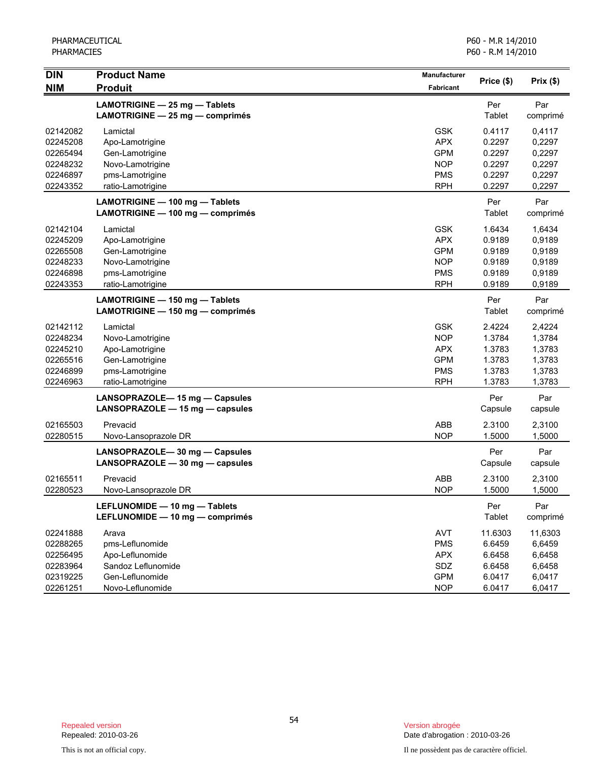| <b>DIN</b>                                                           | <b>Product Name</b>                                                                                        | Manufacturer                                                                     |                                                           |                                                           |
|----------------------------------------------------------------------|------------------------------------------------------------------------------------------------------------|----------------------------------------------------------------------------------|-----------------------------------------------------------|-----------------------------------------------------------|
| <b>NIM</b>                                                           | <b>Produit</b>                                                                                             | Fabricant                                                                        | Price (\$)                                                | Prix(\$)                                                  |
|                                                                      | LAMOTRIGINE - 25 mg - Tablets<br>LAMOTRIGINE - 25 mg - comprimés                                           |                                                                                  | Per<br>Tablet                                             | Par<br>comprimé                                           |
| 02142082<br>02245208<br>02265494<br>02248232<br>02246897<br>02243352 | Lamictal<br>Apo-Lamotrigine<br>Gen-Lamotrigine<br>Novo-Lamotrigine<br>pms-Lamotrigine<br>ratio-Lamotrigine | <b>GSK</b><br><b>APX</b><br><b>GPM</b><br><b>NOP</b><br><b>PMS</b><br><b>RPH</b> | 0.4117<br>0.2297<br>0.2297<br>0.2297<br>0.2297<br>0.2297  | 0,4117<br>0,2297<br>0,2297<br>0,2297<br>0,2297<br>0,2297  |
|                                                                      | LAMOTRIGINE - 100 mg - Tablets<br>LAMOTRIGINE - 100 mg - comprimés                                         |                                                                                  | Per<br>Tablet                                             | Par<br>comprimé                                           |
| 02142104<br>02245209<br>02265508<br>02248233<br>02246898<br>02243353 | Lamictal<br>Apo-Lamotrigine<br>Gen-Lamotrigine<br>Novo-Lamotrigine<br>pms-Lamotrigine<br>ratio-Lamotrigine | <b>GSK</b><br><b>APX</b><br><b>GPM</b><br><b>NOP</b><br><b>PMS</b><br><b>RPH</b> | 1.6434<br>0.9189<br>0.9189<br>0.9189<br>0.9189<br>0.9189  | 1,6434<br>0,9189<br>0,9189<br>0,9189<br>0,9189<br>0,9189  |
|                                                                      | LAMOTRIGINE - 150 mg - Tablets<br>LAMOTRIGINE - 150 mg - comprimés                                         |                                                                                  | Per<br>Tablet                                             | Par<br>comprimé                                           |
| 02142112<br>02248234<br>02245210<br>02265516<br>02246899<br>02246963 | Lamictal<br>Novo-Lamotrigine<br>Apo-Lamotrigine<br>Gen-Lamotrigine<br>pms-Lamotrigine<br>ratio-Lamotrigine | <b>GSK</b><br><b>NOP</b><br><b>APX</b><br><b>GPM</b><br><b>PMS</b><br><b>RPH</b> | 2.4224<br>1.3784<br>1.3783<br>1.3783<br>1.3783<br>1.3783  | 2,4224<br>1,3784<br>1,3783<br>1,3783<br>1,3783<br>1,3783  |
|                                                                      | LANSOPRAZOLE-15 mg - Capsules<br>LANSOPRAZOLE - 15 mg - capsules                                           |                                                                                  | Per<br>Capsule                                            | Par<br>capsule                                            |
| 02165503<br>02280515                                                 | Prevacid<br>Novo-Lansoprazole DR                                                                           | ABB<br><b>NOP</b>                                                                | 2.3100<br>1.5000                                          | 2,3100<br>1,5000                                          |
|                                                                      | LANSOPRAZOLE-30 mg - Capsules<br>LANSOPRAZOLE - 30 mg - capsules                                           |                                                                                  | Per<br>Capsule                                            | Par<br>capsule                                            |
| 02165511<br>02280523                                                 | Prevacid<br>Novo-Lansoprazole DR                                                                           | <b>ABB</b><br><b>NOP</b>                                                         | 2.3100<br>1.5000                                          | 2,3100<br>1,5000                                          |
|                                                                      | LEFLUNOMIDE - 10 mg - Tablets<br>LEFLUNOMIDE - 10 mg - comprimés                                           |                                                                                  | Per<br>Tablet                                             | Par<br>comprimé                                           |
| 02241888<br>02288265<br>02256495<br>02283964<br>02319225<br>02261251 | Arava<br>pms-Leflunomide<br>Apo-Leflunomide<br>Sandoz Leflunomide<br>Gen-Leflunomide<br>Novo-Leflunomide   | <b>AVT</b><br><b>PMS</b><br><b>APX</b><br>SDZ<br><b>GPM</b><br><b>NOP</b>        | 11.6303<br>6.6459<br>6.6458<br>6.6458<br>6.0417<br>6.0417 | 11,6303<br>6,6459<br>6,6458<br>6,6458<br>6,0417<br>6,0417 |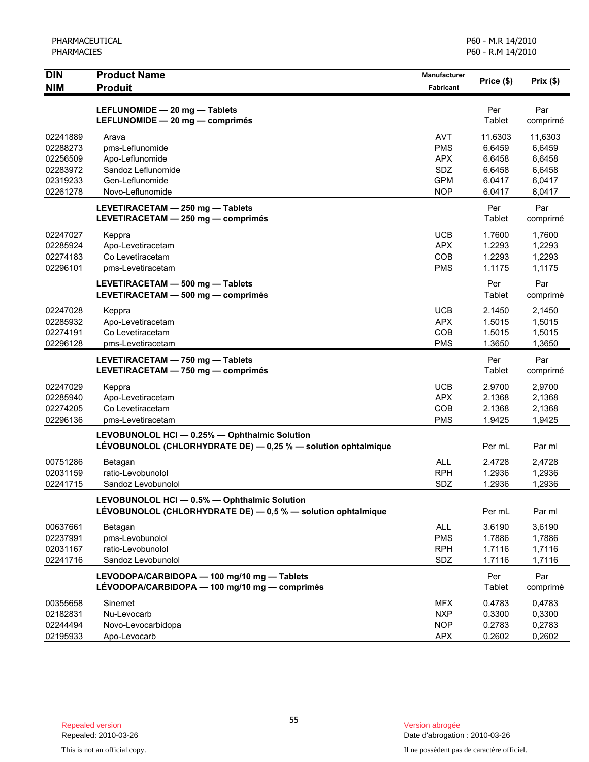| <b>DIN</b>           | <b>Product Name</b>                                                                                            | <b>Manufacturer</b>      | Price (\$)       | Prix(\$)         |
|----------------------|----------------------------------------------------------------------------------------------------------------|--------------------------|------------------|------------------|
| <b>NIM</b>           | <b>Produit</b>                                                                                                 | Fabricant                |                  |                  |
|                      | LEFLUNOMIDE - 20 mg - Tablets<br>LEFLUNOMIDE - 20 mg - comprimés                                               |                          | Per<br>Tablet    | Par<br>comprimé  |
| 02241889             | Arava                                                                                                          | <b>AVT</b>               | 11.6303          | 11,6303          |
| 02288273             | pms-Leflunomide                                                                                                | <b>PMS</b>               | 6.6459           | 6,6459           |
| 02256509             | Apo-Leflunomide                                                                                                | <b>APX</b>               | 6.6458           | 6,6458           |
| 02283972             | Sandoz Leflunomide                                                                                             | SDZ                      | 6.6458           | 6,6458           |
| 02319233<br>02261278 | Gen-Leflunomide<br>Novo-Leflunomide                                                                            | <b>GPM</b><br><b>NOP</b> | 6.0417<br>6.0417 | 6.0417<br>6,0417 |
|                      |                                                                                                                |                          |                  |                  |
|                      | LEVETIRACETAM - 250 mg - Tablets<br>LEVETIRACETAM - 250 mg - comprimés                                         |                          | Per<br>Tablet    | Par<br>comprimé  |
| 02247027             | Keppra                                                                                                         | <b>UCB</b>               | 1.7600           | 1,7600           |
| 02285924             | Apo-Levetiracetam                                                                                              | <b>APX</b>               | 1.2293           | 1,2293           |
| 02274183             | Co Levetiracetam                                                                                               | COB                      | 1.2293           | 1,2293           |
| 02296101             | pms-Levetiracetam                                                                                              | <b>PMS</b>               | 1.1175           | 1,1175           |
|                      | LEVETIRACETAM - 500 mg - Tablets<br>LEVETIRACETAM - 500 mg - comprimés                                         |                          | Per<br>Tablet    | Par<br>comprimé  |
| 02247028             | Keppra                                                                                                         | <b>UCB</b>               | 2.1450           | 2,1450           |
| 02285932             | Apo-Levetiracetam                                                                                              | <b>APX</b>               | 1.5015           | 1,5015           |
| 02274191             | Co Levetiracetam                                                                                               | COB                      | 1.5015           | 1,5015           |
| 02296128             | pms-Levetiracetam                                                                                              | <b>PMS</b>               | 1.3650           | 1,3650           |
|                      | LEVETIRACETAM - 750 mg - Tablets<br>LEVETIRACETAM - 750 mg - comprimés                                         |                          | Per<br>Tablet    | Par<br>comprimé  |
| 02247029             | Keppra                                                                                                         | <b>UCB</b>               | 2.9700           | 2,9700           |
| 02285940             | Apo-Levetiracetam                                                                                              | <b>APX</b>               | 2.1368           | 2,1368           |
| 02274205             | Co Levetiracetam                                                                                               | COB                      | 2.1368           | 2,1368           |
| 02296136             | pms-Levetiracetam                                                                                              | <b>PMS</b>               | 1.9425           | 1,9425           |
|                      | LEVOBUNOLOL HCI - 0.25% - Ophthalmic Solution<br>LÉVOBUNOLOL (CHLORHYDRATE DE) - 0,25 % - solution ophtalmique |                          | Per mL           | Par ml           |
| 00751286             | Betagan                                                                                                        | <b>ALL</b>               | 2.4728           | 2,4728           |
| 02031159             | ratio-Levobunolol                                                                                              | <b>RPH</b>               | 1.2936           | 1,2936           |
| 02241715             | Sandoz Levobunolol                                                                                             | SDZ                      | 1.2936           | 1,2936           |
|                      | LEVOBUNOLOL HCI - 0.5% - Ophthalmic Solution<br>LÉVOBUNOLOL (CHLORHYDRATE DE) - 0,5 % - solution ophtalmique   |                          | Per mL           | Par ml           |
| 00637661             | Betagan                                                                                                        | <b>ALL</b>               | 3.6190           | 3,6190           |
| 02237991             | pms-Levobunolol                                                                                                | <b>PMS</b>               | 1.7886           | 1,7886           |
| 02031167             | ratio-Levobunolol                                                                                              | <b>RPH</b>               | 1.7116           | 1,7116           |
| 02241716             | Sandoz Levobunolol                                                                                             | <b>SDZ</b>               | 1.7116           | 1,7116           |
|                      | LEVODOPA/CARBIDOPA - 100 mg/10 mg - Tablets<br>LÉVODOPA/CARBIDOPA - 100 mg/10 mg - comprimés                   |                          | Per<br>Tablet    | Par<br>comprimé  |
| 00355658             | Sinemet                                                                                                        | <b>MFX</b>               | 0.4783           | 0,4783           |
| 02182831             | Nu-Levocarb                                                                                                    | <b>NXP</b>               | 0.3300           | 0,3300           |
| 02244494             | Novo-Levocarbidopa                                                                                             | <b>NOP</b>               | 0.2783           | 0,2783           |
| 02195933             | Apo-Levocarb                                                                                                   | <b>APX</b>               | 0.2602           | 0,2602           |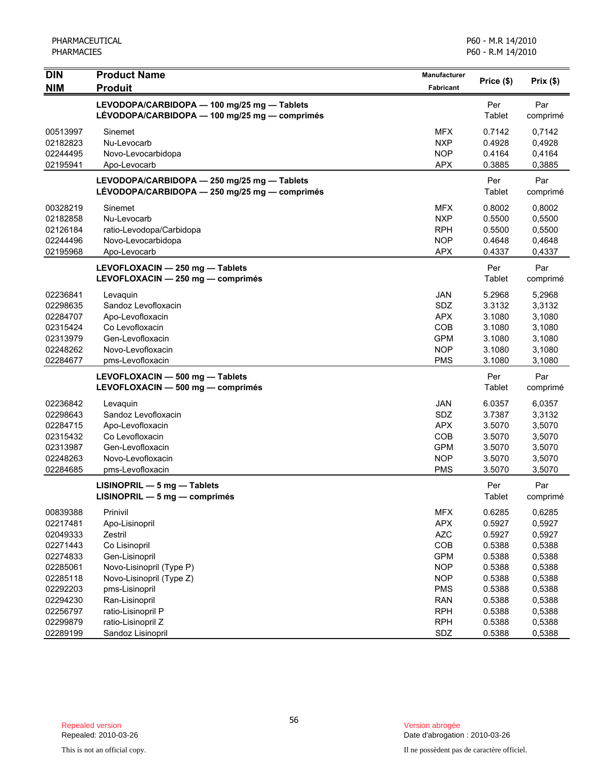| <b>DIN</b> | <b>Product Name</b>                                                                          | Manufacturer | Price (\$)    | Prix(\$)        |
|------------|----------------------------------------------------------------------------------------------|--------------|---------------|-----------------|
| <b>NIM</b> | <b>Produit</b>                                                                               | Fabricant    |               |                 |
|            | LEVODOPA/CARBIDOPA - 100 mg/25 mg - Tablets<br>LÉVODOPA/CARBIDOPA - 100 mg/25 mg - comprimés |              | Per<br>Tablet | Par<br>comprimé |
| 00513997   | Sinemet                                                                                      | <b>MFX</b>   | 0.7142        | 0,7142          |
| 02182823   | Nu-Levocarb                                                                                  | <b>NXP</b>   | 0.4928        | 0,4928          |
| 02244495   | Novo-Levocarbidopa                                                                           | <b>NOP</b>   | 0.4164        | 0,4164          |
| 02195941   | Apo-Levocarb                                                                                 | <b>APX</b>   | 0.3885        | 0,3885          |
|            | LEVODOPA/CARBIDOPA - 250 mg/25 mg - Tablets<br>LÉVODOPA/CARBIDOPA - 250 mg/25 mg - comprimés |              | Per<br>Tablet | Par<br>comprimé |
| 00328219   | Sinemet                                                                                      | <b>MFX</b>   | 0.8002        | 0,8002          |
| 02182858   | Nu-Levocarb                                                                                  | <b>NXP</b>   | 0.5500        | 0,5500          |
| 02126184   | ratio-Levodopa/Carbidopa                                                                     | <b>RPH</b>   | 0.5500        | 0,5500          |
| 02244496   | Novo-Levocarbidopa                                                                           | <b>NOP</b>   | 0.4648        | 0,4648          |
| 02195968   | Apo-Levocarb                                                                                 | <b>APX</b>   | 0.4337        | 0,4337          |
|            | LEVOFLOXACIN - 250 mg - Tablets<br>LEVOFLOXACIN - 250 mg - comprimés                         |              | Per<br>Tablet | Par<br>comprimé |
| 02236841   | Levaquin                                                                                     | <b>JAN</b>   | 5.2968        | 5,2968          |
| 02298635   | Sandoz Levofloxacin                                                                          | SDZ          | 3.3132        | 3,3132          |
| 02284707   | Apo-Levofloxacin                                                                             | <b>APX</b>   | 3.1080        | 3,1080          |
| 02315424   | Co Levofloxacin                                                                              | COB          | 3.1080        | 3,1080          |
| 02313979   | Gen-Levofloxacin                                                                             | <b>GPM</b>   | 3.1080        | 3,1080          |
| 02248262   | Novo-Levofloxacin                                                                            | <b>NOP</b>   | 3.1080        | 3,1080          |
| 02284677   | pms-Levofloxacin                                                                             | <b>PMS</b>   | 3.1080        | 3,1080          |
|            | LEVOFLOXACIN - 500 mg - Tablets                                                              |              | Per           | Par             |
|            | LEVOFLOXACIN - 500 mg - comprimés                                                            |              | Tablet        | comprimé        |
| 02236842   | Levaquin                                                                                     | <b>JAN</b>   | 6.0357        | 6,0357          |
| 02298643   | Sandoz Levofloxacin                                                                          | SDZ          | 3.7387        | 3,3132          |
| 02284715   | Apo-Levofloxacin                                                                             | <b>APX</b>   | 3.5070        | 3,5070          |
| 02315432   | Co Levofloxacin                                                                              | COB          | 3.5070        | 3,5070          |
| 02313987   | Gen-Levofloxacin                                                                             | <b>GPM</b>   | 3.5070        | 3,5070          |
| 02248263   | Novo-Levofloxacin                                                                            | <b>NOP</b>   | 3.5070        | 3,5070          |
| 02284685   | pms-Levofloxacin                                                                             | <b>PMS</b>   | 3.5070        | 3,5070          |
|            | $LISINOPRIL - 5 mg - Tables$<br>LISINOPRIL - 5 mg - comprimés                                |              | Per<br>Tablet | Par<br>comprimé |
| 00839388   | Prinivil                                                                                     | <b>MFX</b>   | 0.6285        | 0,6285          |
| 02217481   | Apo-Lisinopril                                                                               | <b>APX</b>   | 0.5927        | 0,5927          |
| 02049333   | Zestril                                                                                      | <b>AZC</b>   | 0.5927        | 0,5927          |
| 02271443   | Co Lisinopril                                                                                | COB          | 0.5388        | 0,5388          |
| 02274833   | Gen-Lisinopril                                                                               | <b>GPM</b>   | 0.5388        | 0,5388          |
| 02285061   | Novo-Lisinopril (Type P)                                                                     | <b>NOP</b>   | 0.5388        | 0,5388          |
| 02285118   | Novo-Lisinopril (Type Z)                                                                     | <b>NOP</b>   | 0.5388        | 0,5388          |
| 02292203   | pms-Lisinopril                                                                               | <b>PMS</b>   | 0.5388        | 0,5388          |
| 02294230   | Ran-Lisinopril                                                                               | <b>RAN</b>   | 0.5388        | 0,5388          |
| 02256797   | ratio-Lisinopril P                                                                           | <b>RPH</b>   | 0.5388        | 0,5388          |
| 02299879   | ratio-Lisinopril Z                                                                           | <b>RPH</b>   | 0.5388        | 0,5388          |
| 02289199   | Sandoz Lisinopril                                                                            | SDZ          | 0.5388        | 0,5388          |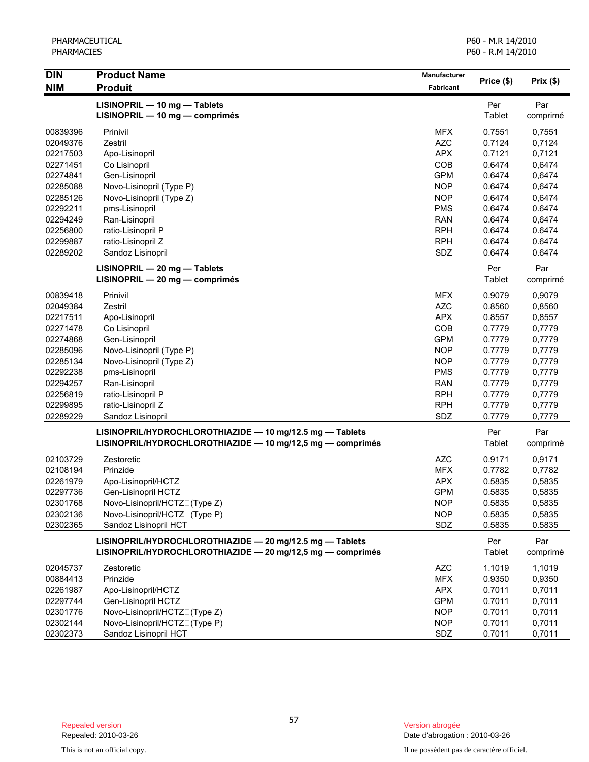| <b>DIN</b> | <b>Product Name</b>                                                                                                    | <b>Manufacturer</b> |                      |                 |
|------------|------------------------------------------------------------------------------------------------------------------------|---------------------|----------------------|-----------------|
| <b>NIM</b> | <b>Produit</b>                                                                                                         | <b>Fabricant</b>    | Price (\$)           | Prix(\$)        |
|            | LISINOPRIL - 10 mg - Tablets<br>LISINOPRIL - 10 mg - comprimés                                                         |                     | Per<br>Tablet        | Par<br>comprimé |
| 00839396   | Prinivil                                                                                                               | <b>MFX</b>          | 0.7551               | 0,7551          |
| 02049376   | Zestril                                                                                                                | <b>AZC</b>          | 0.7124               | 0,7124          |
| 02217503   | Apo-Lisinopril                                                                                                         | <b>APX</b>          | 0.7121               | 0,7121          |
| 02271451   | Co Lisinopril                                                                                                          | COB                 | 0.6474               | 0,6474          |
| 02274841   | Gen-Lisinopril                                                                                                         | <b>GPM</b>          | 0.6474               | 0,6474          |
| 02285088   | Novo-Lisinopril (Type P)                                                                                               | <b>NOP</b>          | 0.6474               | 0,6474          |
| 02285126   | Novo-Lisinopril (Type Z)                                                                                               | <b>NOP</b>          | 0.6474               | 0,6474          |
| 02292211   | pms-Lisinopril                                                                                                         | <b>PMS</b>          | 0.6474               | 0.6474          |
| 02294249   | Ran-Lisinopril                                                                                                         | <b>RAN</b>          | 0.6474               | 0,6474          |
| 02256800   | ratio-Lisinopril P                                                                                                     | <b>RPH</b>          | 0.6474               | 0.6474          |
| 02299887   | ratio-Lisinopril Z                                                                                                     | <b>RPH</b>          | 0.6474               | 0.6474          |
| 02289202   | Sandoz Lisinopril                                                                                                      | SDZ                 | 0.6474               | 0.6474          |
|            | LISINOPRIL - 20 mg - Tablets<br>LISINOPRIL - 20 mg - comprimés                                                         |                     | Per<br>Tablet        | Par<br>comprimé |
| 00839418   | Prinivil                                                                                                               | <b>MFX</b>          | 0.9079               | 0,9079          |
| 02049384   | Zestril                                                                                                                | <b>AZC</b>          | 0.8560               | 0,8560          |
| 02217511   | Apo-Lisinopril                                                                                                         | <b>APX</b>          | 0.8557               | 0,8557          |
| 02271478   | Co Lisinopril                                                                                                          | COB                 | 0.7779               | 0,7779          |
| 02274868   | Gen-Lisinopril                                                                                                         | <b>GPM</b>          | 0.7779               | 0,7779          |
| 02285096   | Novo-Lisinopril (Type P)                                                                                               | <b>NOP</b>          | 0.7779               | 0,7779          |
| 02285134   | Novo-Lisinopril (Type Z)                                                                                               | <b>NOP</b>          | 0.7779               | 0,7779          |
| 02292238   | pms-Lisinopril                                                                                                         | <b>PMS</b>          | 0.7779               | 0,7779          |
| 02294257   | Ran-Lisinopril                                                                                                         | <b>RAN</b>          | 0.7779               | 0,7779          |
| 02256819   | ratio-Lisinopril P                                                                                                     | <b>RPH</b>          | 0.7779               | 0,7779          |
| 02299895   | ratio-Lisinopril Z                                                                                                     | <b>RPH</b>          | 0.7779               | 0,7779          |
| 02289229   | Sandoz Lisinopril                                                                                                      | SDZ                 | 0.7779               | 0,7779          |
|            | LISINOPRIL/HYDROCHLOROTHIAZIDE - 10 mg/12.5 mg - Tablets<br>LISINOPRIL/HYDROCHLOROTHIAZIDE - 10 mg/12,5 mg - comprimés |                     | Per<br>Tablet        | Par<br>comprimé |
| 02103729   | Zestoretic                                                                                                             | <b>AZC</b>          | 0.9171               | 0,9171          |
| 02108194   | Prinzide                                                                                                               | <b>MFX</b>          | 0.7782               | 0,7782          |
| 02261979   | Apo-Lisinopril/HCTZ                                                                                                    | <b>APX</b>          | 0.5835               | 0,5835          |
| 02297736   | Gen-Lisinopril HCTZ                                                                                                    | <b>GPM</b>          | 0.5835               | 0,5835          |
| 02301768   | Novo-Lisinopril/HCTZN(Type Z)                                                                                          | <b>NOP</b>          | 0.5835               | 0,5835          |
| 02302136   | Novo-Lisinopril/HCTZN(Type P)                                                                                          | <b>NOP</b>          | 0.5835               | 0,5835          |
| 02302365   | Sandoz Lisinopril HCT                                                                                                  | <b>SDZ</b>          | 0.5835               | 0.5835          |
|            | LISINOPRIL/HYDROCHLOROTHIAZIDE - 20 mg/12.5 mg - Tablets<br>LISINOPRIL/HYDROCHLOROTHIAZIDE - 20 mg/12,5 mg - comprimés |                     | Per<br><b>Tablet</b> | Par<br>comprimé |
| 02045737   | Zestoretic                                                                                                             | <b>AZC</b>          | 1.1019               | 1,1019          |
| 00884413   | Prinzide                                                                                                               | <b>MFX</b>          | 0.9350               | 0,9350          |
| 02261987   | Apo-Lisinopril/HCTZ                                                                                                    | <b>APX</b>          | 0.7011               | 0,7011          |
| 02297744   | Gen-Lisinopril HCTZ                                                                                                    | <b>GPM</b>          | 0.7011               | 0,7011          |
| 02301776   | Novo-Lisinopril/HCTZN(Type Z)                                                                                          | <b>NOP</b>          | 0.7011               | 0,7011          |
| 02302144   | Novo-Lisinopril/HCTZN(Type P)                                                                                          | <b>NOP</b>          | 0.7011               | 0,7011          |
| 02302373   | Sandoz Lisinopril HCT                                                                                                  | SDZ                 | 0.7011               | 0,7011          |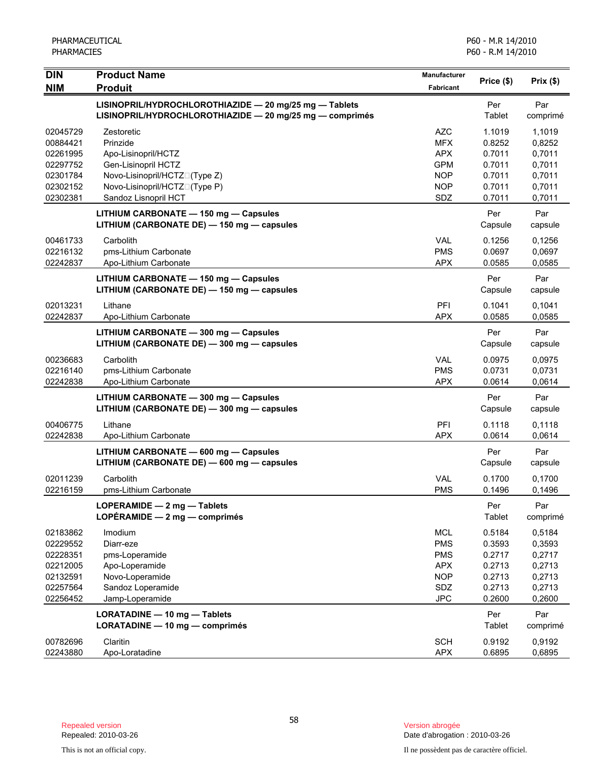| <b>DIN</b>                                                                       | <b>Product Name</b>                                                                                                 | <b>Manufacturer</b>                                                                     |                                                                    |                                                                    |
|----------------------------------------------------------------------------------|---------------------------------------------------------------------------------------------------------------------|-----------------------------------------------------------------------------------------|--------------------------------------------------------------------|--------------------------------------------------------------------|
| <b>NIM</b>                                                                       | <b>Produit</b>                                                                                                      | Fabricant                                                                               | Price (\$)                                                         | Prix(\$)                                                           |
|                                                                                  | LISINOPRIL/HYDROCHLOROTHIAZIDE - 20 mg/25 mg - Tablets<br>LISINOPRIL/HYDROCHLOROTHIAZIDE - 20 mg/25 mg - comprimés  |                                                                                         | Per<br>Tablet                                                      | Par<br>comprimé                                                    |
| 02045729<br>00884421<br>02261995<br>02297752<br>02301784                         | Zestoretic<br>Prinzide<br>Apo-Lisinopril/HCTZ<br>Gen-Lisinopril HCTZ<br>Novo-Lisinopril/HCTZN(Type Z)               | AZC<br><b>MFX</b><br><b>APX</b><br><b>GPM</b><br><b>NOP</b>                             | 1.1019<br>0.8252<br>0.7011<br>0.7011<br>0.7011                     | 1,1019<br>0,8252<br>0,7011<br>0,7011<br>0,7011                     |
| 02302152<br>02302381                                                             | Novo-Lisinopril/HCTZN(Type P)<br>Sandoz Lisnopril HCT                                                               | <b>NOP</b><br>SDZ                                                                       | 0.7011<br>0.7011                                                   | 0,7011<br>0,7011                                                   |
|                                                                                  | LITHIUM CARBONATE - 150 mg - Capsules<br>LITHIUM (CARBONATE DE) - 150 mg - capsules                                 |                                                                                         | Per<br>Capsule                                                     | Par<br>capsule                                                     |
| 00461733<br>02216132<br>02242837                                                 | Carbolith<br>pms-Lithium Carbonate<br>Apo-Lithium Carbonate                                                         | VAL<br><b>PMS</b><br><b>APX</b>                                                         | 0.1256<br>0.0697<br>0.0585                                         | 0,1256<br>0,0697<br>0,0585                                         |
|                                                                                  | LITHIUM CARBONATE - 150 mg - Capsules<br>LITHIUM (CARBONATE DE) - 150 mg - capsules                                 |                                                                                         | Per<br>Capsule                                                     | Par<br>capsule                                                     |
| 02013231<br>02242837                                                             | Lithane<br>Apo-Lithium Carbonate                                                                                    | PFI<br><b>APX</b>                                                                       | 0.1041<br>0.0585                                                   | 0,1041<br>0.0585                                                   |
|                                                                                  | LITHIUM CARBONATE - 300 mg - Capsules<br>LITHIUM (CARBONATE DE) - 300 mg - capsules                                 |                                                                                         | Per<br>Capsule                                                     | Par<br>capsule                                                     |
| 00236683<br>02216140<br>02242838                                                 | Carbolith<br>pms-Lithium Carbonate<br>Apo-Lithium Carbonate                                                         | <b>VAL</b><br><b>PMS</b><br><b>APX</b>                                                  | 0.0975<br>0.0731<br>0.0614                                         | 0.0975<br>0,0731<br>0,0614                                         |
|                                                                                  | LITHIUM CARBONATE - 300 mg - Capsules<br>LITHIUM (CARBONATE DE) - 300 mg - capsules                                 |                                                                                         | Per<br>Capsule                                                     | Par<br>capsule                                                     |
| 00406775<br>02242838                                                             | Lithane<br>Apo-Lithium Carbonate                                                                                    | PFI<br><b>APX</b>                                                                       | 0.1118<br>0.0614                                                   | 0,1118<br>0,0614                                                   |
|                                                                                  | LITHIUM CARBONATE - 600 mg - Capsules<br>LITHIUM (CARBONATE DE) - 600 mg - capsules                                 |                                                                                         | Per<br>Capsule                                                     | Par<br>capsule                                                     |
| 02011239<br>02216159                                                             | Carbolith<br>pms-Lithium Carbonate                                                                                  | <b>VAL</b><br><b>PMS</b>                                                                | 0.1700<br>0.1496                                                   | 0,1700<br>0,1496                                                   |
|                                                                                  | LOPERAMIDE - 2 mg - Tablets<br>LOPÉRAMIDE $-2$ mg $-$ comprimés                                                     |                                                                                         | Per<br>Tablet                                                      | Par<br>comprimé                                                    |
| 02183862<br>02229552<br>02228351<br>02212005<br>02132591<br>02257564<br>02256452 | Imodium<br>Diarr-eze<br>pms-Loperamide<br>Apo-Loperamide<br>Novo-Loperamide<br>Sandoz Loperamide<br>Jamp-Loperamide | <b>MCL</b><br><b>PMS</b><br><b>PMS</b><br><b>APX</b><br><b>NOP</b><br>SDZ<br><b>JPC</b> | 0.5184<br>0.3593<br>0.2717<br>0.2713<br>0.2713<br>0.2713<br>0.2600 | 0,5184<br>0,3593<br>0,2717<br>0,2713<br>0,2713<br>0,2713<br>0,2600 |
|                                                                                  | LORATADINE - 10 mg - Tablets<br>LORATADINE - 10 mg - comprimés                                                      |                                                                                         | Per<br>Tablet                                                      | Par<br>comprimé                                                    |
| 00782696<br>02243880                                                             | Claritin<br>Apo-Loratadine                                                                                          | <b>SCH</b><br><b>APX</b>                                                                | 0.9192<br>0.6895                                                   | 0,9192<br>0,6895                                                   |

Date d'abrogation : 2010-03-26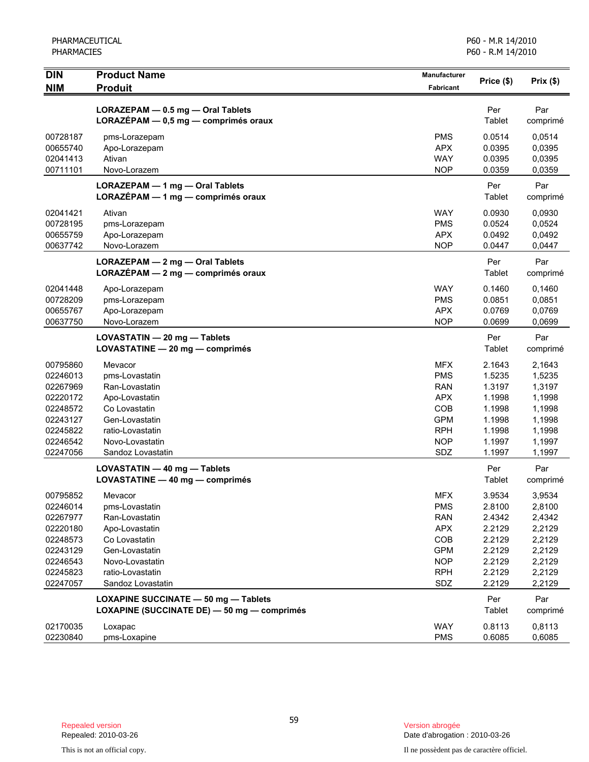| <b>DIN</b><br><b>NIM</b>                                                                                 | <b>Product Name</b><br><b>Produit</b>                                                                                                                        | <b>Manufacturer</b><br>Fabricant                                                                             | Price (\$)                                                                             | Prix(\$)                                                                               |
|----------------------------------------------------------------------------------------------------------|--------------------------------------------------------------------------------------------------------------------------------------------------------------|--------------------------------------------------------------------------------------------------------------|----------------------------------------------------------------------------------------|----------------------------------------------------------------------------------------|
|                                                                                                          | LORAZEPAM - 0.5 mg - Oral Tablets<br>LORAZÉPAM - 0,5 mg - comprimés oraux                                                                                    |                                                                                                              | Per<br>Tablet                                                                          | Par<br>comprimé                                                                        |
| 00728187<br>00655740<br>02041413<br>00711101                                                             | pms-Lorazepam<br>Apo-Lorazepam<br>Ativan<br>Novo-Lorazem                                                                                                     | <b>PMS</b><br><b>APX</b><br><b>WAY</b><br><b>NOP</b>                                                         | 0.0514<br>0.0395<br>0.0395<br>0.0359                                                   | 0,0514<br>0,0395<br>0,0395<br>0,0359                                                   |
|                                                                                                          | LORAZEPAM - 1 mg - Oral Tablets<br>LORAZÉPAM - 1 mg - comprimés oraux                                                                                        |                                                                                                              | Per<br>Tablet                                                                          | Par<br>comprimé                                                                        |
| 02041421<br>00728195<br>00655759<br>00637742                                                             | Ativan<br>pms-Lorazepam<br>Apo-Lorazepam<br>Novo-Lorazem                                                                                                     | <b>WAY</b><br><b>PMS</b><br><b>APX</b><br><b>NOP</b>                                                         | 0.0930<br>0.0524<br>0.0492<br>0.0447                                                   | 0,0930<br>0,0524<br>0,0492<br>0,0447                                                   |
|                                                                                                          | LORAZEPAM - 2 mg - Oral Tablets<br>LORAZÉPAM - 2 mg - comprimés oraux                                                                                        |                                                                                                              | Per<br>Tablet                                                                          | Par<br>comprimé                                                                        |
| 02041448<br>00728209<br>00655767<br>00637750                                                             | Apo-Lorazepam<br>pms-Lorazepam<br>Apo-Lorazepam<br>Novo-Lorazem                                                                                              | <b>WAY</b><br><b>PMS</b><br><b>APX</b><br><b>NOP</b>                                                         | 0.1460<br>0.0851<br>0.0769<br>0.0699                                                   | 0,1460<br>0,0851<br>0,0769<br>0,0699                                                   |
|                                                                                                          | LOVASTATIN - 20 mg - Tablets<br>LOVASTATINE - 20 mg - comprimés                                                                                              |                                                                                                              | Per<br>Tablet                                                                          | Par<br>comprimé                                                                        |
| 00795860<br>02246013<br>02267969<br>02220172<br>02248572<br>02243127<br>02245822<br>02246542<br>02247056 | Mevacor<br>pms-Lovastatin<br>Ran-Lovastatin<br>Apo-Lovastatin<br>Co Lovastatin<br>Gen-Lovastatin<br>ratio-Lovastatin<br>Novo-Lovastatin<br>Sandoz Lovastatin | <b>MFX</b><br><b>PMS</b><br><b>RAN</b><br><b>APX</b><br>COB<br><b>GPM</b><br><b>RPH</b><br><b>NOP</b><br>SDZ | 2.1643<br>1.5235<br>1.3197<br>1.1998<br>1.1998<br>1.1998<br>1.1998<br>1.1997<br>1.1997 | 2,1643<br>1,5235<br>1,3197<br>1,1998<br>1,1998<br>1,1998<br>1,1998<br>1,1997<br>1,1997 |
|                                                                                                          | LOVASTATIN - 40 mg - Tablets<br>LOVASTATINE - 40 mg - comprimés                                                                                              |                                                                                                              | Per<br>Tablet                                                                          | Par<br>comprimé                                                                        |
| 00795852<br>02246014<br>02267977<br>02220180<br>02248573<br>02243129<br>02246543<br>02245823<br>02247057 | Mevacor<br>pms-Lovastatin<br>Ran-Lovastatin<br>Apo-Lovastatin<br>Co Lovastatin<br>Gen-Lovastatin<br>Novo-Lovastatin<br>ratio-Lovastatin<br>Sandoz Lovastatin | <b>MFX</b><br><b>PMS</b><br><b>RAN</b><br><b>APX</b><br>COB<br><b>GPM</b><br><b>NOP</b><br><b>RPH</b><br>SDZ | 3.9534<br>2.8100<br>2.4342<br>2.2129<br>2.2129<br>2.2129<br>2.2129<br>2.2129<br>2.2129 | 3,9534<br>2,8100<br>2,4342<br>2,2129<br>2,2129<br>2,2129<br>2,2129<br>2,2129<br>2,2129 |
|                                                                                                          | LOXAPINE SUCCINATE - 50 mg - Tablets<br>LOXAPINE (SUCCINATE DE) - 50 mg - comprimés                                                                          |                                                                                                              | Per<br>Tablet                                                                          | Par<br>comprimé                                                                        |
| 02170035<br>02230840                                                                                     | Loxapac<br>pms-Loxapine                                                                                                                                      | <b>WAY</b><br><b>PMS</b>                                                                                     | 0.8113<br>0.6085                                                                       | 0,8113<br>0,6085                                                                       |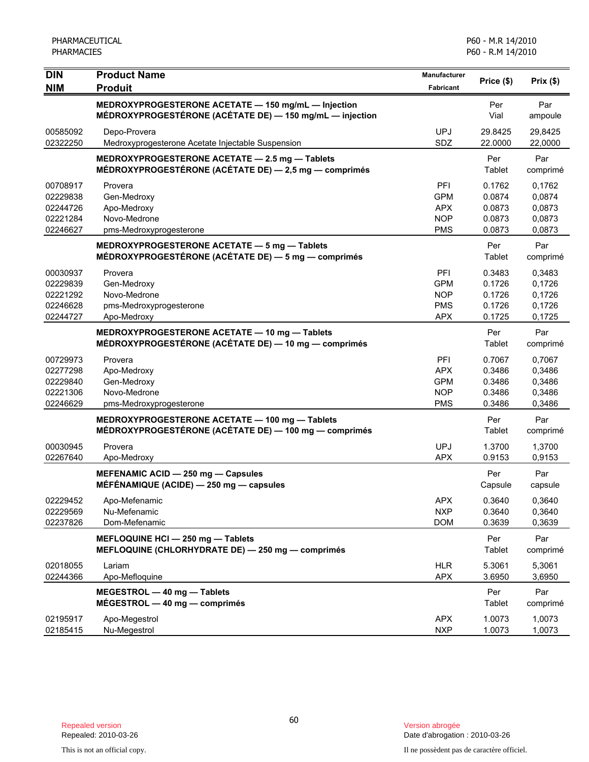| <b>DIN</b>                                               | <b>Product Name</b>                                                                                             | <b>Manufacturer</b>                                         | Price (\$)                                     | Prix(\$)                                       |
|----------------------------------------------------------|-----------------------------------------------------------------------------------------------------------------|-------------------------------------------------------------|------------------------------------------------|------------------------------------------------|
| <b>NIM</b>                                               | <b>Produit</b>                                                                                                  | Fabricant                                                   |                                                |                                                |
|                                                          | MEDROXYPROGESTERONE ACETATE - 150 mg/mL - Injection<br>MÉDROXYPROGESTÉRONE (ACÉTATE DE) - 150 mg/mL - injection |                                                             | Per<br>Vial                                    | Par<br>ampoule                                 |
| 00585092<br>02322250                                     | Depo-Provera<br>Medroxyprogesterone Acetate Injectable Suspension                                               | <b>UPJ</b><br>SDZ                                           | 29.8425<br>22.0000                             | 29,8425<br>22,0000                             |
|                                                          | MEDROXYPROGESTERONE ACETATE - 2.5 mg - Tablets<br>MÉDROXYPROGESTÉRONE (ACÉTATE DE) - 2,5 mg - comprimés         |                                                             | Per<br>Tablet                                  | Par<br>comprimé                                |
| 00708917<br>02229838<br>02244726<br>02221284<br>02246627 | Provera<br>Gen-Medroxy<br>Apo-Medroxy<br>Novo-Medrone<br>pms-Medroxyprogesterone                                | PFI<br><b>GPM</b><br><b>APX</b><br><b>NOP</b><br><b>PMS</b> | 0.1762<br>0.0874<br>0.0873<br>0.0873<br>0.0873 | 0,1762<br>0,0874<br>0,0873<br>0,0873<br>0,0873 |
|                                                          | MEDROXYPROGESTERONE ACETATE - 5 mg - Tablets<br>MÉDROXYPROGESTÉRONE (ACÉTATE DE) - 5 mg - comprimés             |                                                             | Per<br>Tablet                                  | Par<br>comprimé                                |
| 00030937<br>02229839<br>02221292<br>02246628<br>02244727 | Provera<br>Gen-Medroxy<br>Novo-Medrone<br>pms-Medroxyprogesterone<br>Apo-Medroxy                                | PFI<br><b>GPM</b><br><b>NOP</b><br><b>PMS</b><br><b>APX</b> | 0.3483<br>0.1726<br>0.1726<br>0.1726<br>0.1725 | 0,3483<br>0,1726<br>0,1726<br>0,1726<br>0,1725 |
|                                                          | MEDROXYPROGESTERONE ACETATE - 10 mg - Tablets<br>MÉDROXYPROGESTÉRONE (ACÉTATE DE) — 10 mg — comprimés           |                                                             | Per<br>Tablet                                  | Par<br>comprimé                                |
| 00729973<br>02277298<br>02229840<br>02221306<br>02246629 | Provera<br>Apo-Medroxy<br>Gen-Medroxy<br>Novo-Medrone<br>pms-Medroxyprogesterone                                | PFI<br><b>APX</b><br><b>GPM</b><br><b>NOP</b><br><b>PMS</b> | 0.7067<br>0.3486<br>0.3486<br>0.3486<br>0.3486 | 0,7067<br>0,3486<br>0,3486<br>0,3486<br>0,3486 |
|                                                          | MEDROXYPROGESTERONE ACETATE - 100 mg - Tablets<br>MÉDROXYPROGESTÉRONE (ACÉTATE DE) — 100 mg — comprimés         |                                                             | Per<br>Tablet                                  | Par<br>comprimé                                |
| 00030945<br>02267640                                     | Provera<br>Apo-Medroxy                                                                                          | <b>UPJ</b><br><b>APX</b>                                    | 1.3700<br>0.9153                               | 1,3700<br>0,9153                               |
|                                                          | MEFENAMIC ACID - 250 mg - Capsules<br>MÉFÉNAMIQUE (ACIDE) - 250 mg - capsules                                   |                                                             | Per<br>Capsule                                 | Par<br>capsule                                 |
| 02229452<br>02229569<br>02237826                         | Apo-Mefenamic<br>Nu-Mefenamic<br>Dom-Mefenamic                                                                  | APX<br><b>NXP</b><br><b>DOM</b>                             | 0.3640<br>0.3640<br>0.3639                     | 0,3640<br>0,3640<br>0,3639                     |
|                                                          | MEFLOQUINE HCI - 250 mg - Tablets<br>MEFLOQUINE (CHLORHYDRATE DE) - 250 mg - comprimés                          |                                                             | Per<br>Tablet                                  | Par<br>comprimé                                |
| 02018055<br>02244366                                     | Lariam<br>Apo-Mefloquine                                                                                        | <b>HLR</b><br><b>APX</b>                                    | 5.3061<br>3.6950                               | 5,3061<br>3,6950                               |
|                                                          | MEGESTROL - 40 mg - Tablets<br>$MÉGESTROL - 40 mg - comprimés$                                                  |                                                             | Per<br><b>Tablet</b>                           | Par<br>comprimé                                |
| 02195917<br>02185415                                     | Apo-Megestrol<br>Nu-Megestrol                                                                                   | <b>APX</b><br><b>NXP</b>                                    | 1.0073<br>1.0073                               | 1,0073<br>1,0073                               |

Date d'abrogation : 2010-03-26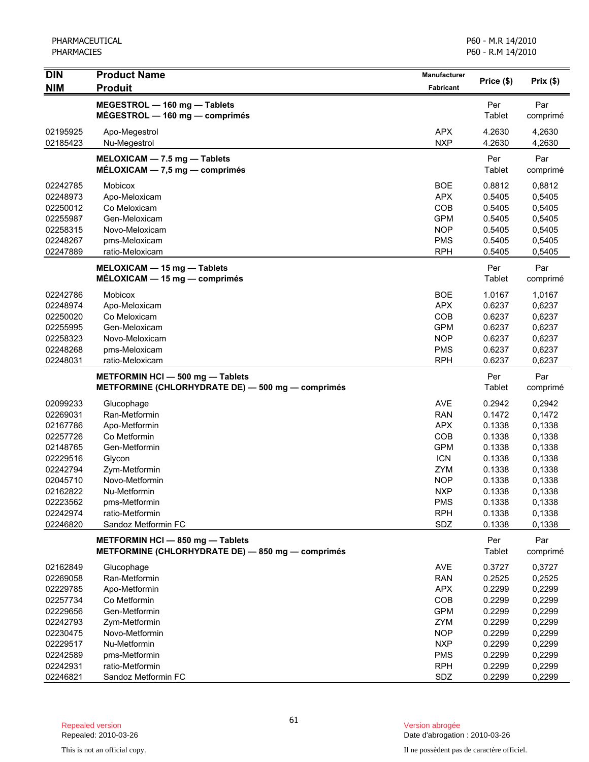| <b>DIN</b>           | <b>Product Name</b>                                                                   | Manufacturer             | Price (\$)       |                  |
|----------------------|---------------------------------------------------------------------------------------|--------------------------|------------------|------------------|
| <b>NIM</b>           | <b>Produit</b>                                                                        | Fabricant                |                  | Prix(\$)         |
|                      | MEGESTROL - 160 mg - Tablets                                                          |                          | Per              | Par              |
|                      | $MÉGESTROL - 160 mg - comprimés$                                                      |                          | Tablet           | comprimé         |
| 02195925             | Apo-Megestrol                                                                         | <b>APX</b>               | 4.2630           | 4,2630           |
| 02185423             | Nu-Megestrol                                                                          | <b>NXP</b>               | 4.2630           | 4,2630           |
|                      | MELOXICAM - 7.5 mg - Tablets                                                          |                          | Per              | Par              |
|                      | $MÉLOXICAM - 7.5 mg - comprimés$                                                      |                          | Tablet           | comprimé         |
|                      |                                                                                       |                          |                  |                  |
| 02242785<br>02248973 | Mobicox<br>Apo-Meloxicam                                                              | <b>BOE</b><br><b>APX</b> | 0.8812<br>0.5405 | 0,8812<br>0,5405 |
| 02250012             | Co Meloxicam                                                                          | COB                      | 0.5405           | 0,5405           |
| 02255987             | Gen-Meloxicam                                                                         | <b>GPM</b>               | 0.5405           | 0,5405           |
| 02258315             | Novo-Meloxicam                                                                        | <b>NOP</b>               | 0.5405           | 0,5405           |
| 02248267             | pms-Meloxicam                                                                         | <b>PMS</b>               | 0.5405           | 0,5405           |
| 02247889             | ratio-Meloxicam                                                                       | <b>RPH</b>               | 0.5405           | 0,5405           |
|                      | MELOXICAM - 15 mg - Tablets                                                           |                          | Per              | Par              |
|                      | $MÉLOXICAM - 15 mg - comprimés$                                                       |                          | Tablet           | comprimé         |
| 02242786             | Mobicox                                                                               | <b>BOE</b>               | 1.0167           | 1,0167           |
| 02248974             | Apo-Meloxicam                                                                         | <b>APX</b>               | 0.6237           | 0,6237           |
| 02250020             | Co Meloxicam                                                                          | COB                      | 0.6237           | 0,6237           |
| 02255995             | Gen-Meloxicam                                                                         | <b>GPM</b>               | 0.6237           | 0,6237           |
| 02258323             | Novo-Meloxicam                                                                        | <b>NOP</b>               | 0.6237           | 0,6237           |
| 02248268             | pms-Meloxicam                                                                         | <b>PMS</b>               | 0.6237           | 0,6237           |
| 02248031             | ratio-Meloxicam                                                                       | <b>RPH</b>               | 0.6237           | 0,6237           |
|                      | METFORMIN HCI - 500 mg - Tablets                                                      |                          | Per              | Par              |
|                      | METFORMINE (CHLORHYDRATE DE) - 500 mg - comprimés                                     |                          | Tablet           | comprimé         |
| 02099233             | Glucophage                                                                            | <b>AVE</b>               | 0.2942           | 0,2942           |
| 02269031             | Ran-Metformin                                                                         | <b>RAN</b>               | 0.1472           | 0,1472           |
| 02167786             | Apo-Metformin                                                                         | <b>APX</b>               | 0.1338           | 0,1338           |
| 02257726             | Co Metformin                                                                          | COB                      | 0.1338           | 0,1338           |
| 02148765             | Gen-Metformin                                                                         | <b>GPM</b>               | 0.1338           | 0,1338           |
| 02229516             | Glycon                                                                                | <b>ICN</b>               | 0.1338           | 0,1338           |
| 02242794             | Zym-Metformin                                                                         | ZYM                      | 0.1338           | 0,1338           |
| 02045710             | Novo-Metformin                                                                        | <b>NOP</b>               | 0.1338           | 0,1338           |
| 02162822             | Nu-Metformin                                                                          | <b>NXP</b>               | 0.1338           | 0,1338           |
| 02223562<br>02242974 | pms-Metformin<br>ratio-Metformin                                                      | <b>PMS</b><br><b>RPH</b> | 0.1338<br>0.1338 | 0,1338<br>0,1338 |
| 02246820             | Sandoz Metformin FC                                                                   | SDZ                      | 0.1338           | 0,1338           |
|                      |                                                                                       |                          | Per              | Par              |
|                      | METFORMIN HCI - 850 mg - Tablets<br>METFORMINE (CHLORHYDRATE DE) - 850 mg - comprimés |                          | Tablet           | comprimé         |
| 02162849             | Glucophage                                                                            | <b>AVE</b>               | 0.3727           | 0,3727           |
| 02269058             | Ran-Metformin                                                                         | <b>RAN</b>               | 0.2525           | 0,2525           |
| 02229785             | Apo-Metformin                                                                         | <b>APX</b>               | 0.2299           | 0,2299           |
| 02257734             | Co Metformin                                                                          | COB                      | 0.2299           | 0,2299           |
| 02229656             | Gen-Metformin                                                                         | <b>GPM</b>               | 0.2299           | 0,2299           |
| 02242793             | Zym-Metformin                                                                         | ZYM                      | 0.2299           | 0,2299           |
| 02230475             | Novo-Metformin                                                                        | <b>NOP</b>               | 0.2299           | 0,2299           |
| 02229517             | Nu-Metformin                                                                          | <b>NXP</b>               | 0.2299           | 0,2299           |
| 02242589<br>02242931 | pms-Metformin<br>ratio-Metformin                                                      | <b>PMS</b><br><b>RPH</b> | 0.2299<br>0.2299 | 0,2299<br>0,2299 |
| 02246821             | Sandoz Metformin FC                                                                   | SDZ                      | 0.2299           | 0,2299           |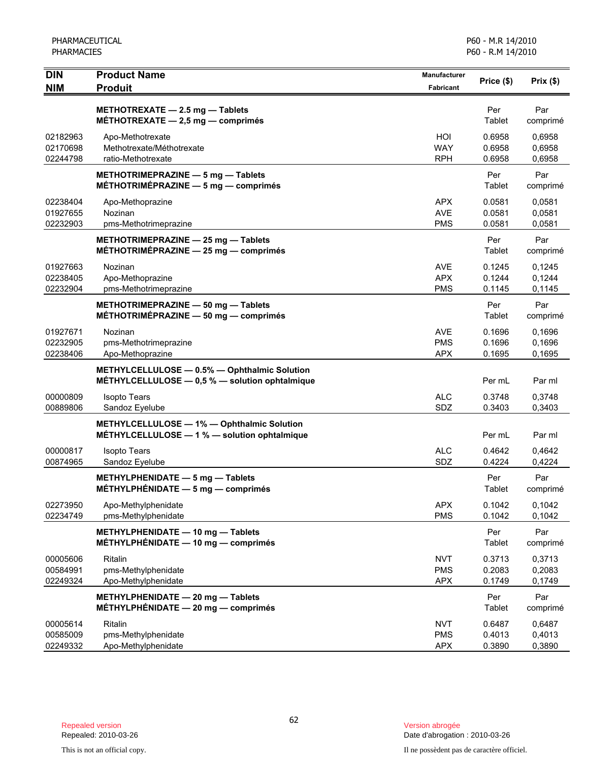| <b>DIN</b>                       | <b>Product Name</b>                                                                            | <b>Manufacturer</b>                    | Price (\$)                 | $Prix($ \$)                |
|----------------------------------|------------------------------------------------------------------------------------------------|----------------------------------------|----------------------------|----------------------------|
| <b>NIM</b>                       | <b>Produit</b>                                                                                 | Fabricant                              |                            |                            |
|                                  | METHOTREXATE - 2.5 mg - Tablets<br>MÉTHOTREXATE $-2,5$ mg $-$ comprimés                        |                                        | Per<br>Tablet              | Par<br>comprimé            |
| 02182963<br>02170698<br>02244798 | Apo-Methotrexate<br>Methotrexate/Méthotrexate<br>ratio-Methotrexate                            | HOI<br><b>WAY</b><br><b>RPH</b>        | 0.6958<br>0.6958<br>0.6958 | 0,6958<br>0,6958<br>0,6958 |
|                                  | METHOTRIMEPRAZINE - 5 mg - Tablets<br>MÉTHOTRIMÉPRAZINE - 5 mg - comprimés                     |                                        | Per<br>Tablet              | Par<br>comprimé            |
| 02238404<br>01927655<br>02232903 | Apo-Methoprazine<br>Nozinan<br>pms-Methotrimeprazine                                           | <b>APX</b><br><b>AVE</b><br><b>PMS</b> | 0.0581<br>0.0581<br>0.0581 | 0,0581<br>0,0581<br>0,0581 |
|                                  | METHOTRIMEPRAZINE - 25 mg - Tablets<br>MÉTHOTRIMÉPRAZINE $-$ 25 mg $-$ comprimes               |                                        | Per<br>Tablet              | Par<br>comprimé            |
| 01927663<br>02238405<br>02232904 | Nozinan<br>Apo-Methoprazine<br>pms-Methotrimeprazine                                           | <b>AVE</b><br><b>APX</b><br><b>PMS</b> | 0.1245<br>0.1244<br>0.1145 | 0,1245<br>0,1244<br>0,1145 |
|                                  | METHOTRIMEPRAZINE - 50 mg - Tablets<br>MÉTHOTRIMÉPRAZINE $-$ 50 mg $-$ comprimés               |                                        | Per<br>Tablet              | Par<br>comprimé            |
| 01927671<br>02232905<br>02238406 | Nozinan<br>pms-Methotrimeprazine<br>Apo-Methoprazine                                           | <b>AVE</b><br><b>PMS</b><br><b>APX</b> | 0.1696<br>0.1696<br>0.1695 | 0,1696<br>0,1696<br>0,1695 |
|                                  | METHYLCELLULOSE - 0.5% - Ophthalmic Solution<br>MÉTHYLCELLULOSE - 0,5 % - solution ophtalmique |                                        | Per mL                     | Par ml                     |
| 00000809<br>00889806             | <b>Isopto Tears</b><br>Sandoz Eyelube                                                          | <b>ALC</b><br>SDZ                      | 0.3748<br>0.3403           | 0,3748<br>0,3403           |
|                                  | METHYLCELLULOSE - 1% - Ophthalmic Solution<br>MÉTHYLCELLULOSE - 1 % - solution ophtalmique     |                                        | Per mL                     | Par ml                     |
| 00000817<br>00874965             | <b>Isopto Tears</b><br>Sandoz Eyelube                                                          | <b>ALC</b><br>SDZ                      | 0.4642<br>0.4224           | 0.4642<br>0,4224           |
|                                  | METHYLPHENIDATE - 5 mg - Tablets<br>MÉTHYLPHÉNIDATE $-5$ mg $-$ comprimés                      |                                        | Per<br>Tablet              | Par<br>comprimé            |
| 02273950<br>02234749             | Apo-Methylphenidate<br>pms-Methylphenidate                                                     | <b>APX</b><br><b>PMS</b>               | 0.1042<br>0.1042           | 0,1042<br>0,1042           |
|                                  | METHYLPHENIDATE - 10 mg - Tablets<br>MÉTHYLPHÉNIDATE - 10 mg - comprimés                       |                                        | Per<br>Tablet              | Par<br>comprimé            |
| 00005606<br>00584991<br>02249324 | Ritalin<br>pms-Methylphenidate<br>Apo-Methylphenidate                                          | <b>NVT</b><br><b>PMS</b><br><b>APX</b> | 0.3713<br>0.2083<br>0.1749 | 0,3713<br>0,2083<br>0,1749 |
|                                  | METHYLPHENIDATE - 20 mg - Tablets<br>MÉTHYLPHÉNIDATE - 20 mg - comprimés                       |                                        | Per<br>Tablet              | Par<br>comprimé            |
| 00005614<br>00585009<br>02249332 | Ritalin<br>pms-Methylphenidate<br>Apo-Methylphenidate                                          | <b>NVT</b><br><b>PMS</b><br><b>APX</b> | 0.6487<br>0.4013<br>0.3890 | 0.6487<br>0,4013<br>0,3890 |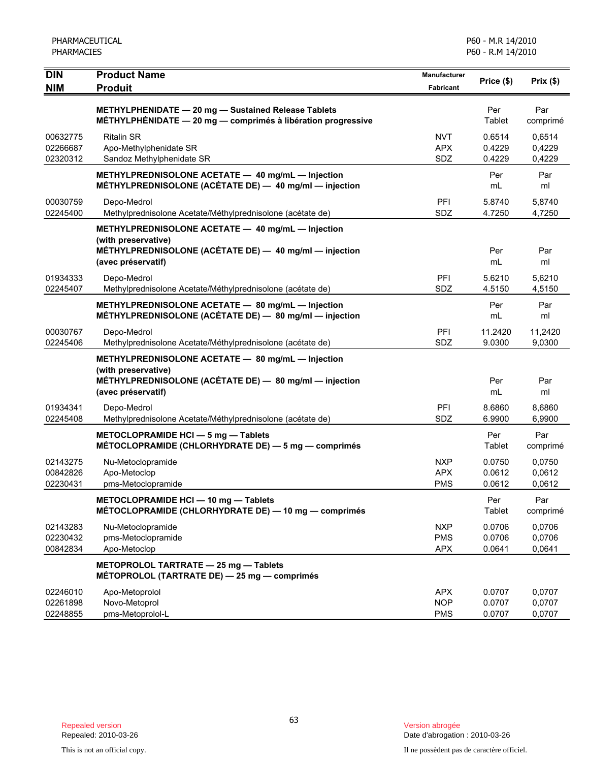| <b>DIN</b><br><b>NIM</b>         | <b>Product Name</b><br><b>Produit</b>                                                                                                                    | Manufacturer<br>Fabricant              | Price (\$)                 | Prix(\$)                   |
|----------------------------------|----------------------------------------------------------------------------------------------------------------------------------------------------------|----------------------------------------|----------------------------|----------------------------|
|                                  | METHYLPHENIDATE - 20 mg - Sustained Release Tablets<br>MÉTHYLPHÉNIDATE - 20 mg - comprimés à libération progressive                                      |                                        | Per<br>Tablet              | Par<br>comprimé            |
| 00632775<br>02266687<br>02320312 | <b>Ritalin SR</b><br>Apo-Methylphenidate SR<br>Sandoz Methylphenidate SR                                                                                 | <b>NVT</b><br><b>APX</b><br>SDZ        | 0.6514<br>0.4229<br>0.4229 | 0,6514<br>0,4229<br>0,4229 |
|                                  | METHYLPREDNISOLONE ACETATE - 40 mg/mL - Injection<br>MÉTHYLPREDNISOLONE (ACÉTATE DE) - 40 mg/ml - injection                                              |                                        | Per<br>mL                  | Par<br>ml                  |
| 00030759<br>02245400             | Depo-Medrol<br>Methylprednisolone Acetate/Méthylprednisolone (acétate de)                                                                                | PFI<br>SDZ                             | 5.8740<br>4.7250           | 5,8740<br>4,7250           |
|                                  | METHYLPREDNISOLONE ACETATE - 40 mg/mL - Injection<br>(with preservative)<br>MÉTHYLPREDNISOLONE (ACÉTATE DE) - 40 mg/ml - injection<br>(avec préservatif) |                                        | Per<br>mL                  | Par<br>ml                  |
| 01934333<br>02245407             | Depo-Medrol<br>Methylprednisolone Acetate/Méthylprednisolone (acétate de)                                                                                | PFI<br>SDZ                             | 5.6210<br>4.5150           | 5,6210<br>4,5150           |
|                                  | METHYLPREDNISOLONE ACETATE - 80 mg/mL - Injection<br>MÉTHYLPREDNISOLONE (ACÉTATE DE) - 80 mg/ml - injection                                              |                                        | Per<br>mL                  | Par<br>ml                  |
| 00030767<br>02245406             | Depo-Medrol<br>Methylprednisolone Acetate/Méthylprednisolone (acétate de)                                                                                | PFI<br>SDZ                             | 11.2420<br>9.0300          | 11,2420<br>9,0300          |
|                                  | METHYLPREDNISOLONE ACETATE - 80 mg/mL - Injection<br>(with preservative)<br>MÉTHYLPREDNISOLONE (ACÉTATE DE) - 80 mg/ml - injection<br>(avec préservatif) |                                        | Per<br>mL                  | Par<br>ml                  |
| 01934341<br>02245408             | Depo-Medrol<br>Methylprednisolone Acetate/Méthylprednisolone (acétate de)                                                                                | PFI<br>SDZ                             | 8.6860<br>6.9900           | 8,6860<br>6,9900           |
|                                  | METOCLOPRAMIDE HCI - 5 mg - Tablets<br>MÉTOCLOPRAMIDE (CHLORHYDRATE DE) - 5 mg - comprimés                                                               |                                        | Per<br>Tablet              | Par<br>comprimé            |
| 02143275<br>00842826<br>02230431 | Nu-Metoclopramide<br>Apo-Metoclop<br>pms-Metoclopramide                                                                                                  | <b>NXP</b><br><b>APX</b><br><b>PMS</b> | 0.0750<br>0.0612<br>0.0612 | 0,0750<br>0,0612<br>0,0612 |
|                                  | METOCLOPRAMIDE HCI - 10 mg - Tablets<br>MÉTOCLOPRAMIDE (CHLORHYDRATE DE) - 10 mg - comprimés                                                             |                                        | Per<br>Tablet              | Par<br>comprimé            |
| 02143283<br>02230432<br>00842834 | Nu-Metoclopramide<br>pms-Metoclopramide<br>Apo-Metoclop                                                                                                  | <b>NXP</b><br><b>PMS</b><br><b>APX</b> | 0.0706<br>0.0706<br>0.0641 | 0.0706<br>0,0706<br>0,0641 |
|                                  | METOPROLOL TARTRATE - 25 mg - Tablets<br>MÉTOPROLOL (TARTRATE DE) - 25 mg - comprimés                                                                    |                                        |                            |                            |
| 02246010<br>02261898<br>02248855 | Apo-Metoprolol<br>Novo-Metoprol<br>pms-Metoprolol-L                                                                                                      | <b>APX</b><br><b>NOP</b><br><b>PMS</b> | 0.0707<br>0.0707<br>0.0707 | 0,0707<br>0,0707<br>0,0707 |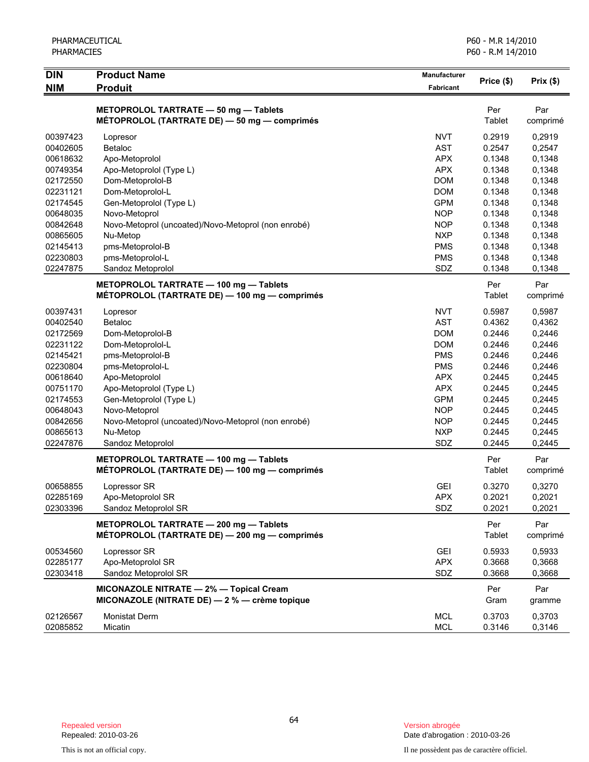| PHARMACEUTICAL<br><b>PHARMACIES</b> |                                                                                          |                           | P60 - M.R 14/2010<br>P60 - R.M 14/2010 |                  |
|-------------------------------------|------------------------------------------------------------------------------------------|---------------------------|----------------------------------------|------------------|
| <b>DIN</b><br><b>NIM</b>            | <b>Product Name</b><br><b>Produit</b>                                                    | Manufacturer<br>Fabricant | Price (\$)                             | Prix(\$)         |
|                                     | METOPROLOL TARTRATE - 50 mg - Tablets<br>MÉTOPROLOL (TARTRATE DE) - 50 mg - comprimés    |                           | Per<br>Tablet                          | Par<br>comprimé  |
| 00397423                            |                                                                                          |                           |                                        |                  |
| 00402605                            | Lopresor<br><b>Betaloc</b>                                                               | <b>NVT</b><br><b>AST</b>  | 0.2919<br>0.2547                       | 0,2919           |
| 00618632                            |                                                                                          | <b>APX</b>                | 0.1348                                 | 0,2547<br>0,1348 |
| 00749354                            | Apo-Metoprolol<br>Apo-Metoprolol (Type L)                                                | <b>APX</b>                | 0.1348                                 | 0,1348           |
| 02172550                            |                                                                                          | <b>DOM</b>                | 0.1348                                 |                  |
|                                     | Dom-Metoprolol-B<br>Dom-Metoprolol-L                                                     | <b>DOM</b>                | 0.1348                                 | 0,1348           |
| 02231121<br>02174545                |                                                                                          | <b>GPM</b>                | 0.1348                                 | 0,1348           |
|                                     | Gen-Metoprolol (Type L)                                                                  |                           |                                        | 0,1348           |
| 00648035                            | Novo-Metoprol<br>Novo-Metoprol (uncoated)/Novo-Metoprol (non enrobé)                     | <b>NOP</b><br><b>NOP</b>  | 0.1348<br>0.1348                       | 0,1348<br>0,1348 |
| 00842648                            |                                                                                          |                           |                                        |                  |
| 00865605<br>02145413                | Nu-Metop                                                                                 | <b>NXP</b><br><b>PMS</b>  | 0.1348<br>0.1348                       | 0,1348<br>0,1348 |
| 02230803                            | pms-Metoprolol-B                                                                         | <b>PMS</b>                | 0.1348                                 | 0,1348           |
| 02247875                            | pms-Metoprolol-L<br>Sandoz Metoprolol                                                    | SDZ                       | 0.1348                                 | 0,1348           |
|                                     |                                                                                          |                           |                                        |                  |
|                                     | METOPROLOL TARTRATE - 100 mg - Tablets                                                   |                           | Per                                    | Par              |
|                                     | MÉTOPROLOL (TARTRATE DE) - 100 mg - comprimés                                            |                           | Tablet                                 | comprimé         |
| 00397431                            | Lopresor                                                                                 | <b>NVT</b>                | 0.5987                                 | 0,5987           |
| 00402540                            | <b>Betaloc</b>                                                                           | <b>AST</b>                | 0.4362                                 | 0,4362           |
| 02172569                            | Dom-Metoprolol-B                                                                         | <b>DOM</b>                | 0.2446                                 | 0,2446           |
| 02231122                            | Dom-Metoprolol-L                                                                         | <b>DOM</b>                | 0.2446                                 | 0,2446           |
| 02145421                            | pms-Metoprolol-B                                                                         | <b>PMS</b>                | 0.2446                                 | 0,2446           |
| 02230804                            | pms-Metoprolol-L                                                                         | <b>PMS</b>                | 0.2446                                 | 0,2446           |
| 00618640                            | Apo-Metoprolol                                                                           | <b>APX</b>                | 0.2445                                 | 0,2445           |
| 00751170                            | Apo-Metoprolol (Type L)                                                                  | <b>APX</b>                | 0.2445                                 | 0,2445           |
| 02174553                            | Gen-Metoprolol (Type L)                                                                  | <b>GPM</b>                | 0.2445                                 | 0,2445           |
| 00648043                            | Novo-Metoprol                                                                            | <b>NOP</b>                | 0.2445                                 | 0,2445           |
| 00842656                            | Novo-Metoprol (uncoated)/Novo-Metoprol (non enrobé)                                      | <b>NOP</b>                | 0.2445                                 | 0,2445           |
| 00865613                            | Nu-Metop                                                                                 | <b>NXP</b>                | 0.2445                                 | 0,2445           |
| 02247876                            | Sandoz Metoprolol                                                                        | SDZ                       | 0.2445                                 | 0,2445           |
|                                     | METOPROLOL TARTRATE - 100 mg - Tablets                                                   |                           | Per                                    | Par              |
|                                     | MÉTOPROLOL (TARTRATE DE) — 100 mg — comprimés                                            |                           | Tablet                                 | comprimé         |
| 00658855                            | Lopressor SR                                                                             | <b>GEI</b>                | 0.3270                                 | 0,3270           |
| 02285169                            | Apo-Metoprolol SR                                                                        | <b>APX</b>                | 0.2021                                 | 0,2021           |
| 02303396                            | Sandoz Metoprolol SR                                                                     | SDZ                       | 0.2021                                 | 0,2021           |
|                                     |                                                                                          |                           |                                        |                  |
|                                     | METOPROLOL TARTRATE - 200 mg - Tablets<br>MÉTOPROLOL (TARTRATE DE) - 200 mg - comprimés  |                           | Per<br>Tablet                          | Par<br>comprimé  |
| 00534560                            | Lopressor SR                                                                             | <b>GEI</b>                | 0.5933                                 | 0,5933           |
| 02285177                            | Apo-Metoprolol SR                                                                        | <b>APX</b>                | 0.3668                                 | 0,3668           |
| 02303418                            | Sandoz Metoprolol SR                                                                     | SDZ                       | 0.3668                                 | 0,3668           |
|                                     | MICONAZOLE NITRATE - 2% - Topical Cream<br>MICONAZOLE (NITRATE DE) - 2 % - crème topique |                           | Per<br>Gram                            | Par<br>gramme    |
| 02126567                            | <b>Monistat Derm</b>                                                                     | <b>MCL</b>                | 0.3703                                 | 0,3703           |
| 02085852                            | Micatin                                                                                  | MCL                       | 0.3146                                 | 0,3146           |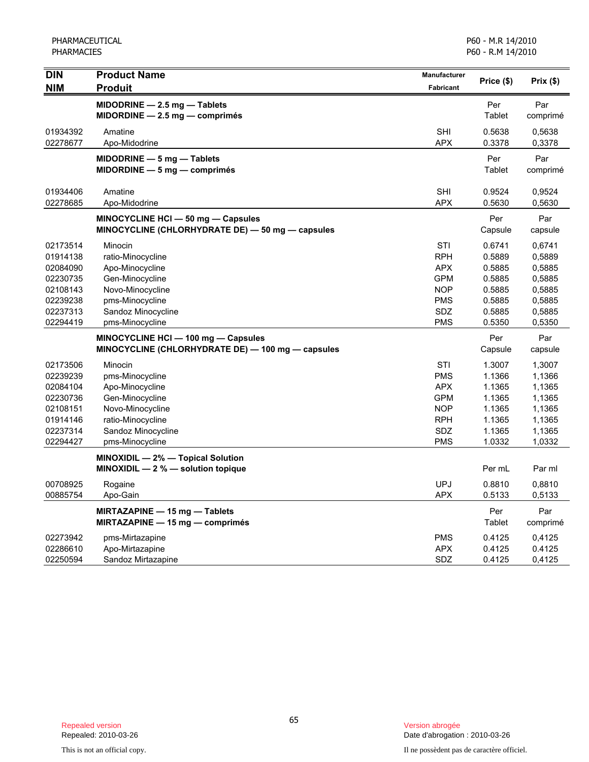PHARMACEUTICAL PHARMACIES

| <b>DIN</b> | <b>Product Name</b>                               | Manufacturer | Price (\$)    | Prix(\$) |
|------------|---------------------------------------------------|--------------|---------------|----------|
| <b>NIM</b> | <b>Produit</b>                                    | Fabricant    |               |          |
|            | MIDODRINE $-$ 2.5 mg $-$ Tablets                  |              | Per           | Par      |
|            | $MIDORDINE - 2.5 mg - comprimés$                  |              | Tablet        | comprimé |
| 01934392   | Amatine                                           | <b>SHI</b>   | 0.5638        | 0,5638   |
| 02278677   | Apo-Midodrine                                     | <b>APX</b>   | 0.3378        | 0,3378   |
|            | $MIDODRINE - 5 mg - Tables$                       |              | Per           | Par      |
|            | $MIDORDINE - 5 mg - comprimés$                    |              | <b>Tablet</b> | comprimé |
| 01934406   | Amatine                                           | SHI          | 0.9524        | 0,9524   |
| 02278685   | Apo-Midodrine                                     | <b>APX</b>   | 0.5630        | 0,5630   |
|            | MINOCYCLINE HCI-50 mg-Capsules                    |              | Per           | Par      |
|            | MINOCYCLINE (CHLORHYDRATE DE) - 50 mg - capsules  |              | Capsule       | capsule  |
| 02173514   | Minocin                                           | STI          | 0.6741        | 0,6741   |
| 01914138   | ratio-Minocycline                                 | <b>RPH</b>   | 0.5889        | 0,5889   |
| 02084090   | Apo-Minocycline                                   | <b>APX</b>   | 0.5885        | 0,5885   |
| 02230735   | Gen-Minocycline                                   | <b>GPM</b>   | 0.5885        | 0,5885   |
| 02108143   | Novo-Minocycline                                  | <b>NOP</b>   | 0.5885        | 0,5885   |
| 02239238   | pms-Minocycline                                   | <b>PMS</b>   | 0.5885        | 0,5885   |
| 02237313   | Sandoz Minocycline                                | <b>SDZ</b>   | 0.5885        | 0,5885   |
| 02294419   | pms-Minocycline                                   | <b>PMS</b>   | 0.5350        | 0,5350   |
|            | MINOCYCLINE HCI - 100 mg - Capsules               |              | Per           | Par      |
|            | MINOCYCLINE (CHLORHYDRATE DE) — 100 mg — capsules |              | Capsule       | capsule  |
| 02173506   | Minocin                                           | STI          | 1.3007        | 1,3007   |
| 02239239   | pms-Minocycline                                   | <b>PMS</b>   | 1.1366        | 1,1366   |
| 02084104   | Apo-Minocycline                                   | <b>APX</b>   | 1.1365        | 1,1365   |
| 02230736   | Gen-Minocycline                                   | <b>GPM</b>   | 1.1365        | 1,1365   |
| 02108151   | Novo-Minocycline                                  | <b>NOP</b>   | 1.1365        | 1,1365   |
| 01914146   | ratio-Minocycline                                 | <b>RPH</b>   | 1.1365        | 1,1365   |
| 02237314   | Sandoz Minocycline                                | SDZ          | 1.1365        | 1,1365   |
| 02294427   | pms-Minocycline                                   | <b>PMS</b>   | 1.0332        | 1,0332   |
|            | MINOXIDIL - 2% - Topical Solution                 |              |               |          |
|            | MINOXIDIL $-2$ % $-$ solution topique             |              | Per mL        | Par ml   |
| 00708925   | Rogaine                                           | <b>UPJ</b>   | 0.8810        | 0,8810   |
| 00885754   | Apo-Gain                                          | <b>APX</b>   | 0.5133        | 0,5133   |
|            | <b>MIRTAZAPINE - 15 mg - Tablets</b>              |              | Per           | Par      |
|            | MIRTAZAPINE $-$ 15 mg $-$ comprimes               |              | Tablet        | comprimé |
| 02273942   | pms-Mirtazapine                                   | <b>PMS</b>   | 0.4125        | 0,4125   |
| 02286610   | Apo-Mirtazapine                                   | <b>APX</b>   | 0.4125        | 0.4125   |
| 02250594   | Sandoz Mirtazapine                                | SDZ          | 0.4125        | 0,4125   |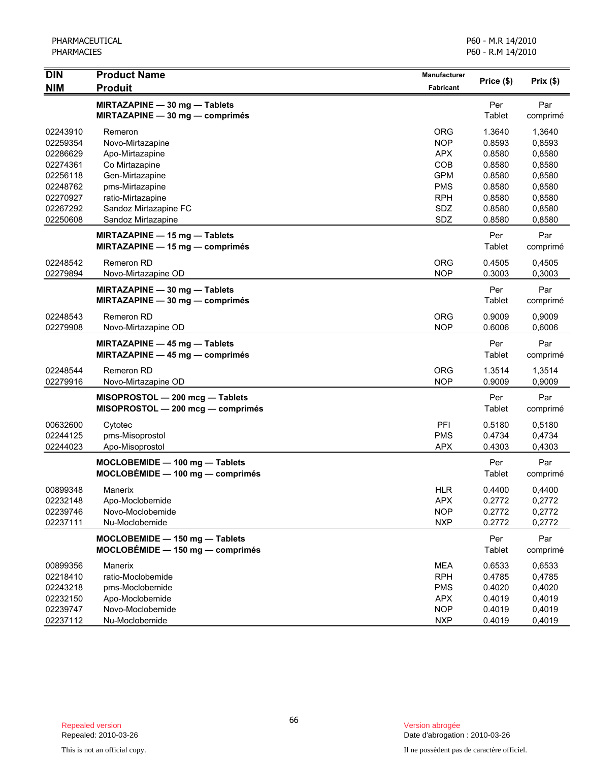| <b>DIN</b>                                                                                               | <b>Product Name</b>                                                                                                                                                                                                                                       | Manufacturer                                                                                   |                                                                                                         |                                                                                                           |
|----------------------------------------------------------------------------------------------------------|-----------------------------------------------------------------------------------------------------------------------------------------------------------------------------------------------------------------------------------------------------------|------------------------------------------------------------------------------------------------|---------------------------------------------------------------------------------------------------------|-----------------------------------------------------------------------------------------------------------|
| <b>NIM</b>                                                                                               | <b>Produit</b>                                                                                                                                                                                                                                            | <b>Fabricant</b>                                                                               | Price (\$)                                                                                              | Prix(\$)                                                                                                  |
|                                                                                                          | MIRTAZAPINE - 30 mg - Tablets<br>MIRTAZAPINE - 30 mg - comprimés                                                                                                                                                                                          |                                                                                                | Per<br>Tablet                                                                                           | Par<br>comprimé                                                                                           |
| 02243910<br>02259354<br>02286629<br>02274361<br>02256118<br>02248762<br>02270927<br>02267292<br>02250608 | Remeron<br>Novo-Mirtazapine<br>Apo-Mirtazapine<br>Co Mirtazapine<br>Gen-Mirtazapine<br>pms-Mirtazapine<br>ratio-Mirtazapine<br>Sandoz Mirtazapine FC<br>Sandoz Mirtazapine<br><b>MIRTAZAPINE - 15 mg - Tablets</b><br>MIRTAZAPINE $-$ 15 mg $-$ comprimés | ORG<br><b>NOP</b><br><b>APX</b><br>COB<br><b>GPM</b><br><b>PMS</b><br><b>RPH</b><br>SDZ<br>SDZ | 1.3640<br>0.8593<br>0.8580<br>0.8580<br>0.8580<br>0.8580<br>0.8580<br>0.8580<br>0.8580<br>Per<br>Tablet | 1,3640<br>0,8593<br>0,8580<br>0,8580<br>0,8580<br>0,8580<br>0,8580<br>0,8580<br>0,8580<br>Par<br>comprimé |
| 02248542<br>02279894                                                                                     | Remeron RD<br>Novo-Mirtazapine OD                                                                                                                                                                                                                         | <b>ORG</b><br><b>NOP</b>                                                                       | 0.4505<br>0.3003                                                                                        | 0,4505<br>0,3003                                                                                          |
|                                                                                                          | MIRTAZAPINE - 30 mg - Tablets<br>MIRTAZAPINE - 30 mg - comprimés                                                                                                                                                                                          |                                                                                                | Per<br>Tablet                                                                                           | Par<br>comprimé                                                                                           |
| 02248543<br>02279908                                                                                     | Remeron RD<br>Novo-Mirtazapine OD                                                                                                                                                                                                                         | <b>ORG</b><br><b>NOP</b>                                                                       | 0.9009<br>0.6006                                                                                        | 0,9009<br>0,6006                                                                                          |
|                                                                                                          | MIRTAZAPINE - 45 mg - Tablets<br>MIRTAZAPINE - 45 mg - comprimés                                                                                                                                                                                          |                                                                                                | Per<br>Tablet                                                                                           | Par<br>comprimé                                                                                           |
| 02248544<br>02279916                                                                                     | Remeron RD<br>Novo-Mirtazapine OD                                                                                                                                                                                                                         | <b>ORG</b><br><b>NOP</b>                                                                       | 1.3514<br>0.9009                                                                                        | 1,3514<br>0,9009                                                                                          |
|                                                                                                          | MISOPROSTOL - 200 mcg - Tablets<br>MISOPROSTOL - 200 mcg - comprimés                                                                                                                                                                                      |                                                                                                | Per<br>Tablet                                                                                           | Par<br>comprimé                                                                                           |
| 00632600<br>02244125<br>02244023                                                                         | Cytotec<br>pms-Misoprostol<br>Apo-Misoprostol                                                                                                                                                                                                             | PFI<br><b>PMS</b><br><b>APX</b>                                                                | 0.5180<br>0.4734<br>0.4303                                                                              | 0,5180<br>0,4734<br>0,4303                                                                                |
|                                                                                                          | MOCLOBEMIDE - 100 mg - Tablets<br>$MOCLOBÉMIDE - 100 mg - comprimés$                                                                                                                                                                                      |                                                                                                | Per<br>Tablet                                                                                           | Par<br>comprimé                                                                                           |
| 00899348<br>02232148<br>02239746<br>02237111                                                             | Manerix<br>Apo-Moclobemide<br>Novo-Moclobemide<br>Nu-Moclobemide                                                                                                                                                                                          | <b>HLR</b><br><b>APX</b><br><b>NOP</b><br><b>NXP</b>                                           | 0.4400<br>0.2772<br>0.2772<br>0.2772                                                                    | 0,4400<br>0,2772<br>0,2772<br>0,2772                                                                      |
|                                                                                                          | MOCLOBEMIDE - 150 mg - Tablets<br>$MOCLOBÉMIDE - 150 mg - comprimés$                                                                                                                                                                                      |                                                                                                | Per<br>Tablet                                                                                           | Par<br>comprimé                                                                                           |
| 00899356<br>02218410<br>02243218<br>02232150<br>02239747<br>02237112                                     | Manerix<br>ratio-Moclobemide<br>pms-Moclobemide<br>Apo-Moclobemide<br>Novo-Moclobemide<br>Nu-Moclobemide                                                                                                                                                  | MEA<br><b>RPH</b><br><b>PMS</b><br><b>APX</b><br><b>NOP</b><br><b>NXP</b>                      | 0.6533<br>0.4785<br>0.4020<br>0.4019<br>0.4019<br>0.4019                                                | 0,6533<br>0,4785<br>0,4020<br>0,4019<br>0,4019<br>0,4019                                                  |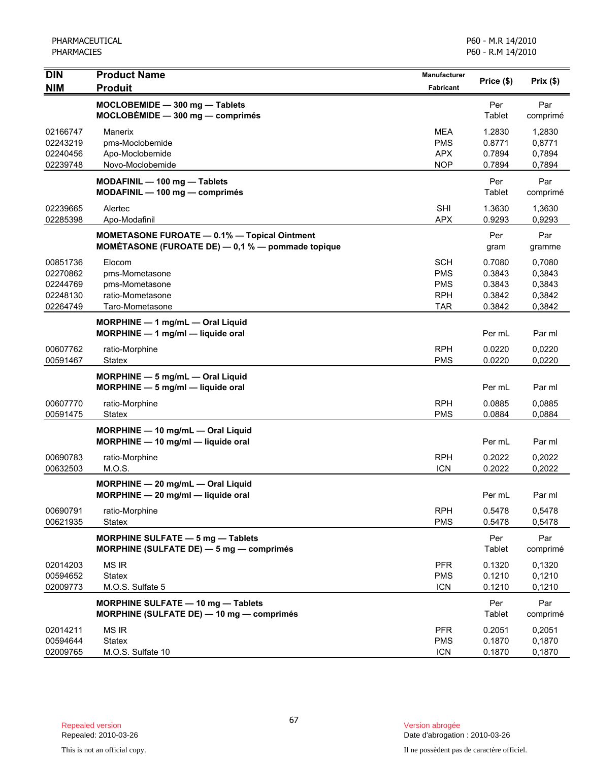| <b>DIN</b>                                               | <b>Product Name</b>                                                                               | <b>Manufacturer</b>                                                | Price (\$)                                     | Prix(\$)                                       |
|----------------------------------------------------------|---------------------------------------------------------------------------------------------------|--------------------------------------------------------------------|------------------------------------------------|------------------------------------------------|
| <b>NIM</b>                                               | <b>Produit</b>                                                                                    | <b>Fabricant</b>                                                   |                                                |                                                |
|                                                          | MOCLOBEMIDE - 300 mg - Tablets<br>$MOCLOBÉMIDE - 300 mg - comprimés$                              |                                                                    | Per<br>Tablet                                  | Par<br>comprimé                                |
| 02166747<br>02243219<br>02240456<br>02239748             | Manerix<br>pms-Moclobemide<br>Apo-Moclobemide<br>Novo-Moclobemide                                 | <b>MEA</b><br><b>PMS</b><br><b>APX</b><br><b>NOP</b>               | 1.2830<br>0.8771<br>0.7894<br>0.7894           | 1,2830<br>0,8771<br>0,7894<br>0,7894           |
|                                                          | MODAFINIL - 100 mg - Tablets<br>MODAFINIL - 100 mg - comprimés                                    |                                                                    | Per<br>Tablet                                  | Par<br>comprimé                                |
| 02239665<br>02285398                                     | Alertec<br>Apo-Modafinil                                                                          | <b>SHI</b><br><b>APX</b>                                           | 1.3630<br>0.9293                               | 1,3630<br>0,9293                               |
|                                                          | MOMETASONE FUROATE - 0.1% - Topical Ointment<br>MOMÉTASONE (FUROATE DE) - 0,1 % - pommade topique |                                                                    | Per<br>gram                                    | Par<br>gramme                                  |
| 00851736<br>02270862<br>02244769<br>02248130<br>02264749 | Elocom<br>pms-Mometasone<br>pms-Mometasone<br>ratio-Mometasone<br>Taro-Mometasone                 | <b>SCH</b><br><b>PMS</b><br><b>PMS</b><br><b>RPH</b><br><b>TAR</b> | 0.7080<br>0.3843<br>0.3843<br>0.3842<br>0.3842 | 0,7080<br>0,3843<br>0,3843<br>0,3842<br>0,3842 |
|                                                          | MORPHINE - 1 mg/mL - Oral Liquid<br>$MORPHINE - 1$ mg/ml - liquide oral                           |                                                                    | Per mL                                         | Par ml                                         |
| 00607762<br>00591467                                     | ratio-Morphine<br><b>Statex</b>                                                                   | <b>RPH</b><br><b>PMS</b>                                           | 0.0220<br>0.0220                               | 0,0220<br>0,0220                               |
|                                                          | MORPHINE $-5$ mg/mL $-$ Oral Liquid<br>$MORPHINE - 5$ mg/ml $-$ liquide oral                      |                                                                    | Per mL                                         | Par ml                                         |
| 00607770<br>00591475                                     | ratio-Morphine<br>Statex                                                                          | <b>RPH</b><br><b>PMS</b>                                           | 0.0885<br>0.0884                               | 0.0885<br>0,0884                               |
|                                                          | MORPHINE - 10 mg/mL - Oral Liquid<br>MORPHINE - 10 mg/ml - liquide oral                           |                                                                    | Per mL                                         | Par ml                                         |
| 00690783<br>00632503                                     | ratio-Morphine<br>M.O.S.                                                                          | <b>RPH</b><br><b>ICN</b>                                           | 0.2022<br>0.2022                               | 0,2022<br>0,2022                               |
|                                                          | MORPHINE - 20 mg/mL - Oral Liquid<br>MORPHINE - 20 mg/ml - liquide oral                           |                                                                    | Per mL                                         | Par ml                                         |
| 00690791<br>00621935                                     | ratio-Morphine<br><b>Statex</b>                                                                   | <b>RPH</b><br><b>PMS</b>                                           | 0.5478<br>0.5478                               | 0,5478<br>0,5478                               |
|                                                          | MORPHINE SULFATE - 5 mg - Tablets<br>MORPHINE (SULFATE DE) - 5 mg - comprimés                     |                                                                    | Per<br>Tablet                                  | Par<br>comprimé                                |
| 02014203<br>00594652<br>02009773                         | MS IR<br><b>Statex</b><br>M.O.S. Sulfate 5                                                        | <b>PFR</b><br><b>PMS</b><br><b>ICN</b>                             | 0.1320<br>0.1210<br>0.1210                     | 0,1320<br>0,1210<br>0,1210                     |
|                                                          | MORPHINE SULFATE - 10 mg - Tablets<br>MORPHINE (SULFATE DE) - 10 mg - comprimés                   |                                                                    | Per<br>Tablet                                  | Par<br>comprimé                                |
| 02014211<br>00594644<br>02009765                         | <b>MS IR</b><br><b>Statex</b><br>M.O.S. Sulfate 10                                                | <b>PFR</b><br><b>PMS</b><br><b>ICN</b>                             | 0.2051<br>0.1870<br>0.1870                     | 0,2051<br>0,1870<br>0,1870                     |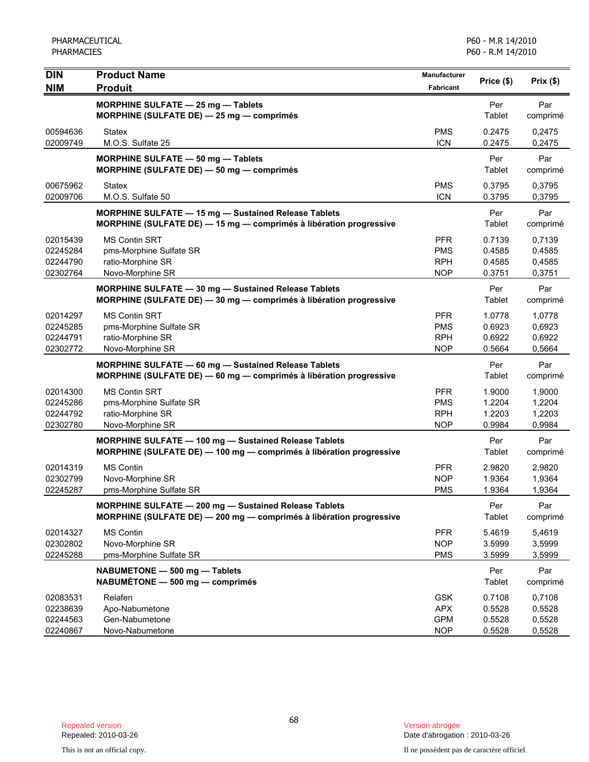| <b>DIN</b><br><b>NIM</b>                     | <b>Product Name</b><br><b>Produit</b>                                                                                        | Manufacturer<br>Fabricant                            | Price (\$)                           | Prix(\$)                             |
|----------------------------------------------|------------------------------------------------------------------------------------------------------------------------------|------------------------------------------------------|--------------------------------------|--------------------------------------|
|                                              | MORPHINE SULFATE - 25 mg - Tablets<br>MORPHINE (SULFATE DE) - 25 mg - comprimés                                              |                                                      | Per<br>Tablet                        | Par<br>comprimé                      |
| 00594636<br>02009749                         | <b>Statex</b><br>M.O.S. Sulfate 25                                                                                           | <b>PMS</b><br><b>ICN</b>                             | 0.2475<br>0.2475                     | 0,2475<br>0,2475                     |
|                                              | MORPHINE SULFATE - 50 mg - Tablets<br>MORPHINE (SULFATE DE) - 50 mg - comprimés                                              |                                                      | Per<br>Tablet                        | Par<br>comprimé                      |
| 00675962<br>02009706                         | <b>Statex</b><br>M.O.S. Sulfate 50                                                                                           | <b>PMS</b><br><b>ICN</b>                             | 0.3795<br>0.3795                     | 0,3795<br>0,3795                     |
|                                              | MORPHINE SULFATE - 15 mg - Sustained Release Tablets<br>MORPHINE (SULFATE DE) - 15 mg - comprimés à libération progressive   |                                                      | Per<br>Tablet                        | Par<br>comprimé                      |
| 02015439<br>02245284<br>02244790<br>02302764 | <b>MS Contin SRT</b><br>pms-Morphine Sulfate SR<br>ratio-Morphine SR<br>Novo-Morphine SR                                     | <b>PFR</b><br><b>PMS</b><br><b>RPH</b><br><b>NOP</b> | 0.7139<br>0.4585<br>0.4585<br>0.3751 | 0,7139<br>0,4585<br>0,4585<br>0,3751 |
|                                              | MORPHINE SULFATE - 30 mg - Sustained Release Tablets<br>MORPHINE (SULFATE DE) - 30 mg - comprimés à libération progressive   |                                                      | Per<br>Tablet                        | Par<br>comprimé                      |
| 02014297<br>02245285<br>02244791<br>02302772 | <b>MS Contin SRT</b><br>pms-Morphine Sulfate SR<br>ratio-Morphine SR<br>Novo-Morphine SR                                     | <b>PFR</b><br><b>PMS</b><br><b>RPH</b><br><b>NOP</b> | 1.0778<br>0.6923<br>0.6922<br>0.5664 | 1,0778<br>0,6923<br>0,6922<br>0,5664 |
|                                              | MORPHINE SULFATE - 60 mg - Sustained Release Tablets<br>MORPHINE (SULFATE DE) - 60 mg - comprimés à libération progressive   |                                                      | Per<br>Tablet                        | Par<br>comprimé                      |
| 02014300<br>02245286<br>02244792<br>02302780 | <b>MS Contin SRT</b><br>pms-Morphine Sulfate SR<br>ratio-Morphine SR<br>Novo-Morphine SR                                     | <b>PFR</b><br><b>PMS</b><br><b>RPH</b><br><b>NOP</b> | 1.9000<br>1.2204<br>1.2203<br>0.9984 | 1,9000<br>1,2204<br>1,2203<br>0,9984 |
|                                              | MORPHINE SULFATE - 100 mg - Sustained Release Tablets<br>MORPHINE (SULFATE DE) - 100 mg - comprimés à libération progressive |                                                      | Per<br>Tablet                        | Par<br>comprimé                      |
| 02014319<br>02302799<br>02245287             | <b>MS Contin</b><br>Novo-Morphine SR<br>pms-Morphine Sulfate SR                                                              | <b>PFR</b><br><b>NOP</b><br><b>PMS</b>               | 2.9820<br>1.9364<br>1.9364           | 2,9820<br>1,9364<br>1,9364           |
|                                              | MORPHINE SULFATE - 200 mg - Sustained Release Tablets<br>MORPHINE (SULFATE DE) - 200 mg - comprimés à libération progressive |                                                      | Per<br>Tablet                        | Par<br>comprimé                      |
| 02014327<br>02302802<br>02245288             | <b>MS Contin</b><br>Novo-Morphine SR<br>pms-Morphine Sulfate SR                                                              | <b>PFR</b><br><b>NOP</b><br><b>PMS</b>               | 5.4619<br>3.5999<br>3.5999           | 5,4619<br>3,5999<br>3,5999           |
|                                              | NABUMETONE - 500 mg - Tablets<br>NABUMÉTONE - 500 mg - comprimés                                                             |                                                      | Per<br><b>Tablet</b>                 | Par<br>comprimé                      |
| 02083531<br>02238639<br>02244563<br>02240867 | Relafen<br>Apo-Nabumetone<br>Gen-Nabumetone<br>Novo-Nabumetone                                                               | <b>GSK</b><br><b>APX</b><br><b>GPM</b><br><b>NOP</b> | 0.7108<br>0.5528<br>0.5528<br>0.5528 | 0,7108<br>0,5528<br>0,5528<br>0,5528 |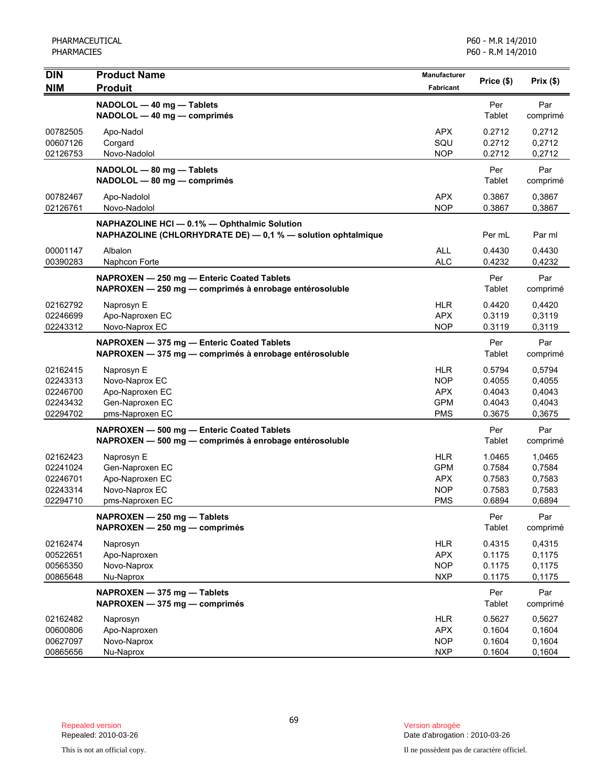| <b>DIN</b>                                               | <b>Product Name</b>                                                                                          | Manufacturer                                                 | Price (\$)                                     | Prix(\$)                                       |
|----------------------------------------------------------|--------------------------------------------------------------------------------------------------------------|--------------------------------------------------------------|------------------------------------------------|------------------------------------------------|
| <b>NIM</b>                                               | <b>Produit</b>                                                                                               | <b>Fabricant</b>                                             |                                                |                                                |
|                                                          | NADOLOL - 40 mg - Tablets<br>NADOLOL - 40 mg - comprimés                                                     |                                                              | Per<br>Tablet                                  | Par<br>comprimé                                |
| 00782505<br>00607126<br>02126753                         | Apo-Nadol<br>Corgard<br>Novo-Nadolol                                                                         | <b>APX</b><br>SQU<br><b>NOP</b>                              | 0.2712<br>0.2712<br>0.2712                     | 0,2712<br>0,2712<br>0,2712                     |
|                                                          | NADOLOL - 80 mg - Tablets<br>NADOLOL - 80 mg - comprimés                                                     |                                                              | Per<br>Tablet                                  | Par<br>comprimé                                |
| 00782467<br>02126761                                     | Apo-Nadolol<br>Novo-Nadolol                                                                                  | <b>APX</b><br><b>NOP</b>                                     | 0.3867<br>0.3867                               | 0,3867<br>0,3867                               |
|                                                          | NAPHAZOLINE HCI - 0.1% - Ophthalmic Solution<br>NAPHAZOLINE (CHLORHYDRATE DE) - 0,1 % - solution ophtalmique |                                                              | Per mL                                         | Par ml                                         |
| 00001147<br>00390283                                     | Albalon<br>Naphcon Forte                                                                                     | <b>ALL</b><br><b>ALC</b>                                     | 0.4430<br>0.4232                               | 0,4430<br>0,4232                               |
|                                                          | NAPROXEN - 250 mg - Enteric Coated Tablets<br>NAPROXEN - 250 mg - comprimés à enrobage entérosoluble         |                                                              | Per<br>Tablet                                  | Par<br>comprimé                                |
| 02162792<br>02246699<br>02243312                         | Naprosyn E<br>Apo-Naproxen EC<br>Novo-Naprox EC                                                              | HLR.<br><b>APX</b><br><b>NOP</b>                             | 0.4420<br>0.3119<br>0.3119                     | 0,4420<br>0,3119<br>0,3119                     |
|                                                          | NAPROXEN - 375 mg - Enteric Coated Tablets<br>NAPROXEN - 375 mg - comprimés à enrobage entérosoluble         |                                                              | Per<br>Tablet                                  | Par<br>comprimé                                |
| 02162415<br>02243313<br>02246700<br>02243432<br>02294702 | Naprosyn E<br>Novo-Naprox EC<br>Apo-Naproxen EC<br>Gen-Naproxen EC<br>pms-Naproxen EC                        | <b>HLR</b><br><b>NOP</b><br>APX.<br><b>GPM</b><br><b>PMS</b> | 0.5794<br>0.4055<br>0.4043<br>0.4043<br>0.3675 | 0,5794<br>0,4055<br>0,4043<br>0,4043<br>0,3675 |
|                                                          | NAPROXEN - 500 mg - Enteric Coated Tablets<br>NAPROXEN - 500 mg - comprimés à enrobage entérosoluble         |                                                              | Per<br>Tablet                                  | Par<br>comprimé                                |
| 02162423<br>02241024<br>02246701<br>02243314<br>02294710 | Naprosyn E<br>Gen-Naproxen EC<br>Apo-Naproxen EC<br>Novo-Naprox EC<br>pms-Naproxen EC                        | HLR<br><b>GPM</b><br><b>APX</b><br><b>NOP</b><br><b>PMS</b>  | 1.0465<br>0.7584<br>0.7583<br>0.7583<br>0.6894 | 1,0465<br>0,7584<br>0,7583<br>0,7583<br>0,6894 |
|                                                          | NAPROXEN - 250 mg - Tablets<br>NAPROXEN - 250 mg - comprimés                                                 |                                                              | Per<br>Tablet                                  | Par<br>comprimé                                |
| 02162474<br>00522651<br>00565350<br>00865648             | Naprosyn<br>Apo-Naproxen<br>Novo-Naprox<br>Nu-Naprox                                                         | <b>HLR</b><br><b>APX</b><br><b>NOP</b><br><b>NXP</b>         | 0.4315<br>0.1175<br>0.1175<br>0.1175           | 0,4315<br>0,1175<br>0,1175<br>0,1175           |
|                                                          | NAPROXEN - 375 mg - Tablets<br>NAPROXEN - 375 mg - comprimés                                                 |                                                              | Per<br>Tablet                                  | Par<br>comprimé                                |
| 02162482<br>00600806<br>00627097<br>00865656             | Naprosyn<br>Apo-Naproxen<br>Novo-Naprox<br>Nu-Naprox                                                         | <b>HLR</b><br><b>APX</b><br><b>NOP</b><br><b>NXP</b>         | 0.5627<br>0.1604<br>0.1604<br>0.1604           | 0,5627<br>0,1604<br>0,1604<br>0,1604           |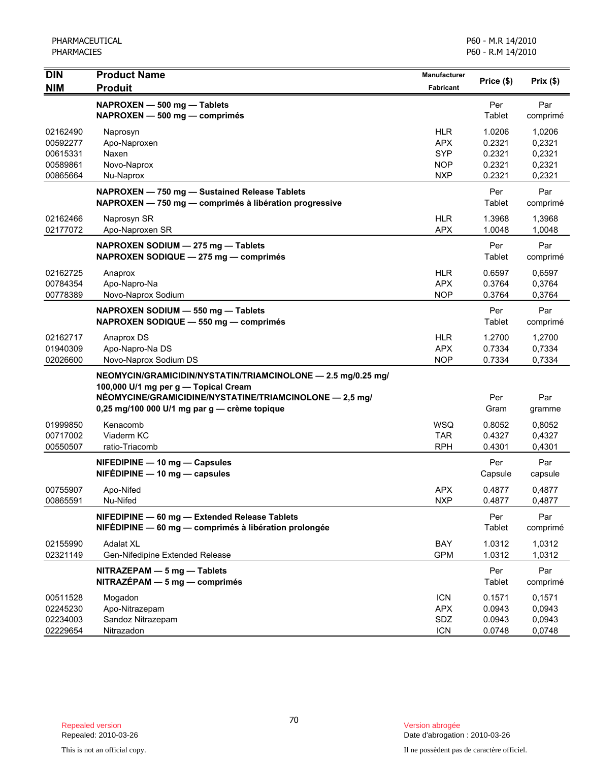| <b>DIN</b><br><b>NIM</b>                                 | <b>Product Name</b><br><b>Produit</b>                                                                                                                                                                           | Manufacturer<br>Fabricant                                          | Price (\$)                                     | Prix(\$)                                       |
|----------------------------------------------------------|-----------------------------------------------------------------------------------------------------------------------------------------------------------------------------------------------------------------|--------------------------------------------------------------------|------------------------------------------------|------------------------------------------------|
|                                                          | NAPROXEN - 500 mg - Tablets<br>NAPROXEN - 500 mg - comprimés                                                                                                                                                    |                                                                    | Per<br>Tablet                                  | Par<br>comprimé                                |
| 02162490<br>00592277<br>00615331<br>00589861<br>00865664 | Naprosyn<br>Apo-Naproxen<br>Naxen<br>Novo-Naprox<br>Nu-Naprox                                                                                                                                                   | <b>HLR</b><br><b>APX</b><br><b>SYP</b><br><b>NOP</b><br><b>NXP</b> | 1.0206<br>0.2321<br>0.2321<br>0.2321<br>0.2321 | 1,0206<br>0,2321<br>0,2321<br>0,2321<br>0,2321 |
|                                                          | NAPROXEN - 750 mg - Sustained Release Tablets<br>NAPROXEN - 750 mg - comprimés à libération progressive                                                                                                         |                                                                    | Per<br>Tablet                                  | Par<br>comprimé                                |
| 02162466<br>02177072                                     | Naprosyn SR<br>Apo-Naproxen SR                                                                                                                                                                                  | <b>HLR</b><br><b>APX</b>                                           | 1.3968<br>1.0048                               | 1,3968<br>1,0048                               |
|                                                          | NAPROXEN SODIUM - 275 mg - Tablets<br>NAPROXEN SODIQUE - 275 mg - comprimés                                                                                                                                     |                                                                    | Per<br>Tablet                                  | Par<br>comprimé                                |
| 02162725<br>00784354<br>00778389                         | Anaprox<br>Apo-Napro-Na<br>Novo-Naprox Sodium                                                                                                                                                                   | <b>HLR</b><br><b>APX</b><br><b>NOP</b>                             | 0.6597<br>0.3764<br>0.3764                     | 0,6597<br>0,3764<br>0,3764                     |
|                                                          | NAPROXEN SODIUM - 550 mg - Tablets<br>NAPROXEN SODIQUE - 550 mg - comprimés                                                                                                                                     |                                                                    | Per<br>Tablet                                  | Par<br>comprimé                                |
| 02162717<br>01940309<br>02026600                         | Anaprox DS<br>Apo-Napro-Na DS<br>Novo-Naprox Sodium DS                                                                                                                                                          | <b>HLR</b><br><b>APX</b><br><b>NOP</b>                             | 1.2700<br>0.7334<br>0.7334                     | 1,2700<br>0,7334<br>0,7334                     |
|                                                          | NEOMYCIN/GRAMICIDIN/NYSTATIN/TRIAMCINOLONE - 2.5 mg/0.25 mg/<br>100,000 U/1 mg per g - Topical Cream<br>NÉOMYCINE/GRAMICIDINE/NYSTATINE/TRIAMCINOLONE - 2,5 mg/<br>0,25 mg/100 000 U/1 mg par g — crème topique |                                                                    | Per<br>Gram                                    | Par<br>gramme                                  |
| 01999850<br>00717002<br>00550507                         | Kenacomb<br>Viaderm KC<br>ratio-Triacomb                                                                                                                                                                        | <b>WSQ</b><br><b>TAR</b><br><b>RPH</b>                             | 0.8052<br>0.4327<br>0.4301                     | 0,8052<br>0,4327<br>0,4301                     |
|                                                          | NIFEDIPINE - 10 mg - Capsules<br>$NIFÉDIPINE - 10 mg - capsules$                                                                                                                                                |                                                                    | Per<br>Capsule                                 | Par<br>capsule                                 |
| 00755907<br>00865591                                     | Apo-Nifed<br>Nu-Nifed                                                                                                                                                                                           | <b>APX</b><br>NXP                                                  | 0.4877<br>0.4877                               | 0,4877<br>0,4877                               |
|                                                          | NIFEDIPINE - 60 mg - Extended Release Tablets<br>NIFÉDIPINE - 60 mg - comprimés à libération prolongée                                                                                                          |                                                                    | Per<br>Tablet                                  | Par<br>comprimé                                |
| 02155990<br>02321149                                     | <b>Adalat XL</b><br>Gen-Nifedipine Extended Release                                                                                                                                                             | BAY<br><b>GPM</b>                                                  | 1.0312<br>1.0312                               | 1,0312<br>1,0312                               |
|                                                          | NITRAZEPAM - 5 mg - Tablets<br>$NITRAZÉPAM - 5 mg - comprimés$                                                                                                                                                  |                                                                    | Per<br>Tablet                                  | Par<br>comprimé                                |
| 00511528<br>02245230<br>02234003<br>02229654             | Mogadon<br>Apo-Nitrazepam<br>Sandoz Nitrazepam<br>Nitrazadon                                                                                                                                                    | <b>ICN</b><br><b>APX</b><br>SDZ<br><b>ICN</b>                      | 0.1571<br>0.0943<br>0.0943<br>0.0748           | 0,1571<br>0,0943<br>0,0943<br>0,0748           |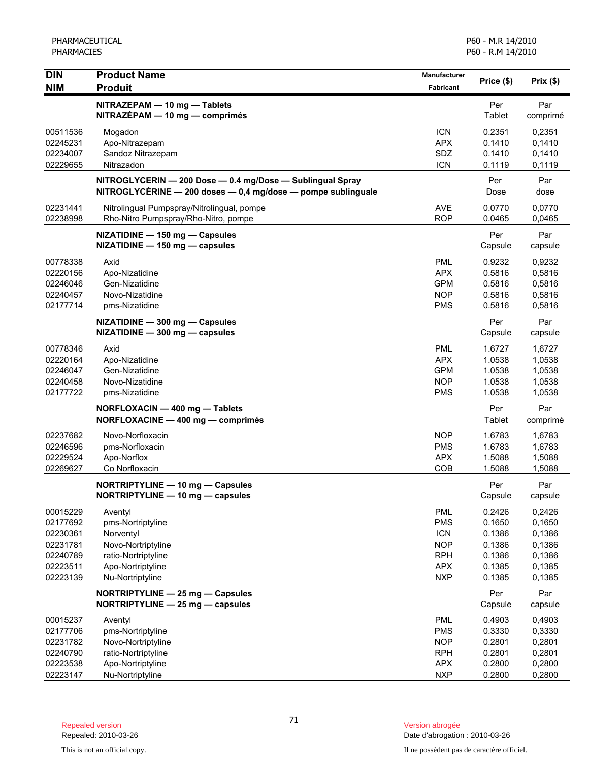| <b>DIN</b>                                                                       | <b>Product Name</b>                                                                                                             | <b>Manufacturer</b>                                                                            |                                                                    |                                                                    |
|----------------------------------------------------------------------------------|---------------------------------------------------------------------------------------------------------------------------------|------------------------------------------------------------------------------------------------|--------------------------------------------------------------------|--------------------------------------------------------------------|
| <b>NIM</b>                                                                       | <b>Produit</b>                                                                                                                  | Fabricant                                                                                      | Price (\$)                                                         | Prix(\$)                                                           |
|                                                                                  | NITRAZEPAM - 10 mg - Tablets<br>NITRAZÉPAM - 10 mg - comprimés                                                                  |                                                                                                | Per<br>Tablet                                                      | Par<br>comprimé                                                    |
| 00511536<br>02245231<br>02234007<br>02229655                                     | Mogadon<br>Apo-Nitrazepam<br>Sandoz Nitrazepam<br>Nitrazadon                                                                    | <b>ICN</b><br><b>APX</b><br>SDZ<br><b>ICN</b>                                                  | 0.2351<br>0.1410<br>0.1410<br>0.1119                               | 0,2351<br>0,1410<br>0,1410<br>0,1119                               |
|                                                                                  | NITROGLYCERIN - 200 Dose - 0.4 mg/Dose - Sublingual Spray<br>NITROGLYCÉRINE - 200 doses - 0,4 mg/dose - pompe sublinguale       |                                                                                                | Per<br>Dose                                                        | Par<br>dose                                                        |
| 02231441<br>02238998                                                             | Nitrolingual Pumpspray/Nitrolingual, pompe<br>Rho-Nitro Pumpspray/Rho-Nitro, pompe                                              | AVE<br><b>ROP</b>                                                                              | 0.0770<br>0.0465                                                   | 0,0770<br>0,0465                                                   |
|                                                                                  | NIZATIDINE - 150 mg - Capsules<br>NIZATIDINE - 150 mg - capsules                                                                |                                                                                                | Per<br>Capsule                                                     | Par<br>capsule                                                     |
| 00778338<br>02220156<br>02246046<br>02240457<br>02177714                         | Axid<br>Apo-Nizatidine<br>Gen-Nizatidine<br>Novo-Nizatidine<br>pms-Nizatidine                                                   | <b>PML</b><br><b>APX</b><br><b>GPM</b><br><b>NOP</b><br><b>PMS</b>                             | 0.9232<br>0.5816<br>0.5816<br>0.5816<br>0.5816                     | 0,9232<br>0,5816<br>0,5816<br>0,5816<br>0,5816                     |
|                                                                                  | NIZATIDINE - 300 mg - Capsules<br>NIZATIDINE - 300 mg - capsules                                                                |                                                                                                | Per<br>Capsule                                                     | Par<br>capsule                                                     |
| 00778346<br>02220164<br>02246047<br>02240458<br>02177722                         | Axid<br>Apo-Nizatidine<br>Gen-Nizatidine<br>Novo-Nizatidine<br>pms-Nizatidine                                                   | <b>PML</b><br><b>APX</b><br><b>GPM</b><br><b>NOP</b><br><b>PMS</b>                             | 1.6727<br>1.0538<br>1.0538<br>1.0538<br>1.0538                     | 1,6727<br>1,0538<br>1,0538<br>1,0538<br>1,0538                     |
|                                                                                  | NORFLOXACIN - 400 mg - Tablets<br>NORFLOXACINE - 400 mg - comprimés                                                             |                                                                                                | Per<br>Tablet                                                      | Par<br>comprimé                                                    |
| 02237682<br>02246596<br>02229524<br>02269627                                     | Novo-Norfloxacin<br>pms-Norfloxacin<br>Apo-Norflox<br>Co Norfloxacin                                                            | <b>NOP</b><br><b>PMS</b><br><b>APX</b><br>COB                                                  | 1.6783<br>1.6783<br>1.5088<br>1.5088                               | 1,6783<br>1,6783<br>1,5088<br>1,5088                               |
|                                                                                  | NORTRIPTYLINE - 10 mg - Capsules<br>NORTRIPTYLINE - 10 mg - capsules                                                            |                                                                                                | Per<br>Capsule                                                     | Par<br>capsule                                                     |
| 00015229<br>02177692<br>02230361<br>02231781<br>02240789<br>02223511<br>02223139 | Aventyl<br>pms-Nortriptyline<br>Norventyl<br>Novo-Nortriptyline<br>ratio-Nortriptyline<br>Apo-Nortriptyline<br>Nu-Nortriptyline | <b>PML</b><br><b>PMS</b><br><b>ICN</b><br><b>NOP</b><br><b>RPH</b><br><b>APX</b><br><b>NXP</b> | 0.2426<br>0.1650<br>0.1386<br>0.1386<br>0.1386<br>0.1385<br>0.1385 | 0,2426<br>0,1650<br>0,1386<br>0,1386<br>0,1386<br>0,1385<br>0,1385 |
|                                                                                  | NORTRIPTYLINE - 25 mg - Capsules<br>NORTRIPTYLINE - 25 mg - capsules                                                            |                                                                                                | Per<br>Capsule                                                     | Par<br>capsule                                                     |
| 00015237<br>02177706<br>02231782<br>02240790<br>02223538<br>02223147             | Aventyl<br>pms-Nortriptyline<br>Novo-Nortriptyline<br>ratio-Nortriptyline<br>Apo-Nortriptyline<br>Nu-Nortriptyline              | <b>PML</b><br><b>PMS</b><br><b>NOP</b><br><b>RPH</b><br><b>APX</b><br><b>NXP</b>               | 0.4903<br>0.3330<br>0.2801<br>0.2801<br>0.2800<br>0.2800           | 0,4903<br>0,3330<br>0,2801<br>0,2801<br>0,2800<br>0,2800           |

Date d'abrogation : 2010-03-26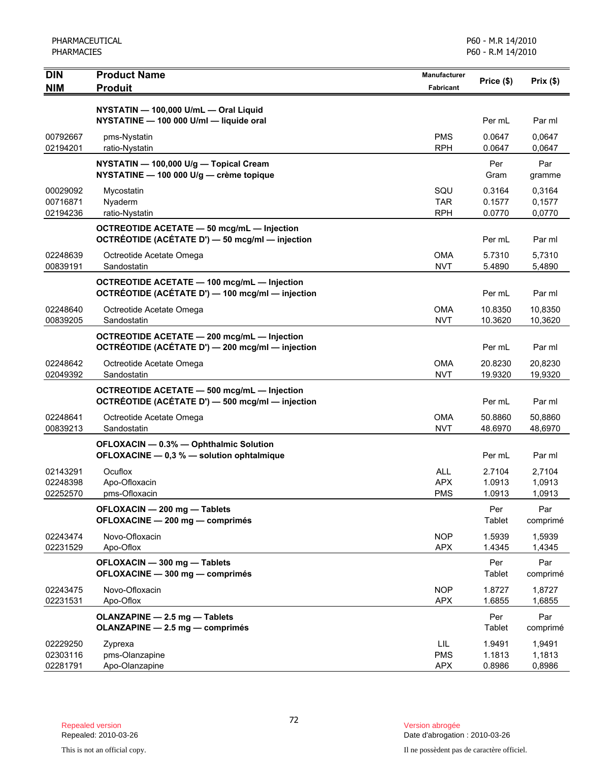| <b>DIN</b><br><b>NIM</b>         | <b>Product Name</b><br><b>Produit</b>                                                                           | <b>Manufacturer</b><br><b>Fabricant</b> | Price (\$)                 | Prix(\$)                   |
|----------------------------------|-----------------------------------------------------------------------------------------------------------------|-----------------------------------------|----------------------------|----------------------------|
|                                  | NYSTATIN - 100,000 U/mL - Oral Liquid<br>NYSTATINE - 100 000 U/ml - liquide oral                                |                                         |                            |                            |
| 00792667                         | pms-Nystatin                                                                                                    | <b>PMS</b>                              | Per mL<br>0.0647           | Par ml<br>0,0647           |
| 02194201                         | ratio-Nystatin                                                                                                  | <b>RPH</b>                              | 0.0647                     | 0,0647                     |
|                                  | NYSTATIN - 100,000 U/g - Topical Cream<br>NYSTATINE - 100 000 U/g - crème topique                               |                                         | Per<br>Gram                | Par<br>gramme              |
| 00029092<br>00716871             | Mycostatin<br>Nyaderm                                                                                           | SQU<br><b>TAR</b><br><b>RPH</b>         | 0.3164<br>0.1577           | 0,3164<br>0,1577           |
| 02194236                         | ratio-Nystatin<br>OCTREOTIDE ACETATE - 50 mcg/mL - Injection<br>OCTRÉOTIDE (ACÉTATE D') - 50 mcg/ml - injection |                                         | 0.0770<br>Per mL           | 0,0770<br>Par ml           |
| 02248639<br>00839191             | Octreotide Acetate Omega<br>Sandostatin                                                                         | <b>OMA</b><br><b>NVT</b>                | 5.7310<br>5.4890           | 5,7310<br>5,4890           |
|                                  | <b>OCTREOTIDE ACETATE - 100 mcg/mL - Injection</b><br>OCTRÉOTIDE (ACÉTATE D') - 100 mcg/ml - injection          |                                         | Per mL                     | Par ml                     |
| 02248640<br>00839205             | Octreotide Acetate Omega<br>Sandostatin                                                                         | <b>OMA</b><br><b>NVT</b>                | 10.8350<br>10.3620         | 10,8350<br>10,3620         |
|                                  | OCTREOTIDE ACETATE - 200 mcg/mL - Injection<br>OCTRÉOTIDE (ACÉTATE D') - 200 mcg/ml - injection                 |                                         | Per mL                     | Par ml                     |
| 02248642<br>02049392             | Octreotide Acetate Omega<br>Sandostatin                                                                         | <b>OMA</b><br><b>NVT</b>                | 20.8230<br>19.9320         | 20,8230<br>19,9320         |
|                                  | <b>OCTREOTIDE ACETATE - 500 mcg/mL - Injection</b><br>OCTRÉOTIDE (ACÉTATE D') - 500 mcg/ml - injection          |                                         | Per mL                     | Par ml                     |
| 02248641<br>00839213             | Octreotide Acetate Omega<br>Sandostatin                                                                         | <b>OMA</b><br><b>NVT</b>                | 50.8860<br>48.6970         | 50,8860<br>48,6970         |
|                                  | OFLOXACIN - 0.3% - Ophthalmic Solution<br>OFLOXACINE - 0,3 % - solution ophtalmique                             |                                         | Per mL                     | Par ml                     |
| 02143291<br>02248398<br>02252570 | Ocuflox<br>Apo-Ofloxacin<br>pms-Ofloxacin                                                                       | <b>ALL</b><br><b>APX</b><br><b>PMS</b>  | 2.7104<br>1.0913<br>1.0913 | 2,7104<br>1,0913<br>1,0913 |
|                                  | OFLOXACIN - 200 mg - Tablets<br>OFLOXACINE - 200 mg - comprimés                                                 |                                         | Per<br>Tablet              | Par<br>comprimé            |
| 02243474<br>02231529             | Novo-Ofloxacin<br>Apo-Oflox                                                                                     | <b>NOP</b><br><b>APX</b>                | 1.5939<br>1.4345           | 1,5939<br>1,4345           |
|                                  | OFLOXACIN - 300 mg - Tablets<br>OFLOXACINE - 300 mg - comprimés                                                 |                                         | Per<br>Tablet              | Par<br>comprimé            |
| 02243475<br>02231531             | Novo-Ofloxacin<br>Apo-Oflox                                                                                     | <b>NOP</b><br><b>APX</b>                | 1.8727<br>1.6855           | 1,8727<br>1,6855           |
|                                  | OLANZAPINE - 2.5 mg - Tablets<br>OLANZAPINE - 2.5 mg - comprimés                                                |                                         | Per<br>Tablet              | Par<br>comprimé            |
| 02229250<br>02303116<br>02281791 | Zyprexa<br>pms-Olanzapine<br>Apo-Olanzapine                                                                     | LIL<br><b>PMS</b><br><b>APX</b>         | 1.9491<br>1.1813<br>0.8986 | 1,9491<br>1,1813<br>0,8986 |

Version abrogée<br>Date d'abrogation : 2010-03-26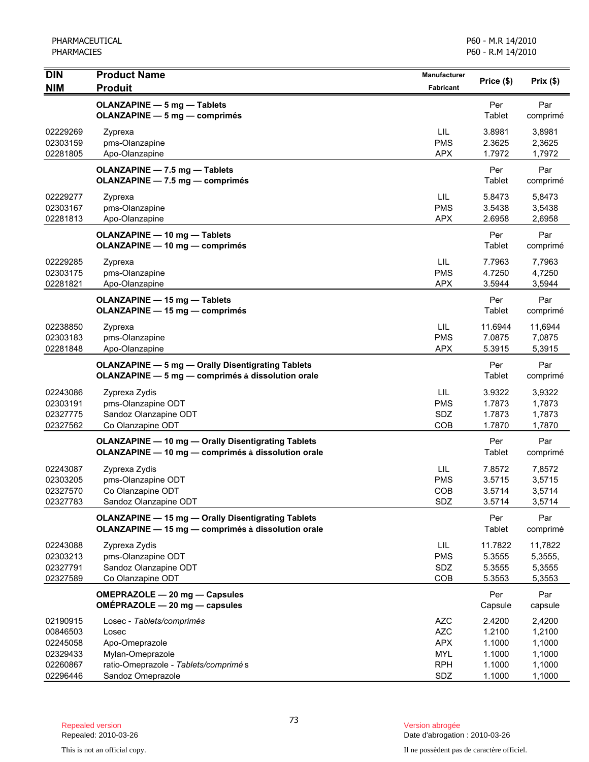| <b>DIN</b>                                               | <b>Product Name</b>                                                                                               | <b>Manufacturer</b>                                                | Price (\$)                                     | Prix(\$)                                       |
|----------------------------------------------------------|-------------------------------------------------------------------------------------------------------------------|--------------------------------------------------------------------|------------------------------------------------|------------------------------------------------|
| <b>NIM</b>                                               | <b>Produit</b>                                                                                                    | <b>Fabricant</b>                                                   |                                                |                                                |
|                                                          | OLANZAPINE - 5 mg - Tablets<br><b>OLANZAPINE - 5 mg - comprimés</b>                                               |                                                                    | Per<br>Tablet                                  | Par<br>comprimé                                |
| 02229269<br>02303159<br>02281805                         | Zyprexa<br>pms-Olanzapine<br>Apo-Olanzapine                                                                       | LIL<br><b>PMS</b><br><b>APX</b>                                    | 3.8981<br>2.3625<br>1.7972                     | 3,8981<br>2,3625<br>1,7972                     |
|                                                          | OLANZAPINE - 7.5 mg - Tablets<br>OLANZAPINE - 7.5 mg - comprimés                                                  |                                                                    | Per<br>Tablet                                  | Par<br>comprimé                                |
| 02229277<br>02303167<br>02281813                         | Zyprexa<br>pms-Olanzapine<br>Apo-Olanzapine                                                                       | LIL<br><b>PMS</b><br><b>APX</b>                                    | 5.8473<br>3.5438<br>2.6958                     | 5,8473<br>3,5438<br>2,6958                     |
|                                                          | <b>OLANZAPINE - 10 mg - Tablets</b><br><b>OLANZAPINE - 10 mg - comprimés</b>                                      |                                                                    | Per<br>Tablet                                  | Par<br>comprimé                                |
| 02229285<br>02303175<br>02281821                         | Zyprexa<br>pms-Olanzapine<br>Apo-Olanzapine                                                                       | LIL<br><b>PMS</b><br><b>APX</b>                                    | 7.7963<br>4.7250<br>3.5944                     | 7,7963<br>4,7250<br>3,5944                     |
|                                                          | OLANZAPINE - 15 mg - Tablets<br><b>OLANZAPINE - 15 mg - comprimés</b>                                             |                                                                    | Per<br>Tablet                                  | Par<br>comprimé                                |
| 02238850<br>02303183<br>02281848                         | Zyprexa<br>pms-Olanzapine<br>Apo-Olanzapine                                                                       | <b>LIL</b><br><b>PMS</b><br><b>APX</b>                             | 11.6944<br>7.0875<br>5.3915                    | 11,6944<br>7,0875<br>5,3915                    |
|                                                          | <b>OLANZAPINE - 5 mg - Orally Disentigrating Tablets</b><br>OLANZAPINE - 5 mg - comprimés à dissolution orale     |                                                                    | Per<br>Tablet                                  | Par<br>comprimé                                |
| 02243086<br>02303191<br>02327775<br>02327562             | Zyprexa Zydis<br>pms-Olanzapine ODT<br>Sandoz Olanzapine ODT<br>Co Olanzapine ODT                                 | LIL<br><b>PMS</b><br>SDZ<br>COB                                    | 3.9322<br>1.7873<br>1.7873<br>1.7870           | 3,9322<br>1,7873<br>1,7873<br>1,7870           |
|                                                          | <b>OLANZAPINE - 10 mg - Orally Disentigrating Tablets</b><br>OLANZAPINE - 10 mg - comprimés à dissolution orale   |                                                                    | Per<br>Tablet                                  | Par<br>comprimé                                |
| 02243087<br>02303205<br>02327570<br>02327783             | Zyprexa Zydis<br>pms-Olanzapine ODT<br>Co Olanzapine ODT<br>Sandoz Olanzapine ODT                                 | LIL<br><b>PMS</b><br><b>COB</b><br>SDZ                             | 7.8572<br>3.5715<br>3.5714<br>3.5714           | 7,8572<br>3,5715<br>3,5714<br>3,5714           |
|                                                          | <b>OLANZAPINE - 15 mg - Orally Disentigrating Tablets</b><br>OLANZAPINE - 15 mg - comprimés à dissolution orale   |                                                                    | Per<br>Tablet                                  | Par<br>comprimé                                |
| 02243088<br>02303213<br>02327791<br>02327589             | Zyprexa Zydis<br>pms-Olanzapine ODT<br>Sandoz Olanzapine ODT<br>Co Olanzapine ODT                                 | LIL.<br><b>PMS</b><br>SDZ<br>COB                                   | 11.7822<br>5.3555<br>5.3555<br>5.3553          | 11,7822<br>5,3555,<br>5,3555<br>5,3553         |
|                                                          | OMEPRAZOLE - 20 mg - Capsules<br>OMÉPRAZOLE - 20 mg - capsules                                                    |                                                                    | Per<br>Capsule                                 | Par<br>capsule                                 |
| 02190915<br>00846503<br>02245058<br>02329433<br>02260867 | Losec - Tablets/comprimés<br>Losec<br>Apo-Omeprazole<br>Mylan-Omeprazole<br>ratio-Omeprazole - Tablets/comprimé s | <b>AZC</b><br><b>AZC</b><br><b>APX</b><br><b>MYL</b><br><b>RPH</b> | 2.4200<br>1.2100<br>1.1000<br>1.1000<br>1.1000 | 2,4200<br>1,2100<br>1,1000<br>1,1000<br>1,1000 |
| 02296446                                                 | Sandoz Omeprazole                                                                                                 | SDZ                                                                | 1.1000                                         | 1,1000                                         |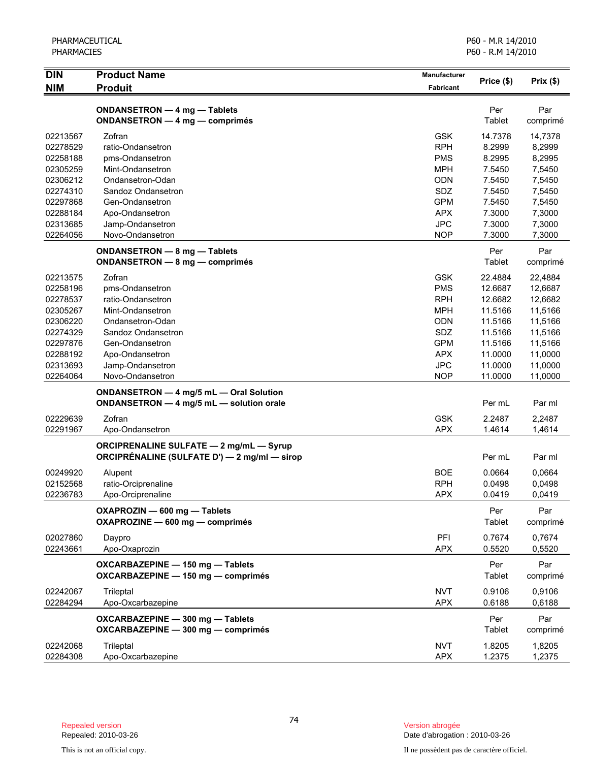| <b>DIN</b><br><b>NIM</b> | <b>Product Name</b><br><b>Produit</b>                                                          | <b>Manufacturer</b><br>Fabricant | Price (\$)       | Prix(\$)         |
|--------------------------|------------------------------------------------------------------------------------------------|----------------------------------|------------------|------------------|
|                          |                                                                                                |                                  |                  |                  |
|                          | ONDANSETRON - 4 mg - Tablets<br><b>ONDANSETRON - 4 mg - comprimés</b>                          |                                  | Per<br>Tablet    | Par<br>comprimé  |
| 02213567                 | Zofran                                                                                         | <b>GSK</b>                       | 14.7378          | 14,7378          |
| 02278529                 | ratio-Ondansetron                                                                              | <b>RPH</b>                       | 8.2999           | 8,2999           |
| 02258188                 | pms-Ondansetron                                                                                | <b>PMS</b>                       | 8.2995           | 8,2995           |
| 02305259                 | Mint-Ondansetron                                                                               | <b>MPH</b>                       | 7.5450           | 7,5450           |
| 02306212                 | Ondansetron-Odan                                                                               | <b>ODN</b>                       | 7.5450           | 7,5450           |
| 02274310                 | Sandoz Ondansetron                                                                             | SDZ                              | 7.5450           | 7,5450           |
| 02297868                 | Gen-Ondansetron                                                                                | <b>GPM</b>                       | 7.5450           | 7,5450           |
| 02288184                 | Apo-Ondansetron                                                                                | <b>APX</b>                       | 7.3000           | 7,3000           |
| 02313685                 | Jamp-Ondansetron                                                                               | <b>JPC</b>                       | 7.3000           | 7,3000           |
| 02264056                 | Novo-Ondansetron                                                                               | <b>NOP</b>                       | 7.3000           | 7,3000           |
|                          | ONDANSETRON - 8 mg - Tablets                                                                   |                                  | Per              | Par              |
|                          | ONDANSETRON - 8 mg - comprimés                                                                 |                                  | Tablet           | comprimé         |
| 02213575                 | Zofran                                                                                         | <b>GSK</b>                       | 22.4884          | 22,4884          |
| 02258196                 | pms-Ondansetron                                                                                | <b>PMS</b>                       | 12.6687          | 12,6687          |
| 02278537                 | ratio-Ondansetron                                                                              | <b>RPH</b>                       | 12.6682          | 12,6682          |
| 02305267                 | Mint-Ondansetron                                                                               | <b>MPH</b>                       | 11.5166          | 11,5166          |
| 02306220                 | Ondansetron-Odan                                                                               | ODN                              | 11.5166          | 11,5166          |
| 02274329                 | Sandoz Ondansetron                                                                             | SDZ                              | 11.5166          | 11,5166          |
| 02297876                 | Gen-Ondansetron                                                                                | <b>GPM</b>                       | 11.5166          | 11,5166          |
| 02288192                 | Apo-Ondansetron                                                                                | <b>APX</b>                       | 11.0000          | 11,0000          |
| 02313693                 | Jamp-Ondansetron                                                                               | <b>JPC</b>                       | 11.0000          | 11,0000          |
| 02264064                 | Novo-Ondansetron                                                                               | <b>NOP</b>                       | 11.0000          | 11,0000          |
|                          | ONDANSETRON - 4 mg/5 mL - Oral Solution                                                        |                                  |                  |                  |
|                          | ONDANSETRON - 4 mg/5 mL - solution orale                                                       |                                  | Per mL           | Par ml           |
| 02229639                 | Zofran                                                                                         | <b>GSK</b>                       | 2.2487           | 2,2487           |
| 02291967                 | Apo-Ondansetron                                                                                | <b>APX</b>                       | 1.4614           | 1,4614           |
|                          | <b>ORCIPRENALINE SULFATE - 2 mg/mL - Syrup</b><br>ORCIPRÉNALINE (SULFATE D') — 2 mg/ml — sirop |                                  | Per mL           | Par ml           |
|                          |                                                                                                |                                  | 0.0664           |                  |
| 00249920<br>02152568     | Alupent                                                                                        | <b>BOE</b><br><b>RPH</b>         | 0.0498           | 0,0664           |
| 02236783                 | ratio-Orciprenaline<br>Apo-Orciprenaline                                                       | <b>APX</b>                       | 0.0419           | 0,0498<br>0,0419 |
|                          |                                                                                                |                                  |                  |                  |
|                          | OXAPROZIN - 600 mg - Tablets<br>OXAPROZINE - 600 mg - comprimés                                |                                  | Per<br>Tablet    | Par<br>comprimé  |
| 02027860                 | Daypro                                                                                         | PFI                              | 0.7674           | 0.7674           |
| 02243661                 | Apo-Oxaprozin                                                                                  | <b>APX</b>                       | 0.5520           | 0,5520           |
|                          | OXCARBAZEPINE - 150 mg - Tablets<br>OXCARBAZEPINE - 150 mg - comprimés                         |                                  | Per<br>Tablet    | Par<br>comprimé  |
| 02242067                 |                                                                                                | <b>NVT</b>                       | 0.9106           | 0,9106           |
| 02284294                 | Trileptal<br>Apo-Oxcarbazepine                                                                 | <b>APX</b>                       | 0.6188           | 0,6188           |
|                          | OXCARBAZEPINE - 300 mg - Tablets<br>OXCARBAZEPINE - 300 mg - comprimés                         |                                  | Per<br>Tablet    | Par<br>comprimé  |
| 02242068<br>02284308     | Trileptal<br>Apo-Oxcarbazepine                                                                 | <b>NVT</b><br><b>APX</b>         | 1.8205<br>1.2375 | 1,8205<br>1,2375 |

Date d'abrogation : 2010-03-26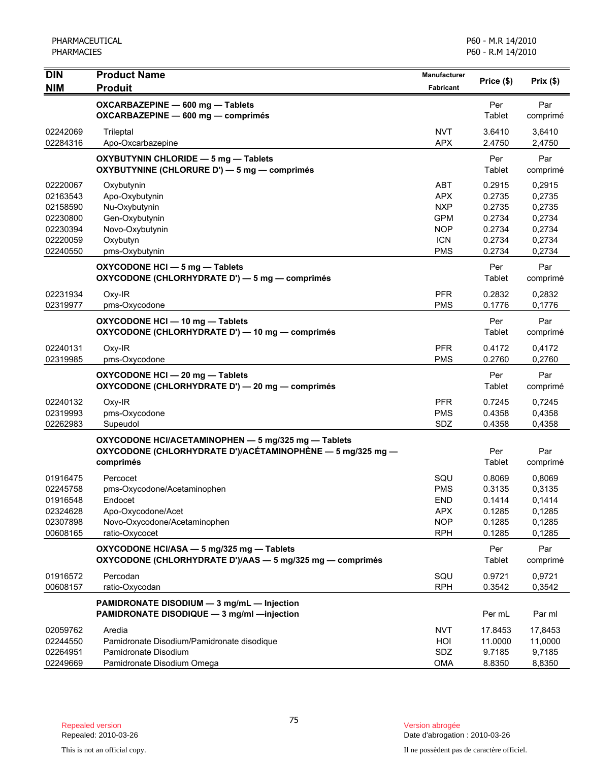| <b>DIN</b>           | <b>Product Name</b>                                                                                                            | <b>Manufacturer</b>      | Price (\$)       | Prix(\$)         |
|----------------------|--------------------------------------------------------------------------------------------------------------------------------|--------------------------|------------------|------------------|
| <b>NIM</b>           | <b>Produit</b>                                                                                                                 | Fabricant                |                  |                  |
|                      | OXCARBAZEPINE - 600 mg - Tablets<br>OXCARBAZEPINE - 600 mg - comprimés                                                         |                          | Per<br>Tablet    | Par<br>comprimé  |
| 02242069<br>02284316 | Trileptal<br>Apo-Oxcarbazepine                                                                                                 | <b>NVT</b><br><b>APX</b> | 3.6410<br>2.4750 | 3,6410<br>2,4750 |
|                      | OXYBUTYNIN CHLORIDE - 5 mg - Tablets<br>OXYBUTYNINE (CHLORURE D') - 5 mg - comprimés                                           |                          | Per<br>Tablet    | Par<br>comprimé  |
| 02220067             | Oxybutynin                                                                                                                     | <b>ABT</b>               | 0.2915           | 0,2915           |
| 02163543             | Apo-Oxybutynin                                                                                                                 | <b>APX</b>               | 0.2735           | 0,2735           |
| 02158590             | Nu-Oxybutynin                                                                                                                  | <b>NXP</b>               | 0.2735           | 0,2735           |
| 02230800             | Gen-Oxybutynin                                                                                                                 | <b>GPM</b>               | 0.2734           | 0,2734           |
| 02230394<br>02220059 | Novo-Oxybutynin<br>Oxybutyn                                                                                                    | <b>NOP</b><br><b>ICN</b> | 0.2734<br>0.2734 | 0,2734<br>0,2734 |
| 02240550             | pms-Oxybutynin                                                                                                                 | <b>PMS</b>               | 0.2734           | 0,2734           |
|                      | OXYCODONE HCI - 5 mg - Tablets<br>OXYCODONE (CHLORHYDRATE D') - 5 mg - comprimés                                               |                          | Per<br>Tablet    | Par<br>comprimé  |
| 02231934             | Oxy-IR                                                                                                                         | <b>PFR</b>               | 0.2832           | 0,2832           |
| 02319977             | pms-Oxycodone                                                                                                                  | <b>PMS</b>               | 0.1776           | 0,1776           |
|                      | OXYCODONE HCI - 10 mg - Tablets<br>OXYCODONE (CHLORHYDRATE D') - 10 mg - comprimés                                             |                          | Per<br>Tablet    | Par<br>comprimé  |
| 02240131             | Oxy-IR                                                                                                                         | <b>PFR</b>               | 0.4172           | 0,4172           |
| 02319985             | pms-Oxycodone                                                                                                                  | <b>PMS</b>               | 0.2760           | 0,2760           |
|                      | OXYCODONE HCI - 20 mg - Tablets<br>OXYCODONE (CHLORHYDRATE D') - 20 mg - comprimés                                             |                          | Per<br>Tablet    | Par<br>comprimé  |
| 02240132             | Oxy-IR                                                                                                                         | <b>PFR</b>               | 0.7245           | 0,7245           |
| 02319993             | pms-Oxycodone                                                                                                                  | <b>PMS</b>               | 0.4358           | 0,4358           |
| 02262983             | Supeudol                                                                                                                       | SDZ                      | 0.4358           | 0,4358           |
|                      | OXYCODONE HCI/ACETAMINOPHEN - 5 mg/325 mg - Tablets<br>OXYCODONE (CHLORHYDRATE D')/ACÉTAMINOPHÈNE — 5 mg/325 mg —<br>comprimés |                          | Per<br>Tablet    | Par<br>comprimé  |
| 01916475             | Percocet                                                                                                                       | SQU                      | 0.8069           | 0,8069           |
| 02245758             | pms-Oxycodone/Acetaminophen                                                                                                    | <b>PMS</b>               | 0.3135           | 0,3135           |
| 01916548             | Endocet                                                                                                                        | <b>END</b>               | 0.1414           | 0,1414           |
| 02324628<br>02307898 | Apo-Oxycodone/Acet<br>Novo-Oxycodone/Acetaminophen                                                                             | <b>APX</b><br><b>NOP</b> | 0.1285           | 0,1285           |
| 00608165             | ratio-Oxycocet                                                                                                                 | <b>RPH</b>               | 0.1285<br>0.1285 | 0,1285<br>0,1285 |
|                      | OXYCODONE HCI/ASA - 5 mg/325 mg - Tablets<br>OXYCODONE (CHLORHYDRATE D')/AAS - 5 mg/325 mg - comprimés                         |                          | Per<br>Tablet    | Par<br>comprimé  |
| 01916572             | Percodan                                                                                                                       | SQU                      | 0.9721           | 0,9721           |
| 00608157             | ratio-Oxycodan                                                                                                                 | <b>RPH</b>               | 0.3542           | 0,3542           |
|                      | PAMIDRONATE DISODIUM - 3 mg/mL - Injection<br>PAMIDRONATE DISODIQUE - 3 mg/ml - injection                                      |                          | Per mL           | Par ml           |
| 02059762             | Aredia                                                                                                                         | <b>NVT</b>               | 17.8453          | 17,8453          |
| 02244550             | Pamidronate Disodium/Pamidronate disodique                                                                                     | HOI                      | 11.0000          | 11,0000          |
| 02264951             | Pamidronate Disodium                                                                                                           | SDZ                      | 9.7185           | 9,7185           |
| 02249669             | Pamidronate Disodium Omega                                                                                                     | <b>OMA</b>               | 8.8350           | 8,8350           |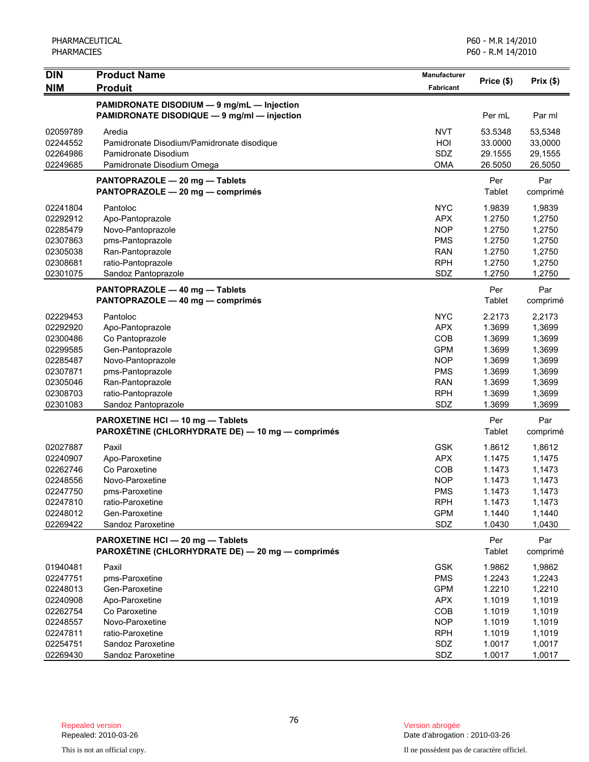| <b>DIN</b>           | <b>Product Name</b>                              | Manufacturer     |            |          |
|----------------------|--------------------------------------------------|------------------|------------|----------|
| <b>NIM</b>           | <b>Produit</b>                                   | <b>Fabricant</b> | Price (\$) | Prix(\$) |
|                      |                                                  |                  |            |          |
|                      | PAMIDRONATE DISODIUM - 9 mg/mL - Injection       |                  |            |          |
|                      | PAMIDRONATE DISODIQUE - 9 mg/ml - injection      |                  | Per mL     | Par ml   |
| 02059789             | Aredia                                           | <b>NVT</b>       | 53.5348    | 53,5348  |
| 02244552             | Pamidronate Disodium/Pamidronate disodique       | HOI              | 33.0000    | 33,0000  |
| 02264986             | Pamidronate Disodium                             | SDZ              | 29.1555    | 29,1555  |
| 02249685             | Pamidronate Disodium Omega                       | <b>OMA</b>       | 26.5050    | 26,5050  |
|                      | PANTOPRAZOLE - 20 mg - Tablets                   |                  | Per        | Par      |
|                      | PANTOPRAZOLE - 20 mg - comprimés                 |                  | Tablet     | comprimé |
|                      |                                                  |                  |            |          |
| 02241804             | Pantoloc                                         | <b>NYC</b>       | 1.9839     | 1,9839   |
| 02292912             | Apo-Pantoprazole                                 | <b>APX</b>       | 1.2750     | 1,2750   |
| 02285479             | Novo-Pantoprazole                                | <b>NOP</b>       | 1.2750     | 1,2750   |
| 02307863             | pms-Pantoprazole                                 | <b>PMS</b>       | 1.2750     | 1,2750   |
| 02305038             | Ran-Pantoprazole                                 | <b>RAN</b>       | 1.2750     | 1,2750   |
| 02308681             | ratio-Pantoprazole                               | <b>RPH</b>       | 1.2750     | 1,2750   |
| 02301075             | Sandoz Pantoprazole                              | SDZ              | 1.2750     | 1,2750   |
|                      | PANTOPRAZOLE - 40 mg - Tablets                   |                  | Per        | Par      |
|                      | PANTOPRAZOLE - 40 mg - comprimés                 |                  | Tablet     | comprimé |
| 02229453             | Pantoloc                                         | <b>NYC</b>       | 2.2173     | 2.2173   |
| 02292920             | Apo-Pantoprazole                                 | <b>APX</b>       | 1.3699     | 1,3699   |
| 02300486             | Co Pantoprazole                                  | <b>COB</b>       | 1.3699     | 1,3699   |
| 02299585             | Gen-Pantoprazole                                 | <b>GPM</b>       | 1.3699     | 1,3699   |
| 02285487             | Novo-Pantoprazole                                | <b>NOP</b>       | 1.3699     | 1,3699   |
| 02307871             | pms-Pantoprazole                                 | <b>PMS</b>       | 1.3699     | 1,3699   |
| 02305046             | Ran-Pantoprazole                                 | <b>RAN</b>       | 1.3699     | 1,3699   |
| 02308703             | ratio-Pantoprazole                               | <b>RPH</b>       | 1.3699     | 1,3699   |
| 02301083             | Sandoz Pantoprazole                              | SDZ              | 1.3699     | 1,3699   |
|                      | PAROXETINE HCI - 10 mg - Tablets                 |                  | Per        | Par      |
|                      | PAROXÉTINE (CHLORHYDRATE DE) — 10 mg — comprimés |                  | Tablet     | comprimé |
|                      |                                                  |                  |            |          |
| 02027887             | Paxil                                            | <b>GSK</b>       | 1.8612     | 1,8612   |
| 02240907             | Apo-Paroxetine                                   | <b>APX</b>       | 1.1475     | 1,1475   |
| 02262746             | Co Paroxetine                                    | COB              | 1.1473     | 1,1473   |
| 02248556             | Novo-Paroxetine                                  | <b>NOP</b>       | 1.1473     | 1,1473   |
| 02247750             | pms-Paroxetine                                   | <b>PMS</b>       | 1.1473     | 1,1473   |
| 02247810             | ratio-Paroxetine                                 | <b>RPH</b>       | 1.1473     | 1,1473   |
| 02248012<br>02269422 | Gen-Paroxetine                                   | <b>GPM</b>       | 1.1440     | 1,1440   |
|                      | Sandoz Paroxetine                                | SDZ              | 1.0430     | 1,0430   |
|                      | PAROXETINE HCI-20 mg-Tablets                     |                  | Per        | Par      |
|                      | PAROXÉTINE (CHLORHYDRATE DE) - 20 mg - comprimés |                  | Tablet     | comprimé |
| 01940481             | Paxil                                            | <b>GSK</b>       | 1.9862     | 1,9862   |
| 02247751             | pms-Paroxetine                                   | <b>PMS</b>       | 1.2243     | 1,2243   |
| 02248013             | Gen-Paroxetine                                   | <b>GPM</b>       | 1.2210     | 1,2210   |
| 02240908             | Apo-Paroxetine                                   | <b>APX</b>       | 1.1019     | 1,1019   |
| 02262754             | Co Paroxetine                                    | COB              | 1.1019     | 1,1019   |
| 02248557             | Novo-Paroxetine                                  | <b>NOP</b>       | 1.1019     | 1,1019   |
| 02247811             | ratio-Paroxetine                                 | <b>RPH</b>       | 1.1019     | 1,1019   |
| 02254751             | Sandoz Paroxetine                                | SDZ              | 1.0017     | 1,0017   |
| 02269430             | Sandoz Paroxetine                                | SDZ              | 1.0017     | 1,0017   |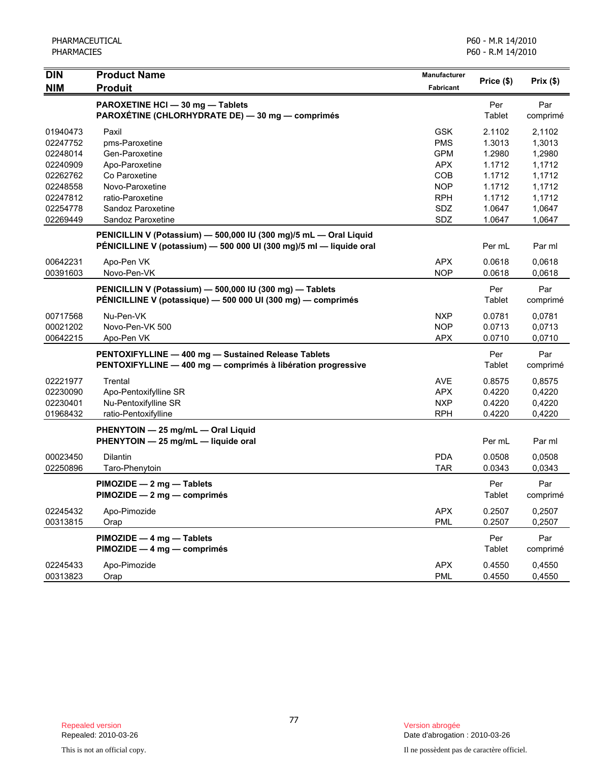| <b>DIN</b> | <b>Product Name</b>                                                 | <b>Manufacturer</b> |               |          |
|------------|---------------------------------------------------------------------|---------------------|---------------|----------|
| <b>NIM</b> | <b>Produit</b>                                                      | Fabricant           | Price (\$)    | Prix(\$) |
|            | PAROXETINE HCI - 30 mg - Tablets                                    |                     | Per           | Par      |
|            | PAROXÉTINE (CHLORHYDRATE DE) - 30 mg - comprimés                    |                     | Tablet        | comprimé |
| 01940473   | Paxil                                                               | <b>GSK</b>          | 2.1102        | 2,1102   |
| 02247752   | pms-Paroxetine                                                      | <b>PMS</b>          | 1.3013        | 1,3013   |
| 02248014   | Gen-Paroxetine                                                      | <b>GPM</b>          | 1.2980        | 1,2980   |
| 02240909   | Apo-Paroxetine                                                      | <b>APX</b>          | 1.1712        | 1,1712   |
| 02262762   | Co Paroxetine                                                       | COB                 | 1.1712        | 1,1712   |
| 02248558   | Novo-Paroxetine                                                     | <b>NOP</b>          | 1.1712        | 1,1712   |
| 02247812   | ratio-Paroxetine                                                    | <b>RPH</b>          | 1.1712        | 1,1712   |
| 02254778   | Sandoz Paroxetine                                                   | SDZ                 | 1.0647        | 1,0647   |
| 02269449   | Sandoz Paroxetine                                                   | SDZ                 | 1.0647        | 1,0647   |
|            | PENICILLIN V (Potassium) - 500,000 IU (300 mg)/5 mL - Oral Liquid   |                     |               |          |
|            | PÉNICILLINE V (potassium) - 500 000 UI (300 mg)/5 ml - liquide oral |                     | Per mL        | Par ml   |
| 00642231   | Apo-Pen VK                                                          | <b>APX</b>          | 0.0618        | 0,0618   |
| 00391603   | Novo-Pen-VK                                                         | <b>NOP</b>          | 0.0618        | 0,0618   |
|            | PENICILLIN V (Potassium) - 500,000 IU (300 mg) - Tablets            |                     | Per           | Par      |
|            | PÉNICILLINE V (potassique) - 500 000 UI (300 mg) - comprimés        |                     | Tablet        | comprimé |
| 00717568   | Nu-Pen-VK                                                           | <b>NXP</b>          | 0.0781        | 0,0781   |
| 00021202   | Novo-Pen-VK 500                                                     | <b>NOP</b>          | 0.0713        | 0,0713   |
| 00642215   | Apo-Pen VK                                                          | <b>APX</b>          | 0.0710        | 0,0710   |
|            | PENTOXIFYLLINE - 400 mg - Sustained Release Tablets                 |                     | Per           | Par      |
|            | PENTOXIFYLLINE - 400 mg - comprimés à libération progressive        |                     | Tablet        | comprimé |
| 02221977   | Trental                                                             | <b>AVE</b>          | 0.8575        | 0,8575   |
| 02230090   | Apo-Pentoxifylline SR                                               | <b>APX</b>          | 0.4220        | 0,4220   |
| 02230401   | Nu-Pentoxifylline SR                                                | <b>NXP</b>          | 0.4220        | 0,4220   |
| 01968432   | ratio-Pentoxifylline                                                | <b>RPH</b>          | 0.4220        | 0,4220   |
|            | PHENYTOIN - 25 mg/mL - Oral Liquid                                  |                     |               |          |
|            | PHENYTOIN - 25 mg/mL - liquide oral                                 |                     | Per mL        | Par ml   |
| 00023450   | Dilantin                                                            | <b>PDA</b>          | 0.0508        | 0,0508   |
| 02250896   | Taro-Phenytoin                                                      | <b>TAR</b>          | 0.0343        | 0,0343   |
|            | PIMOZIDE - 2 mg - Tablets                                           |                     | Per           | Par      |
|            | PIMOZIDE - 2 mg - comprimés                                         |                     | <b>Tablet</b> | comprimé |
| 02245432   | Apo-Pimozide                                                        | <b>APX</b>          | 0.2507        | 0,2507   |
| 00313815   | Orap                                                                | <b>PML</b>          | 0.2507        | 0,2507   |
|            | PIMOZIDE - 4 mg - Tablets                                           |                     | Per           | Par      |
|            | PIMOZIDE - 4 mg - comprimés                                         |                     | Tablet        | comprimé |
| 02245433   | Apo-Pimozide                                                        | <b>APX</b>          | 0.4550        | 0,4550   |
| 00313823   | Orap                                                                | <b>PML</b>          | 0.4550        | 0,4550   |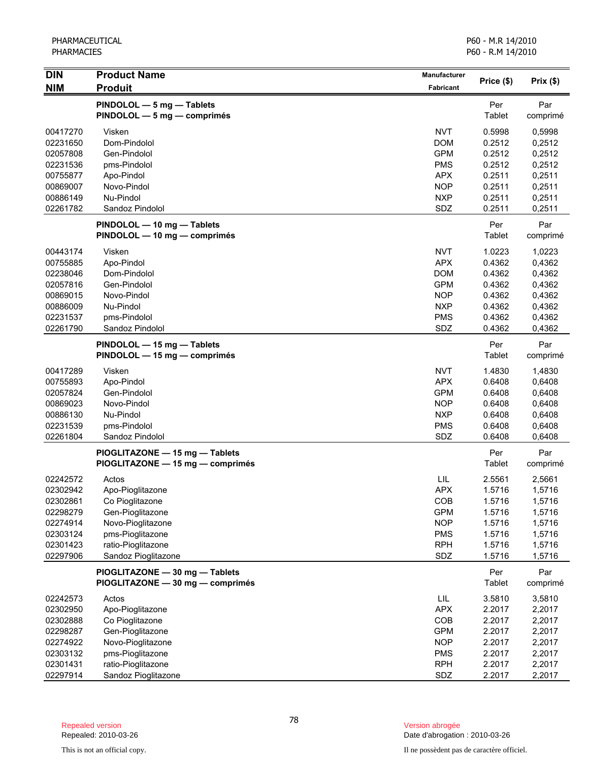| <b>DIN</b>           | <b>Product Name</b>              | Manufacturer      |                  |                  |
|----------------------|----------------------------------|-------------------|------------------|------------------|
| <b>NIM</b>           | <b>Produit</b>                   | <b>Fabricant</b>  | Price (\$)       | Prix(\$)         |
|                      | PINDOLOL - 5 mg - Tablets        |                   | Per              | Par              |
|                      | PINDOLOL - 5 mg - comprimés      |                   | Tablet           | comprimé         |
|                      |                                  |                   |                  |                  |
| 00417270             | Visken                           | <b>NVT</b>        | 0.5998           | 0,5998           |
| 02231650             | Dom-Pindolol                     | <b>DOM</b>        | 0.2512           | 0,2512           |
| 02057808             | Gen-Pindolol                     | <b>GPM</b>        | 0.2512           | 0,2512           |
| 02231536             | pms-Pindolol                     | <b>PMS</b>        | 0.2512           | 0,2512           |
| 00755877             | Apo-Pindol                       | <b>APX</b>        | 0.2511           | 0,2511           |
| 00869007             | Novo-Pindol                      | <b>NOP</b>        | 0.2511           | 0,2511           |
| 00886149<br>02261782 | Nu-Pindol<br>Sandoz Pindolol     | <b>NXP</b><br>SDZ | 0.2511<br>0.2511 | 0,2511<br>0,2511 |
|                      |                                  |                   |                  |                  |
|                      | PINDOLOL - 10 mg - Tablets       |                   | Per              | Par              |
|                      | PINDOLOL - 10 mg - comprimés     |                   | Tablet           | comprimé         |
| 00443174             | Visken                           | <b>NVT</b>        | 1.0223           | 1,0223           |
| 00755885             | Apo-Pindol                       | APX               | 0.4362           | 0,4362           |
| 02238046             | Dom-Pindolol                     | <b>DOM</b>        | 0.4362           | 0,4362           |
| 02057816             | Gen-Pindolol                     | <b>GPM</b>        | 0.4362           | 0,4362           |
| 00869015             | Novo-Pindol                      | <b>NOP</b>        | 0.4362           | 0,4362           |
| 00886009             | Nu-Pindol                        | <b>NXP</b>        | 0.4362           | 0,4362           |
| 02231537             | pms-Pindolol                     | <b>PMS</b>        | 0.4362           | 0,4362           |
| 02261790             | Sandoz Pindolol                  | SDZ               | 0.4362           | 0,4362           |
|                      | PINDOLOL - 15 mg - Tablets       |                   | Per              | Par              |
|                      | PINDOLOL - 15 mg - comprimés     |                   | Tablet           | comprimé         |
|                      |                                  |                   |                  |                  |
| 00417289             | Visken                           | <b>NVT</b>        | 1.4830           | 1,4830           |
| 00755893             | Apo-Pindol                       | <b>APX</b>        | 0.6408           | 0,6408           |
| 02057824             | Gen-Pindolol                     | <b>GPM</b>        | 0.6408           | 0,6408           |
| 00869023             | Novo-Pindol                      | <b>NOP</b>        | 0.6408           | 0,6408           |
| 00886130             | Nu-Pindol                        | <b>NXP</b>        | 0.6408           | 0,6408           |
| 02231539             | pms-Pindolol                     | <b>PMS</b>        | 0.6408           | 0,6408           |
| 02261804             | Sandoz Pindolol                  | SDZ               | 0.6408           | 0,6408           |
|                      | PIOGLITAZONE - 15 mg - Tablets   |                   | Per              | Par              |
|                      | PIOGLITAZONE - 15 mg - comprimés |                   | Tablet           | comprimé         |
| 02242572             | Actos                            | LIL               | 2.5561           | 2,5661           |
| 02302942             | Apo-Pioglitazone                 | <b>APX</b>        | 1.5716           | 1,5716           |
| 02302861             | Co Pioglitazone                  | COB               | 1.5716           | 1,5716           |
| 02298279             | Gen-Pioglitazone                 | <b>GPM</b>        | 1.5716           | 1,5716           |
| 02274914             | Novo-Pioglitazone                | <b>NOP</b>        | 1.5716           | 1,5716           |
| 02303124             | pms-Pioglitazone                 | <b>PMS</b>        | 1.5716           | 1,5716           |
| 02301423             | ratio-Pioglitazone               | <b>RPH</b>        | 1.5716           | 1,5716           |
| 02297906             | Sandoz Pioglitazone              | SDZ               | 1.5716           | 1,5716           |
|                      | PIOGLITAZONE - 30 mg - Tablets   |                   | Per              | Par              |
|                      | PIOGLITAZONE - 30 mg - comprimés |                   | Tablet           | comprimé         |
|                      |                                  |                   |                  |                  |
| 02242573             | Actos                            | LIL               | 3.5810           | 3,5810           |
| 02302950             | Apo-Pioglitazone                 | <b>APX</b>        | 2.2017           | 2,2017           |
| 02302888             | Co Pioglitazone                  | COB               | 2.2017           | 2,2017           |
| 02298287             | Gen-Pioglitazone                 | <b>GPM</b>        | 2.2017           | 2,2017           |
| 02274922             | Novo-Pioglitazone                | <b>NOP</b>        | 2.2017           | 2,2017           |
| 02303132             | pms-Pioglitazone                 | <b>PMS</b>        | 2.2017           | 2,2017           |
| 02301431             | ratio-Pioglitazone               | <b>RPH</b>        | 2.2017           | 2,2017           |
| 02297914             | Sandoz Pioglitazone              | SDZ               | 2.2017           | 2,2017           |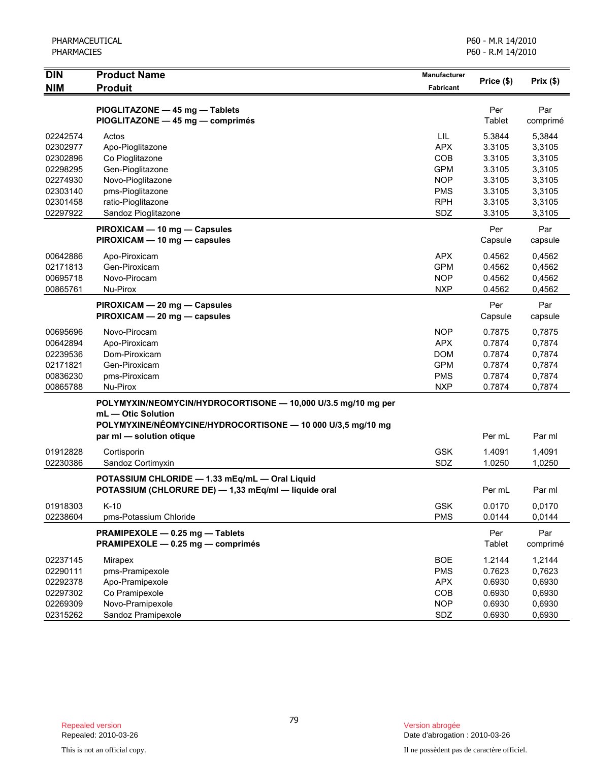| <b>DIN</b>           | <b>Product Name</b>                                                                                    | <b>Manufacturer</b>      | Price (\$)       | Prix(\$)         |
|----------------------|--------------------------------------------------------------------------------------------------------|--------------------------|------------------|------------------|
| <b>NIM</b>           | <b>Produit</b>                                                                                         | <b>Fabricant</b>         |                  |                  |
|                      | PIOGLITAZONE - 45 mg - Tablets                                                                         |                          | Per              | Par              |
|                      | PIOGLITAZONE - 45 mg - comprimés                                                                       |                          | Tablet           | comprimé         |
| 02242574             | Actos                                                                                                  | LIL                      | 5.3844           | 5,3844           |
| 02302977             | Apo-Pioglitazone                                                                                       | <b>APX</b>               | 3.3105           | 3,3105           |
| 02302896             | Co Pioglitazone                                                                                        | COB                      | 3.3105           | 3,3105           |
| 02298295             | Gen-Pioglitazone                                                                                       | <b>GPM</b>               | 3.3105           | 3,3105           |
| 02274930             | Novo-Pioglitazone                                                                                      | <b>NOP</b>               | 3.3105           | 3,3105           |
| 02303140             | pms-Pioglitazone                                                                                       | <b>PMS</b>               | 3.3105           | 3,3105           |
| 02301458             | ratio-Pioglitazone                                                                                     | <b>RPH</b>               | 3.3105           | 3,3105           |
| 02297922             | Sandoz Pioglitazone                                                                                    | SDZ                      | 3.3105           | 3,3105           |
|                      | PIROXICAM - 10 mg - Capsules                                                                           |                          | Per              | Par              |
|                      | PIROXICAM - 10 mg - capsules                                                                           |                          | Capsule          | capsule          |
| 00642886             | Apo-Piroxicam                                                                                          | <b>APX</b>               | 0.4562           | 0,4562           |
| 02171813             | Gen-Piroxicam                                                                                          | <b>GPM</b>               | 0.4562           | 0,4562           |
| 00695718             | Novo-Pirocam                                                                                           | <b>NOP</b>               | 0.4562           | 0,4562           |
| 00865761             | Nu-Pirox                                                                                               | <b>NXP</b>               | 0.4562           | 0,4562           |
|                      | PIROXICAM - 20 mg - Capsules                                                                           |                          | Per              | Par              |
|                      | PIROXICAM - 20 mg - capsules                                                                           |                          | Capsule          | capsule          |
| 00695696             | Novo-Pirocam                                                                                           | <b>NOP</b>               | 0.7875           | 0,7875           |
| 00642894             | Apo-Piroxicam                                                                                          | <b>APX</b>               | 0.7874           | 0,7874           |
| 02239536             | Dom-Piroxicam                                                                                          | <b>DOM</b>               | 0.7874           | 0,7874           |
| 02171821             | Gen-Piroxicam                                                                                          | <b>GPM</b>               | 0.7874           | 0,7874           |
| 00836230             | pms-Piroxicam                                                                                          | <b>PMS</b>               | 0.7874           | 0,7874           |
| 00865788             | Nu-Pirox                                                                                               | <b>NXP</b>               | 0.7874           | 0,7874           |
|                      | POLYMYXIN/NEOMYCIN/HYDROCORTISONE - 10,000 U/3.5 mg/10 mg per                                          |                          |                  |                  |
|                      | mL - Otic Solution<br>POLYMYXINE/NÉOMYCINE/HYDROCORTISONE - 10 000 U/3,5 mg/10 mg                      |                          |                  |                  |
|                      | par ml - solution otique                                                                               |                          | Per mL           | Par ml           |
|                      |                                                                                                        |                          |                  |                  |
| 01912828<br>02230386 | Cortisporin<br>Sandoz Cortimyxin                                                                       | <b>GSK</b><br>SDZ        | 1.4091<br>1.0250 | 1,4091<br>1,0250 |
|                      |                                                                                                        |                          |                  |                  |
|                      | POTASSIUM CHLORIDE - 1.33 mEq/mL - Oral Liquid<br>POTASSIUM (CHLORURE DE) - 1,33 mEq/ml - liquide oral |                          | Per mL           | Par ml           |
|                      |                                                                                                        |                          |                  |                  |
| 01918303<br>02238604 | $K-10$<br>pms-Potassium Chloride                                                                       | <b>GSK</b><br><b>PMS</b> | 0.0170<br>0.0144 | 0,0170<br>0,0144 |
|                      |                                                                                                        |                          |                  |                  |
|                      | PRAMIPEXOLE - 0.25 mg - Tablets<br>PRAMIPEXOLE - 0.25 mg - comprimés                                   |                          | Per<br>Tablet    | Par<br>comprimé  |
| 02237145             | Mirapex                                                                                                | <b>BOE</b>               | 1.2144           | 1,2144           |
| 02290111             | pms-Pramipexole                                                                                        | <b>PMS</b>               | 0.7623           | 0,7623           |
| 02292378             | Apo-Pramipexole                                                                                        | <b>APX</b>               | 0.6930           | 0,6930           |
| 02297302             | Co Pramipexole                                                                                         | COB                      | 0.6930           | 0,6930           |
| 02269309             | Novo-Pramipexole                                                                                       | <b>NOP</b>               | 0.6930           | 0,6930           |
| 02315262             | Sandoz Pramipexole                                                                                     | SDZ                      | 0.6930           | 0,6930           |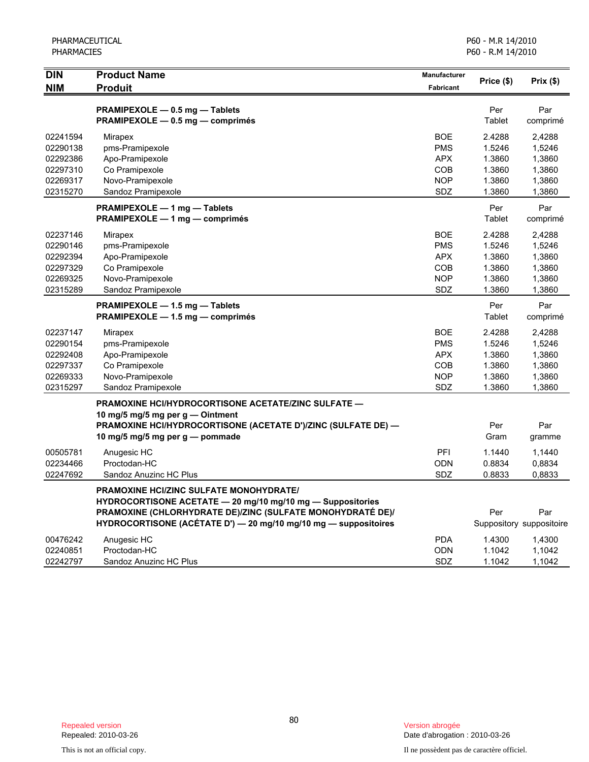| <b>NIM</b><br><b>Produit</b><br><b>Fabricant</b><br>Per<br>PRAMIPEXOLE - 0.5 mg - Tablets<br>Par<br>PRAMIPEXOLE - 0.5 mg - comprimés<br>Tablet<br>comprimé<br><b>BOE</b><br>2.4288<br>02241594<br>2,4288<br>Mirapex<br>pms-Pramipexole<br><b>PMS</b><br>1,5246<br>02290138<br>1.5246<br><b>APX</b><br>1.3860<br>1,3860<br>02292386<br>Apo-Pramipexole<br>02297310<br>Co Pramipexole<br><b>COB</b><br>1.3860<br>1,3860<br>Novo-Pramipexole<br>02269317<br><b>NOP</b><br>1.3860<br>1,3860<br>SDZ<br>1.3860<br>02315270<br>Sandoz Pramipexole<br>1,3860<br>Per<br>Par<br>PRAMIPEXOLE - 1 mg - Tablets<br>PRAMIPEXOLE - 1 mg - comprimés<br>Tablet<br>comprimé<br>02237146<br><b>BOE</b><br>2.4288<br>2,4288<br><b>Mirapex</b><br>02290146<br>pms-Pramipexole<br><b>PMS</b><br>1.5246<br>1,5246<br><b>APX</b><br>1.3860<br>1,3860<br>02292394<br>Apo-Pramipexole<br>02297329<br>Co Pramipexole<br><b>COB</b><br>1.3860<br>1,3860<br>Novo-Pramipexole<br><b>NOP</b><br>1.3860<br>1,3860<br>02269325<br>02315289<br>Sandoz Pramipexole<br>SDZ<br>1.3860<br>1,3860<br>Per<br>Par<br>PRAMIPEXOLE - 1.5 mg - Tablets<br>PRAMIPEXOLE - 1.5 mg - comprimés<br>Tablet<br>comprimé<br>02237147<br><b>BOE</b><br>2.4288<br>2,4288<br>Mirapex<br>02290154<br><b>PMS</b><br>1.5246<br>1,5246<br>pms-Pramipexole<br>02292408<br><b>APX</b><br>1.3860<br>1,3860<br>Apo-Pramipexole<br>02297337<br>Co Pramipexole<br><b>COB</b><br>1.3860<br>1,3860<br>02269333<br>Novo-Pramipexole<br><b>NOP</b><br>1.3860<br>1,3860 | <b>DIN</b> | <b>Product Name</b> | <b>Manufacturer</b> |            |          |
|----------------------------------------------------------------------------------------------------------------------------------------------------------------------------------------------------------------------------------------------------------------------------------------------------------------------------------------------------------------------------------------------------------------------------------------------------------------------------------------------------------------------------------------------------------------------------------------------------------------------------------------------------------------------------------------------------------------------------------------------------------------------------------------------------------------------------------------------------------------------------------------------------------------------------------------------------------------------------------------------------------------------------------------------------------------------------------------------------------------------------------------------------------------------------------------------------------------------------------------------------------------------------------------------------------------------------------------------------------------------------------------------------------------------------------------------------------------------------------------------------|------------|---------------------|---------------------|------------|----------|
|                                                                                                                                                                                                                                                                                                                                                                                                                                                                                                                                                                                                                                                                                                                                                                                                                                                                                                                                                                                                                                                                                                                                                                                                                                                                                                                                                                                                                                                                                                    |            |                     |                     | Price (\$) | Prix(\$) |
|                                                                                                                                                                                                                                                                                                                                                                                                                                                                                                                                                                                                                                                                                                                                                                                                                                                                                                                                                                                                                                                                                                                                                                                                                                                                                                                                                                                                                                                                                                    |            |                     |                     |            |          |
|                                                                                                                                                                                                                                                                                                                                                                                                                                                                                                                                                                                                                                                                                                                                                                                                                                                                                                                                                                                                                                                                                                                                                                                                                                                                                                                                                                                                                                                                                                    |            |                     |                     |            |          |
|                                                                                                                                                                                                                                                                                                                                                                                                                                                                                                                                                                                                                                                                                                                                                                                                                                                                                                                                                                                                                                                                                                                                                                                                                                                                                                                                                                                                                                                                                                    |            |                     |                     |            |          |
|                                                                                                                                                                                                                                                                                                                                                                                                                                                                                                                                                                                                                                                                                                                                                                                                                                                                                                                                                                                                                                                                                                                                                                                                                                                                                                                                                                                                                                                                                                    |            |                     |                     |            |          |
|                                                                                                                                                                                                                                                                                                                                                                                                                                                                                                                                                                                                                                                                                                                                                                                                                                                                                                                                                                                                                                                                                                                                                                                                                                                                                                                                                                                                                                                                                                    |            |                     |                     |            |          |
|                                                                                                                                                                                                                                                                                                                                                                                                                                                                                                                                                                                                                                                                                                                                                                                                                                                                                                                                                                                                                                                                                                                                                                                                                                                                                                                                                                                                                                                                                                    |            |                     |                     |            |          |
|                                                                                                                                                                                                                                                                                                                                                                                                                                                                                                                                                                                                                                                                                                                                                                                                                                                                                                                                                                                                                                                                                                                                                                                                                                                                                                                                                                                                                                                                                                    |            |                     |                     |            |          |
|                                                                                                                                                                                                                                                                                                                                                                                                                                                                                                                                                                                                                                                                                                                                                                                                                                                                                                                                                                                                                                                                                                                                                                                                                                                                                                                                                                                                                                                                                                    |            |                     |                     |            |          |
|                                                                                                                                                                                                                                                                                                                                                                                                                                                                                                                                                                                                                                                                                                                                                                                                                                                                                                                                                                                                                                                                                                                                                                                                                                                                                                                                                                                                                                                                                                    |            |                     |                     |            |          |
|                                                                                                                                                                                                                                                                                                                                                                                                                                                                                                                                                                                                                                                                                                                                                                                                                                                                                                                                                                                                                                                                                                                                                                                                                                                                                                                                                                                                                                                                                                    |            |                     |                     |            |          |
|                                                                                                                                                                                                                                                                                                                                                                                                                                                                                                                                                                                                                                                                                                                                                                                                                                                                                                                                                                                                                                                                                                                                                                                                                                                                                                                                                                                                                                                                                                    |            |                     |                     |            |          |
|                                                                                                                                                                                                                                                                                                                                                                                                                                                                                                                                                                                                                                                                                                                                                                                                                                                                                                                                                                                                                                                                                                                                                                                                                                                                                                                                                                                                                                                                                                    |            |                     |                     |            |          |
|                                                                                                                                                                                                                                                                                                                                                                                                                                                                                                                                                                                                                                                                                                                                                                                                                                                                                                                                                                                                                                                                                                                                                                                                                                                                                                                                                                                                                                                                                                    |            |                     |                     |            |          |
|                                                                                                                                                                                                                                                                                                                                                                                                                                                                                                                                                                                                                                                                                                                                                                                                                                                                                                                                                                                                                                                                                                                                                                                                                                                                                                                                                                                                                                                                                                    |            |                     |                     |            |          |
|                                                                                                                                                                                                                                                                                                                                                                                                                                                                                                                                                                                                                                                                                                                                                                                                                                                                                                                                                                                                                                                                                                                                                                                                                                                                                                                                                                                                                                                                                                    |            |                     |                     |            |          |
|                                                                                                                                                                                                                                                                                                                                                                                                                                                                                                                                                                                                                                                                                                                                                                                                                                                                                                                                                                                                                                                                                                                                                                                                                                                                                                                                                                                                                                                                                                    |            |                     |                     |            |          |
|                                                                                                                                                                                                                                                                                                                                                                                                                                                                                                                                                                                                                                                                                                                                                                                                                                                                                                                                                                                                                                                                                                                                                                                                                                                                                                                                                                                                                                                                                                    |            |                     |                     |            |          |
|                                                                                                                                                                                                                                                                                                                                                                                                                                                                                                                                                                                                                                                                                                                                                                                                                                                                                                                                                                                                                                                                                                                                                                                                                                                                                                                                                                                                                                                                                                    |            |                     |                     |            |          |
|                                                                                                                                                                                                                                                                                                                                                                                                                                                                                                                                                                                                                                                                                                                                                                                                                                                                                                                                                                                                                                                                                                                                                                                                                                                                                                                                                                                                                                                                                                    |            |                     |                     |            |          |
|                                                                                                                                                                                                                                                                                                                                                                                                                                                                                                                                                                                                                                                                                                                                                                                                                                                                                                                                                                                                                                                                                                                                                                                                                                                                                                                                                                                                                                                                                                    |            |                     |                     |            |          |
|                                                                                                                                                                                                                                                                                                                                                                                                                                                                                                                                                                                                                                                                                                                                                                                                                                                                                                                                                                                                                                                                                                                                                                                                                                                                                                                                                                                                                                                                                                    |            |                     |                     |            |          |
|                                                                                                                                                                                                                                                                                                                                                                                                                                                                                                                                                                                                                                                                                                                                                                                                                                                                                                                                                                                                                                                                                                                                                                                                                                                                                                                                                                                                                                                                                                    |            |                     |                     |            |          |
|                                                                                                                                                                                                                                                                                                                                                                                                                                                                                                                                                                                                                                                                                                                                                                                                                                                                                                                                                                                                                                                                                                                                                                                                                                                                                                                                                                                                                                                                                                    |            |                     |                     |            |          |
|                                                                                                                                                                                                                                                                                                                                                                                                                                                                                                                                                                                                                                                                                                                                                                                                                                                                                                                                                                                                                                                                                                                                                                                                                                                                                                                                                                                                                                                                                                    |            |                     |                     |            |          |
|                                                                                                                                                                                                                                                                                                                                                                                                                                                                                                                                                                                                                                                                                                                                                                                                                                                                                                                                                                                                                                                                                                                                                                                                                                                                                                                                                                                                                                                                                                    | 02315297   | Sandoz Pramipexole  | SDZ                 | 1.3860     | 1,3860   |
| <b>PRAMOXINE HCI/HYDROCORTISONE ACETATE/ZINC SULFATE —</b>                                                                                                                                                                                                                                                                                                                                                                                                                                                                                                                                                                                                                                                                                                                                                                                                                                                                                                                                                                                                                                                                                                                                                                                                                                                                                                                                                                                                                                         |            |                     |                     |            |          |
| 10 mg/5 mg/5 mg per g - Ointment                                                                                                                                                                                                                                                                                                                                                                                                                                                                                                                                                                                                                                                                                                                                                                                                                                                                                                                                                                                                                                                                                                                                                                                                                                                                                                                                                                                                                                                                   |            |                     |                     |            |          |
| Per<br><b>PRAMOXINE HCI/HYDROCORTISONE (ACETATE D')/ZINC (SULFATE DE) —</b><br>Par                                                                                                                                                                                                                                                                                                                                                                                                                                                                                                                                                                                                                                                                                                                                                                                                                                                                                                                                                                                                                                                                                                                                                                                                                                                                                                                                                                                                                 |            |                     |                     |            |          |
| Gram<br>10 mg/5 mg/5 mg per g — pommade<br>gramme                                                                                                                                                                                                                                                                                                                                                                                                                                                                                                                                                                                                                                                                                                                                                                                                                                                                                                                                                                                                                                                                                                                                                                                                                                                                                                                                                                                                                                                  |            |                     |                     |            |          |
| PFI<br>00505781<br>Anugesic HC<br>1.1440<br>1,1440                                                                                                                                                                                                                                                                                                                                                                                                                                                                                                                                                                                                                                                                                                                                                                                                                                                                                                                                                                                                                                                                                                                                                                                                                                                                                                                                                                                                                                                 |            |                     |                     |            |          |
| 02234466<br>Proctodan-HC<br><b>ODN</b><br>0.8834<br>0,8834                                                                                                                                                                                                                                                                                                                                                                                                                                                                                                                                                                                                                                                                                                                                                                                                                                                                                                                                                                                                                                                                                                                                                                                                                                                                                                                                                                                                                                         |            |                     |                     |            |          |
| 02247692<br><b>SDZ</b><br>0.8833<br>0,8833<br>Sandoz Anuzinc HC Plus                                                                                                                                                                                                                                                                                                                                                                                                                                                                                                                                                                                                                                                                                                                                                                                                                                                                                                                                                                                                                                                                                                                                                                                                                                                                                                                                                                                                                               |            |                     |                     |            |          |
| <b>PRAMOXINE HCI/ZINC SULFATE MONOHYDRATE/</b>                                                                                                                                                                                                                                                                                                                                                                                                                                                                                                                                                                                                                                                                                                                                                                                                                                                                                                                                                                                                                                                                                                                                                                                                                                                                                                                                                                                                                                                     |            |                     |                     |            |          |
| HYDROCORTISONE ACETATE - 20 mg/10 mg/10 mg - Suppositories                                                                                                                                                                                                                                                                                                                                                                                                                                                                                                                                                                                                                                                                                                                                                                                                                                                                                                                                                                                                                                                                                                                                                                                                                                                                                                                                                                                                                                         |            |                     |                     |            |          |
| PRAMOXINE (CHLORHYDRATE DE)/ZINC (SULFATE MONOHYDRATÉ DE)/<br>Per<br>Par                                                                                                                                                                                                                                                                                                                                                                                                                                                                                                                                                                                                                                                                                                                                                                                                                                                                                                                                                                                                                                                                                                                                                                                                                                                                                                                                                                                                                           |            |                     |                     |            |          |
| HYDROCORTISONE (ACÉTATE D') - 20 mg/10 mg/10 mg - suppositoires<br>Suppository suppositoire                                                                                                                                                                                                                                                                                                                                                                                                                                                                                                                                                                                                                                                                                                                                                                                                                                                                                                                                                                                                                                                                                                                                                                                                                                                                                                                                                                                                        |            |                     |                     |            |          |
| 00476242<br>Anugesic HC<br><b>PDA</b><br>1.4300<br>1,4300                                                                                                                                                                                                                                                                                                                                                                                                                                                                                                                                                                                                                                                                                                                                                                                                                                                                                                                                                                                                                                                                                                                                                                                                                                                                                                                                                                                                                                          |            |                     |                     |            |          |
| Proctodan-HC<br><b>ODN</b><br>02240851<br>1.1042<br>1,1042                                                                                                                                                                                                                                                                                                                                                                                                                                                                                                                                                                                                                                                                                                                                                                                                                                                                                                                                                                                                                                                                                                                                                                                                                                                                                                                                                                                                                                         |            |                     |                     |            |          |
| <b>SDZ</b><br>1,1042<br>02242797<br>Sandoz Anuzinc HC Plus<br>1.1042                                                                                                                                                                                                                                                                                                                                                                                                                                                                                                                                                                                                                                                                                                                                                                                                                                                                                                                                                                                                                                                                                                                                                                                                                                                                                                                                                                                                                               |            |                     |                     |            |          |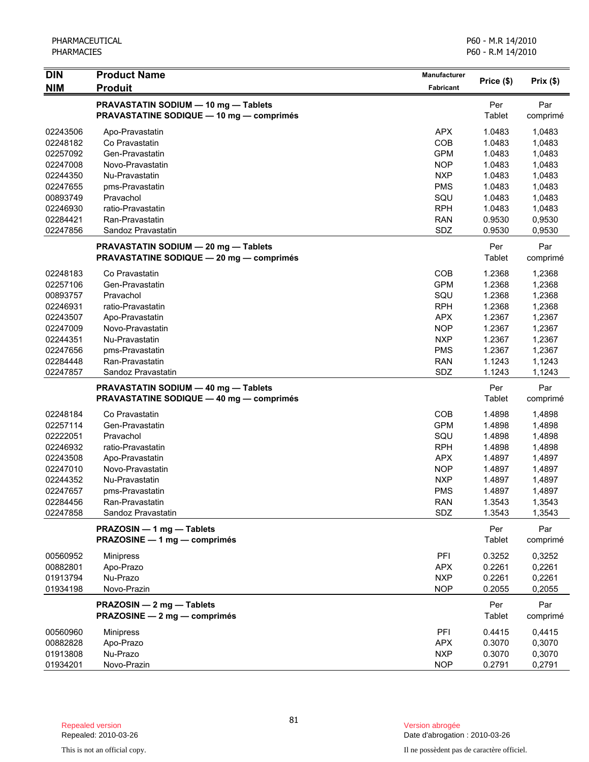| <b>DIN</b>           | <b>Product Name</b>                                                                     | Manufacturer             |                  |                  |
|----------------------|-----------------------------------------------------------------------------------------|--------------------------|------------------|------------------|
| <b>NIM</b>           | <b>Produit</b>                                                                          | Fabricant                | Price (\$)       | Prix (\$)        |
|                      | PRAVASTATIN SODIUM - 10 mg - Tablets<br><b>PRAVASTATINE SODIQUE - 10 mg - comprimés</b> |                          | Per<br>Tablet    | Par<br>comprimé  |
|                      |                                                                                         |                          |                  |                  |
| 02243506             | Apo-Pravastatin                                                                         | <b>APX</b>               | 1.0483           | 1,0483           |
| 02248182             | Co Pravastatin<br>Gen-Pravastatin                                                       | COB                      | 1.0483           | 1,0483           |
| 02257092<br>02247008 | Novo-Pravastatin                                                                        | <b>GPM</b><br><b>NOP</b> | 1.0483<br>1.0483 | 1,0483<br>1,0483 |
| 02244350             | Nu-Pravastatin                                                                          | <b>NXP</b>               | 1.0483           | 1,0483           |
| 02247655             | pms-Pravastatin                                                                         | <b>PMS</b>               | 1.0483           | 1,0483           |
| 00893749             | Pravachol                                                                               | SQU                      | 1.0483           | 1,0483           |
| 02246930             | ratio-Pravastatin                                                                       | <b>RPH</b>               | 1.0483           | 1,0483           |
| 02284421             | Ran-Pravastatin                                                                         | <b>RAN</b>               | 0.9530           | 0,9530           |
| 02247856             | Sandoz Pravastatin                                                                      | SDZ                      | 0.9530           | 0,9530           |
|                      |                                                                                         |                          |                  |                  |
|                      | PRAVASTATIN SODIUM - 20 mg - Tablets                                                    |                          | Per              | Par              |
|                      | <b>PRAVASTATINE SODIQUE - 20 mg - comprimés</b>                                         |                          | Tablet           | comprimé         |
| 02248183             | Co Pravastatin                                                                          | COB                      | 1.2368           | 1,2368           |
| 02257106             | Gen-Pravastatin                                                                         | <b>GPM</b>               | 1.2368           | 1,2368           |
| 00893757             | Pravachol                                                                               | SQU                      | 1.2368           | 1,2368           |
| 02246931             | ratio-Pravastatin                                                                       | <b>RPH</b>               | 1.2368           | 1,2368           |
| 02243507             | Apo-Pravastatin                                                                         | <b>APX</b>               | 1.2367           | 1,2367           |
| 02247009             | Novo-Pravastatin                                                                        | <b>NOP</b>               | 1.2367           | 1,2367           |
| 02244351             | Nu-Pravastatin                                                                          | <b>NXP</b>               | 1.2367           | 1,2367           |
| 02247656             | pms-Pravastatin                                                                         | <b>PMS</b>               | 1.2367           | 1,2367           |
| 02284448             | Ran-Pravastatin                                                                         | <b>RAN</b>               | 1.1243           | 1,1243           |
| 02247857             | Sandoz Pravastatin                                                                      | SDZ                      | 1.1243           | 1,1243           |
|                      | PRAVASTATIN SODIUM - 40 mg - Tablets                                                    |                          | Per              | Par              |
|                      | <b>PRAVASTATINE SODIQUE - 40 mg - comprimés</b>                                         |                          | Tablet           | comprimé         |
| 02248184             | Co Pravastatin                                                                          | <b>COB</b>               | 1.4898           | 1,4898           |
| 02257114             | Gen-Pravastatin                                                                         | <b>GPM</b>               | 1.4898           | 1,4898           |
| 02222051             | Pravachol                                                                               | SQU                      | 1.4898           | 1,4898           |
| 02246932             | ratio-Pravastatin                                                                       | <b>RPH</b>               | 1.4898           | 1,4898           |
| 02243508             | Apo-Pravastatin                                                                         | <b>APX</b>               | 1.4897           | 1,4897           |
| 02247010             | Novo-Pravastatin                                                                        | <b>NOP</b>               | 1.4897           | 1,4897           |
| 02244352             | Nu-Pravastatin                                                                          | <b>NXP</b>               | 1.4897           | 1,4897           |
| 02247657             | pms-Pravastatin                                                                         | <b>PMS</b>               | 1.4897           | 1,4897           |
| 02284456             | Ran-Pravastatin                                                                         | <b>RAN</b>               | 1.3543           | 1,3543           |
| 02247858             | Sandoz Pravastatin                                                                      | SDZ                      | 1.3543           | 1,3543           |
|                      | PRAZOSIN - 1 mg - Tablets<br>PRAZOSINE - 1 mg - comprimés                               |                          | Per<br>Tablet    | Par<br>comprimé  |
|                      |                                                                                         |                          |                  |                  |
| 00560952             | <b>Minipress</b>                                                                        | PFI                      | 0.3252           | 0,3252           |
| 00882801             | Apo-Prazo                                                                               | <b>APX</b>               | 0.2261           | 0,2261           |
| 01913794             | Nu-Prazo                                                                                | <b>NXP</b>               | 0.2261           | 0,2261           |
| 01934198             | Novo-Prazin                                                                             | <b>NOP</b>               | 0.2055           | 0,2055           |
|                      | PRAZOSIN - 2 mg - Tablets                                                               |                          | Per              | Par              |
|                      | PRAZOSINE - 2 mg - comprimés                                                            |                          | Tablet           | comprimé         |
| 00560960             | <b>Minipress</b>                                                                        | <b>PFI</b>               | 0.4415           | 0,4415           |
| 00882828             | Apo-Prazo                                                                               | <b>APX</b>               | 0.3070           | 0,3070           |
| 01913808             | Nu-Prazo                                                                                | <b>NXP</b>               | 0.3070           | 0,3070           |
| 01934201             | Novo-Prazin                                                                             | <b>NOP</b>               | 0.2791           | 0,2791           |

Date d'abrogation : 2010-03-26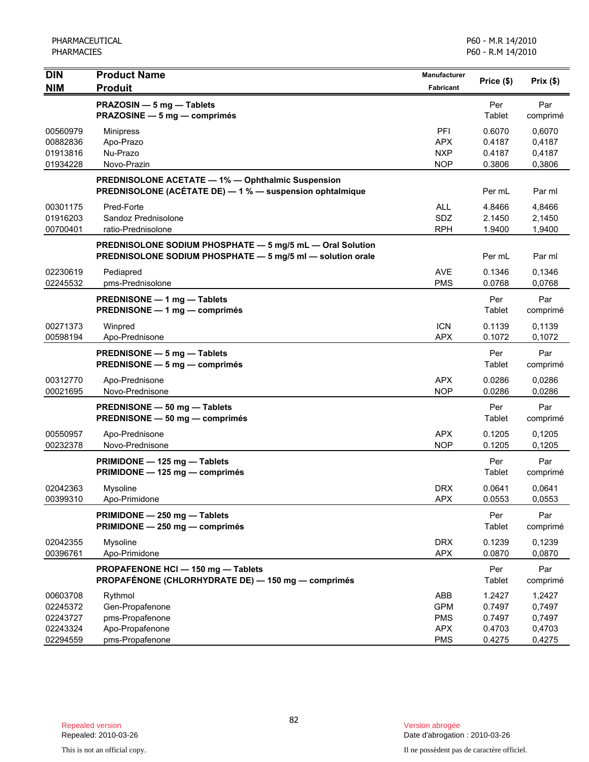| <b>DIN</b>                                   | <b>Product Name</b>                                                                                                     | Manufacturer                                  | Price (\$)                           | Prix(\$)                             |
|----------------------------------------------|-------------------------------------------------------------------------------------------------------------------------|-----------------------------------------------|--------------------------------------|--------------------------------------|
| <b>NIM</b>                                   | <b>Produit</b>                                                                                                          | Fabricant                                     |                                      |                                      |
|                                              | PRAZOSIN - 5 mg - Tablets<br>PRAZOSINE - 5 mg - comprimés                                                               |                                               | Per<br>Tablet                        | Par<br>comprimé                      |
| 00560979<br>00882836<br>01913816<br>01934228 | <b>Minipress</b><br>Apo-Prazo<br>Nu-Prazo<br>Novo-Prazin                                                                | PFI<br><b>APX</b><br>NXP<br><b>NOP</b>        | 0.6070<br>0.4187<br>0.4187<br>0.3806 | 0,6070<br>0,4187<br>0,4187<br>0,3806 |
|                                              | PREDNISOLONE ACETATE - 1% - Ophthalmic Suspension<br>PREDNISOLONE (ACÉTATE DE) - 1 % - suspension ophtalmique           |                                               | Per mL                               | Par ml                               |
| 00301175<br>01916203<br>00700401             | Pred-Forte<br>Sandoz Prednisolone<br>ratio-Prednisolone                                                                 | <b>ALL</b><br>SDZ<br><b>RPH</b>               | 4.8466<br>2.1450<br>1.9400           | 4,8466<br>2,1450<br>1,9400           |
|                                              | PREDNISOLONE SODIUM PHOSPHATE - 5 mg/5 mL - Oral Solution<br>PREDNISOLONE SODIUM PHOSPHATE - 5 mg/5 ml - solution orale |                                               | Per mL                               | Par ml                               |
| 02230619<br>02245532                         | Pediapred<br>pms-Prednisolone                                                                                           | AVE<br><b>PMS</b>                             | 0.1346<br>0.0768                     | 0,1346<br>0,0768                     |
|                                              | PREDNISONE - 1 mg - Tablets<br>PREDNISONE - 1 mg - comprimés                                                            |                                               | Per<br>Tablet                        | Par<br>comprimé                      |
| 00271373<br>00598194                         | Winpred<br>Apo-Prednisone                                                                                               | <b>ICN</b><br><b>APX</b>                      | 0.1139<br>0.1072                     | 0,1139<br>0,1072                     |
|                                              | PREDNISONE - 5 mg - Tablets<br>PREDNISONE - 5 mg - comprimés                                                            |                                               | Per<br>Tablet                        | Par<br>comprimé                      |
| 00312770<br>00021695                         | Apo-Prednisone<br>Novo-Prednisone                                                                                       | <b>APX</b><br><b>NOP</b>                      | 0.0286<br>0.0286                     | 0,0286<br>0,0286                     |
|                                              | PREDNISONE - 50 mg - Tablets<br>PREDNISONE - 50 mg - comprimés                                                          |                                               | Per<br>Tablet                        | Par<br>comprimé                      |
| 00550957<br>00232378                         | Apo-Prednisone<br>Novo-Prednisone                                                                                       | <b>APX</b><br><b>NOP</b>                      | 0.1205<br>0.1205                     | 0,1205<br>0,1205                     |
|                                              | PRIMIDONE - 125 mg - Tablets<br>PRIMIDONE - 125 mg - comprimés                                                          |                                               | Per<br>Tablet                        | Par<br>comprimé                      |
| 02042363<br>00399310                         | Mysoline<br>Apo-Primidone                                                                                               | <b>DRX</b><br>APX                             | 0.0641<br>0.0553                     | 0,0641<br>0,0553                     |
|                                              | PRIMIDONE - 250 mg - Tablets<br>PRIMIDONE - 250 mg - comprimés                                                          |                                               | Per<br>Tablet                        | Par<br>comprimé                      |
| 02042355<br>00396761                         | Mysoline<br>Apo-Primidone                                                                                               | <b>DRX</b><br><b>APX</b>                      | 0.1239<br>0.0870                     | 0,1239<br>0,0870                     |
|                                              | PROPAFENONE HCI-150 mg-Tablets<br>PROPAFÉNONE (CHLORHYDRATE DE) - 150 mg - comprimés                                    |                                               | Per<br>Tablet                        | Par<br>comprimé                      |
| 00603708<br>02245372<br>02243727<br>02243324 | Rythmol<br>Gen-Propafenone<br>pms-Propafenone<br>Apo-Propafenone                                                        | ABB<br><b>GPM</b><br><b>PMS</b><br><b>APX</b> | 1.2427<br>0.7497<br>0.7497<br>0.4703 | 1,2427<br>0,7497<br>0,7497<br>0,4703 |
| 02294559                                     | pms-Propafenone                                                                                                         | <b>PMS</b>                                    | 0.4275                               | 0,4275                               |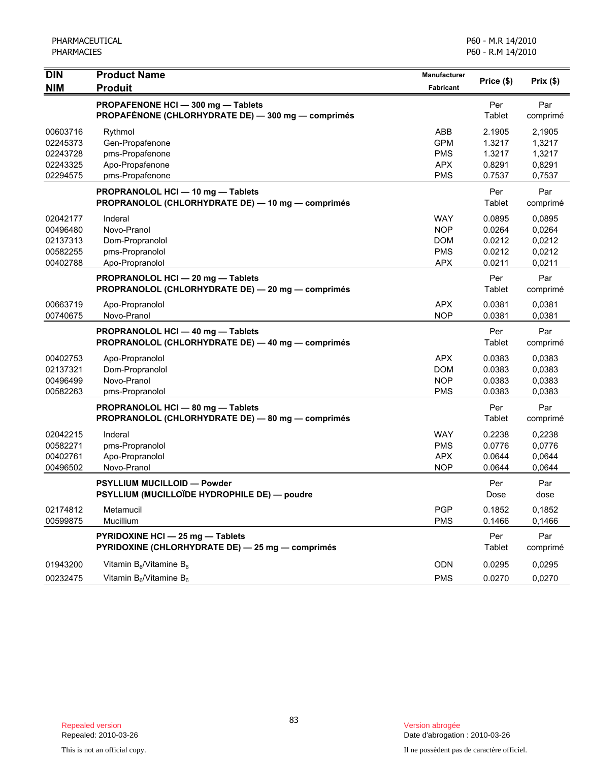| <b>DIN</b><br><b>NIM</b>                                 | <b>Product Name</b><br><b>Produit</b>                                                  | Manufacturer<br>Fabricant                                          | Price (\$)                                     | Prix(\$)                                       |
|----------------------------------------------------------|----------------------------------------------------------------------------------------|--------------------------------------------------------------------|------------------------------------------------|------------------------------------------------|
|                                                          | PROPAFENONE HCI-300 mg-Tablets<br>PROPAFÉNONE (CHLORHYDRATE DE) - 300 mg - comprimés   |                                                                    | Per<br>Tablet                                  | Par<br>comprimé                                |
| 00603716<br>02245373<br>02243728<br>02243325<br>02294575 | Rythmol<br>Gen-Propafenone<br>pms-Propafenone<br>Apo-Propafenone<br>pms-Propafenone    | ABB<br><b>GPM</b><br><b>PMS</b><br><b>APX</b><br><b>PMS</b>        | 2.1905<br>1.3217<br>1.3217<br>0.8291<br>0.7537 | 2,1905<br>1,3217<br>1,3217<br>0,8291<br>0,7537 |
|                                                          | PROPRANOLOL HCI - 10 mg - Tablets<br>PROPRANOLOL (CHLORHYDRATE DE) - 10 mg - comprimés |                                                                    | Per<br>Tablet                                  | Par<br>comprimé                                |
| 02042177<br>00496480<br>02137313<br>00582255<br>00402788 | Inderal<br>Novo-Pranol<br>Dom-Propranolol<br>pms-Propranolol<br>Apo-Propranolol        | <b>WAY</b><br><b>NOP</b><br><b>DOM</b><br><b>PMS</b><br><b>APX</b> | 0.0895<br>0.0264<br>0.0212<br>0.0212<br>0.0211 | 0.0895<br>0,0264<br>0,0212<br>0,0212<br>0,0211 |
|                                                          | PROPRANOLOL HCI - 20 mg - Tablets<br>PROPRANOLOL (CHLORHYDRATE DE) - 20 mg - comprimés |                                                                    | Per<br>Tablet                                  | Par<br>comprimé                                |
| 00663719<br>00740675                                     | Apo-Propranolol<br>Novo-Pranol                                                         | <b>APX</b><br><b>NOP</b>                                           | 0.0381<br>0.0381                               | 0,0381<br>0,0381                               |
|                                                          | PROPRANOLOL HCI - 40 mg - Tablets<br>PROPRANOLOL (CHLORHYDRATE DE) - 40 mg - comprimés |                                                                    | Per<br>Tablet                                  | Par<br>comprimé                                |
| 00402753<br>02137321<br>00496499<br>00582263             | Apo-Propranolol<br>Dom-Propranolol<br>Novo-Pranol<br>pms-Propranolol                   | <b>APX</b><br><b>DOM</b><br><b>NOP</b><br><b>PMS</b>               | 0.0383<br>0.0383<br>0.0383<br>0.0383           | 0.0383<br>0,0383<br>0,0383<br>0,0383           |
|                                                          | PROPRANOLOL HCI - 80 mg - Tablets<br>PROPRANOLOL (CHLORHYDRATE DE) - 80 mg - comprimés |                                                                    | Per<br>Tablet                                  | Par<br>comprimé                                |
| 02042215<br>00582271<br>00402761<br>00496502             | Inderal<br>pms-Propranolol<br>Apo-Propranolol<br>Novo-Pranol                           | <b>WAY</b><br><b>PMS</b><br><b>APX</b><br><b>NOP</b>               | 0.2238<br>0.0776<br>0.0644<br>0.0644           | 0,2238<br>0,0776<br>0,0644<br>0,0644           |
|                                                          | <b>PSYLLIUM MUCILLOID - Powder</b><br>PSYLLIUM (MUCILLOÏDE HYDROPHILE DE) — poudre     |                                                                    | Per<br>Dose                                    | Par<br>dose                                    |
| 02174812<br>00599875                                     | Metamucil<br>Mucillium                                                                 | <b>PGP</b><br><b>PMS</b>                                           | 0.1852<br>0.1466                               | 0,1852<br>0,1466                               |
|                                                          | PYRIDOXINE HCI - 25 mg - Tablets<br>PYRIDOXINE (CHLORHYDRATE DE) - 25 mg - comprimés   |                                                                    | Per<br>Tablet                                  | Par<br>comprimé                                |
| 01943200<br>00232475                                     | Vitamin $B_6$ /Vitamine $B_6$<br>Vitamin B <sub>6</sub> /Vitamine B <sub>6</sub>       | ODN<br><b>PMS</b>                                                  | 0.0295<br>0.0270                               | 0,0295<br>0,0270                               |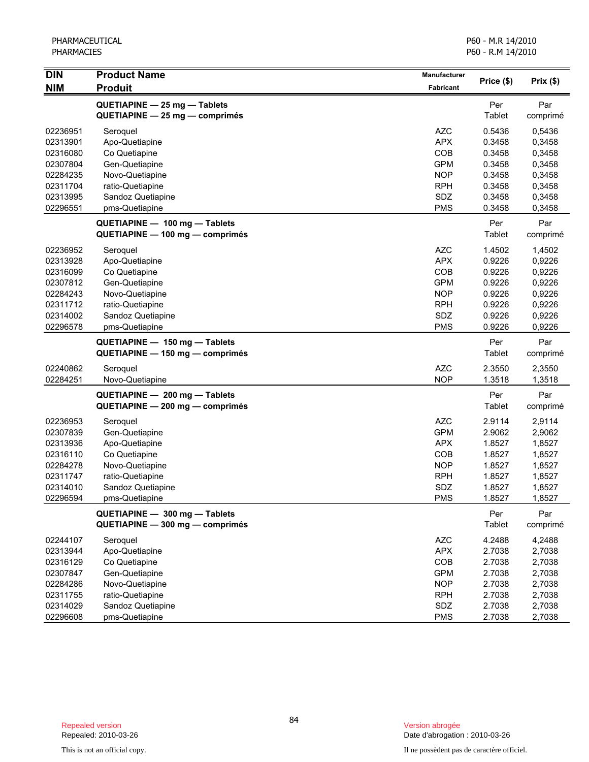| <b>DIN</b>                                                                                   | <b>Product Name</b>                                                                                                                         | Manufacturer                                                                                          | Price (\$)                                                                   | Prix(\$)                                                                     |
|----------------------------------------------------------------------------------------------|---------------------------------------------------------------------------------------------------------------------------------------------|-------------------------------------------------------------------------------------------------------|------------------------------------------------------------------------------|------------------------------------------------------------------------------|
| <b>NIM</b>                                                                                   | <b>Produit</b>                                                                                                                              | Fabricant                                                                                             |                                                                              |                                                                              |
|                                                                                              | QUETIAPINE - 25 mg - Tablets<br>QUETIAPINE - 25 mg - comprimés                                                                              |                                                                                                       | Per<br>Tablet                                                                | Par<br>comprimé                                                              |
| 02236951<br>02313901<br>02316080<br>02307804<br>02284235<br>02311704                         | Seroquel<br>Apo-Quetiapine<br>Co Quetiapine<br>Gen-Quetiapine<br>Novo-Quetiapine<br>ratio-Quetiapine                                        | <b>AZC</b><br><b>APX</b><br>COB<br><b>GPM</b><br><b>NOP</b><br><b>RPH</b>                             | 0.5436<br>0.3458<br>0.3458<br>0.3458<br>0.3458<br>0.3458                     | 0,5436<br>0,3458<br>0,3458<br>0,3458<br>0,3458<br>0,3458                     |
| 02313995<br>02296551                                                                         | Sandoz Quetiapine<br>pms-Quetiapine                                                                                                         | SDZ<br><b>PMS</b>                                                                                     | 0.3458<br>0.3458                                                             | 0,3458<br>0,3458                                                             |
|                                                                                              | QUETIAPINE - 100 mg - Tablets<br>QUETIAPINE - 100 mg - comprimés                                                                            |                                                                                                       | Per<br>Tablet                                                                | Par<br>comprimé                                                              |
| 02236952<br>02313928<br>02316099<br>02307812<br>02284243<br>02311712<br>02314002<br>02296578 | Seroquel<br>Apo-Quetiapine<br>Co Quetiapine<br>Gen-Quetiapine<br>Novo-Quetiapine<br>ratio-Quetiapine<br>Sandoz Quetiapine<br>pms-Quetiapine | <b>AZC</b><br><b>APX</b><br>COB<br><b>GPM</b><br><b>NOP</b><br><b>RPH</b><br>SDZ<br><b>PMS</b>        | 1.4502<br>0.9226<br>0.9226<br>0.9226<br>0.9226<br>0.9226<br>0.9226<br>0.9226 | 1,4502<br>0,9226<br>0,9226<br>0,9226<br>0,9226<br>0,9226<br>0,9226<br>0,9226 |
|                                                                                              | QUETIAPINE - 150 mg - Tablets<br>QUETIAPINE - 150 mg - comprimés                                                                            |                                                                                                       | Per<br>Tablet                                                                | Par<br>comprimé                                                              |
| 02240862<br>02284251                                                                         | Seroquel<br>Novo-Quetiapine                                                                                                                 | <b>AZC</b><br><b>NOP</b>                                                                              | 2.3550<br>1.3518                                                             | 2,3550<br>1,3518                                                             |
|                                                                                              | QUETIAPINE - 200 mg - Tablets<br>QUETIAPINE - 200 mg - comprimés                                                                            |                                                                                                       | Per<br>Tablet                                                                | Par<br>comprimé                                                              |
| 02236953<br>02307839<br>02313936<br>02316110<br>02284278<br>02311747<br>02314010<br>02296594 | Seroquel<br>Gen-Quetiapine<br>Apo-Quetiapine<br>Co Quetiapine<br>Novo-Quetiapine<br>ratio-Quetiapine<br>Sandoz Quetiapine<br>pms-Quetiapine | <b>AZC</b><br><b>GPM</b><br><b>APX</b><br><b>COB</b><br><b>NOP</b><br><b>RPH</b><br>SDZ<br><b>PMS</b> | 2.9114<br>2.9062<br>1.8527<br>1.8527<br>1.8527<br>1.8527<br>1.8527<br>1.8527 | 2,9114<br>2,9062<br>1,8527<br>1,8527<br>1,8527<br>1,8527<br>1,8527<br>1,8527 |
|                                                                                              | QUETIAPINE - 300 mg - Tablets<br>QUETIAPINE - 300 mg - comprimés                                                                            |                                                                                                       | Per<br>Tablet                                                                | Par<br>comprimé                                                              |
| 02244107<br>02313944<br>02316129<br>02307847<br>02284286<br>02311755<br>02314029<br>02296608 | Seroquel<br>Apo-Quetiapine<br>Co Quetiapine<br>Gen-Quetiapine<br>Novo-Quetiapine<br>ratio-Quetiapine<br>Sandoz Quetiapine<br>pms-Quetiapine | <b>AZC</b><br><b>APX</b><br>COB<br><b>GPM</b><br><b>NOP</b><br><b>RPH</b><br>SDZ<br><b>PMS</b>        | 4.2488<br>2.7038<br>2.7038<br>2.7038<br>2.7038<br>2.7038<br>2.7038<br>2.7038 | 4,2488<br>2,7038<br>2,7038<br>2,7038<br>2,7038<br>2,7038<br>2,7038<br>2,7038 |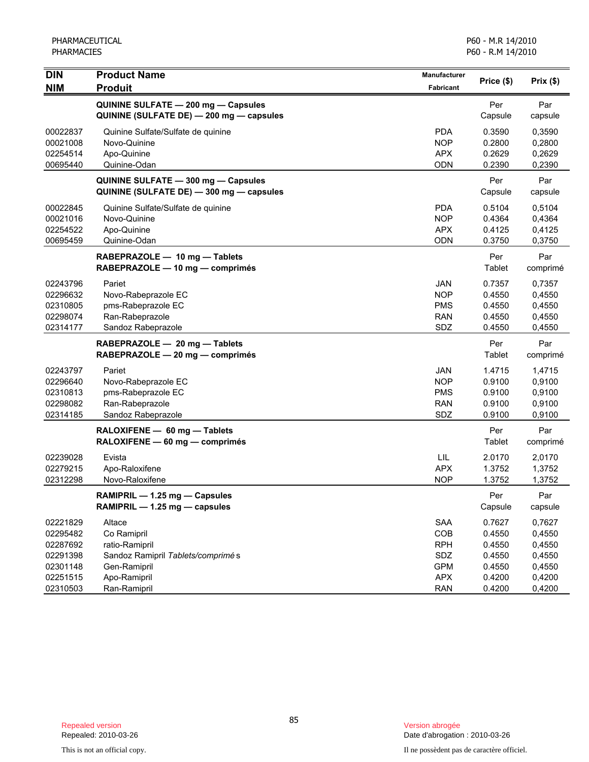| <b>DIN</b> | <b>Product Name</b>                      | Manufacturer     | Price (\$) | Prix(\$) |
|------------|------------------------------------------|------------------|------------|----------|
| <b>NIM</b> | <b>Produit</b>                           | <b>Fabricant</b> |            |          |
|            | QUININE SULFATE - 200 mg - Capsules      |                  | Per        | Par      |
|            | QUININE (SULFATE DE) - 200 mg - capsules |                  | Capsule    | capsule  |
| 00022837   | Quinine Sulfate/Sulfate de quinine       | <b>PDA</b>       | 0.3590     | 0,3590   |
| 00021008   | Novo-Quinine                             | <b>NOP</b>       | 0.2800     | 0,2800   |
| 02254514   | Apo-Quinine                              | <b>APX</b>       | 0.2629     | 0,2629   |
| 00695440   | Quinine-Odan                             | ODN              | 0.2390     | 0,2390   |
|            | QUININE SULFATE - 300 mg - Capsules      |                  | Per        | Par      |
|            | QUININE (SULFATE DE) - 300 mg - capsules |                  | Capsule    | capsule  |
| 00022845   | Quinine Sulfate/Sulfate de quinine       | <b>PDA</b>       | 0.5104     | 0,5104   |
| 00021016   | Novo-Quinine                             | <b>NOP</b>       | 0.4364     | 0,4364   |
| 02254522   | Apo-Quinine                              | <b>APX</b>       | 0.4125     | 0,4125   |
| 00695459   | Quinine-Odan                             | ODN              | 0.3750     | 0,3750   |
|            | RABEPRAZOLE - 10 mg - Tablets            |                  | Per        | Par      |
|            | RABEPRAZOLE - 10 mg - comprimés          |                  | Tablet     | comprimé |
| 02243796   | Pariet                                   | JAN              | 0.7357     | 0,7357   |
| 02296632   | Novo-Rabeprazole EC                      | <b>NOP</b>       | 0.4550     | 0,4550   |
| 02310805   | pms-Rabeprazole EC                       | <b>PMS</b>       | 0.4550     | 0,4550   |
| 02298074   | Ran-Rabeprazole                          | RAN              | 0.4550     | 0,4550   |
| 02314177   | Sandoz Rabeprazole                       | SDZ              | 0.4550     | 0,4550   |
|            | RABEPRAZOLE - 20 mg - Tablets            |                  | Per        | Par      |
|            | RABEPRAZOLE - 20 mg - comprimés          |                  | Tablet     | comprimé |
| 02243797   | Pariet                                   | <b>JAN</b>       | 1.4715     | 1,4715   |
| 02296640   | Novo-Rabeprazole EC                      | <b>NOP</b>       | 0.9100     | 0,9100   |
| 02310813   | pms-Rabeprazole EC                       | <b>PMS</b>       | 0.9100     | 0,9100   |
| 02298082   | Ran-Rabeprazole                          | <b>RAN</b>       | 0.9100     | 0,9100   |
| 02314185   | Sandoz Rabeprazole                       | SDZ              | 0.9100     | 0,9100   |
|            | RALOXIFENE - 60 mg - Tablets             |                  | Per        | Par      |
|            | RALOXIFENE - 60 mg - comprimés           |                  | Tablet     | comprimé |
| 02239028   | Evista                                   | LIL              | 2.0170     | 2,0170   |
| 02279215   | Apo-Raloxifene                           | <b>APX</b>       | 1.3752     | 1,3752   |
| 02312298   | Novo-Raloxifene                          | <b>NOP</b>       | 1.3752     | 1,3752   |
|            | RAMIPRIL - 1.25 mg - Capsules            |                  | Per        | Par      |
|            | RAMIPRIL - 1.25 mg - capsules            |                  | Capsule    | capsule  |
| 02221829   | Altace                                   | <b>SAA</b>       | 0.7627     | 0,7627   |
| 02295482   | Co Ramipril                              | COB              | 0.4550     | 0,4550   |
| 02287692   | ratio-Ramipril                           | <b>RPH</b>       | 0.4550     | 0,4550   |
| 02291398   | Sandoz Ramipril Tablets/comprimé s       | SDZ              | 0.4550     | 0,4550   |
| 02301148   | Gen-Ramipril                             | <b>GPM</b>       | 0.4550     | 0,4550   |
| 02251515   | Apo-Ramipril                             | <b>APX</b>       | 0.4200     | 0,4200   |
| 02310503   | Ran-Ramipril                             | <b>RAN</b>       | 0.4200     | 0,4200   |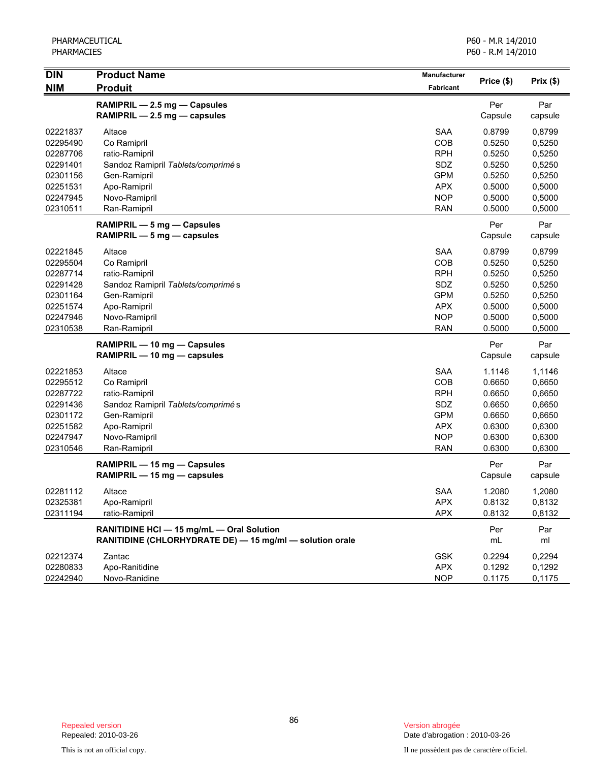| <b>DIN</b> | <b>Product Name</b>                                      | Manufacturer |            |              |
|------------|----------------------------------------------------------|--------------|------------|--------------|
| <b>NIM</b> | <b>Produit</b>                                           | Fabricant    | Price (\$) | Prix $($ \$) |
|            | RAMIPRIL - 2.5 mg - Capsules                             |              | Per        | Par          |
|            | RAMIPRIL - 2.5 mg - capsules                             |              | Capsule    | capsule      |
| 02221837   | Altace                                                   | <b>SAA</b>   | 0.8799     | 0,8799       |
| 02295490   | Co Ramipril                                              | COB          | 0.5250     | 0,5250       |
| 02287706   | ratio-Ramipril                                           | <b>RPH</b>   | 0.5250     | 0,5250       |
| 02291401   | Sandoz Ramipril Tablets/comprimé s                       | SDZ          | 0.5250     | 0,5250       |
| 02301156   | Gen-Ramipril                                             | <b>GPM</b>   | 0.5250     | 0,5250       |
| 02251531   | Apo-Ramipril                                             | <b>APX</b>   | 0.5000     | 0,5000       |
| 02247945   | Novo-Ramipril                                            | <b>NOP</b>   | 0.5000     | 0,5000       |
| 02310511   | Ran-Ramipril                                             | <b>RAN</b>   | 0.5000     | 0,5000       |
|            | RAMIPRIL - 5 mg - Capsules                               |              | Per        | Par          |
|            | RAMIPRIL $-5$ mg $-$ capsules                            |              | Capsule    | capsule      |
| 02221845   | Altace                                                   | <b>SAA</b>   | 0.8799     | 0,8799       |
| 02295504   | Co Ramipril                                              | COB          | 0.5250     | 0,5250       |
| 02287714   | ratio-Ramipril                                           | <b>RPH</b>   | 0.5250     | 0,5250       |
| 02291428   | Sandoz Ramipril Tablets/comprimés                        | SDZ          | 0.5250     | 0,5250       |
| 02301164   | Gen-Ramipril                                             | <b>GPM</b>   | 0.5250     | 0,5250       |
| 02251574   | Apo-Ramipril                                             | <b>APX</b>   | 0.5000     | 0,5000       |
| 02247946   | Novo-Ramipril                                            | <b>NOP</b>   | 0.5000     | 0,5000       |
| 02310538   | Ran-Ramipril                                             | <b>RAN</b>   | 0.5000     | 0,5000       |
|            | RAMIPRIL - 10 mg - Capsules                              |              | Per        | Par          |
|            | RAMIPRIL - 10 mg - capsules                              |              | Capsule    | capsule      |
| 02221853   | Altace                                                   | <b>SAA</b>   | 1.1146     | 1,1146       |
| 02295512   | Co Ramipril                                              | COB          | 0.6650     | 0,6650       |
| 02287722   | ratio-Ramipril                                           | <b>RPH</b>   | 0.6650     | 0,6650       |
| 02291436   | Sandoz Ramipril Tablets/comprimé s                       | SDZ          | 0.6650     | 0,6650       |
| 02301172   | Gen-Ramipril                                             | <b>GPM</b>   | 0.6650     | 0,6650       |
| 02251582   | Apo-Ramipril                                             | <b>APX</b>   | 0.6300     | 0,6300       |
| 02247947   | Novo-Ramipril                                            | <b>NOP</b>   | 0.6300     | 0,6300       |
| 02310546   | Ran-Ramipril                                             | <b>RAN</b>   | 0.6300     | 0,6300       |
|            | RAMIPRIL - 15 mg - Capsules                              |              | Per        | Par          |
|            | RAMIPRIL - 15 mg - capsules                              |              | Capsule    | capsule      |
| 02281112   | Altace                                                   | <b>SAA</b>   | 1.2080     | 1,2080       |
| 02325381   | Apo-Ramipril                                             | <b>APX</b>   | 0.8132     | 0,8132       |
| 02311194   | ratio-Ramipril                                           | <b>APX</b>   | 0.8132     | 0,8132       |
|            | RANITIDINE HCI - 15 mg/mL - Oral Solution                |              | Per        | Par          |
|            | RANITIDINE (CHLORHYDRATE DE) - 15 mg/ml - solution orale |              | mL         | ml           |
| 02212374   | Zantac                                                   | <b>GSK</b>   | 0.2294     | 0,2294       |
| 02280833   | Apo-Ranitidine                                           | <b>APX</b>   | 0.1292     | 0,1292       |
| 02242940   | Novo-Ranidine                                            | <b>NOP</b>   | 0.1175     | 0,1175       |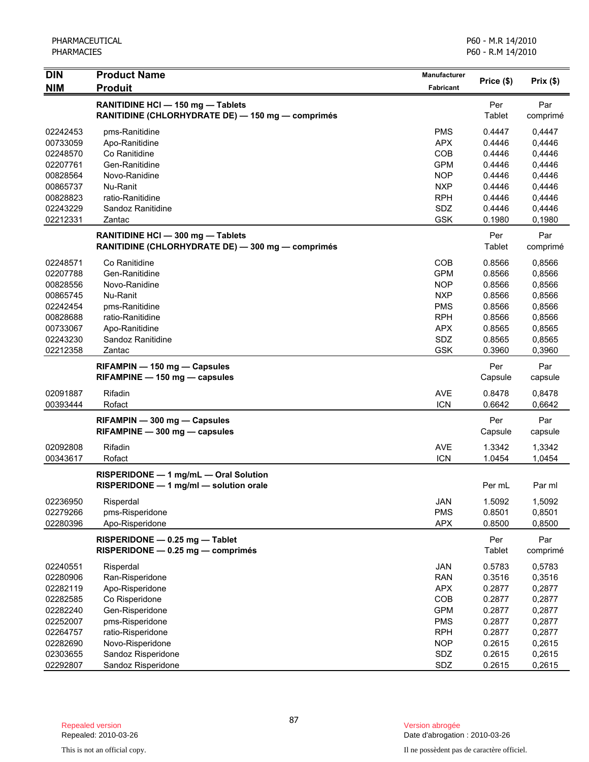| <b>DIN</b> | <b>Product Name</b>                                                                    | Manufacturer     |                      |                 |
|------------|----------------------------------------------------------------------------------------|------------------|----------------------|-----------------|
| <b>NIM</b> | <b>Produit</b>                                                                         | <b>Fabricant</b> | Price (\$)           | Prix(\$)        |
|            | RANITIDINE HCI - 150 mg - Tablets<br>RANITIDINE (CHLORHYDRATE DE) - 150 mg - comprimés |                  | Per<br>Tablet        | Par<br>comprimé |
| 02242453   | pms-Ranitidine                                                                         | <b>PMS</b>       | 0.4447               | 0,4447          |
| 00733059   | Apo-Ranitidine                                                                         | <b>APX</b>       | 0.4446               | 0,4446          |
| 02248570   | Co Ranitidine                                                                          | COB              | 0.4446               | 0,4446          |
| 02207761   | Gen-Ranitidine                                                                         | <b>GPM</b>       | 0.4446               | 0,4446          |
| 00828564   | Novo-Ranidine                                                                          | <b>NOP</b>       | 0.4446               | 0,4446          |
| 00865737   | Nu-Ranit                                                                               | <b>NXP</b>       | 0.4446               | 0,4446          |
| 00828823   | ratio-Ranitidine                                                                       | <b>RPH</b>       | 0.4446               | 0,4446          |
| 02243229   | Sandoz Ranitidine                                                                      | SDZ              | 0.4446               | 0,4446          |
| 02212331   | Zantac                                                                                 | <b>GSK</b>       | 0.1980               | 0,1980          |
|            | RANITIDINE HCI - 300 mg - Tablets<br>RANITIDINE (CHLORHYDRATE DE) - 300 mg - comprimés |                  | Per<br>Tablet        | Par<br>comprimé |
| 02248571   | Co Ranitidine                                                                          | COB              | 0.8566               | 0,8566          |
| 02207788   | Gen-Ranitidine                                                                         | <b>GPM</b>       | 0.8566               | 0,8566          |
| 00828556   | Novo-Ranidine                                                                          | <b>NOP</b>       | 0.8566               | 0,8566          |
| 00865745   | Nu-Ranit                                                                               | <b>NXP</b>       | 0.8566               | 0,8566          |
| 02242454   | pms-Ranitidine                                                                         | <b>PMS</b>       | 0.8566               | 0,8566          |
| 00828688   | ratio-Ranitidine                                                                       | <b>RPH</b>       | 0.8566               | 0,8566          |
| 00733067   | Apo-Ranitidine                                                                         | <b>APX</b>       | 0.8565               | 0,8565          |
| 02243230   | Sandoz Ranitidine                                                                      | SDZ              | 0.8565               | 0,8565          |
| 02212358   | Zantac                                                                                 | <b>GSK</b>       | 0.3960               | 0,3960          |
|            |                                                                                        |                  | Per                  | Par             |
|            | RIFAMPIN - 150 mg - Capsules<br>RIFAMPINE - 150 mg - capsules                          |                  | Capsule              | capsule         |
| 02091887   | Rifadin                                                                                | <b>AVE</b>       | 0.8478               | 0,8478          |
| 00393444   | Rofact                                                                                 | <b>ICN</b>       | 0.6642               | 0,6642          |
|            | RIFAMPIN - 300 mg - Capsules<br>RIFAMPINE - 300 mg - capsules                          |                  | Per<br>Capsule       | Par<br>capsule  |
| 02092808   | Rifadin                                                                                | <b>AVE</b>       | 1.3342               | 1,3342          |
| 00343617   | Rofact                                                                                 | <b>ICN</b>       | 1.0454               | 1,0454          |
|            | RISPERIDONE - 1 mg/mL - Oral Solution<br>RISPERIDONE - 1 mg/ml - solution orale        |                  | Per mL               | Par ml          |
| 02236950   | Risperdal                                                                              | JAN              | 1.5092               | 1,5092          |
| 02279266   | pms-Risperidone                                                                        | <b>PMS</b>       | 0.8501               | 0,8501          |
| 02280396   | Apo-Risperidone                                                                        | <b>APX</b>       | 0.8500               | 0,8500          |
|            | RISPERIDONE - 0.25 mg - Tablet<br>RISPERIDONE - 0.25 mg - comprimés                    |                  | Per<br><b>Tablet</b> | Par<br>comprimé |
| 02240551   | Risperdal                                                                              | <b>JAN</b>       | 0.5783               | 0,5783          |
| 02280906   | Ran-Risperidone                                                                        | <b>RAN</b>       | 0.3516               | 0,3516          |
| 02282119   | Apo-Risperidone                                                                        | <b>APX</b>       | 0.2877               | 0,2877          |
| 02282585   | Co Risperidone                                                                         | COB              | 0.2877               | 0,2877          |
| 02282240   | Gen-Risperidone                                                                        | <b>GPM</b>       | 0.2877               | 0,2877          |
| 02252007   | pms-Risperidone                                                                        | <b>PMS</b>       | 0.2877               | 0,2877          |
| 02264757   | ratio-Risperidone                                                                      | <b>RPH</b>       | 0.2877               | 0,2877          |
| 02282690   | Novo-Risperidone                                                                       | <b>NOP</b>       | 0.2615               | 0,2615          |
| 02303655   | Sandoz Risperidone                                                                     | SDZ              | 0.2615               | 0,2615          |
| 02292807   | Sandoz Risperidone                                                                     | SDZ              | 0.2615               | 0,2615          |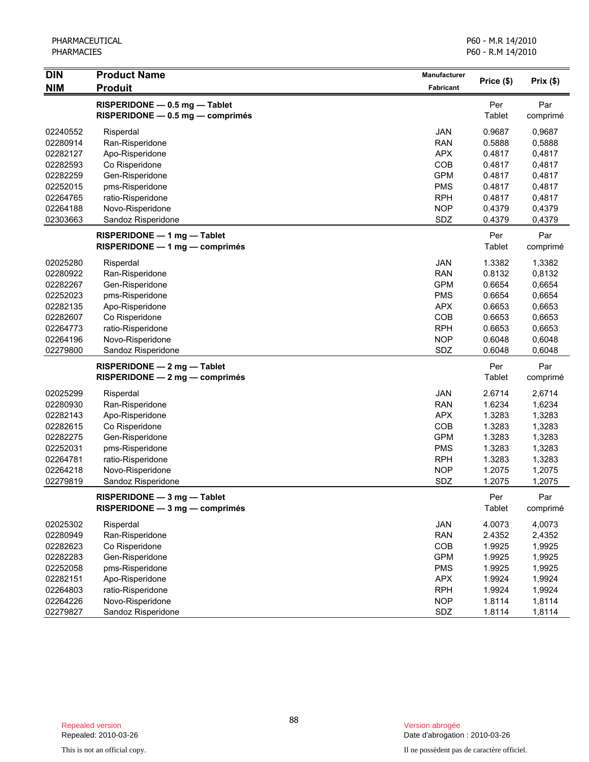| <b>DIN</b><br><b>NIM</b> | <b>Product Name</b><br><b>Produit</b>                             | Manufacturer<br>Fabricant | Price (\$)    | Prix(\$)        |
|--------------------------|-------------------------------------------------------------------|---------------------------|---------------|-----------------|
|                          |                                                                   |                           |               |                 |
|                          | RISPERIDONE - 0.5 mg - Tablet<br>RISPERIDONE - 0.5 mg - comprimés |                           | Per<br>Tablet | Par<br>comprimé |
| 02240552                 | Risperdal                                                         | JAN                       | 0.9687        | 0,9687          |
| 02280914                 | Ran-Risperidone                                                   | <b>RAN</b>                | 0.5888        | 0,5888          |
| 02282127                 | Apo-Risperidone                                                   | <b>APX</b>                | 0.4817        | 0,4817          |
| 02282593                 | Co Risperidone                                                    | COB                       | 0.4817        | 0,4817          |
| 02282259                 | Gen-Risperidone                                                   | <b>GPM</b>                | 0.4817        | 0,4817          |
| 02252015                 | pms-Risperidone                                                   | <b>PMS</b>                | 0.4817        | 0,4817          |
| 02264765                 | ratio-Risperidone                                                 | <b>RPH</b>                | 0.4817        | 0,4817          |
| 02264188                 | Novo-Risperidone                                                  | <b>NOP</b>                | 0.4379        | 0,4379          |
| 02303663                 | Sandoz Risperidone                                                | SDZ                       | 0.4379        | 0,4379          |
|                          | RISPERIDONE - 1 mg - Tablet                                       |                           | Per           | Par             |
|                          | RISPERIDONE - 1 mg - comprimés                                    |                           | Tablet        | comprimé        |
| 02025280                 | Risperdal                                                         | JAN                       | 1.3382        | 1,3382          |
| 02280922                 | Ran-Risperidone                                                   | <b>RAN</b>                | 0.8132        | 0,8132          |
| 02282267                 | Gen-Risperidone                                                   | <b>GPM</b>                | 0.6654        | 0,6654          |
| 02252023                 | pms-Risperidone                                                   | <b>PMS</b>                | 0.6654        | 0,6654          |
| 02282135                 | Apo-Risperidone                                                   | <b>APX</b>                | 0.6653        | 0,6653          |
| 02282607                 | Co Risperidone                                                    | COB                       | 0.6653        | 0,6653          |
| 02264773                 | ratio-Risperidone                                                 | <b>RPH</b>                | 0.6653        | 0,6653          |
| 02264196                 | Novo-Risperidone                                                  | <b>NOP</b>                | 0.6048        | 0,6048          |
| 02279800                 | Sandoz Risperidone                                                | SDZ                       | 0.6048        | 0,6048          |
|                          | RISPERIDONE - 2 mg - Tablet                                       |                           | Per           | Par             |
|                          | $RISPERIDONE - 2 mg - comprimés$                                  |                           | <b>Tablet</b> | comprimé        |
| 02025299                 | Risperdal                                                         | JAN                       | 2.6714        | 2,6714          |
| 02280930                 | Ran-Risperidone                                                   | <b>RAN</b>                | 1.6234        | 1,6234          |
| 02282143                 | Apo-Risperidone                                                   | <b>APX</b>                | 1.3283        | 1,3283          |
| 02282615                 | Co Risperidone                                                    | COB                       | 1.3283        | 1,3283          |
| 02282275                 | Gen-Risperidone                                                   | <b>GPM</b>                | 1.3283        | 1,3283          |
| 02252031                 | pms-Risperidone                                                   | <b>PMS</b>                | 1.3283        | 1,3283          |
| 02264781                 | ratio-Risperidone                                                 | <b>RPH</b>                | 1.3283        | 1,3283          |
| 02264218                 | Novo-Risperidone                                                  | <b>NOP</b>                | 1.2075        | 1,2075          |
| 02279819                 | Sandoz Risperidone                                                | SDZ                       | 1.2075        | 1,2075          |
|                          | RISPERIDONE - 3 mg - Tablet                                       |                           | Per           | Par             |
|                          | $RISPERIDONE - 3 mg - comprimés$                                  |                           | Tablet        | comprimé        |
| 02025302                 | Risperdal                                                         | JAN                       | 4.0073        | 4,0073          |
| 02280949                 | Ran-Risperidone                                                   | <b>RAN</b>                | 2.4352        | 2,4352          |
| 02282623                 | Co Risperidone                                                    | COB                       | 1.9925        | 1,9925          |
| 02282283                 | Gen-Risperidone                                                   | <b>GPM</b>                | 1.9925        | 1,9925          |
| 02252058                 | pms-Risperidone                                                   | <b>PMS</b>                | 1.9925        | 1,9925          |
| 02282151                 | Apo-Risperidone                                                   | <b>APX</b>                | 1.9924        | 1,9924          |
| 02264803                 | ratio-Risperidone                                                 | <b>RPH</b>                | 1.9924        | 1,9924          |
| 02264226                 | Novo-Risperidone                                                  | <b>NOP</b>                | 1.8114        | 1,8114          |
| 02279827                 | Sandoz Risperidone                                                | SDZ                       | 1.8114        | 1,8114          |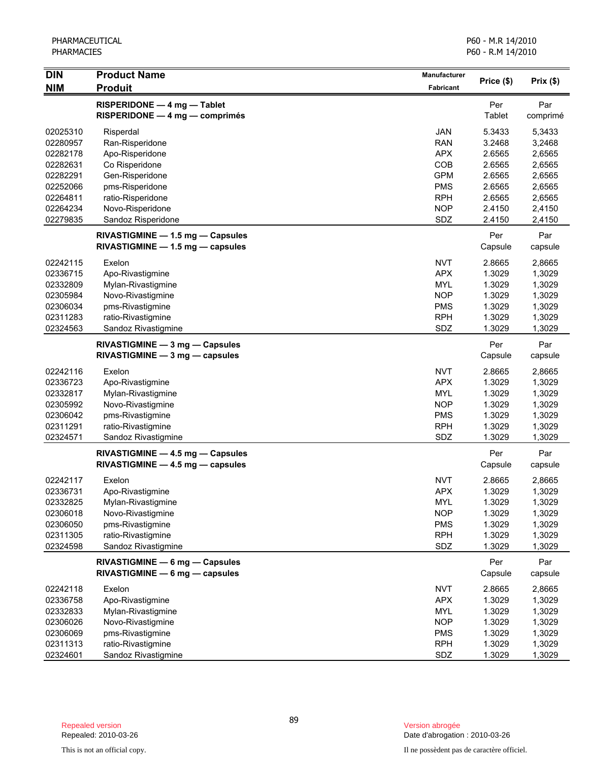| <b>DIN</b> | <b>Product Name</b>                                                  | Manufacturer |                | Prix(\$)        |
|------------|----------------------------------------------------------------------|--------------|----------------|-----------------|
| <b>NIM</b> | <b>Produit</b>                                                       | Fabricant    | Price (\$)     |                 |
|            | RISPERIDONE - 4 mg - Tablet<br>RISPERIDONE - 4 mg - comprimés        |              | Per<br>Tablet  | Par<br>comprimé |
| 02025310   | Risperdal                                                            | <b>JAN</b>   | 5.3433         | 5,3433          |
| 02280957   | Ran-Risperidone                                                      | <b>RAN</b>   | 3.2468         | 3,2468          |
| 02282178   | Apo-Risperidone                                                      | <b>APX</b>   | 2.6565         | 2,6565          |
| 02282631   | Co Risperidone                                                       | COB          | 2.6565         | 2,6565          |
| 02282291   | Gen-Risperidone                                                      | <b>GPM</b>   | 2.6565         | 2,6565          |
| 02252066   | pms-Risperidone                                                      | <b>PMS</b>   | 2.6565         | 2,6565          |
| 02264811   | ratio-Risperidone                                                    | <b>RPH</b>   | 2.6565         | 2,6565          |
| 02264234   | Novo-Risperidone                                                     | <b>NOP</b>   | 2.4150         | 2,4150          |
| 02279835   | Sandoz Risperidone                                                   | SDZ          | 2.4150         | 2,4150          |
|            | RIVASTIGMINE - 1.5 mg - Capsules<br>RIVASTIGMINE - 1.5 mg - capsules |              | Per<br>Capsule | Par<br>capsule  |
| 02242115   | Exelon                                                               | <b>NVT</b>   | 2.8665         | 2,8665          |
| 02336715   | Apo-Rivastigmine                                                     | <b>APX</b>   | 1.3029         | 1,3029          |
| 02332809   | Mylan-Rivastigmine                                                   | <b>MYL</b>   | 1.3029         | 1,3029          |
| 02305984   | Novo-Rivastigmine                                                    | <b>NOP</b>   | 1.3029         | 1,3029          |
| 02306034   | pms-Rivastigmine                                                     | <b>PMS</b>   | 1.3029         | 1,3029          |
| 02311283   | ratio-Rivastigmine                                                   | <b>RPH</b>   | 1.3029         | 1,3029          |
| 02324563   | Sandoz Rivastigmine                                                  | SDZ          | 1.3029         | 1,3029          |
|            | RIVASTIGMINE - 3 mg - Capsules<br>RIVASTIGMINE - 3 mg - capsules     |              | Per<br>Capsule | Par<br>capsule  |
|            |                                                                      |              |                |                 |
| 02242116   | Exelon                                                               | <b>NVT</b>   | 2.8665         | 2,8665          |
| 02336723   | Apo-Rivastigmine                                                     | <b>APX</b>   | 1.3029         | 1,3029          |
| 02332817   | Mylan-Rivastigmine                                                   | <b>MYL</b>   | 1.3029         | 1,3029          |
| 02305992   | Novo-Rivastigmine                                                    | <b>NOP</b>   | 1.3029         | 1,3029          |
| 02306042   | pms-Rivastigmine                                                     | <b>PMS</b>   | 1.3029         | 1,3029          |
| 02311291   | ratio-Rivastigmine                                                   | <b>RPH</b>   | 1.3029         | 1,3029          |
| 02324571   | Sandoz Rivastigmine                                                  | SDZ          | 1.3029         | 1,3029          |
|            | RIVASTIGMINE - 4.5 mg - Capsules<br>RIVASTIGMINE - 4.5 mg - capsules |              | Per<br>Capsule | Par<br>capsule  |
| 02242117   | Exelon                                                               | <b>NVT</b>   | 2.8665         | 2,8665          |
| 02336731   | Apo-Rivastigmine                                                     | <b>APX</b>   | 1.3029         | 1,3029          |
| 02332825   | Mylan-Rivastigmine                                                   | MYL          | 1.3029         | 1,3029          |
| 02306018   | Novo-Rivastigmine                                                    | <b>NOP</b>   | 1.3029         | 1,3029          |
| 02306050   | pms-Rivastigmine                                                     | <b>PMS</b>   | 1.3029         | 1,3029          |
| 02311305   | ratio-Rivastigmine                                                   | <b>RPH</b>   | 1.3029         | 1,3029          |
| 02324598   | Sandoz Rivastigmine                                                  | SDZ          | 1.3029         | 1,3029          |
|            | RIVASTIGMINE - 6 mg - Capsules<br>RIVASTIGMINE - 6 mg - capsules     |              | Per<br>Capsule | Par<br>capsule  |
| 02242118   | Exelon                                                               | <b>NVT</b>   | 2.8665         | 2,8665          |
| 02336758   | Apo-Rivastigmine                                                     | <b>APX</b>   | 1.3029         | 1,3029          |
| 02332833   | Mylan-Rivastigmine                                                   | <b>MYL</b>   | 1.3029         | 1,3029          |
| 02306026   | Novo-Rivastigmine                                                    | <b>NOP</b>   | 1.3029         | 1,3029          |
| 02306069   | pms-Rivastigmine                                                     | <b>PMS</b>   | 1.3029         | 1,3029          |
| 02311313   | ratio-Rivastigmine                                                   | <b>RPH</b>   | 1.3029         | 1,3029          |
| 02324601   | Sandoz Rivastigmine                                                  | SDZ          | 1.3029         | 1,3029          |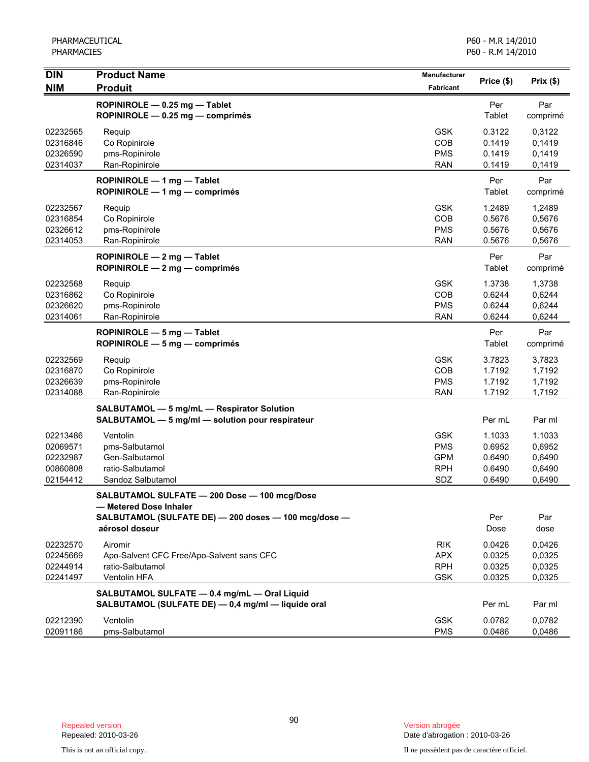| <b>DIN</b>                                               | <b>Product Name</b>                                                                                                                              | <b>Manufacturer</b>                                         | Price (\$)                                     | Prix(\$)                                       |
|----------------------------------------------------------|--------------------------------------------------------------------------------------------------------------------------------------------------|-------------------------------------------------------------|------------------------------------------------|------------------------------------------------|
| <b>NIM</b>                                               | <b>Produit</b>                                                                                                                                   | Fabricant                                                   |                                                |                                                |
|                                                          | ROPINIROLE - 0.25 mg - Tablet<br>ROPINIROLE - 0.25 mg - comprimés                                                                                |                                                             | Per<br>Tablet                                  | Par<br>comprimé                                |
| 02232565<br>02316846<br>02326590<br>02314037             | Requip<br>Co Ropinirole<br>pms-Ropinirole<br>Ran-Ropinirole                                                                                      | <b>GSK</b><br>COB<br><b>PMS</b><br><b>RAN</b>               | 0.3122<br>0.1419<br>0.1419<br>0.1419           | 0,3122<br>0,1419<br>0,1419<br>0,1419           |
|                                                          | ROPINIROLE - 1 mg - Tablet<br>ROPINIROLE - 1 mg - comprimés                                                                                      |                                                             | Per<br>Tablet                                  | Par<br>comprimé                                |
| 02232567<br>02316854<br>02326612<br>02314053             | Requip<br>Co Ropinirole<br>pms-Ropinirole<br>Ran-Ropinirole                                                                                      | <b>GSK</b><br>COB<br><b>PMS</b><br><b>RAN</b>               | 1.2489<br>0.5676<br>0.5676<br>0.5676           | 1,2489<br>0,5676<br>0,5676<br>0,5676           |
|                                                          | ROPINIROLE - 2 mg - Tablet<br>ROPINIROLE - 2 mg - comprimés                                                                                      |                                                             | Per<br>Tablet                                  | Par<br>comprimé                                |
| 02232568<br>02316862<br>02326620<br>02314061             | Requip<br>Co Ropinirole<br>pms-Ropinirole<br>Ran-Ropinirole                                                                                      | <b>GSK</b><br>COB<br><b>PMS</b><br><b>RAN</b>               | 1.3738<br>0.6244<br>0.6244<br>0.6244           | 1,3738<br>0,6244<br>0,6244<br>0,6244           |
|                                                          | ROPINIROLE - 5 mg - Tablet<br>$ROPINIROLE - 5 mg - comprimés$                                                                                    |                                                             | Per<br>Tablet                                  | Par<br>comprimé                                |
| 02232569<br>02316870<br>02326639<br>02314088             | Requip<br>Co Ropinirole<br>pms-Ropinirole<br>Ran-Ropinirole                                                                                      | <b>GSK</b><br>COB<br><b>PMS</b><br><b>RAN</b>               | 3.7823<br>1.7192<br>1.7192<br>1.7192           | 3,7823<br>1,7192<br>1,7192<br>1,7192           |
|                                                          | SALBUTAMOL - 5 mg/mL - Respirator Solution<br>SALBUTAMOL - 5 mg/ml - solution pour respirateur                                                   |                                                             | Per mL                                         | Par ml                                         |
| 02213486<br>02069571<br>02232987<br>00860808<br>02154412 | Ventolin<br>pms-Salbutamol<br>Gen-Salbutamol<br>ratio-Salbutamol<br>Sandoz Salbutamol                                                            | <b>GSK</b><br><b>PMS</b><br><b>GPM</b><br><b>RPH</b><br>SDZ | 1.1033<br>0.6952<br>0.6490<br>0.6490<br>0.6490 | 1.1033<br>0,6952<br>0,6490<br>0,6490<br>0,6490 |
|                                                          | SALBUTAMOL SULFATE - 200 Dose - 100 mcg/Dose<br>- Metered Dose Inhaler<br>SALBUTAMOL (SULFATE DE) - 200 doses - 100 mcg/dose -<br>aérosol doseur |                                                             | Per<br>Dose                                    | Par<br>dose                                    |
| 02232570<br>02245669<br>02244914<br>02241497             | Airomir<br>Apo-Salvent CFC Free/Apo-Salvent sans CFC<br>ratio-Salbutamol<br>Ventolin HFA                                                         | <b>RIK</b><br><b>APX</b><br><b>RPH</b><br><b>GSK</b>        | 0.0426<br>0.0325<br>0.0325<br>0.0325           | 0.0426<br>0,0325<br>0,0325<br>0,0325           |
|                                                          | SALBUTAMOL SULFATE - 0.4 mg/mL - Oral Liquid<br>SALBUTAMOL (SULFATE DE) - 0,4 mg/ml - liquide oral                                               |                                                             | Per mL                                         | Par ml                                         |
| 02212390<br>02091186                                     | Ventolin<br>pms-Salbutamol                                                                                                                       | <b>GSK</b><br><b>PMS</b>                                    | 0.0782<br>0.0486                               | 0,0782<br>0,0486                               |

Date d'abrogation : 2010-03-26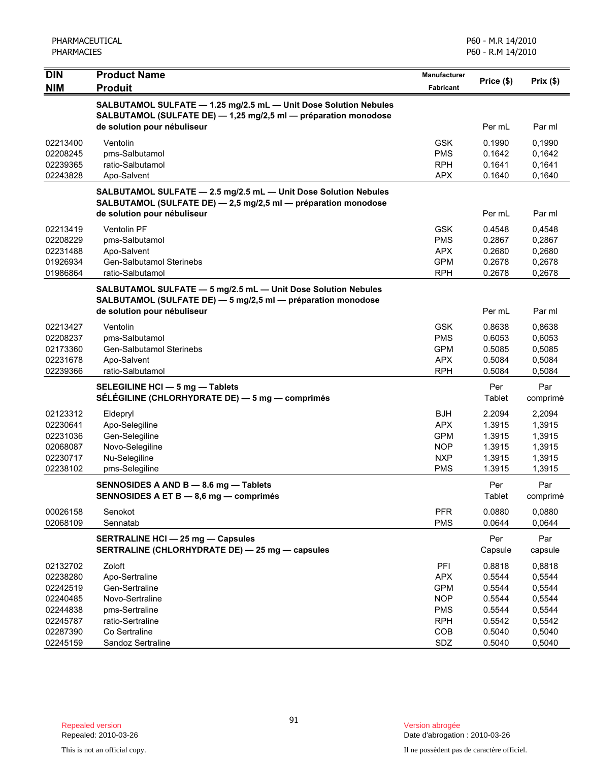| <b>Product Name</b><br><b>Manufacturer</b><br>Price (\$)<br>Prix(\$)<br><b>Produit</b><br><b>Fabricant</b><br>SALBUTAMOL SULFATE - 1.25 mg/2.5 mL - Unit Dose Solution Nebules<br>SALBUTAMOL (SULFATE DE) - 1,25 mg/2,5 ml - préparation monodose<br>de solution pour nébuliseur<br>Per mL<br>Par ml<br>Ventolin<br><b>GSK</b><br>0.1990<br>0,1990<br><b>PMS</b><br>pms-Salbutamol<br>0.1642<br>0,1642<br>ratio-Salbutamol<br><b>RPH</b><br>0.1641<br>0,1641<br>0,1640<br>Apo-Salvent<br><b>APX</b><br>0.1640<br>SALBUTAMOL SULFATE - 2.5 mg/2.5 mL - Unit Dose Solution Nebules<br>SALBUTAMOL (SULFATE DE) - 2,5 mg/2,5 ml - préparation monodose<br>de solution pour nébuliseur<br>Per mL<br>Par ml<br>Ventolin PF<br><b>GSK</b><br>0.4548<br>0,4548<br><b>PMS</b><br>pms-Salbutamol<br>0.2867<br>0,2867<br>Apo-Salvent<br><b>APX</b><br>0.2680<br>0,2680<br><b>Gen-Salbutamol Sterinebs</b><br><b>GPM</b><br>0.2678<br>01926934<br>0,2678<br>01986864<br><b>RPH</b><br>0.2678<br>0,2678<br>ratio-Salbutamol<br>SALBUTAMOL SULFATE - 5 mg/2.5 mL - Unit Dose Solution Nebules<br>SALBUTAMOL (SULFATE DE) - 5 mg/2,5 ml - préparation monodose<br>de solution pour nébuliseur<br>Per mL<br>Par ml<br>Ventolin<br><b>GSK</b><br>0.8638<br>0,8638<br><b>PMS</b><br>0.6053<br>0,6053<br>pms-Salbutamol<br>Gen-Salbutamol Sterinebs<br><b>GPM</b><br>0.5085<br>0,5085<br><b>APX</b><br>0.5084<br>Apo-Salvent<br>0,5084<br>02239366<br>ratio-Salbutamol<br><b>RPH</b><br>0.5084<br>0,5084<br>Per<br>Par<br>SELEGILINE HCI - 5 mg - Tablets<br>Tablet<br>SÉLÉGILINE (CHLORHYDRATE DE) — 5 mg — comprimés<br>comprimé<br><b>BJH</b><br>2.2094<br>2,2094<br>Eldepryl<br><b>APX</b><br>Apo-Selegiline<br>1.3915<br>1,3915<br><b>GPM</b><br>1.3915<br>Gen-Selegiline<br>1,3915<br>Novo-Selegiline<br><b>NOP</b><br>1.3915<br>1,3915<br><b>NXP</b><br>02230717<br>Nu-Selegiline<br>1.3915<br>1,3915<br>02238102<br>pms-Selegiline<br><b>PMS</b><br>1.3915<br>1,3915<br>Per<br>Par<br>SENNOSIDES A AND B - 8.6 mg - Tablets<br>Tablet<br>SENNOSIDES A ET B - 8,6 mg - comprimés<br>comprimé<br><b>PFR</b><br>0.0880<br>00026158<br>Senokot<br>0,0880<br><b>PMS</b><br>Sennatab<br>0.0644<br>0,0644<br>Par<br><b>SERTRALINE HCI - 25 mg - Capsules</b><br>Per<br>SERTRALINE (CHLORHYDRATE DE) - 25 mg - capsules<br>Capsule<br>capsule<br>Zoloft<br>PFI<br>0.8818<br>0,8818<br><b>APX</b><br>Apo-Sertraline<br>0.5544<br>0,5544<br><b>GPM</b><br>0.5544<br>0,5544<br>Gen-Sertraline<br>02240485<br><b>NOP</b><br>0,5544<br>Novo-Sertraline<br>0.5544<br><b>PMS</b><br>0.5544<br>0,5544<br>02244838<br>pms-Sertraline<br><b>RPH</b><br>0.5542<br>02245787<br>ratio-Sertraline<br>0,5542<br>COB<br>0.5040<br>0,5040<br>02287390<br>Co Sertraline<br>02245159<br>SDZ<br>0.5040<br>0,5040<br>Sandoz Sertraline | PHARMACEUTICAL<br><b>PHARMACIES</b> |  | P60 - M.R 14/2010<br>P60 - R.M 14/2010 |  |  |
|------------------------------------------------------------------------------------------------------------------------------------------------------------------------------------------------------------------------------------------------------------------------------------------------------------------------------------------------------------------------------------------------------------------------------------------------------------------------------------------------------------------------------------------------------------------------------------------------------------------------------------------------------------------------------------------------------------------------------------------------------------------------------------------------------------------------------------------------------------------------------------------------------------------------------------------------------------------------------------------------------------------------------------------------------------------------------------------------------------------------------------------------------------------------------------------------------------------------------------------------------------------------------------------------------------------------------------------------------------------------------------------------------------------------------------------------------------------------------------------------------------------------------------------------------------------------------------------------------------------------------------------------------------------------------------------------------------------------------------------------------------------------------------------------------------------------------------------------------------------------------------------------------------------------------------------------------------------------------------------------------------------------------------------------------------------------------------------------------------------------------------------------------------------------------------------------------------------------------------------------------------------------------------------------------------------------------------------------------------------------------------------------------------------------------------------------------------------------------------------------------------------------------------------------------------------------------------------------------------------------------------------------------------------------------------------------------------------------------------------------------------------------------------------------|-------------------------------------|--|----------------------------------------|--|--|
|                                                                                                                                                                                                                                                                                                                                                                                                                                                                                                                                                                                                                                                                                                                                                                                                                                                                                                                                                                                                                                                                                                                                                                                                                                                                                                                                                                                                                                                                                                                                                                                                                                                                                                                                                                                                                                                                                                                                                                                                                                                                                                                                                                                                                                                                                                                                                                                                                                                                                                                                                                                                                                                                                                                                                                                                | <b>DIN</b><br><b>NIM</b>            |  |                                        |  |  |
|                                                                                                                                                                                                                                                                                                                                                                                                                                                                                                                                                                                                                                                                                                                                                                                                                                                                                                                                                                                                                                                                                                                                                                                                                                                                                                                                                                                                                                                                                                                                                                                                                                                                                                                                                                                                                                                                                                                                                                                                                                                                                                                                                                                                                                                                                                                                                                                                                                                                                                                                                                                                                                                                                                                                                                                                |                                     |  |                                        |  |  |
|                                                                                                                                                                                                                                                                                                                                                                                                                                                                                                                                                                                                                                                                                                                                                                                                                                                                                                                                                                                                                                                                                                                                                                                                                                                                                                                                                                                                                                                                                                                                                                                                                                                                                                                                                                                                                                                                                                                                                                                                                                                                                                                                                                                                                                                                                                                                                                                                                                                                                                                                                                                                                                                                                                                                                                                                |                                     |  |                                        |  |  |
|                                                                                                                                                                                                                                                                                                                                                                                                                                                                                                                                                                                                                                                                                                                                                                                                                                                                                                                                                                                                                                                                                                                                                                                                                                                                                                                                                                                                                                                                                                                                                                                                                                                                                                                                                                                                                                                                                                                                                                                                                                                                                                                                                                                                                                                                                                                                                                                                                                                                                                                                                                                                                                                                                                                                                                                                | 02213400                            |  |                                        |  |  |
|                                                                                                                                                                                                                                                                                                                                                                                                                                                                                                                                                                                                                                                                                                                                                                                                                                                                                                                                                                                                                                                                                                                                                                                                                                                                                                                                                                                                                                                                                                                                                                                                                                                                                                                                                                                                                                                                                                                                                                                                                                                                                                                                                                                                                                                                                                                                                                                                                                                                                                                                                                                                                                                                                                                                                                                                | 02208245                            |  |                                        |  |  |
|                                                                                                                                                                                                                                                                                                                                                                                                                                                                                                                                                                                                                                                                                                                                                                                                                                                                                                                                                                                                                                                                                                                                                                                                                                                                                                                                                                                                                                                                                                                                                                                                                                                                                                                                                                                                                                                                                                                                                                                                                                                                                                                                                                                                                                                                                                                                                                                                                                                                                                                                                                                                                                                                                                                                                                                                | 02239365                            |  |                                        |  |  |
|                                                                                                                                                                                                                                                                                                                                                                                                                                                                                                                                                                                                                                                                                                                                                                                                                                                                                                                                                                                                                                                                                                                                                                                                                                                                                                                                                                                                                                                                                                                                                                                                                                                                                                                                                                                                                                                                                                                                                                                                                                                                                                                                                                                                                                                                                                                                                                                                                                                                                                                                                                                                                                                                                                                                                                                                | 02243828                            |  |                                        |  |  |
|                                                                                                                                                                                                                                                                                                                                                                                                                                                                                                                                                                                                                                                                                                                                                                                                                                                                                                                                                                                                                                                                                                                                                                                                                                                                                                                                                                                                                                                                                                                                                                                                                                                                                                                                                                                                                                                                                                                                                                                                                                                                                                                                                                                                                                                                                                                                                                                                                                                                                                                                                                                                                                                                                                                                                                                                |                                     |  |                                        |  |  |
|                                                                                                                                                                                                                                                                                                                                                                                                                                                                                                                                                                                                                                                                                                                                                                                                                                                                                                                                                                                                                                                                                                                                                                                                                                                                                                                                                                                                                                                                                                                                                                                                                                                                                                                                                                                                                                                                                                                                                                                                                                                                                                                                                                                                                                                                                                                                                                                                                                                                                                                                                                                                                                                                                                                                                                                                |                                     |  |                                        |  |  |
|                                                                                                                                                                                                                                                                                                                                                                                                                                                                                                                                                                                                                                                                                                                                                                                                                                                                                                                                                                                                                                                                                                                                                                                                                                                                                                                                                                                                                                                                                                                                                                                                                                                                                                                                                                                                                                                                                                                                                                                                                                                                                                                                                                                                                                                                                                                                                                                                                                                                                                                                                                                                                                                                                                                                                                                                | 02213419                            |  |                                        |  |  |
|                                                                                                                                                                                                                                                                                                                                                                                                                                                                                                                                                                                                                                                                                                                                                                                                                                                                                                                                                                                                                                                                                                                                                                                                                                                                                                                                                                                                                                                                                                                                                                                                                                                                                                                                                                                                                                                                                                                                                                                                                                                                                                                                                                                                                                                                                                                                                                                                                                                                                                                                                                                                                                                                                                                                                                                                | 02208229                            |  |                                        |  |  |
|                                                                                                                                                                                                                                                                                                                                                                                                                                                                                                                                                                                                                                                                                                                                                                                                                                                                                                                                                                                                                                                                                                                                                                                                                                                                                                                                                                                                                                                                                                                                                                                                                                                                                                                                                                                                                                                                                                                                                                                                                                                                                                                                                                                                                                                                                                                                                                                                                                                                                                                                                                                                                                                                                                                                                                                                | 02231488                            |  |                                        |  |  |
|                                                                                                                                                                                                                                                                                                                                                                                                                                                                                                                                                                                                                                                                                                                                                                                                                                                                                                                                                                                                                                                                                                                                                                                                                                                                                                                                                                                                                                                                                                                                                                                                                                                                                                                                                                                                                                                                                                                                                                                                                                                                                                                                                                                                                                                                                                                                                                                                                                                                                                                                                                                                                                                                                                                                                                                                |                                     |  |                                        |  |  |
|                                                                                                                                                                                                                                                                                                                                                                                                                                                                                                                                                                                                                                                                                                                                                                                                                                                                                                                                                                                                                                                                                                                                                                                                                                                                                                                                                                                                                                                                                                                                                                                                                                                                                                                                                                                                                                                                                                                                                                                                                                                                                                                                                                                                                                                                                                                                                                                                                                                                                                                                                                                                                                                                                                                                                                                                |                                     |  |                                        |  |  |
|                                                                                                                                                                                                                                                                                                                                                                                                                                                                                                                                                                                                                                                                                                                                                                                                                                                                                                                                                                                                                                                                                                                                                                                                                                                                                                                                                                                                                                                                                                                                                                                                                                                                                                                                                                                                                                                                                                                                                                                                                                                                                                                                                                                                                                                                                                                                                                                                                                                                                                                                                                                                                                                                                                                                                                                                |                                     |  |                                        |  |  |
|                                                                                                                                                                                                                                                                                                                                                                                                                                                                                                                                                                                                                                                                                                                                                                                                                                                                                                                                                                                                                                                                                                                                                                                                                                                                                                                                                                                                                                                                                                                                                                                                                                                                                                                                                                                                                                                                                                                                                                                                                                                                                                                                                                                                                                                                                                                                                                                                                                                                                                                                                                                                                                                                                                                                                                                                |                                     |  |                                        |  |  |
|                                                                                                                                                                                                                                                                                                                                                                                                                                                                                                                                                                                                                                                                                                                                                                                                                                                                                                                                                                                                                                                                                                                                                                                                                                                                                                                                                                                                                                                                                                                                                                                                                                                                                                                                                                                                                                                                                                                                                                                                                                                                                                                                                                                                                                                                                                                                                                                                                                                                                                                                                                                                                                                                                                                                                                                                | 02213427                            |  |                                        |  |  |
|                                                                                                                                                                                                                                                                                                                                                                                                                                                                                                                                                                                                                                                                                                                                                                                                                                                                                                                                                                                                                                                                                                                                                                                                                                                                                                                                                                                                                                                                                                                                                                                                                                                                                                                                                                                                                                                                                                                                                                                                                                                                                                                                                                                                                                                                                                                                                                                                                                                                                                                                                                                                                                                                                                                                                                                                | 02208237                            |  |                                        |  |  |
|                                                                                                                                                                                                                                                                                                                                                                                                                                                                                                                                                                                                                                                                                                                                                                                                                                                                                                                                                                                                                                                                                                                                                                                                                                                                                                                                                                                                                                                                                                                                                                                                                                                                                                                                                                                                                                                                                                                                                                                                                                                                                                                                                                                                                                                                                                                                                                                                                                                                                                                                                                                                                                                                                                                                                                                                | 02173360                            |  |                                        |  |  |
|                                                                                                                                                                                                                                                                                                                                                                                                                                                                                                                                                                                                                                                                                                                                                                                                                                                                                                                                                                                                                                                                                                                                                                                                                                                                                                                                                                                                                                                                                                                                                                                                                                                                                                                                                                                                                                                                                                                                                                                                                                                                                                                                                                                                                                                                                                                                                                                                                                                                                                                                                                                                                                                                                                                                                                                                | 02231678                            |  |                                        |  |  |
|                                                                                                                                                                                                                                                                                                                                                                                                                                                                                                                                                                                                                                                                                                                                                                                                                                                                                                                                                                                                                                                                                                                                                                                                                                                                                                                                                                                                                                                                                                                                                                                                                                                                                                                                                                                                                                                                                                                                                                                                                                                                                                                                                                                                                                                                                                                                                                                                                                                                                                                                                                                                                                                                                                                                                                                                |                                     |  |                                        |  |  |
|                                                                                                                                                                                                                                                                                                                                                                                                                                                                                                                                                                                                                                                                                                                                                                                                                                                                                                                                                                                                                                                                                                                                                                                                                                                                                                                                                                                                                                                                                                                                                                                                                                                                                                                                                                                                                                                                                                                                                                                                                                                                                                                                                                                                                                                                                                                                                                                                                                                                                                                                                                                                                                                                                                                                                                                                |                                     |  |                                        |  |  |
|                                                                                                                                                                                                                                                                                                                                                                                                                                                                                                                                                                                                                                                                                                                                                                                                                                                                                                                                                                                                                                                                                                                                                                                                                                                                                                                                                                                                                                                                                                                                                                                                                                                                                                                                                                                                                                                                                                                                                                                                                                                                                                                                                                                                                                                                                                                                                                                                                                                                                                                                                                                                                                                                                                                                                                                                |                                     |  |                                        |  |  |
|                                                                                                                                                                                                                                                                                                                                                                                                                                                                                                                                                                                                                                                                                                                                                                                                                                                                                                                                                                                                                                                                                                                                                                                                                                                                                                                                                                                                                                                                                                                                                                                                                                                                                                                                                                                                                                                                                                                                                                                                                                                                                                                                                                                                                                                                                                                                                                                                                                                                                                                                                                                                                                                                                                                                                                                                | 02123312                            |  |                                        |  |  |
|                                                                                                                                                                                                                                                                                                                                                                                                                                                                                                                                                                                                                                                                                                                                                                                                                                                                                                                                                                                                                                                                                                                                                                                                                                                                                                                                                                                                                                                                                                                                                                                                                                                                                                                                                                                                                                                                                                                                                                                                                                                                                                                                                                                                                                                                                                                                                                                                                                                                                                                                                                                                                                                                                                                                                                                                | 02230641                            |  |                                        |  |  |
|                                                                                                                                                                                                                                                                                                                                                                                                                                                                                                                                                                                                                                                                                                                                                                                                                                                                                                                                                                                                                                                                                                                                                                                                                                                                                                                                                                                                                                                                                                                                                                                                                                                                                                                                                                                                                                                                                                                                                                                                                                                                                                                                                                                                                                                                                                                                                                                                                                                                                                                                                                                                                                                                                                                                                                                                | 02231036                            |  |                                        |  |  |
|                                                                                                                                                                                                                                                                                                                                                                                                                                                                                                                                                                                                                                                                                                                                                                                                                                                                                                                                                                                                                                                                                                                                                                                                                                                                                                                                                                                                                                                                                                                                                                                                                                                                                                                                                                                                                                                                                                                                                                                                                                                                                                                                                                                                                                                                                                                                                                                                                                                                                                                                                                                                                                                                                                                                                                                                | 02068087                            |  |                                        |  |  |
|                                                                                                                                                                                                                                                                                                                                                                                                                                                                                                                                                                                                                                                                                                                                                                                                                                                                                                                                                                                                                                                                                                                                                                                                                                                                                                                                                                                                                                                                                                                                                                                                                                                                                                                                                                                                                                                                                                                                                                                                                                                                                                                                                                                                                                                                                                                                                                                                                                                                                                                                                                                                                                                                                                                                                                                                |                                     |  |                                        |  |  |
|                                                                                                                                                                                                                                                                                                                                                                                                                                                                                                                                                                                                                                                                                                                                                                                                                                                                                                                                                                                                                                                                                                                                                                                                                                                                                                                                                                                                                                                                                                                                                                                                                                                                                                                                                                                                                                                                                                                                                                                                                                                                                                                                                                                                                                                                                                                                                                                                                                                                                                                                                                                                                                                                                                                                                                                                |                                     |  |                                        |  |  |
|                                                                                                                                                                                                                                                                                                                                                                                                                                                                                                                                                                                                                                                                                                                                                                                                                                                                                                                                                                                                                                                                                                                                                                                                                                                                                                                                                                                                                                                                                                                                                                                                                                                                                                                                                                                                                                                                                                                                                                                                                                                                                                                                                                                                                                                                                                                                                                                                                                                                                                                                                                                                                                                                                                                                                                                                |                                     |  |                                        |  |  |
|                                                                                                                                                                                                                                                                                                                                                                                                                                                                                                                                                                                                                                                                                                                                                                                                                                                                                                                                                                                                                                                                                                                                                                                                                                                                                                                                                                                                                                                                                                                                                                                                                                                                                                                                                                                                                                                                                                                                                                                                                                                                                                                                                                                                                                                                                                                                                                                                                                                                                                                                                                                                                                                                                                                                                                                                |                                     |  |                                        |  |  |
|                                                                                                                                                                                                                                                                                                                                                                                                                                                                                                                                                                                                                                                                                                                                                                                                                                                                                                                                                                                                                                                                                                                                                                                                                                                                                                                                                                                                                                                                                                                                                                                                                                                                                                                                                                                                                                                                                                                                                                                                                                                                                                                                                                                                                                                                                                                                                                                                                                                                                                                                                                                                                                                                                                                                                                                                | 02068109                            |  |                                        |  |  |
|                                                                                                                                                                                                                                                                                                                                                                                                                                                                                                                                                                                                                                                                                                                                                                                                                                                                                                                                                                                                                                                                                                                                                                                                                                                                                                                                                                                                                                                                                                                                                                                                                                                                                                                                                                                                                                                                                                                                                                                                                                                                                                                                                                                                                                                                                                                                                                                                                                                                                                                                                                                                                                                                                                                                                                                                |                                     |  |                                        |  |  |
|                                                                                                                                                                                                                                                                                                                                                                                                                                                                                                                                                                                                                                                                                                                                                                                                                                                                                                                                                                                                                                                                                                                                                                                                                                                                                                                                                                                                                                                                                                                                                                                                                                                                                                                                                                                                                                                                                                                                                                                                                                                                                                                                                                                                                                                                                                                                                                                                                                                                                                                                                                                                                                                                                                                                                                                                |                                     |  |                                        |  |  |
|                                                                                                                                                                                                                                                                                                                                                                                                                                                                                                                                                                                                                                                                                                                                                                                                                                                                                                                                                                                                                                                                                                                                                                                                                                                                                                                                                                                                                                                                                                                                                                                                                                                                                                                                                                                                                                                                                                                                                                                                                                                                                                                                                                                                                                                                                                                                                                                                                                                                                                                                                                                                                                                                                                                                                                                                | 02132702                            |  |                                        |  |  |
|                                                                                                                                                                                                                                                                                                                                                                                                                                                                                                                                                                                                                                                                                                                                                                                                                                                                                                                                                                                                                                                                                                                                                                                                                                                                                                                                                                                                                                                                                                                                                                                                                                                                                                                                                                                                                                                                                                                                                                                                                                                                                                                                                                                                                                                                                                                                                                                                                                                                                                                                                                                                                                                                                                                                                                                                | 02238280                            |  |                                        |  |  |
|                                                                                                                                                                                                                                                                                                                                                                                                                                                                                                                                                                                                                                                                                                                                                                                                                                                                                                                                                                                                                                                                                                                                                                                                                                                                                                                                                                                                                                                                                                                                                                                                                                                                                                                                                                                                                                                                                                                                                                                                                                                                                                                                                                                                                                                                                                                                                                                                                                                                                                                                                                                                                                                                                                                                                                                                | 02242519                            |  |                                        |  |  |
|                                                                                                                                                                                                                                                                                                                                                                                                                                                                                                                                                                                                                                                                                                                                                                                                                                                                                                                                                                                                                                                                                                                                                                                                                                                                                                                                                                                                                                                                                                                                                                                                                                                                                                                                                                                                                                                                                                                                                                                                                                                                                                                                                                                                                                                                                                                                                                                                                                                                                                                                                                                                                                                                                                                                                                                                |                                     |  |                                        |  |  |
|                                                                                                                                                                                                                                                                                                                                                                                                                                                                                                                                                                                                                                                                                                                                                                                                                                                                                                                                                                                                                                                                                                                                                                                                                                                                                                                                                                                                                                                                                                                                                                                                                                                                                                                                                                                                                                                                                                                                                                                                                                                                                                                                                                                                                                                                                                                                                                                                                                                                                                                                                                                                                                                                                                                                                                                                |                                     |  |                                        |  |  |
|                                                                                                                                                                                                                                                                                                                                                                                                                                                                                                                                                                                                                                                                                                                                                                                                                                                                                                                                                                                                                                                                                                                                                                                                                                                                                                                                                                                                                                                                                                                                                                                                                                                                                                                                                                                                                                                                                                                                                                                                                                                                                                                                                                                                                                                                                                                                                                                                                                                                                                                                                                                                                                                                                                                                                                                                |                                     |  |                                        |  |  |
|                                                                                                                                                                                                                                                                                                                                                                                                                                                                                                                                                                                                                                                                                                                                                                                                                                                                                                                                                                                                                                                                                                                                                                                                                                                                                                                                                                                                                                                                                                                                                                                                                                                                                                                                                                                                                                                                                                                                                                                                                                                                                                                                                                                                                                                                                                                                                                                                                                                                                                                                                                                                                                                                                                                                                                                                |                                     |  |                                        |  |  |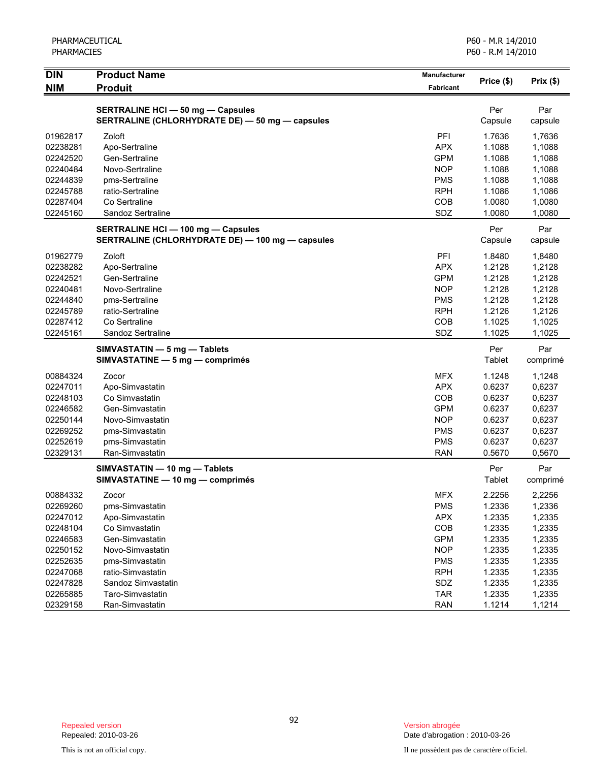| <b>DIN</b>           | <b>Product Name</b>                                                                           | <b>Manufacturer</b>      | Price (\$)       | Prix(\$)         |
|----------------------|-----------------------------------------------------------------------------------------------|--------------------------|------------------|------------------|
| <b>NIM</b>           | <b>Produit</b>                                                                                | <b>Fabricant</b>         |                  |                  |
|                      | <b>SERTRALINE HCI - 50 mg - Capsules</b>                                                      |                          | Per              | Par              |
|                      | SERTRALINE (CHLORHYDRATE DE) - 50 mg - capsules                                               |                          | Capsule          | capsule          |
| 01962817             | Zoloft                                                                                        | PFI                      | 1.7636           | 1,7636           |
| 02238281             | Apo-Sertraline                                                                                | <b>APX</b>               | 1.1088           | 1,1088           |
| 02242520             | Gen-Sertraline                                                                                | <b>GPM</b>               | 1.1088           | 1,1088           |
| 02240484             | Novo-Sertraline                                                                               | <b>NOP</b>               | 1.1088           | 1,1088           |
| 02244839             | pms-Sertraline                                                                                | <b>PMS</b>               | 1.1088           | 1,1088           |
| 02245788             | ratio-Sertraline                                                                              | <b>RPH</b>               | 1.1086           | 1,1086           |
| 02287404             | Co Sertraline                                                                                 | <b>COB</b>               | 1.0080           | 1,0080           |
| 02245160             | Sandoz Sertraline                                                                             | SDZ                      | 1.0080           | 1,0080           |
|                      |                                                                                               |                          | Per              | Par              |
|                      | <b>SERTRALINE HCI - 100 mg - Capsules</b><br>SERTRALINE (CHLORHYDRATE DE) - 100 mg - capsules |                          | Capsule          | capsule          |
|                      |                                                                                               |                          |                  |                  |
| 01962779             | Zoloft                                                                                        | PFI                      | 1.8480           | 1,8480           |
| 02238282             | Apo-Sertraline                                                                                | <b>APX</b>               | 1.2128           | 1,2128           |
| 02242521             | Gen-Sertraline                                                                                | <b>GPM</b>               | 1.2128           | 1,2128           |
| 02240481             | Novo-Sertraline                                                                               | <b>NOP</b>               | 1.2128           | 1,2128           |
| 02244840<br>02245789 | pms-Sertraline<br>ratio-Sertraline                                                            | <b>PMS</b><br><b>RPH</b> | 1.2128<br>1.2126 | 1,2128           |
| 02287412             | Co Sertraline                                                                                 | COB                      | 1.1025           | 1,2126<br>1,1025 |
| 02245161             | Sandoz Sertraline                                                                             | SDZ                      | 1.1025           | 1,1025           |
|                      |                                                                                               |                          | Per              | Par              |
|                      | SIMVASTATIN - 5 mg - Tablets<br>SIMVASTATINE - 5 mg - comprimés                               |                          | Tablet           | comprimé         |
|                      |                                                                                               |                          |                  |                  |
| 00884324<br>02247011 | Zocor                                                                                         | <b>MFX</b><br><b>APX</b> | 1.1248<br>0.6237 | 1,1248           |
| 02248103             | Apo-Simvastatin<br>Co Simvastatin                                                             | COB                      | 0.6237           | 0,6237<br>0,6237 |
| 02246582             | Gen-Simvastatin                                                                               | <b>GPM</b>               | 0.6237           | 0,6237           |
| 02250144             | Novo-Simvastatin                                                                              | <b>NOP</b>               | 0.6237           | 0,6237           |
| 02269252             | pms-Simvastatin                                                                               | <b>PMS</b>               | 0.6237           | 0,6237           |
| 02252619             | pms-Simvastatin                                                                               | <b>PMS</b>               | 0.6237           | 0,6237           |
| 02329131             | Ran-Simvastatin                                                                               | <b>RAN</b>               | 0.5670           | 0,5670           |
|                      | SIMVASTATIN - 10 mg - Tablets                                                                 |                          | Per              | Par              |
|                      | SIMVASTATINE - 10 mg - comprimés                                                              |                          | Tablet           | comprimé         |
| 00884332             | Zocor                                                                                         | <b>MFX</b>               | 2.2256           | 2,2256           |
| 02269260             | pms-Simvastatin                                                                               | <b>PMS</b>               | 1.2336           | 1,2336           |
| 02247012             | Apo-Simvastatin                                                                               | <b>APX</b>               | 1.2335           | 1,2335           |
| 02248104             | Co Simvastatin                                                                                | COB                      | 1.2335           | 1,2335           |
| 02246583             | Gen-Simvastatin                                                                               | <b>GPM</b>               | 1.2335           | 1,2335           |
| 02250152             | Novo-Simvastatin                                                                              | <b>NOP</b>               | 1.2335           | 1,2335           |
| 02252635             | pms-Simvastatin                                                                               | <b>PMS</b>               | 1.2335           | 1,2335           |
| 02247068             | ratio-Simvastatin                                                                             | <b>RPH</b>               | 1.2335           | 1,2335           |
| 02247828             | Sandoz Simvastatin                                                                            | SDZ                      | 1.2335           | 1,2335           |
| 02265885             | Taro-Simvastatin                                                                              | <b>TAR</b>               | 1.2335           | 1,2335           |
| 02329158             | Ran-Simvastatin                                                                               | <b>RAN</b>               | 1.1214           | 1,1214           |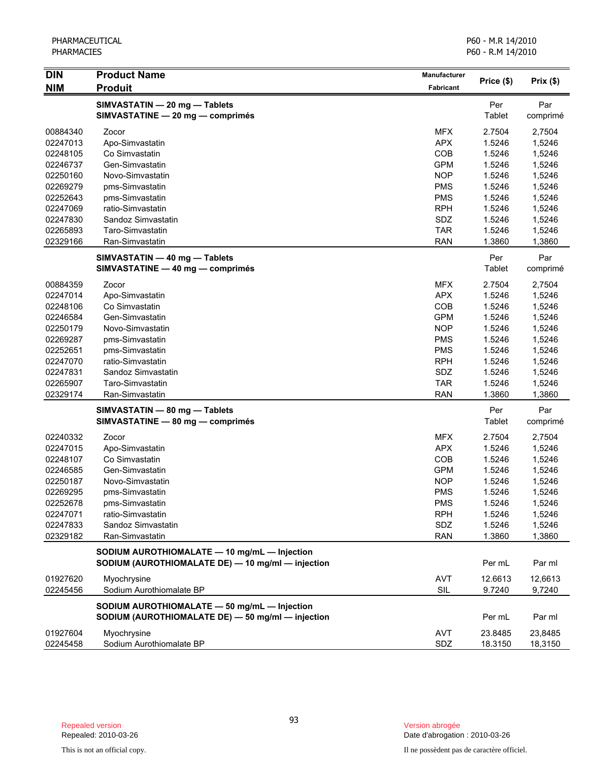| <b>DIN</b> | <b>Product Name</b>                                               | Manufacturer |               |                 |
|------------|-------------------------------------------------------------------|--------------|---------------|-----------------|
| <b>NIM</b> | <b>Produit</b>                                                    | Fabricant    | Price (\$)    | Prix(\$)        |
|            |                                                                   |              |               |                 |
|            | SIMVASTATIN - 20 mg - Tablets<br>SIMVASTATINE - 20 mg - comprimés |              | Per<br>Tablet | Par<br>comprimé |
|            |                                                                   |              |               |                 |
| 00884340   | Zocor                                                             | <b>MFX</b>   | 2.7504        | 2,7504          |
| 02247013   | Apo-Simvastatin                                                   | <b>APX</b>   | 1.5246        | 1,5246          |
| 02248105   | Co Simvastatin                                                    | COB          | 1.5246        | 1,5246          |
| 02246737   | Gen-Simvastatin                                                   | <b>GPM</b>   | 1.5246        | 1,5246          |
| 02250160   | Novo-Simvastatin                                                  | <b>NOP</b>   | 1.5246        | 1,5246          |
| 02269279   | pms-Simvastatin                                                   | <b>PMS</b>   | 1.5246        | 1,5246          |
| 02252643   | pms-Simvastatin                                                   | <b>PMS</b>   | 1.5246        | 1,5246          |
| 02247069   | ratio-Simvastatin                                                 | <b>RPH</b>   | 1.5246        | 1,5246          |
| 02247830   | Sandoz Simvastatin                                                | SDZ          | 1.5246        | 1,5246          |
| 02265893   | Taro-Simvastatin                                                  | <b>TAR</b>   | 1.5246        | 1,5246          |
| 02329166   | Ran-Simvastatin                                                   | <b>RAN</b>   | 1.3860        | 1,3860          |
|            | SIMVASTATIN - 40 mg - Tablets                                     |              | Per           | Par             |
|            | SIMVASTATINE - 40 mg - comprimés                                  |              | Tablet        | comprimé        |
| 00884359   | Zocor                                                             | <b>MFX</b>   | 2.7504        | 2,7504          |
| 02247014   | Apo-Simvastatin                                                   | <b>APX</b>   | 1.5246        | 1,5246          |
| 02248106   | Co Simvastatin                                                    | COB          | 1.5246        | 1,5246          |
| 02246584   | Gen-Simvastatin                                                   | <b>GPM</b>   | 1.5246        | 1,5246          |
| 02250179   | Novo-Simvastatin                                                  | <b>NOP</b>   | 1.5246        | 1,5246          |
| 02269287   | pms-Simvastatin                                                   | <b>PMS</b>   | 1.5246        | 1,5246          |
| 02252651   | pms-Simvastatin                                                   | <b>PMS</b>   | 1.5246        | 1,5246          |
| 02247070   | ratio-Simvastatin                                                 | <b>RPH</b>   | 1.5246        | 1,5246          |
| 02247831   | Sandoz Simvastatin                                                | SDZ          | 1.5246        | 1,5246          |
| 02265907   | Taro-Simvastatin                                                  | <b>TAR</b>   | 1.5246        | 1,5246          |
| 02329174   | Ran-Simvastatin                                                   | <b>RAN</b>   | 1.3860        | 1,3860          |
|            | SIMVASTATIN - 80 mg - Tablets                                     |              | Per           | Par             |
|            | SIMVASTATINE - 80 mg - comprimés                                  |              | Tablet        | comprimé        |
| 02240332   | Zocor                                                             | <b>MFX</b>   | 2.7504        | 2,7504          |
| 02247015   | Apo-Simvastatin                                                   | <b>APX</b>   | 1.5246        | 1,5246          |
| 02248107   | Co Simvastatin                                                    | COB          | 1.5246        | 1,5246          |
| 02246585   | Gen-Simvastatin                                                   | <b>GPM</b>   | 1.5246        | 1,5246          |
| 02250187   | Novo-Simvastatin                                                  | <b>NOP</b>   | 1.5246        | 1,5246          |
| 02269295   | pms-Simvastatin                                                   | <b>PMS</b>   | 1.5246        | 1,5246          |
| 02252678   | pms-Simvastatin                                                   | <b>PMS</b>   | 1.5246        | 1,5246          |
| 02247071   | ratio-Simvastatin                                                 | <b>RPH</b>   | 1.5246        | 1,5246          |
| 02247833   | Sandoz Simvastatin                                                | SDZ          | 1.5246        | 1,5246          |
| 02329182   | Ran-Simvastatin                                                   | <b>RAN</b>   | 1.3860        | 1,3860          |
|            | SODIUM AUROTHIOMALATE - 10 mg/mL - Injection                      |              |               |                 |
|            | SODIUM (AUROTHIOMALATE DE) - 10 mg/ml - injection                 |              | Per mL        | Par ml          |
| 01927620   | Myochrysine                                                       | <b>AVT</b>   | 12.6613       | 12,6613         |
| 02245456   | Sodium Aurothiomalate BP                                          | SIL          | 9.7240        | 9,7240          |
|            | SODIUM AUROTHIOMALATE - 50 mg/mL - Injection                      |              |               |                 |
|            | SODIUM (AUROTHIOMALATE DE) - 50 mg/ml - injection                 |              | Per mL        | Par ml          |
| 01927604   | Myochrysine                                                       | <b>AVT</b>   | 23.8485       | 23,8485         |
| 02245458   | Sodium Aurothiomalate BP                                          | SDZ          | 18.3150       | 18,3150         |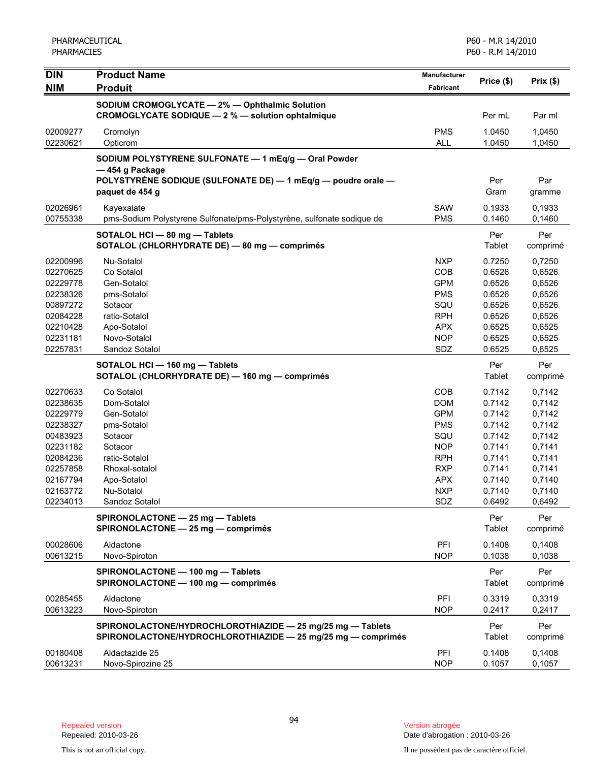| <b>DIN</b>           | <b>Product Name</b>                                                                                                                     | Manufacturer             |                      |                  |
|----------------------|-----------------------------------------------------------------------------------------------------------------------------------------|--------------------------|----------------------|------------------|
| <b>NIM</b>           | <b>Produit</b>                                                                                                                          | Fabricant                | Price (\$)           | Prix(\$)         |
|                      | SODIUM CROMOGLYCATE - 2% - Ophthalmic Solution<br>CROMOGLYCATE SODIQUE - 2 % - solution ophtalmique                                     |                          | Per mL               | Par ml           |
| 02009277<br>02230621 | Cromolyn<br>Opticrom                                                                                                                    | <b>PMS</b><br><b>ALL</b> | 1.0450<br>1.0450     | 1,0450<br>1,0450 |
|                      | SODIUM POLYSTYRENE SULFONATE - 1 mEq/g - Oral Powder<br>-454 g Package<br>POLYSTYRÈNE SODIQUE (SULFONATE DE) — 1 mEq/g — poudre orale — |                          | Per                  | Par              |
|                      | paquet de 454 g                                                                                                                         |                          | Gram                 | gramme           |
| 02026961<br>00755338 | Kayexalate<br>pms-Sodium Polystyrene Sulfonate/pms-Polystyrène, sulfonate sodique de                                                    | SAW<br><b>PMS</b>        | 0.1933<br>0.1460     | 0,1933<br>0,1460 |
|                      | SOTALOL HCI - 80 mg - Tablets<br>SOTALOL (CHLORHYDRATE DE) - 80 mg - comprimés                                                          |                          | Per<br>Tablet        | Per<br>comprimé  |
| 02200996             | Nu-Sotalol                                                                                                                              | <b>NXP</b>               | 0.7250               | 0.7250           |
| 02270625             | Co Sotalol                                                                                                                              | COB                      | 0.6526               | 0,6526           |
| 02229778             | Gen-Sotalol                                                                                                                             | <b>GPM</b>               | 0.6526               | 0,6526           |
| 02238326             | pms-Sotalol                                                                                                                             | <b>PMS</b>               | 0.6526               | 0,6526           |
| 00897272             | Sotacor                                                                                                                                 | SQU                      | 0.6526               | 0,6526           |
| 02084228             | ratio-Sotalol                                                                                                                           | <b>RPH</b>               | 0.6526               | 0,6526           |
| 02210428             | Apo-Sotalol                                                                                                                             | <b>APX</b>               | 0.6525               | 0,6525           |
| 02231181             | Novo-Sotalol                                                                                                                            | <b>NOP</b>               | 0.6525               | 0,6525           |
| 02257831             | Sandoz Sotalol                                                                                                                          | SDZ                      | 0.6525               | 0,6525           |
|                      | SOTALOL HCI - 160 mg - Tablets<br>SOTALOL (CHLORHYDRATE DE) - 160 mg - comprimés                                                        |                          | Per<br>Tablet        | Per<br>comprimé  |
| 02270633             | Co Sotalol                                                                                                                              | COB                      | 0.7142               | 0,7142           |
| 02238635             | Dom-Sotalol                                                                                                                             | <b>DOM</b>               | 0.7142               | 0,7142           |
| 02229779             | Gen-Sotalol                                                                                                                             | <b>GPM</b>               | 0.7142               | 0,7142           |
| 02238327             | pms-Sotalol                                                                                                                             | <b>PMS</b>               | 0.7142               | 0,7142           |
| 00483923             | Sotacor                                                                                                                                 | SQU                      | 0.7142               | 0,7142           |
| 02231182             | Sotacor                                                                                                                                 | <b>NOP</b>               | 0.7141               | 0,7141           |
| 02084236             | ratio-Sotalol                                                                                                                           | <b>RPH</b>               | 0.7141               | 0,7141           |
| 02257858             | Rhoxal-sotalol                                                                                                                          | <b>RXP</b>               | 0.7141               | 0,7141           |
| 02167794             | Apo-Sotalol                                                                                                                             | <b>APX</b>               | 0.7140               | 0,7140           |
| 02163772             | Nu-Sotalol                                                                                                                              | <b>NXP</b>               | 0.7140               | 0,7140           |
| 02234013             | Sandoz Sotalol                                                                                                                          | <b>SDZ</b>               | 0.6492               | 0,6492           |
|                      | SPIRONOLACTONE - 25 mg - Tablets<br>SPIRONOLACTONE - 25 mg - comprimés                                                                  |                          | Per<br><b>Tablet</b> | Per<br>comprimé  |
| 00028606<br>00613215 | Aldactone<br>Novo-Spiroton                                                                                                              | PFI<br><b>NOP</b>        | 0.1408<br>0.1038     | 0.1408<br>0,1038 |
|                      | SPIRONOLACTONE - 100 mg - Tablets<br>SPIRONOLACTONE - 100 mg - comprimés                                                                |                          | Per<br>Tablet        | Per<br>comprimé  |
| 00285455             | Aldactone                                                                                                                               | PFI                      | 0.3319               | 0,3319           |
| 00613223             | Novo-Spiroton                                                                                                                           | <b>NOP</b>               | 0.2417               | 0,2417           |
|                      | SPIRONOLACTONE/HYDROCHLOROTHIAZIDE - 25 mg/25 mg - Tablets<br>SPIRONOLACTONE/HYDROCHLOROTHIAZIDE - 25 mg/25 mg - comprimés              |                          | Per<br><b>Tablet</b> | Per<br>comprimé  |
| 00180408<br>00613231 | Aldactazide 25<br>Novo-Spirozine 25                                                                                                     | PFI<br><b>NOP</b>        | 0.1408<br>0.1057     | 0,1408<br>0,1057 |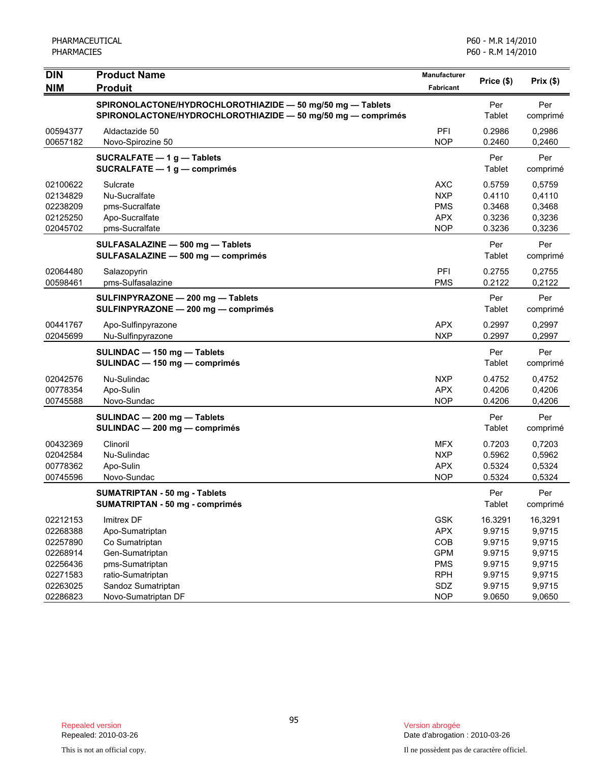| <b>DIN</b><br><b>NIM</b>                                                         | <b>Product Name</b><br><b>Produit</b>                                                                                            | Manufacturer<br>Fabricant                                                        | Price (\$)                                                          | Prix(\$)                                                            |
|----------------------------------------------------------------------------------|----------------------------------------------------------------------------------------------------------------------------------|----------------------------------------------------------------------------------|---------------------------------------------------------------------|---------------------------------------------------------------------|
|                                                                                  | SPIRONOLACTONE/HYDROCHLOROTHIAZIDE - 50 mg/50 mg - Tablets<br>SPIRONOLACTONE/HYDROCHLOROTHIAZIDE - 50 mg/50 mg - comprimés       |                                                                                  | Per<br>Tablet                                                       | Per<br>comprimé                                                     |
| 00594377<br>00657182                                                             | Aldactazide 50<br>Novo-Spirozine 50                                                                                              | PFI<br><b>NOP</b>                                                                | 0.2986<br>0.2460                                                    | 0.2986<br>0,2460                                                    |
|                                                                                  | SUCRALFATE - 1 g - Tablets<br>SUCRALFATE $-1$ g $-$ comprimés                                                                    |                                                                                  | Per<br>Tablet                                                       | Per<br>comprimé                                                     |
| 02100622<br>02134829<br>02238209<br>02125250<br>02045702                         | Sulcrate<br>Nu-Sucralfate<br>pms-Sucralfate<br>Apo-Sucralfate<br>pms-Sucralfate                                                  | <b>AXC</b><br><b>NXP</b><br><b>PMS</b><br><b>APX</b><br><b>NOP</b>               | 0.5759<br>0.4110<br>0.3468<br>0.3236<br>0.3236                      | 0,5759<br>0,4110<br>0,3468<br>0,3236<br>0,3236                      |
|                                                                                  | SULFASALAZINE - 500 mg - Tablets<br>SULFASALAZINE - 500 mg - comprimés                                                           |                                                                                  | Per<br>Tablet                                                       | Per<br>comprimé                                                     |
| 02064480<br>00598461                                                             | Salazopyrin<br>pms-Sulfasalazine                                                                                                 | PFI<br><b>PMS</b>                                                                | 0.2755<br>0.2122                                                    | 0,2755<br>0,2122                                                    |
|                                                                                  | SULFINPYRAZONE - 200 mg - Tablets<br>SULFINPYRAZONE - 200 mg - comprimés                                                         |                                                                                  | Per<br>Tablet                                                       | Per<br>comprimé                                                     |
| 00441767<br>02045699                                                             | Apo-Sulfinpyrazone<br>Nu-Sulfinpyrazone                                                                                          | <b>APX</b><br><b>NXP</b>                                                         | 0.2997<br>0.2997                                                    | 0,2997<br>0,2997                                                    |
|                                                                                  | SULINDAC - 150 mg - Tablets<br>SULINDAC - 150 mg - comprimés                                                                     |                                                                                  | Per<br>Tablet                                                       | Per<br>comprimé                                                     |
| 02042576<br>00778354<br>00745588                                                 | Nu-Sulindac<br>Apo-Sulin<br>Novo-Sundac                                                                                          | <b>NXP</b><br><b>APX</b><br><b>NOP</b>                                           | 0.4752<br>0.4206<br>0.4206                                          | 0,4752<br>0,4206<br>0,4206                                          |
|                                                                                  | SULINDAC - 200 mg - Tablets<br>SULINDAC - 200 mg - comprimés                                                                     |                                                                                  | Per<br>Tablet                                                       | Per<br>comprimé                                                     |
| 00432369<br>02042584<br>00778362<br>00745596                                     | Clinoril<br>Nu-Sulindac<br>Apo-Sulin<br>Novo-Sundac                                                                              | <b>MFX</b><br><b>NXP</b><br><b>APX</b><br><b>NOP</b>                             | 0.7203<br>0.5962<br>0.5324<br>0.5324                                | 0,7203<br>0,5962<br>0,5324<br>0,5324                                |
|                                                                                  | <b>SUMATRIPTAN - 50 mg - Tablets</b><br>SUMATRIPTAN - 50 mg - comprimés                                                          |                                                                                  | Per<br>Tablet                                                       | Per<br>comprimé                                                     |
| 02212153<br>02268388<br>02257890<br>02268914<br>02256436<br>02271583<br>02263025 | Imitrex DF<br>Apo-Sumatriptan<br>Co Sumatriptan<br>Gen-Sumatriptan<br>pms-Sumatriptan<br>ratio-Sumatriptan<br>Sandoz Sumatriptan | <b>GSK</b><br><b>APX</b><br>COB<br><b>GPM</b><br><b>PMS</b><br><b>RPH</b><br>SDZ | 16.3291<br>9.9715<br>9.9715<br>9.9715<br>9.9715<br>9.9715<br>9.9715 | 16,3291<br>9,9715<br>9,9715<br>9,9715<br>9,9715<br>9,9715<br>9,9715 |
| 02286823                                                                         | Novo-Sumatriptan DF                                                                                                              | <b>NOP</b>                                                                       | 9.0650                                                              | 9,0650                                                              |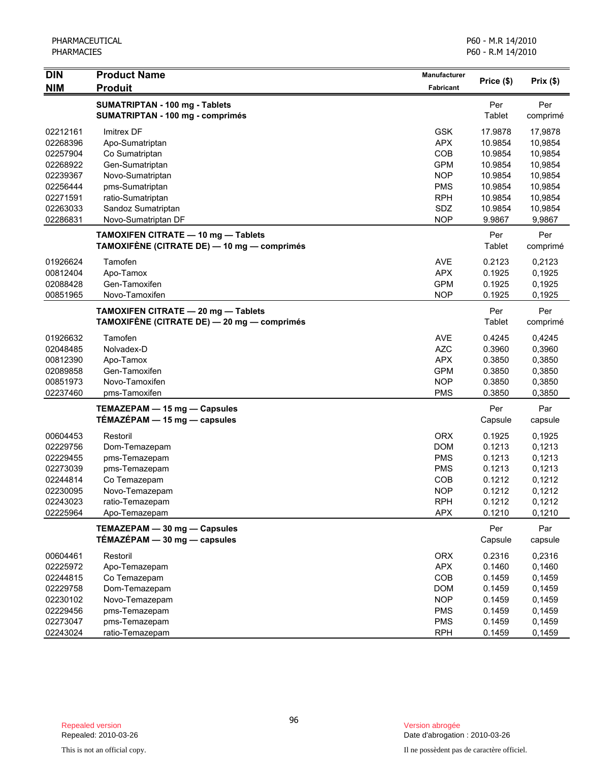| <b>DIN</b>           | <b>Product Name</b>                                                                | Manufacturer             |                    |                    |
|----------------------|------------------------------------------------------------------------------------|--------------------------|--------------------|--------------------|
| <b>NIM</b>           | <b>Produit</b>                                                                     | Fabricant                | Price (\$)         | Prix(\$)           |
|                      | SUMATRIPTAN - 100 mg - Tablets<br>SUMATRIPTAN - 100 mg - comprimés                 |                          | Per<br>Tablet      | Per<br>comprimé    |
| 02212161<br>02268396 | Imitrex DF<br>Apo-Sumatriptan                                                      | <b>GSK</b><br><b>APX</b> | 17.9878<br>10.9854 | 17,9878<br>10,9854 |
| 02257904             | Co Sumatriptan                                                                     | COB                      | 10.9854            | 10,9854            |
| 02268922             | Gen-Sumatriptan                                                                    | <b>GPM</b>               | 10.9854            | 10,9854            |
| 02239367             | Novo-Sumatriptan                                                                   | <b>NOP</b>               | 10.9854            | 10,9854            |
| 02256444             | pms-Sumatriptan                                                                    | <b>PMS</b>               | 10.9854            | 10,9854            |
| 02271591             | ratio-Sumatriptan                                                                  | <b>RPH</b>               | 10.9854            | 10,9854            |
| 02263033<br>02286831 | Sandoz Sumatriptan<br>Novo-Sumatriptan DF                                          | SDZ<br><b>NOP</b>        | 10.9854<br>9.9867  | 10,9854            |
|                      |                                                                                    |                          |                    | 9,9867             |
|                      | TAMOXIFEN CITRATE - 10 mg - Tablets<br>TAMOXIFÈNE (CITRATE DE) — 10 mg — comprimés |                          | Per<br>Tablet      | Per<br>comprimé    |
| 01926624             | Tamofen                                                                            | <b>AVE</b>               | 0.2123             | 0,2123             |
| 00812404             | Apo-Tamox                                                                          | <b>APX</b>               | 0.1925             | 0,1925             |
| 02088428             | Gen-Tamoxifen                                                                      | <b>GPM</b>               | 0.1925             | 0,1925             |
| 00851965             | Novo-Tamoxifen                                                                     | <b>NOP</b>               | 0.1925             | 0,1925             |
|                      | TAMOXIFEN CITRATE - 20 mg - Tablets<br>TAMOXIFÈNE (CITRATE DE) — 20 mg — comprimés |                          | Per<br>Tablet      | Per<br>comprimé    |
| 01926632             | Tamofen                                                                            | <b>AVE</b>               | 0.4245             | 0,4245             |
| 02048485             | Nolvadex-D                                                                         | <b>AZC</b>               | 0.3960             | 0,3960             |
| 00812390             | Apo-Tamox                                                                          | <b>APX</b>               | 0.3850             | 0,3850             |
| 02089858             | Gen-Tamoxifen                                                                      | <b>GPM</b>               | 0.3850             | 0,3850             |
| 00851973             | Novo-Tamoxifen                                                                     | <b>NOP</b>               | 0.3850             | 0,3850             |
| 02237460             | pms-Tamoxifen                                                                      | <b>PMS</b>               | 0.3850             | 0,3850             |
|                      | TEMAZEPAM - 15 mg - Capsules<br>TÉMAZÉPAM - 15 mg - capsules                       |                          | Per<br>Capsule     | Par<br>capsule     |
| 00604453             | Restoril                                                                           | <b>ORX</b>               | 0.1925             | 0,1925             |
| 02229756             | Dom-Temazepam                                                                      | <b>DOM</b>               | 0.1213             | 0,1213             |
| 02229455             | pms-Temazepam                                                                      | <b>PMS</b>               | 0.1213             | 0,1213             |
| 02273039             | pms-Temazepam                                                                      | <b>PMS</b>               | 0.1213             | 0,1213             |
| 02244814             | Co Temazepam                                                                       | COB                      | 0.1212             | 0,1212             |
| 02230095             | Novo-Temazepam                                                                     | <b>NOP</b>               | 0.1212             | 0,1212             |
| 02243023             | ratio-Temazepam                                                                    | <b>RPH</b>               | 0.1212             | 0,1212             |
| 02225964             | Apo-Temazepam                                                                      | <b>APX</b>               | 0.1210             | 0,1210             |
|                      | TEMAZEPAM - 30 mg - Capsules<br>TÉMAZÉPAM - 30 mg - capsules                       |                          | Per<br>Capsule     | Par<br>capsule     |
| 00604461             | Restoril                                                                           | <b>ORX</b>               | 0.2316             | 0,2316             |
| 02225972             | Apo-Temazepam                                                                      | <b>APX</b>               | 0.1460             | 0,1460             |
| 02244815             | Co Temazepam                                                                       | COB                      | 0.1459             | 0,1459             |
| 02229758             | Dom-Temazepam                                                                      | <b>DOM</b>               | 0.1459             | 0,1459             |
| 02230102             | Novo-Temazepam                                                                     | <b>NOP</b>               | 0.1459             | 0,1459             |
| 02229456             | pms-Temazepam                                                                      | <b>PMS</b>               | 0.1459             | 0,1459             |
| 02273047             | pms-Temazepam                                                                      | <b>PMS</b>               | 0.1459             | 0,1459             |
| 02243024             | ratio-Temazepam                                                                    | <b>RPH</b>               | 0.1459             | 0,1459             |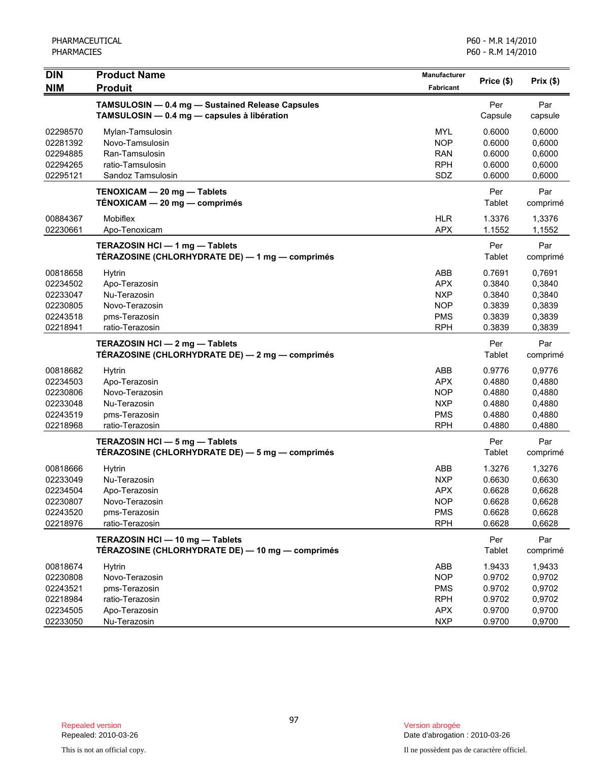| <b>DIN</b><br><b>NIM</b>                                             | <b>Product Name</b><br><b>Produit</b>                                                                | Manufacturer<br><b>Fabricant</b>                                          | Price (\$)                                               | Prix(\$)                                                 |
|----------------------------------------------------------------------|------------------------------------------------------------------------------------------------------|---------------------------------------------------------------------------|----------------------------------------------------------|----------------------------------------------------------|
|                                                                      | TAMSULOSIN - 0.4 mg - Sustained Release Capsules<br>TAMSULOSIN - 0.4 mg - capsules à libération      |                                                                           | Per<br>Capsule                                           | Par<br>capsule                                           |
| 02298570<br>02281392<br>02294885<br>02294265<br>02295121             | Mylan-Tamsulosin<br>Novo-Tamsulosin<br>Ran-Tamsulosin<br>ratio-Tamsulosin<br>Sandoz Tamsulosin       | <b>MYL</b><br><b>NOP</b><br><b>RAN</b><br><b>RPH</b><br>SDZ               | 0.6000<br>0.6000<br>0.6000<br>0.6000<br>0.6000           | 0,6000<br>0,6000<br>0,6000<br>0,6000<br>0,6000           |
|                                                                      | TENOXICAM - 20 mg - Tablets<br>TÉNOXICAM - 20 mg - comprimés                                         |                                                                           | Per<br>Tablet                                            | Par<br>comprimé                                          |
| 00884367<br>02230661                                                 | Mobiflex<br>Apo-Tenoxicam                                                                            | <b>HLR</b><br><b>APX</b>                                                  | 1.3376<br>1.1552                                         | 1,3376<br>1,1552                                         |
|                                                                      | TERAZOSIN HCI - 1 mg - Tablets<br>TÉRAZOSINE (CHLORHYDRATE DE) — 1 mg — comprimés                    |                                                                           | Per<br>Tablet                                            | Par<br>comprimé                                          |
| 00818658<br>02234502<br>02233047<br>02230805<br>02243518<br>02218941 | <b>Hytrin</b><br>Apo-Terazosin<br>Nu-Terazosin<br>Novo-Terazosin<br>pms-Terazosin<br>ratio-Terazosin | ABB<br><b>APX</b><br><b>NXP</b><br><b>NOP</b><br><b>PMS</b><br><b>RPH</b> | 0.7691<br>0.3840<br>0.3840<br>0.3839<br>0.3839<br>0.3839 | 0,7691<br>0,3840<br>0,3840<br>0,3839<br>0,3839<br>0,3839 |
|                                                                      | TERAZOSIN HCI - 2 mg - Tablets<br>TÉRAZOSINE (CHLORHYDRATE DE) — 2 mg — comprimés                    |                                                                           | Per<br>Tablet                                            | Par<br>comprimé                                          |
| 00818682<br>02234503<br>02230806<br>02233048<br>02243519<br>02218968 | <b>Hytrin</b><br>Apo-Terazosin<br>Novo-Terazosin<br>Nu-Terazosin<br>pms-Terazosin<br>ratio-Terazosin | ABB<br><b>APX</b><br><b>NOP</b><br><b>NXP</b><br><b>PMS</b><br><b>RPH</b> | 0.9776<br>0.4880<br>0.4880<br>0.4880<br>0.4880<br>0.4880 | 0,9776<br>0,4880<br>0,4880<br>0,4880<br>0,4880<br>0,4880 |
|                                                                      | TERAZOSIN HCI - 5 mg - Tablets<br>TÉRAZOSINE (CHLORHYDRATE DE) — 5 mg — comprimés                    |                                                                           | Per<br>Tablet                                            | Par<br>comprimé                                          |
| 00818666<br>02233049<br>02234504<br>02230807<br>02243520<br>02218976 | Hytrin<br>Nu-Terazosin<br>Apo-Terazosin<br>Novo-Terazosin<br>pms-Terazosin<br>ratio-Terazosin        | ABB<br><b>NXP</b><br><b>APX</b><br><b>NOP</b><br><b>PMS</b><br><b>RPH</b> | 1.3276<br>0.6630<br>0.6628<br>0.6628<br>0.6628<br>0.6628 | 1,3276<br>0,6630<br>0,6628<br>0,6628<br>0,6628<br>0,6628 |
|                                                                      | TERAZOSIN HCI - 10 mg - Tablets<br>TÉRAZOSINE (CHLORHYDRATE DE) — 10 mg — comprimés                  |                                                                           | Per<br>Tablet                                            | Par<br>comprimé                                          |
| 00818674<br>02230808<br>02243521<br>02218984<br>02234505<br>02233050 | Hytrin<br>Novo-Terazosin<br>pms-Terazosin<br>ratio-Terazosin<br>Apo-Terazosin<br>Nu-Terazosin        | ABB<br><b>NOP</b><br><b>PMS</b><br><b>RPH</b><br><b>APX</b><br><b>NXP</b> | 1.9433<br>0.9702<br>0.9702<br>0.9702<br>0.9700<br>0.9700 | 1,9433<br>0,9702<br>0,9702<br>0,9702<br>0,9700<br>0,9700 |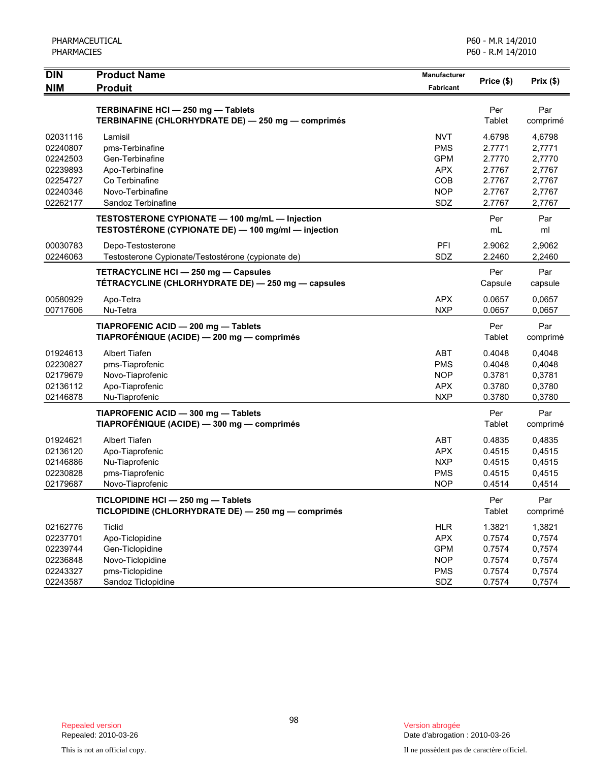|                                                                                                       |                                                                    |                                                | POU - K.M 14/2010                                        |
|-------------------------------------------------------------------------------------------------------|--------------------------------------------------------------------|------------------------------------------------|----------------------------------------------------------|
| <b>Product Name</b><br><b>Produit</b>                                                                 | Manufacturer<br><b>Fabricant</b>                                   | Price (\$)                                     | Prix $(\$)$                                              |
| TERBINAFINE HCI - 250 mg - Tablets                                                                    |                                                                    | Per                                            | Par                                                      |
| TERBINAFINE (CHLORHYDRATE DE) - 250 mg - comprimés                                                    |                                                                    | Tablet                                         | comprimé                                                 |
| Lamisil                                                                                               | <b>NVT</b>                                                         | 4.6798                                         | 4,6798                                                   |
| pms-Terbinafine                                                                                       | <b>PMS</b>                                                         | 2.7771                                         | 2,7771                                                   |
| Gen-Terbinafine                                                                                       | <b>GPM</b>                                                         | 2.7770                                         | 2,7770                                                   |
| Apo-Terbinafine                                                                                       | <b>APX</b>                                                         | 2.7767                                         | 2,7767                                                   |
| Co Terbinafine                                                                                        | COB                                                                | 2.7767                                         | 2,7767                                                   |
| Novo-Terbinafine                                                                                      | <b>NOP</b>                                                         | 2.7767                                         | 2,7767                                                   |
| TESTOSTERONE CYPIONATE - 100 mg/mL - Injection<br>TESTOSTÉRONE (CYPIONATE DE) - 100 mg/ml - injection |                                                                    | Per<br>mL                                      | 2,7767<br>Par<br>ml                                      |
| Depo-Testosterone                                                                                     | PFI                                                                | 2.9062                                         | 2,9062                                                   |
| Testosterone Cypionate/Testostérone (cypionate de)                                                    | SDZ                                                                | 2.2460                                         | 2,2460                                                   |
| TETRACYCLINE HCI - 250 mg - Capsules                                                                  |                                                                    | Per                                            | Par                                                      |
| TÉTRACYCLINE (CHLORHYDRATE DE) - 250 mg - capsules                                                    |                                                                    | Capsule                                        | capsule                                                  |
| Apo-Tetra                                                                                             | <b>APX</b>                                                         | 0.0657                                         | 0,0657                                                   |
| Nu-Tetra                                                                                              | <b>NXP</b>                                                         | 0.0657                                         | 0,0657                                                   |
| TIAPROFENIC ACID - 200 mg - Tablets                                                                   |                                                                    | Per                                            | Par                                                      |
| TIAPROFÉNIQUE (ACIDE) — 200 mg — comprimés                                                            |                                                                    | Tablet                                         | comprimé                                                 |
| Albert Tiafen<br>pms-Tiaprofenic<br>Novo-Tiaprofenic<br>Apo-Tiaprofenic                               | ABT<br><b>PMS</b><br><b>NOP</b><br><b>APX</b>                      | 0.4048<br>0.4048<br>0.3781<br>0.3780           | 0,4048<br>0,4048<br>0,3781<br>0,3780<br>0,3780           |
| TIAPROFENIC ACID - 300 mg - Tablets                                                                   |                                                                    | Per                                            | Par                                                      |
| TIAPROFÉNIQUE (ACIDE) - 300 mg - comprimés                                                            |                                                                    | Tablet                                         | comprimé                                                 |
| Albert Tiafen                                                                                         | <b>ABT</b>                                                         | 0.4835                                         | 0,4835                                                   |
| Apo-Tiaprofenic                                                                                       | <b>APX</b>                                                         | 0.4515                                         | 0,4515                                                   |
| Nu-Tiaprofenic                                                                                        | <b>NXP</b>                                                         | 0.4515                                         | 0,4515                                                   |
| pms-Tiaprofenic                                                                                       | <b>PMS</b>                                                         | 0.4515                                         | 0,4515                                                   |
| Novo-Tiaprofenic                                                                                      | <b>NOP</b>                                                         | 0.4514                                         | 0,4514                                                   |
| TICLOPIDINE HCI - 250 mg - Tablets                                                                    |                                                                    | Per                                            | Par                                                      |
| TICLOPIDINE (CHLORHYDRATE DE) - 250 mg - comprimés                                                    |                                                                    | Tablet                                         | comprimé                                                 |
| <b>Ticlid</b><br>Apo-Ticlopidine<br>Gen-Ticlopidine<br>Novo-Ticlopidine<br>pms-Ticlopidine            | <b>HLR</b><br><b>APX</b><br><b>GPM</b><br><b>NOP</b><br><b>PMS</b> | 1.3821<br>0.7574<br>0.7574<br>0.7574<br>0.7574 | 1,3821<br>0,7574<br>0,7574<br>0,7574<br>0,7574<br>0,7574 |
|                                                                                                       | Sandoz Terbinafine                                                 | SDZ                                            | 2.7767                                                   |
|                                                                                                       | Nu-Tiaprofenic                                                     | <b>NXP</b>                                     | 0.3780                                                   |
|                                                                                                       | Sandoz Ticlopidine                                                 | SDZ                                            | 0.7574                                                   |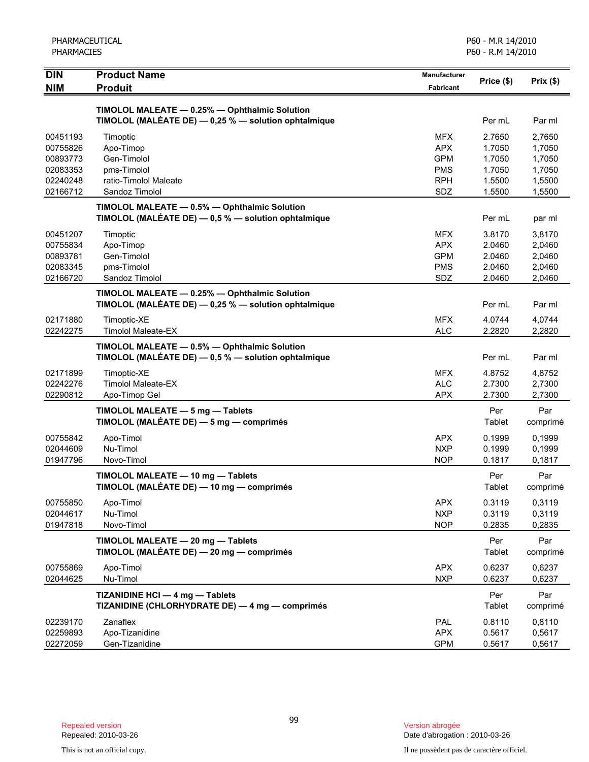| PHARMACEUTICAL<br><b>PHARMACIES</b> |                                                                                                         | P60 - M.R 14/2010<br>P60 - R.M 14/2010 |                  |                  |
|-------------------------------------|---------------------------------------------------------------------------------------------------------|----------------------------------------|------------------|------------------|
| <b>DIN</b><br><b>NIM</b>            | <b>Product Name</b><br><b>Produit</b>                                                                   | <b>Manufacturer</b><br>Fabricant       | Price (\$)       | Prix(\$)         |
|                                     | TIMOLOL MALEATE - 0.25% - Ophthalmic Solution                                                           |                                        |                  |                  |
|                                     | TIMOLOL (MALÉATE DE) - 0,25 % - solution ophtalmique                                                    |                                        | Per mL           | Par ml           |
| 00451193                            | Timoptic                                                                                                | <b>MFX</b>                             | 2.7650           | 2,7650           |
| 00755826                            | Apo-Timop<br>Gen-Timolol                                                                                | <b>APX</b>                             | 1.7050           | 1,7050           |
| 00893773<br>02083353                | pms-Timolol                                                                                             | <b>GPM</b><br><b>PMS</b>               | 1.7050<br>1.7050 | 1,7050<br>1,7050 |
| 02240248                            | ratio-Timolol Maleate                                                                                   | <b>RPH</b>                             | 1.5500           | 1,5500           |
| 02166712                            | Sandoz Timolol                                                                                          | SDZ                                    | 1.5500           | 1,5500           |
|                                     | TIMOLOL MALEATE - 0.5% - Ophthalmic Solution                                                            |                                        |                  |                  |
|                                     | TIMOLOL (MALÉATE DE) - 0,5 % - solution ophtalmique                                                     |                                        | Per mL           | par ml           |
| 00451207                            | Timoptic                                                                                                | <b>MFX</b>                             | 3.8170           | 3,8170           |
| 00755834                            | Apo-Timop                                                                                               | <b>APX</b>                             | 2.0460           | 2,0460           |
| 00893781<br>02083345                | Gen-Timolol<br>pms-Timolol                                                                              | <b>GPM</b><br><b>PMS</b>               | 2.0460<br>2.0460 | 2,0460<br>2,0460 |
| 02166720                            | Sandoz Timolol                                                                                          | SDZ                                    | 2.0460           | 2,0460           |
|                                     | TIMOLOL MALEATE - 0.25% - Ophthalmic Solution                                                           |                                        |                  |                  |
|                                     | TIMOLOL (MALÉATE DE) - 0,25 % - solution ophtalmique                                                    |                                        | Per mL           | Par ml           |
| 02171880                            | Timoptic-XE                                                                                             | <b>MFX</b>                             | 4.0744           | 4,0744           |
| 02242275                            | <b>Timolol Maleate-EX</b>                                                                               | <b>ALC</b>                             | 2.2820           | 2,2820           |
|                                     | TIMOLOL MALEATE - 0.5% - Ophthalmic Solution<br>TIMOLOL (MALEATE DE) $-$ 0,5 % $-$ solution ophtalmique |                                        | Per mL           | Par ml           |
| 02171899                            | Timoptic-XE                                                                                             | <b>MFX</b>                             | 4.8752           | 4,8752           |
| 02242276                            | <b>Timolol Maleate-EX</b>                                                                               | <b>ALC</b>                             | 2.7300           | 2,7300           |
| 02290812                            | Apo-Timop Gel                                                                                           | <b>APX</b>                             | 2.7300           | 2,7300           |
|                                     | TIMOLOL MALEATE - 5 mg - Tablets<br>TIMOLOL (MALÉATE DE) - 5 mg - comprimés                             |                                        | Per<br>Tablet    | Par<br>comprimé  |
| 00755842                            | Apo-Timol                                                                                               | <b>APX</b>                             | 0.1999           | 0,1999           |
| 02044609                            | Nu-Timol                                                                                                | <b>NXP</b>                             | 0.1999           | 0,1999           |
| 01947796                            | Novo-Timol                                                                                              | <b>NOP</b>                             | 0.1817           | 0,1817           |
|                                     | TIMOLOL MALEATE - 10 mg - Tablets<br>TIMOLOL (MALÉATE DE) - 10 mg - comprimés                           |                                        | Per<br>Tablet    | Par<br>comprimé  |
| 00755850                            | Apo-Timol                                                                                               | <b>APX</b>                             | 0.3119           | 0,3119           |
| 02044617                            | Nu-Timol                                                                                                | <b>NXP</b>                             | 0.3119           | 0,3119           |
| 01947818                            | Novo-Timol                                                                                              | <b>NOP</b>                             | 0.2835           | 0,2835           |
|                                     | TIMOLOL MALEATE - 20 mg - Tablets<br>TIMOLOL (MALÉATE DE) - 20 mg - comprimés                           |                                        | Per<br>Tablet    | Par<br>comprimé  |
| 00755869                            | Apo-Timol                                                                                               | <b>APX</b>                             | 0.6237           | 0,6237           |
| 02044625                            | Nu-Timol                                                                                                | <b>NXP</b>                             | 0.6237           | 0,6237           |
|                                     | TIZANIDINE HCI - 4 mg - Tablets<br>TIZANIDINE (CHLORHYDRATE DE) — 4 mg — comprimés                      |                                        | Per<br>Tablet    | Par<br>comprimé  |
| 02239170                            | Zanaflex                                                                                                | PAL                                    | 0.8110           | 0,8110           |
| 02259893                            | Apo-Tizanidine                                                                                          | <b>APX</b>                             | 0.5617           | 0,5617           |
| 02272059                            | Gen-Tizanidine                                                                                          | <b>GPM</b>                             | 0.5617           | 0,5617           |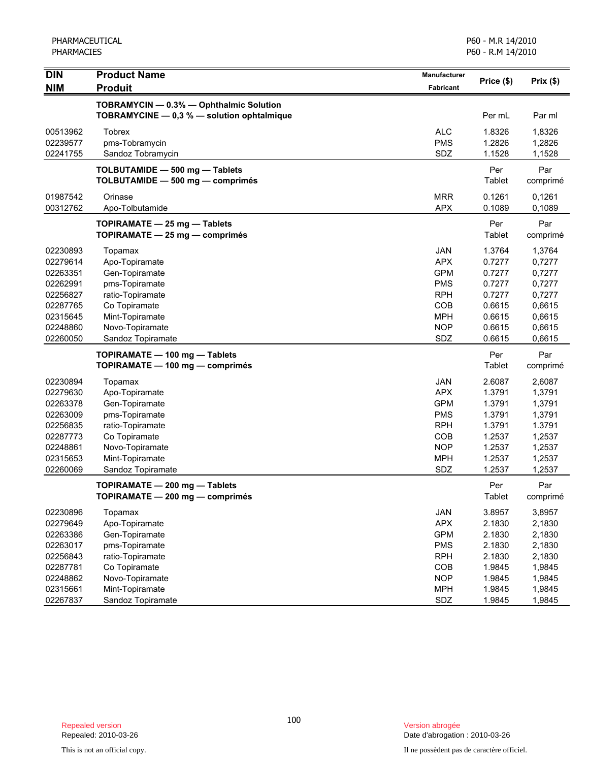PHARMACEUTICAL PHARMACIES

| <b>DIN</b>                       | <b>Product Name</b>                                                                   | Manufacturer                    | Price (\$)                 | Prix(\$)                   |
|----------------------------------|---------------------------------------------------------------------------------------|---------------------------------|----------------------------|----------------------------|
| <b>NIM</b>                       | <b>Produit</b>                                                                        | Fabricant                       |                            |                            |
|                                  | TOBRAMYCIN - 0.3% - Ophthalmic Solution<br>TOBRAMYCINE - 0,3 % - solution ophtalmique |                                 | Per mL                     | Par ml                     |
| 00513962<br>02239577<br>02241755 | <b>Tobrex</b><br>pms-Tobramycin<br>Sandoz Tobramycin                                  | <b>ALC</b><br><b>PMS</b><br>SDZ | 1.8326<br>1.2826<br>1.1528 | 1,8326<br>1,2826<br>1,1528 |
|                                  | TOLBUTAMIDE - 500 mg - Tablets<br>TOLBUTAMIDE - 500 mg - comprimés                    |                                 | Per<br>Tablet              | Par<br>comprimé            |
| 01987542<br>00312762             | Orinase<br>Apo-Tolbutamide                                                            | <b>MRR</b><br><b>APX</b>        | 0.1261<br>0.1089           | 0,1261<br>0,1089           |
|                                  | TOPIRAMATE - 25 mg - Tablets<br>TOPIRAMATE - 25 mg - comprimés                        |                                 | Per<br>Tablet              | Par<br>comprimé            |
| 02230893                         | Topamax                                                                               | <b>JAN</b>                      | 1.3764                     | 1,3764                     |
| 02279614                         | Apo-Topiramate                                                                        | <b>APX</b>                      | 0.7277                     | 0,7277                     |
| 02263351                         | Gen-Topiramate                                                                        | <b>GPM</b>                      | 0.7277                     | 0,7277                     |
| 02262991                         | pms-Topiramate                                                                        | <b>PMS</b>                      | 0.7277                     | 0,7277                     |
| 02256827                         | ratio-Topiramate                                                                      | <b>RPH</b>                      | 0.7277                     | 0,7277                     |
| 02287765                         | Co Topiramate                                                                         | COB                             | 0.6615                     | 0,6615                     |
| 02315645                         | Mint-Topiramate                                                                       | <b>MPH</b>                      | 0.6615                     | 0,6615                     |
| 02248860                         | Novo-Topiramate                                                                       | <b>NOP</b>                      | 0.6615                     | 0,6615                     |
| 02260050                         | Sandoz Topiramate                                                                     | SDZ                             | 0.6615                     | 0,6615                     |
|                                  | TOPIRAMATE - 100 mg - Tablets                                                         |                                 | Per                        | Par                        |
|                                  | TOPIRAMATE - 100 mg - comprimés                                                       |                                 | Tablet                     | comprimé                   |
| 02230894                         | Topamax                                                                               | <b>JAN</b>                      | 2.6087                     | 2,6087                     |
| 02279630                         | Apo-Topiramate                                                                        | <b>APX</b>                      | 1.3791                     | 1,3791                     |
| 02263378                         | Gen-Topiramate                                                                        | <b>GPM</b>                      | 1.3791                     | 1,3791                     |
| 02263009                         | pms-Topiramate                                                                        | <b>PMS</b>                      | 1.3791                     | 1,3791                     |
| 02256835                         | ratio-Topiramate                                                                      | <b>RPH</b>                      | 1.3791                     | 1.3791                     |
| 02287773                         | Co Topiramate                                                                         | COB                             | 1.2537                     | 1,2537                     |
| 02248861                         | Novo-Topiramate                                                                       | <b>NOP</b>                      | 1.2537                     | 1,2537                     |
| 02315653                         | Mint-Topiramate                                                                       | <b>MPH</b>                      | 1.2537                     | 1,2537                     |
| 02260069                         | Sandoz Topiramate                                                                     | SDZ                             | 1.2537                     | 1,2537                     |
|                                  | TOPIRAMATE - 200 mg - Tablets<br>TOPIRAMATE - 200 mg - comprimés                      |                                 | Per<br>Tablet              | Par<br>comprimé            |
| 02230896                         | Topamax                                                                               | <b>JAN</b>                      | 3.8957                     | 3,8957                     |
| 02279649                         | Apo-Topiramate                                                                        | <b>APX</b>                      | 2.1830                     | 2,1830                     |
| 02263386                         | Gen-Topiramate                                                                        | <b>GPM</b>                      | 2.1830                     | 2,1830                     |
| 02263017                         | pms-Topiramate                                                                        | <b>PMS</b>                      | 2.1830                     | 2,1830                     |
| 02256843                         | ratio-Topiramate                                                                      | <b>RPH</b>                      | 2.1830                     | 2,1830                     |
| 02287781                         | Co Topiramate                                                                         | COB                             | 1.9845                     | 1,9845                     |
| 02248862                         | Novo-Topiramate                                                                       | <b>NOP</b>                      | 1.9845                     | 1,9845                     |
| 02315661                         | Mint-Topiramate                                                                       | <b>MPH</b>                      | 1.9845                     | 1,9845                     |
| 02267837                         | Sandoz Topiramate                                                                     | SDZ                             | 1.9845                     | 1,9845                     |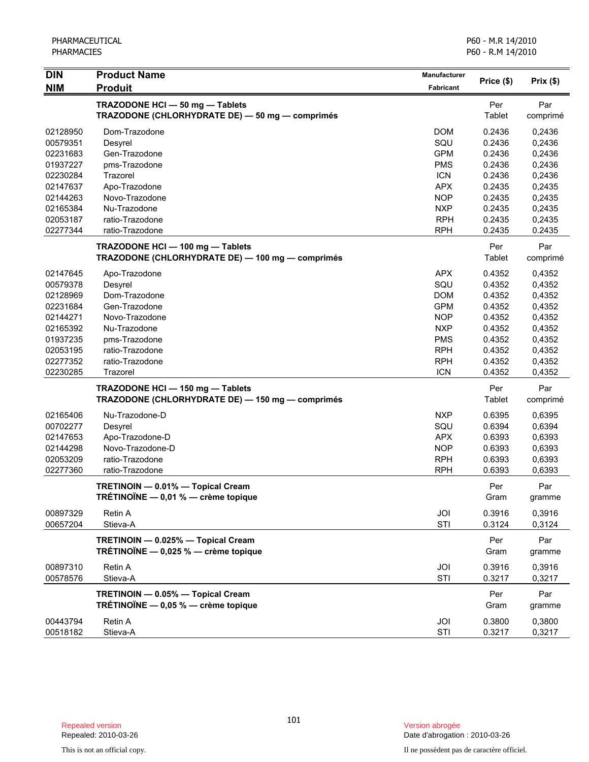| <b>DIN</b>           | <b>Product Name</b>                                                                | Manufacturer             |                  |                  |
|----------------------|------------------------------------------------------------------------------------|--------------------------|------------------|------------------|
| <b>NIM</b>           | <b>Produit</b>                                                                     | Fabricant                | Price (\$)       | Prix(\$)         |
|                      | TRAZODONE HCI - 50 mg - Tablets<br>TRAZODONE (CHLORHYDRATE DE) - 50 mg - comprimés |                          | Per<br>Tablet    | Par<br>comprimé  |
|                      |                                                                                    |                          |                  |                  |
| 02128950             | Dom-Trazodone                                                                      | <b>DOM</b>               | 0.2436           | 0,2436           |
| 00579351             | Desyrel                                                                            | SQU                      | 0.2436           | 0,2436           |
| 02231683             | Gen-Trazodone                                                                      | <b>GPM</b>               | 0.2436           | 0,2436           |
| 01937227<br>02230284 | pms-Trazodone<br>Trazorel                                                          | <b>PMS</b><br><b>ICN</b> | 0.2436<br>0.2436 | 0,2436           |
| 02147637             | Apo-Trazodone                                                                      | <b>APX</b>               | 0.2435           | 0,2436<br>0,2435 |
| 02144263             | Novo-Trazodone                                                                     | <b>NOP</b>               | 0.2435           | 0,2435           |
| 02165384             | Nu-Trazodone                                                                       | <b>NXP</b>               | 0.2435           | 0,2435           |
| 02053187             | ratio-Trazodone                                                                    | <b>RPH</b>               | 0.2435           | 0,2435           |
| 02277344             | ratio-Trazodone                                                                    | <b>RPH</b>               | 0.2435           | 0.2435           |
|                      | TRAZODONE HCI - 100 mg - Tablets                                                   |                          | Per              | Par              |
|                      | TRAZODONE (CHLORHYDRATE DE) - 100 mg - comprimés                                   |                          | Tablet           | comprimé         |
| 02147645             | Apo-Trazodone                                                                      | <b>APX</b>               | 0.4352           | 0,4352           |
| 00579378             | Desyrel                                                                            | SQU                      | 0.4352           | 0,4352           |
| 02128969             | Dom-Trazodone                                                                      | <b>DOM</b>               | 0.4352           | 0,4352           |
| 02231684             | Gen-Trazodone                                                                      | <b>GPM</b>               | 0.4352           | 0,4352           |
| 02144271             | Novo-Trazodone                                                                     | <b>NOP</b>               | 0.4352           | 0,4352           |
| 02165392             | Nu-Trazodone                                                                       | <b>NXP</b>               | 0.4352           | 0,4352           |
| 01937235             | pms-Trazodone                                                                      | <b>PMS</b>               | 0.4352           | 0,4352           |
| 02053195             | ratio-Trazodone                                                                    | <b>RPH</b>               | 0.4352           | 0,4352           |
| 02277352             | ratio-Trazodone                                                                    | <b>RPH</b>               | 0.4352           | 0,4352           |
| 02230285             | Trazorel                                                                           | <b>ICN</b>               | 0.4352           | 0,4352           |
|                      | TRAZODONE HCI - 150 mg - Tablets                                                   |                          | Per              | Par              |
|                      | TRAZODONE (CHLORHYDRATE DE) - 150 mg - comprimés                                   |                          | Tablet           | comprimé         |
| 02165406             | Nu-Trazodone-D                                                                     | <b>NXP</b>               | 0.6395           | 0,6395           |
| 00702277             | Desyrel                                                                            | SQU                      | 0.6394           | 0,6394           |
| 02147653             | Apo-Trazodone-D                                                                    | <b>APX</b>               | 0.6393           | 0,6393           |
| 02144298             | Novo-Trazodone-D                                                                   | <b>NOP</b>               | 0.6393           | 0,6393           |
| 02053209             | ratio-Trazodone                                                                    | <b>RPH</b>               | 0.6393           | 0,6393           |
| 02277360             | ratio-Trazodone                                                                    | <b>RPH</b>               | 0.6393           | 0,6393           |
|                      | TRETINOIN - 0.01% - Topical Cream                                                  |                          | Per              | Par              |
|                      | TRÉTINOÏNE - 0,01 % - crème topique                                                |                          | Gram             | gramme           |
| 00897329             | Retin A                                                                            | JOI                      | 0.3916           | 0,3916           |
| 00657204             | Stieva-A                                                                           | STI                      | 0.3124           | 0,3124           |
|                      | TRETINOIN - 0.025% - Topical Cream<br>TRÉTINOÏNE $-$ 0,025 % $-$ crème topique     |                          | Per<br>Gram      | Par<br>gramme    |
| 00897310             | Retin A                                                                            | JOI                      | 0.3916           | 0,3916           |
| 00578576             | Stieva-A                                                                           | STI                      | 0.3217           | 0,3217           |
|                      | TRETINOIN - 0.05% - Topical Cream<br>TRÉTINOÏNE $-$ 0,05 % $-$ crème topique       |                          | Per<br>Gram      | Par<br>gramme    |
| 00443794<br>00518182 | Retin A<br>Stieva-A                                                                | JOI<br>STI               | 0.3800<br>0.3217 | 0,3800<br>0,3217 |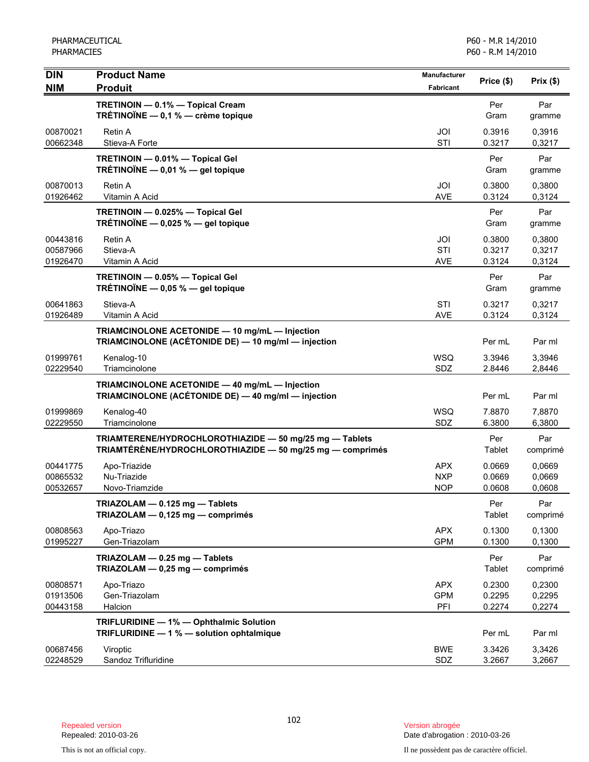| <b>DIN</b>                       | <b>Product Name</b>                                                                                                  | Manufacturer                           | Price (\$)                 | Prix(\$)                   |
|----------------------------------|----------------------------------------------------------------------------------------------------------------------|----------------------------------------|----------------------------|----------------------------|
| <b>NIM</b>                       | <b>Produit</b>                                                                                                       | <b>Fabricant</b>                       |                            |                            |
|                                  | TRETINOIN - 0.1% - Topical Cream<br>TRÉTINOÏNE - 0,1 % - crème topique                                               |                                        | Per<br>Gram                | Par<br>gramme              |
| 00870021<br>00662348             | Retin A<br>Stieva-A Forte                                                                                            | JOI<br>STI                             | 0.3916<br>0.3217           | 0,3916<br>0,3217           |
|                                  | TRETINOIN - 0.01% - Topical Gel<br>TRÉTINOÏNE $-$ 0,01 % $-$ gel topique                                             |                                        | Per<br>Gram                | Par<br>gramme              |
| 00870013<br>01926462             | <b>Retin A</b><br>Vitamin A Acid                                                                                     | JOI<br><b>AVE</b>                      | 0.3800<br>0.3124           | 0,3800<br>0,3124           |
|                                  | TRETINOIN - 0.025% - Topical Gel<br>TRÉTINOÏNE - 0,025 % - gel topique                                               |                                        | Per<br>Gram                | Par<br>gramme              |
| 00443816<br>00587966<br>01926470 | Retin A<br>Stieva-A<br>Vitamin A Acid                                                                                | JOI<br>STI<br><b>AVE</b>               | 0.3800<br>0.3217<br>0.3124 | 0,3800<br>0,3217<br>0,3124 |
|                                  | TRETINOIN - 0.05% - Topical Gel<br>TRÉTINOÏNE $-$ 0,05 % $-$ gel topique                                             |                                        | Per<br>Gram                | Par<br>gramme              |
| 00641863<br>01926489             | Stieva-A<br>Vitamin A Acid                                                                                           | STI<br><b>AVE</b>                      | 0.3217<br>0.3124           | 0,3217<br>0,3124           |
|                                  | TRIAMCINOLONE ACETONIDE - 10 mg/mL - Injection<br>TRIAMCINOLONE (ACÉTONIDE DE) - 10 mg/ml - injection                |                                        | Per mL                     | Par ml                     |
| 01999761<br>02229540             | Kenalog-10<br>Triamcinolone                                                                                          | <b>WSQ</b><br>SDZ                      | 3.3946<br>2.8446           | 3,3946<br>2,8446           |
|                                  | TRIAMCINOLONE ACETONIDE - 40 mg/mL - Injection<br>TRIAMCINOLONE (ACÉTONIDE DE) - 40 mg/ml - injection                |                                        | Per mL                     | Par ml                     |
| 01999869<br>02229550             | Kenalog-40<br>Triamcinolone                                                                                          | <b>WSQ</b><br>SDZ                      | 7.8870<br>6.3800           | 7,8870<br>6,3800           |
|                                  | TRIAMTERENE/HYDROCHLOROTHIAZIDE - 50 mg/25 mg - Tablets<br>TRIAMTÉRÈNE/HYDROCHLOROTHIAZIDE - 50 mg/25 mg - comprimés |                                        | Per<br>Tablet              | Par<br>comprimé            |
| 00441775<br>00865532<br>00532657 | Apo-Triazide<br>Nu-Triazide<br>Novo-Triamzide                                                                        | <b>APX</b><br><b>NXP</b><br><b>NOP</b> | 0.0669<br>0.0669<br>0.0608 | 0.0669<br>0,0669<br>0,0608 |
|                                  | TRIAZOLAM - 0.125 mg - Tablets<br>TRIAZOLAM - 0,125 mg - comprimés                                                   |                                        | Per<br>Tablet              | Par<br>comprimé            |
| 00808563<br>01995227             | Apo-Triazo<br>Gen-Triazolam                                                                                          | <b>APX</b><br><b>GPM</b>               | 0.1300<br>0.1300           | 0.1300<br>0,1300           |
|                                  | TRIAZOLAM - 0.25 mg - Tablets<br>TRIAZOLAM - 0,25 mg - comprimés                                                     |                                        | Per<br>Tablet              | Par<br>comprimé            |
| 00808571<br>01913506<br>00443158 | Apo-Triazo<br>Gen-Triazolam<br>Halcion                                                                               | <b>APX</b><br><b>GPM</b><br>PFI        | 0.2300<br>0.2295<br>0.2274 | 0,2300<br>0,2295<br>0,2274 |
|                                  | TRIFLURIDINE - 1% - Ophthalmic Solution<br>TRIFLURIDINE - 1 % - solution ophtalmique                                 |                                        | Per mL                     | Par ml                     |
| 00687456<br>02248529             | Viroptic<br>Sandoz Trifluridine                                                                                      | <b>BWE</b><br>SDZ                      | 3.3426<br>3.2667           | 3,3426<br>3,2667           |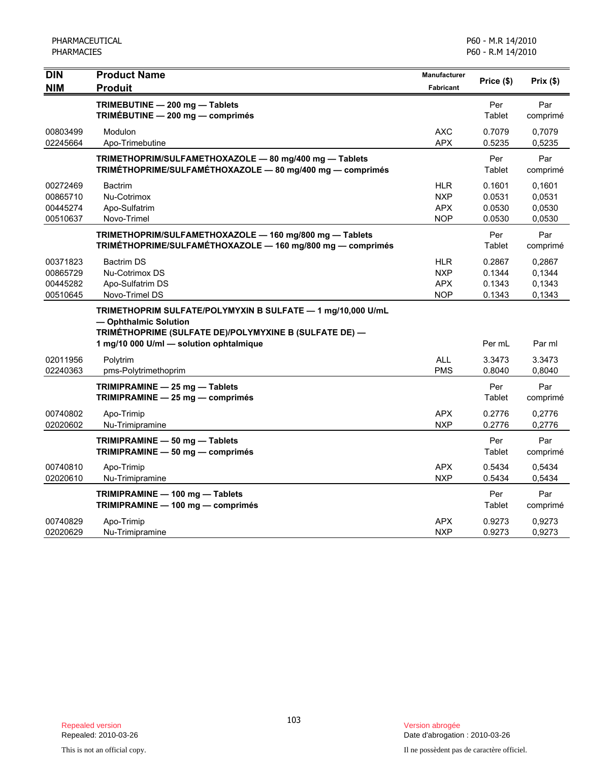| <b>DIN</b><br><b>NIM</b>                     | <b>Product Name</b><br><b>Produit</b>                                                                                                                                                            | <b>Manufacturer</b><br>Fabricant              | Price (\$)                           | Prix(\$)                             |
|----------------------------------------------|--------------------------------------------------------------------------------------------------------------------------------------------------------------------------------------------------|-----------------------------------------------|--------------------------------------|--------------------------------------|
|                                              | TRIMEBUTINE - 200 mg - Tablets<br>TRIMÉBUTINE - 200 mg - comprimés                                                                                                                               |                                               | Per<br>Tablet                        | Par<br>comprimé                      |
| 00803499<br>02245664                         | Modulon<br>Apo-Trimebutine                                                                                                                                                                       | <b>AXC</b><br><b>APX</b>                      | 0.7079<br>0.5235                     | 0.7079<br>0,5235                     |
|                                              | TRIMETHOPRIM/SULFAMETHOXAZOLE - 80 mg/400 mg - Tablets<br>TRIMÉTHOPRIME/SULFAMÉTHOXAZOLE - 80 mg/400 mg - comprimés                                                                              |                                               | Per<br>Tablet                        | Par<br>comprimé                      |
| 00272469<br>00865710<br>00445274<br>00510637 | <b>Bactrim</b><br>Nu-Cotrimox<br>Apo-Sulfatrim<br>Novo-Trimel                                                                                                                                    | HLR<br><b>NXP</b><br><b>APX</b><br><b>NOP</b> | 0.1601<br>0.0531<br>0.0530<br>0.0530 | 0,1601<br>0,0531<br>0,0530<br>0,0530 |
|                                              | TRIMETHOPRIM/SULFAMETHOXAZOLE - 160 mg/800 mg - Tablets<br>TRIMÉTHOPRIME/SULFAMÉTHOXAZOLE - 160 mg/800 mg - comprimés                                                                            |                                               | Per<br>Tablet                        | Par<br>comprimé                      |
| 00371823<br>00865729<br>00445282<br>00510645 | <b>Bactrim DS</b><br>Nu-Cotrimox DS<br>Apo-Sulfatrim DS<br>Novo-Trimel DS                                                                                                                        | HLR<br><b>NXP</b><br><b>APX</b><br><b>NOP</b> | 0.2867<br>0.1344<br>0.1343<br>0.1343 | 0,2867<br>0,1344<br>0,1343<br>0,1343 |
|                                              | TRIMETHOPRIM SULFATE/POLYMYXIN B SULFATE - 1 mg/10,000 U/mL<br><b>- Ophthalmic Solution</b><br>TRIMÉTHOPRIME (SULFATE DE)/POLYMYXINE B (SULFATE DE) -<br>1 mg/10 000 U/ml - solution ophtalmique |                                               | Per mL                               | Par ml                               |
| 02011956<br>02240363                         | Polytrim<br>pms-Polytrimethoprim                                                                                                                                                                 | <b>ALL</b><br><b>PMS</b>                      | 3.3473<br>0.8040                     | 3.3473<br>0,8040                     |
|                                              | TRIMIPRAMINE - 25 mg - Tablets<br>TRIMIPRAMINE - 25 mg - comprimés                                                                                                                               |                                               | Per<br>Tablet                        | Par<br>comprimé                      |
| 00740802<br>02020602                         | Apo-Trimip<br>Nu-Trimipramine                                                                                                                                                                    | <b>APX</b><br><b>NXP</b>                      | 0.2776<br>0.2776                     | 0,2776<br>0,2776                     |
|                                              | TRIMIPRAMINE - 50 mg - Tablets<br>TRIMIPRAMINE - 50 mg - comprimés                                                                                                                               |                                               | Per<br>Tablet                        | Par<br>comprimé                      |
| 00740810<br>02020610                         | Apo-Trimip<br>Nu-Trimipramine                                                                                                                                                                    | <b>APX</b><br><b>NXP</b>                      | 0.5434<br>0.5434                     | 0,5434<br>0,5434                     |
|                                              | TRIMIPRAMINE - 100 mg - Tablets<br>TRIMIPRAMINE - 100 mg - comprimés                                                                                                                             |                                               | Per<br>Tablet                        | Par<br>comprimé                      |
| 00740829<br>02020629                         | Apo-Trimip<br>Nu-Trimipramine                                                                                                                                                                    | <b>APX</b><br><b>NXP</b>                      | 0.9273<br>0.9273                     | 0,9273<br>0,9273                     |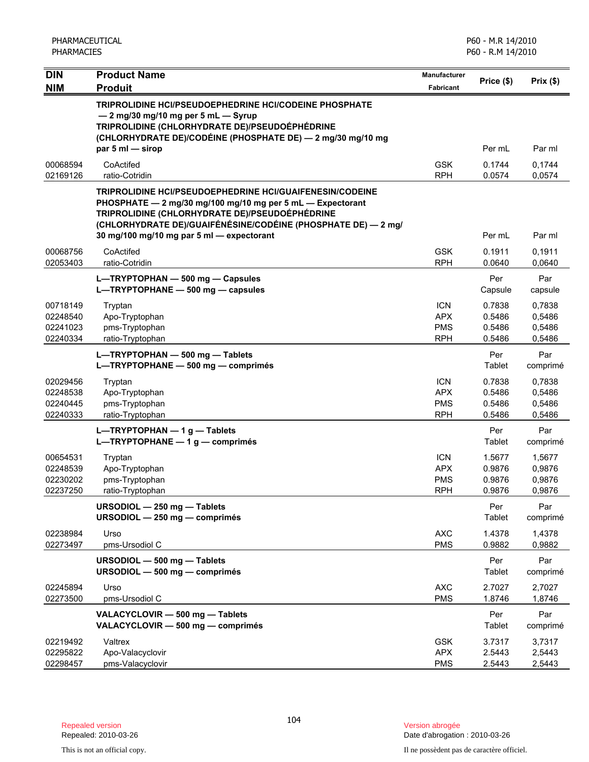| <b>DIN</b>                                   | <b>Product Name</b>                                                                                                                                                                                                                                                                    | Manufacturer                                         | Price (\$)                           | Prix(\$)                             |
|----------------------------------------------|----------------------------------------------------------------------------------------------------------------------------------------------------------------------------------------------------------------------------------------------------------------------------------------|------------------------------------------------------|--------------------------------------|--------------------------------------|
| <b>NIM</b>                                   | <b>Produit</b>                                                                                                                                                                                                                                                                         | <b>Fabricant</b>                                     |                                      |                                      |
|                                              | TRIPROLIDINE HCI/PSEUDOEPHEDRINE HCI/CODEINE PHOSPHATE<br>- 2 mg/30 mg/10 mg per 5 mL - Syrup<br>TRIPROLIDINE (CHLORHYDRATE DE)/PSEUDOÉPHÉDRINE<br>(CHLORHYDRATE DE)/CODÉINE (PHOSPHATE DE) — 2 mg/30 mg/10 mg<br>par 5 ml - sirop                                                     |                                                      | Per mL                               | Par ml                               |
| 00068594<br>02169126                         | CoActifed<br>ratio-Cotridin                                                                                                                                                                                                                                                            | <b>GSK</b><br><b>RPH</b>                             | 0.1744<br>0.0574                     | 0,1744<br>0,0574                     |
|                                              | TRIPROLIDINE HCI/PSEUDOEPHEDRINE HCI/GUAIFENESIN/CODEINE<br>PHOSPHATE - 2 mg/30 mg/100 mg/10 mg per 5 mL - Expectorant<br>TRIPROLIDINE (CHLORHYDRATE DE)/PSEUDOÉPHÉDRINE<br>(CHLORHYDRATE DE)/GUAIFÉNÉSINE/CODÉINE (PHOSPHATE DE) — 2 mg/<br>30 mg/100 mg/10 mg par 5 ml - expectorant |                                                      | Per mL                               | Par ml                               |
| 00068756<br>02053403                         | CoActifed<br>ratio-Cotridin                                                                                                                                                                                                                                                            | <b>GSK</b><br><b>RPH</b>                             | 0.1911<br>0.0640                     | 0,1911<br>0,0640                     |
|                                              | L-TRYPTOPHAN - 500 mg - Capsules<br>L-TRYPTOPHANE - 500 mg - capsules                                                                                                                                                                                                                  |                                                      | Per<br>Capsule                       | Par<br>capsule                       |
| 00718149<br>02248540<br>02241023<br>02240334 | Tryptan<br>Apo-Tryptophan<br>pms-Tryptophan<br>ratio-Tryptophan                                                                                                                                                                                                                        | <b>ICN</b><br><b>APX</b><br><b>PMS</b><br><b>RPH</b> | 0.7838<br>0.5486<br>0.5486<br>0.5486 | 0,7838<br>0,5486<br>0,5486<br>0,5486 |
|                                              | L-TRYPTOPHAN - 500 mg - Tablets<br>L-TRYPTOPHANE - 500 mg - comprimés                                                                                                                                                                                                                  |                                                      | Per<br>Tablet                        | Par<br>comprimé                      |
| 02029456<br>02248538<br>02240445<br>02240333 | Tryptan<br>Apo-Tryptophan<br>pms-Tryptophan<br>ratio-Tryptophan                                                                                                                                                                                                                        | <b>ICN</b><br><b>APX</b><br><b>PMS</b><br><b>RPH</b> | 0.7838<br>0.5486<br>0.5486<br>0.5486 | 0,7838<br>0,5486<br>0,5486<br>0,5486 |
|                                              | L-TRYPTOPHAN $-1$ g - Tablets<br>L-TRYPTOPHANE $- 1 g$ - comprimés                                                                                                                                                                                                                     |                                                      | Per<br>Tablet                        | Par<br>comprimé                      |
| 00654531<br>02248539<br>02230202<br>02237250 | Tryptan<br>Apo-Tryptophan<br>pms-Tryptophan<br>ratio-Tryptophan                                                                                                                                                                                                                        | <b>ICN</b><br><b>APX</b><br><b>PMS</b><br><b>RPH</b> | 1.5677<br>0.9876<br>0.9876<br>0.9876 | 1,5677<br>0,9876<br>0,9876<br>0,9876 |
|                                              | URSODIOL - 250 mg - Tablets<br>URSODIOL - 250 mg - comprimés                                                                                                                                                                                                                           |                                                      | Per<br>Tablet                        | Par<br>comprimé                      |
| 02238984<br>02273497                         | Urso<br>pms-Ursodiol C                                                                                                                                                                                                                                                                 | <b>AXC</b><br><b>PMS</b>                             | 1.4378<br>0.9882                     | 1,4378<br>0,9882                     |
|                                              | URSODIOL - 500 mg - Tablets<br>URSODIOL - 500 mg - comprimés                                                                                                                                                                                                                           |                                                      | Per<br>Tablet                        | Par<br>comprimé                      |
| 02245894<br>02273500                         | Urso<br>pms-Ursodiol C                                                                                                                                                                                                                                                                 | <b>AXC</b><br><b>PMS</b>                             | 2.7027<br>1.8746                     | 2,7027<br>1,8746                     |
|                                              | VALACYCLOVIR - 500 mg - Tablets<br>VALACYCLOVIR - 500 mg - comprimés                                                                                                                                                                                                                   |                                                      | Per<br>Tablet                        | Par<br>comprimé                      |
| 02219492<br>02295822<br>02298457             | Valtrex<br>Apo-Valacyclovir<br>pms-Valacyclovir                                                                                                                                                                                                                                        | <b>GSK</b><br><b>APX</b><br><b>PMS</b>               | 3.7317<br>2.5443<br>2.5443           | 3,7317<br>2,5443<br>2,5443           |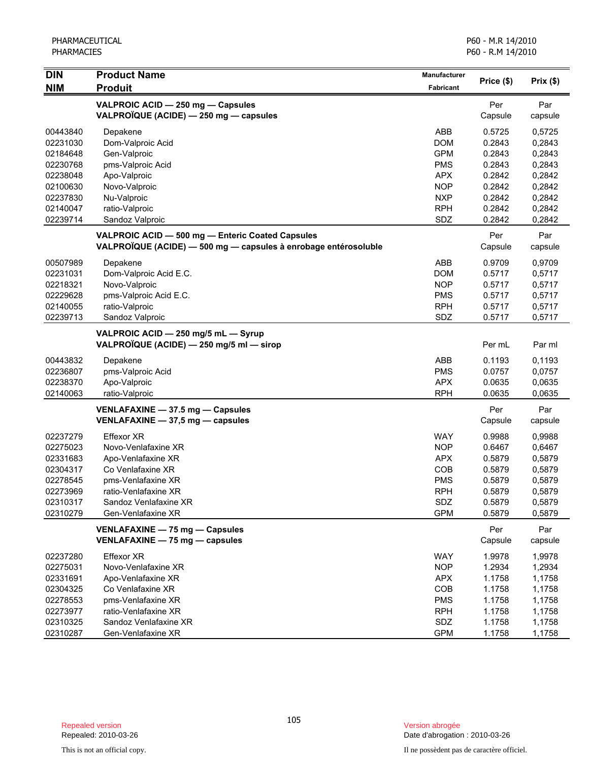| <b>DIN</b> | <b>Product Name</b>                                             | <b>Manufacturer</b> |            |          |
|------------|-----------------------------------------------------------------|---------------------|------------|----------|
| <b>NIM</b> | <b>Produit</b>                                                  | Fabricant           | Price (\$) | Prix(\$) |
|            | VALPROIC ACID - 250 mg - Capsules                               |                     | Per        | Par      |
|            | VALPROÏQUE (ACIDE) - 250 mg - capsules                          |                     | Capsule    | capsule  |
| 00443840   | Depakene                                                        | ABB                 | 0.5725     | 0,5725   |
| 02231030   | Dom-Valproic Acid                                               | <b>DOM</b>          | 0.2843     | 0,2843   |
| 02184648   | Gen-Valproic                                                    | <b>GPM</b>          | 0.2843     | 0,2843   |
| 02230768   | pms-Valproic Acid                                               | <b>PMS</b>          | 0.2843     | 0,2843   |
| 02238048   | Apo-Valproic                                                    | <b>APX</b>          | 0.2842     | 0,2842   |
| 02100630   | Novo-Valproic                                                   | <b>NOP</b>          | 0.2842     | 0,2842   |
| 02237830   | Nu-Valproic                                                     | <b>NXP</b>          | 0.2842     | 0,2842   |
| 02140047   | ratio-Valproic                                                  | <b>RPH</b>          | 0.2842     | 0,2842   |
| 02239714   | Sandoz Valproic                                                 | SDZ                 | 0.2842     | 0,2842   |
|            | VALPROIC ACID - 500 mg - Enteric Coated Capsules                |                     | Per        | Par      |
|            | VALPROÏQUE (ACIDE) — 500 mg — capsules à enrobage entérosoluble |                     | Capsule    | capsule  |
| 00507989   | Depakene                                                        | ABB                 | 0.9709     | 0,9709   |
| 02231031   | Dom-Valproic Acid E.C.                                          | <b>DOM</b>          | 0.5717     | 0,5717   |
| 02218321   | Novo-Valproic                                                   | <b>NOP</b>          | 0.5717     | 0,5717   |
| 02229628   | pms-Valproic Acid E.C.                                          | <b>PMS</b>          | 0.5717     | 0,5717   |
| 02140055   | ratio-Valproic                                                  | <b>RPH</b>          | 0.5717     | 0,5717   |
| 02239713   | Sandoz Valproic                                                 | SDZ                 | 0.5717     | 0,5717   |
|            | VALPROIC ACID - 250 mg/5 mL - Syrup                             |                     |            |          |
|            | VALPROÏQUE (ACIDE) - 250 mg/5 ml - sirop                        |                     | Per mL     | Par ml   |
| 00443832   | Depakene                                                        | ABB                 | 0.1193     | 0,1193   |
| 02236807   | pms-Valproic Acid                                               | <b>PMS</b>          | 0.0757     | 0,0757   |
| 02238370   | Apo-Valproic                                                    | <b>APX</b>          | 0.0635     | 0,0635   |
| 02140063   | ratio-Valproic                                                  | <b>RPH</b>          | 0.0635     | 0,0635   |
|            | VENLAFAXINE - 37.5 mg - Capsules                                |                     | Per        | Par      |
|            | VENLAFAXINE - 37,5 mg - capsules                                |                     | Capsule    | capsule  |
| 02237279   | <b>Effexor XR</b>                                               | <b>WAY</b>          | 0.9988     | 0,9988   |
| 02275023   | Novo-Venlafaxine XR                                             | <b>NOP</b>          | 0.6467     | 0,6467   |
| 02331683   | Apo-Venlafaxine XR                                              | <b>APX</b>          | 0.5879     | 0,5879   |
| 02304317   | Co Venlafaxine XR                                               | COB                 | 0.5879     | 0,5879   |
| 02278545   | pms-Venlafaxine XR                                              | <b>PMS</b>          | 0.5879     | 0,5879   |
| 02273969   | ratio-Venlafaxine XR                                            | <b>RPH</b>          | 0.5879     | 0,5879   |
| 02310317   | Sandoz Venlafaxine XR                                           | SDZ                 | 0.5879     | 0,5879   |
| 02310279   | Gen-Venlafaxine XR                                              | <b>GPM</b>          | 0.5879     | 0,5879   |
|            | VENLAFAXINE - 75 mg - Capsules                                  |                     | Per        | Par      |
|            | VENLAFAXINE - 75 mg - capsules                                  |                     | Capsule    | capsule  |
| 02237280   | <b>Effexor XR</b>                                               | <b>WAY</b>          | 1.9978     | 1,9978   |
| 02275031   | Novo-Venlafaxine XR                                             | <b>NOP</b>          | 1.2934     | 1,2934   |
| 02331691   | Apo-Venlafaxine XR                                              | <b>APX</b>          | 1.1758     | 1,1758   |
| 02304325   | Co Venlafaxine XR                                               | COB                 | 1.1758     | 1,1758   |
| 02278553   | pms-Venlafaxine XR                                              | <b>PMS</b>          | 1.1758     | 1,1758   |
| 02273977   | ratio-Venlafaxine XR                                            | <b>RPH</b>          | 1.1758     | 1,1758   |
| 02310325   | Sandoz Venlafaxine XR                                           | SDZ                 | 1.1758     | 1,1758   |
| 02310287   | Gen-Venlafaxine XR                                              | <b>GPM</b>          | 1.1758     | 1,1758   |

Date d'abrogation : 2010-03-26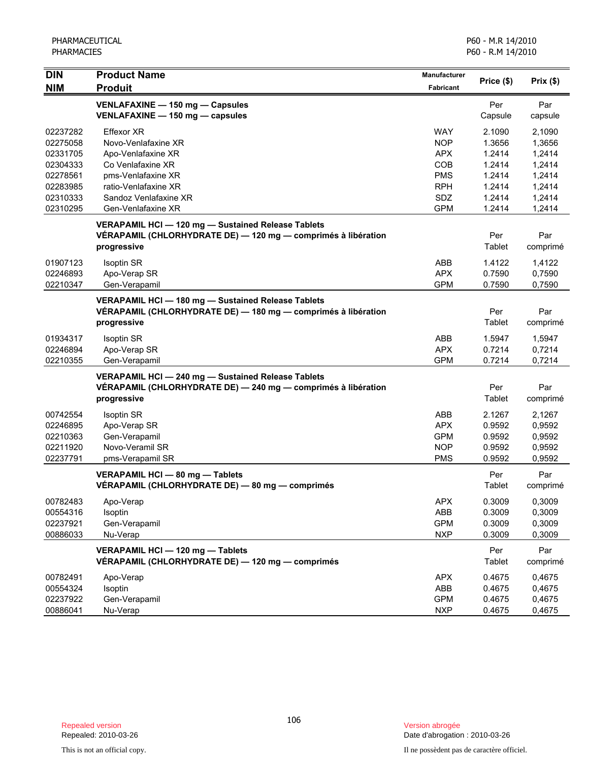| <b>DIN</b>                                                                                   | <b>Product Name</b>                                                                                                                                                              | <b>Manufacturer</b>                                                                            | Price (\$)                                                                   | Prix(\$)                                                                     |
|----------------------------------------------------------------------------------------------|----------------------------------------------------------------------------------------------------------------------------------------------------------------------------------|------------------------------------------------------------------------------------------------|------------------------------------------------------------------------------|------------------------------------------------------------------------------|
| <b>NIM</b>                                                                                   | <b>Produit</b>                                                                                                                                                                   | <b>Fabricant</b>                                                                               |                                                                              |                                                                              |
|                                                                                              | VENLAFAXINE - 150 mg - Capsules<br>VENLAFAXINE - 150 mg - capsules                                                                                                               |                                                                                                | Per<br>Capsule                                                               | Par<br>capsule                                                               |
| 02237282<br>02275058<br>02331705<br>02304333<br>02278561<br>02283985<br>02310333<br>02310295 | <b>Effexor XR</b><br>Novo-Venlafaxine XR<br>Apo-Venlafaxine XR<br>Co Venlafaxine XR<br>pms-Venlafaxine XR<br>ratio-Venlafaxine XR<br>Sandoz Venlafaxine XR<br>Gen-Venlafaxine XR | <b>WAY</b><br><b>NOP</b><br><b>APX</b><br>COB<br><b>PMS</b><br><b>RPH</b><br>SDZ<br><b>GPM</b> | 2.1090<br>1.3656<br>1.2414<br>1.2414<br>1.2414<br>1.2414<br>1.2414<br>1.2414 | 2,1090<br>1,3656<br>1,2414<br>1,2414<br>1,2414<br>1,2414<br>1,2414<br>1,2414 |
|                                                                                              | VERAPAMIL HCI - 120 mg - Sustained Release Tablets<br>VÉRAPAMIL (CHLORHYDRATE DE) - 120 mg - comprimés à libération<br>progressive                                               |                                                                                                | Per<br>Tablet                                                                | Par<br>comprimé                                                              |
| 01907123<br>02246893<br>02210347                                                             | Isoptin SR<br>Apo-Verap SR<br>Gen-Verapamil                                                                                                                                      | ABB<br><b>APX</b><br><b>GPM</b>                                                                | 1.4122<br>0.7590<br>0.7590                                                   | 1,4122<br>0,7590<br>0,7590                                                   |
|                                                                                              | VERAPAMIL HCI - 180 mg - Sustained Release Tablets<br>VÉRAPAMIL (CHLORHYDRATE DE) — 180 mg — comprimés à libération<br>progressive                                               |                                                                                                | Per<br>Tablet                                                                | Par<br>comprimé                                                              |
| 01934317<br>02246894<br>02210355                                                             | <b>Isoptin SR</b><br>Apo-Verap SR<br>Gen-Verapamil                                                                                                                               | ABB<br><b>APX</b><br><b>GPM</b>                                                                | 1.5947<br>0.7214<br>0.7214                                                   | 1,5947<br>0,7214<br>0,7214                                                   |
|                                                                                              | VERAPAMIL HCI - 240 mg - Sustained Release Tablets<br>VÉRAPAMIL (CHLORHYDRATE DE) - 240 mg - comprimés à libération<br>progressive                                               |                                                                                                | Per<br>Tablet                                                                | Par<br>comprimé                                                              |
| 00742554<br>02246895<br>02210363<br>02211920<br>02237791                                     | <b>Isoptin SR</b><br>Apo-Verap SR<br>Gen-Verapamil<br>Novo-Veramil SR<br>pms-Verapamil SR                                                                                        | ABB<br><b>APX</b><br><b>GPM</b><br><b>NOP</b><br><b>PMS</b>                                    | 2.1267<br>0.9592<br>0.9592<br>0.9592<br>0.9592                               | 2,1267<br>0,9592<br>0,9592<br>0,9592<br>0,9592                               |
|                                                                                              | VERAPAMIL HCI - 80 mg - Tablets<br>VÉRAPAMIL (CHLORHYDRATE DE) - 80 mg - comprimés                                                                                               |                                                                                                | Per<br>Tablet                                                                | Par<br>comprimé                                                              |
| 00782483<br>00554316<br>02237921<br>00886033                                                 | Apo-Verap<br>Isoptin<br>Gen-Verapamil<br>Nu-Verap                                                                                                                                | <b>APX</b><br>ABB<br><b>GPM</b><br><b>NXP</b>                                                  | 0.3009<br>0.3009<br>0.3009<br>0.3009                                         | 0,3009<br>0,3009<br>0,3009<br>0,3009                                         |
|                                                                                              | VERAPAMIL HCI - 120 mg - Tablets<br>VÉRAPAMIL (CHLORHYDRATE DE) - 120 mg - comprimés                                                                                             |                                                                                                | Per<br>Tablet                                                                | Par<br>comprimé                                                              |
| 00782491<br>00554324<br>02237922<br>00886041                                                 | Apo-Verap<br>Isoptin<br>Gen-Verapamil<br>Nu-Verap                                                                                                                                | <b>APX</b><br>ABB<br><b>GPM</b><br><b>NXP</b>                                                  | 0.4675<br>0.4675<br>0.4675<br>0.4675                                         | 0,4675<br>0,4675<br>0,4675<br>0,4675                                         |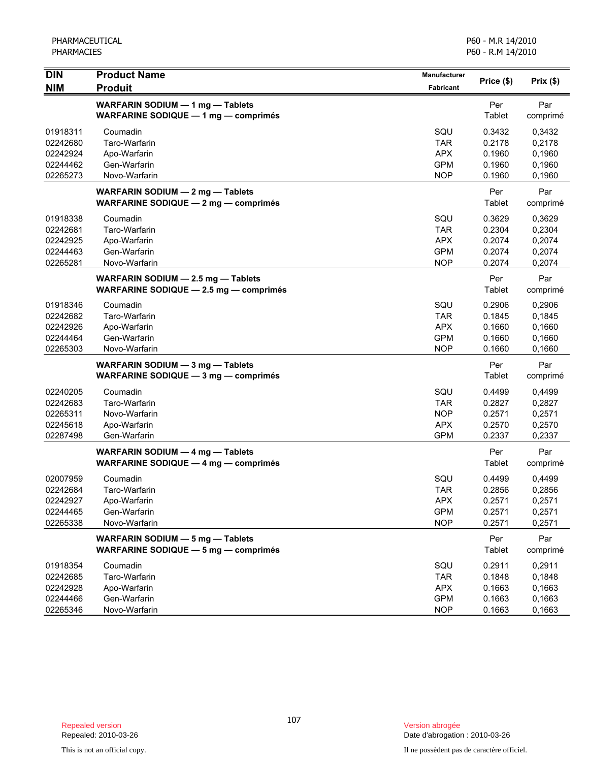| <b>DIN</b> | <b>Product Name</b>                                                             | Manufacturer     |               |                 |
|------------|---------------------------------------------------------------------------------|------------------|---------------|-----------------|
| <b>NIM</b> | <b>Produit</b>                                                                  | <b>Fabricant</b> | Price (\$)    | Prix(\$)        |
|            | WARFARIN SODIUM - 1 mg - Tablets                                                |                  | Per           | Par             |
|            | WARFARINE SODIQUE - 1 mg - comprimés                                            |                  | Tablet        | comprimé        |
| 01918311   | Coumadin                                                                        | SQU              | 0.3432        | 0,3432          |
| 02242680   | Taro-Warfarin                                                                   | <b>TAR</b>       | 0.2178        | 0,2178          |
| 02242924   | Apo-Warfarin                                                                    | <b>APX</b>       | 0.1960        | 0,1960          |
| 02244462   | Gen-Warfarin                                                                    | <b>GPM</b>       | 0.1960        | 0,1960          |
| 02265273   | Novo-Warfarin                                                                   | <b>NOP</b>       | 0.1960        | 0,1960          |
|            | WARFARIN SODIUM - 2 mg - Tablets<br>WARFARINE SODIQUE - 2 mg - comprimés        |                  | Per<br>Tablet | Par<br>comprimé |
| 01918338   | Coumadin                                                                        | SQU              | 0.3629        | 0,3629          |
| 02242681   | Taro-Warfarin                                                                   | <b>TAR</b>       | 0.2304        | 0,2304          |
| 02242925   | Apo-Warfarin                                                                    | <b>APX</b>       | 0.2074        | 0,2074          |
| 02244463   | Gen-Warfarin                                                                    | <b>GPM</b>       | 0.2074        | 0,2074          |
| 02265281   | Novo-Warfarin                                                                   | <b>NOP</b>       | 0.2074        | 0,2074          |
|            | WARFARIN SODIUM - 2.5 mg - Tablets<br>WARFARINE SODIQUE $-2.5$ mg $-$ comprimés |                  | Per<br>Tablet | Par<br>comprimé |
| 01918346   | Coumadin                                                                        | SQU              | 0.2906        | 0,2906          |
| 02242682   | Taro-Warfarin                                                                   | <b>TAR</b>       | 0.1845        | 0,1845          |
| 02242926   | Apo-Warfarin                                                                    | <b>APX</b>       | 0.1660        | 0,1660          |
| 02244464   | Gen-Warfarin                                                                    | <b>GPM</b>       | 0.1660        | 0,1660          |
| 02265303   | Novo-Warfarin                                                                   | <b>NOP</b>       | 0.1660        | 0,1660          |
|            | WARFARIN SODIUM - 3 mg - Tablets                                                |                  | Per           | Par             |
|            | WARFARINE SODIQUE - 3 mg - comprimés                                            |                  | Tablet        | comprimé        |
| 02240205   | Coumadin                                                                        | SQU              | 0.4499        | 0,4499          |
| 02242683   | Taro-Warfarin                                                                   | <b>TAR</b>       | 0.2827        | 0,2827          |
| 02265311   | Novo-Warfarin                                                                   | <b>NOP</b>       | 0.2571        | 0,2571          |
| 02245618   | Apo-Warfarin                                                                    | <b>APX</b>       | 0.2570        | 0,2570          |
| 02287498   | Gen-Warfarin                                                                    | <b>GPM</b>       | 0.2337        | 0,2337          |
|            | WARFARIN SODIUM - 4 mg - Tablets                                                |                  | Per           | Par             |
|            | WARFARINE SODIQUE - 4 mg - comprimés                                            |                  | Tablet        | comprimé        |
| 02007959   | Coumadin                                                                        | SQU              | 0.4499        | 0,4499          |
| 02242684   | Taro-Warfarin                                                                   | <b>TAR</b>       | 0.2856        | 0,2856          |
| 02242927   | Apo-Warfarin                                                                    | <b>APX</b>       | 0.2571        | 0,2571          |
| 02244465   | Gen-Warfarin                                                                    | <b>GPM</b>       | 0.2571        | 0,2571          |
| 02265338   | Novo-Warfarin                                                                   | <b>NOP</b>       | 0.2571        | 0,2571          |
|            | WARFARIN SODIUM - 5 mg - Tablets<br><b>WARFARINE SODIQUE - 5 mg - comprimés</b> |                  | Per<br>Tablet | Par<br>comprimé |
| 01918354   | Coumadin                                                                        | SQU              | 0.2911        | 0,2911          |
| 02242685   | Taro-Warfarin                                                                   | TAR              | 0.1848        | 0,1848          |
| 02242928   | Apo-Warfarin                                                                    | <b>APX</b>       | 0.1663        | 0,1663          |
| 02244466   | Gen-Warfarin                                                                    | <b>GPM</b>       | 0.1663        | 0,1663          |
| 02265346   | Novo-Warfarin                                                                   | <b>NOP</b>       | 0.1663        | 0,1663          |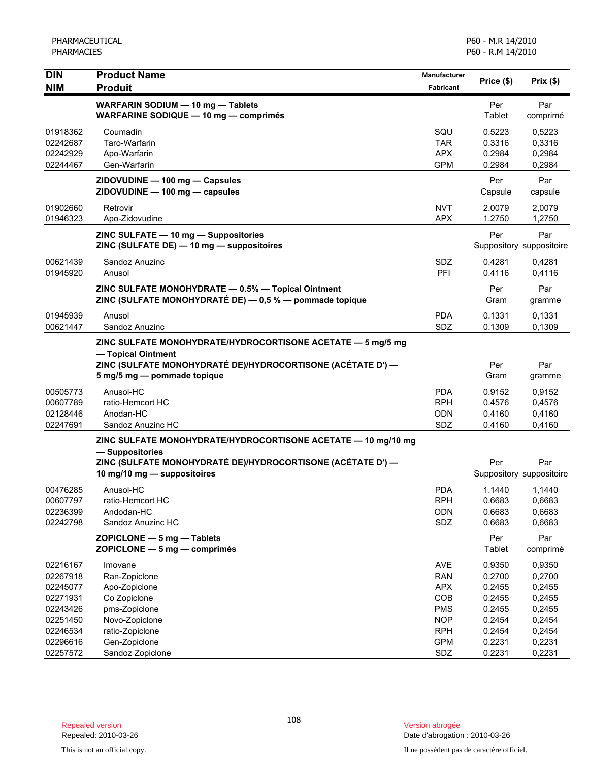| DIN<br><b>NIM</b> | <b>Product Name</b><br><b>Produit</b>                                                                                                                                           | Manufacturer<br><b>Fabricant</b> | Price (\$)           | Prix(\$)                        |
|-------------------|---------------------------------------------------------------------------------------------------------------------------------------------------------------------------------|----------------------------------|----------------------|---------------------------------|
|                   |                                                                                                                                                                                 |                                  |                      |                                 |
|                   | WARFARIN SODIUM - 10 mg - Tablets<br>WARFARINE SODIQUE - 10 mg - comprimés                                                                                                      |                                  | Per<br>Tablet        | Par<br>comprimé                 |
| 01918362          | Coumadin                                                                                                                                                                        | SQU                              | 0.5223               | 0,5223                          |
| 02242687          | Taro-Warfarin                                                                                                                                                                   | <b>TAR</b>                       | 0.3316               | 0,3316                          |
| 02242929          | Apo-Warfarin                                                                                                                                                                    | <b>APX</b>                       | 0.2984               | 0,2984                          |
| 02244467          | Gen-Warfarin                                                                                                                                                                    | <b>GPM</b>                       | 0.2984               | 0,2984                          |
|                   | ZIDOVUDINE - 100 mg - Capsules<br>ZIDOVUDINE - 100 mg - capsules                                                                                                                |                                  | Per<br>Capsule       | Par<br>capsule                  |
| 01902660          | Retrovir                                                                                                                                                                        | <b>NVT</b>                       | 2.0079               | 2,0079                          |
| 01946323          | Apo-Zidovudine                                                                                                                                                                  | <b>APX</b>                       | 1.2750               | 1,2750                          |
|                   | ZINC SULFATE - 10 mg - Suppositories<br>ZINC (SULFATE DE) - 10 mg - suppositoires                                                                                               |                                  | Per                  | Par<br>Suppository suppositoire |
| 00621439          | Sandoz Anuzinc                                                                                                                                                                  | SDZ                              | 0.4281               | 0,4281                          |
| 01945920          | Anusol                                                                                                                                                                          | PFI                              | 0.4116               | 0,4116                          |
|                   | ZINC SULFATE MONOHYDRATE - 0.5% - Topical Ointment<br>ZINC (SULFATE MONOHYDRATÉ DE) - 0,5 % - pommade topique                                                                   |                                  | Per<br>Gram          | Par<br>gramme                   |
| 01945939          | Anusol                                                                                                                                                                          | <b>PDA</b>                       | 0.1331               | 0,1331                          |
| 00621447          | Sandoz Anuzinc                                                                                                                                                                  | SDZ                              | 0.1309               | 0,1309                          |
|                   | ZINC SULFATE MONOHYDRATE/HYDROCORTISONE ACETATE - 5 mg/5 mg<br>- Topical Ointment<br>ZINC (SULFATE MONOHYDRATÉ DE)/HYDROCORTISONE (ACÉTATE D') —<br>5 mg/5 mg - pommade topique |                                  | Per<br>Gram          | Par<br>gramme                   |
| 00505773          | Anusol-HC                                                                                                                                                                       | <b>PDA</b>                       | 0.9152               | 0,9152                          |
| 00607789          | ratio-Hemcort HC                                                                                                                                                                | <b>RPH</b>                       | 0.4576               | 0,4576                          |
| 02128446          | Anodan-HC                                                                                                                                                                       | <b>ODN</b>                       | 0.4160               | 0,4160                          |
| 02247691          | Sandoz Anuzinc HC                                                                                                                                                               | SDZ                              | 0.4160               | 0,4160                          |
|                   | ZINC SULFATE MONOHYDRATE/HYDROCORTISONE ACETATE - 10 mg/10 mg<br>- Suppositories<br>ZINC (SULFATE MONOHYDRATÉ DE)/HYDROCORTISONE (ACÉTATE D') —<br>10 mg/10 mg - suppositoires  |                                  | Per                  | Par<br>Suppository suppositoire |
| 00476285          | Anusol-HC                                                                                                                                                                       | <b>PDA</b>                       | 1.1440               | 1,1440                          |
| 00607797          | ratio-Hemcort HC                                                                                                                                                                | <b>RPH</b>                       | 0.6683               | 0,6683                          |
| 02236399          | Andodan-HC                                                                                                                                                                      | <b>ODN</b>                       | 0.6683               | 0,6683                          |
| 02242798          | Sandoz Anuzinc HC                                                                                                                                                               | SDZ                              | 0.6683               | 0,6683                          |
|                   | ZOPICLONE - 5 mg - Tablets<br>ZOPICLONE - 5 mg - comprimés                                                                                                                      |                                  | Per<br><b>Tablet</b> | Par<br>comprimé                 |
| 02216167          | Imovane                                                                                                                                                                         | AVE                              | 0.9350               | 0,9350                          |
| 02267918          | Ran-Zopiclone                                                                                                                                                                   | <b>RAN</b>                       | 0.2700               | 0,2700                          |
| 02245077          | Apo-Zopiclone                                                                                                                                                                   | <b>APX</b>                       | 0.2455               | 0,2455                          |
| 02271931          | Co Zopiclone                                                                                                                                                                    | COB                              | 0.2455               | 0,2455                          |
| 02243426          | pms-Zopiclone                                                                                                                                                                   | <b>PMS</b>                       | 0.2455               | 0,2455                          |
| 02251450          | Novo-Zopiclone                                                                                                                                                                  | <b>NOP</b>                       | 0.2454               | 0,2454                          |
| 02246534          | ratio-Zopiclone                                                                                                                                                                 | <b>RPH</b>                       | 0.2454               | 0,2454                          |
| 02296616          | Gen-Zopiclone                                                                                                                                                                   | <b>GPM</b>                       | 0.2231               | 0,2231                          |
| 02257572          | Sandoz Zopiclone                                                                                                                                                                | SDZ                              | 0.2231               | 0,2231                          |